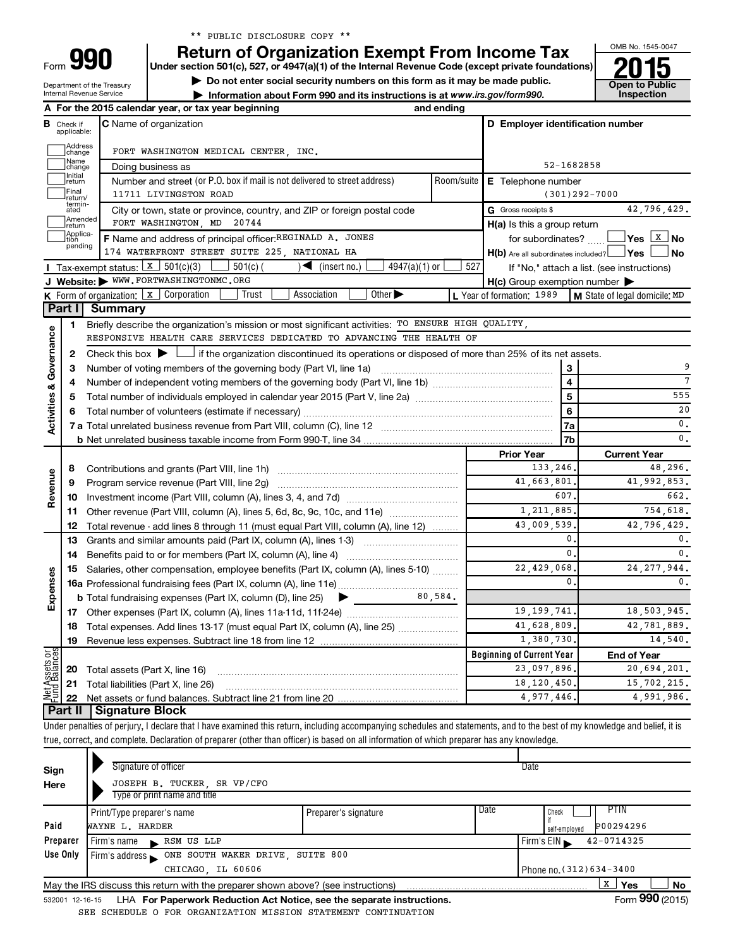|  |  | ** PUBLIC DISCLOSURE COPY ** |  |  |
|--|--|------------------------------|--|--|
|--|--|------------------------------|--|--|

**Under section 501(c), 527, or 4947(a)(1) of the Internal Revenue Code (except private foundations) ■ Do not enter social security numbers on this form as it may be made public.**<br>■ Do not enter social security numbers on this form as it may be made public. ● Open to Public **Dependence** Dublic **Dependence** Dublic **Depen 990 Return of Organization Exempt From Income Tax 1990 2015**<br>
Under section 501(c), 527, or 4947(a)(1) of the Internal Revenue Code (except private foundations) **2015** 

**• Information about Form 990 and its instructions is at www.irs.gov/form990. and inspection** 

Department of the Treasury Internal Revenue Service

Form

|                         |                                  | A For the 2015 calendar year, or tax year beginning                                                                                                                        | and ending |                                                     |                                            |                |
|-------------------------|----------------------------------|----------------------------------------------------------------------------------------------------------------------------------------------------------------------------|------------|-----------------------------------------------------|--------------------------------------------|----------------|
|                         | <b>B</b> Check if<br>applicable: | <b>C</b> Name of organization                                                                                                                                              |            | D Employer identification number                    |                                            |                |
|                         | Address<br>change                | FORT WASHINGTON MEDICAL CENTER, INC.                                                                                                                                       |            |                                                     |                                            |                |
|                         | Name<br>change                   | Doing business as                                                                                                                                                          |            |                                                     | 52-1682858                                 |                |
|                         | Initial<br>return                | Number and street (or P.O. box if mail is not delivered to street address)                                                                                                 | Room/suite | E Telephone number                                  |                                            |                |
|                         | Final<br>return/                 | 11711 LIVINGSTON ROAD                                                                                                                                                      |            |                                                     | $(301)292 - 7000$                          |                |
|                         | termin-<br>ated                  | City or town, state or province, country, and ZIP or foreign postal code                                                                                                   |            | G Gross receipts \$                                 |                                            | 42,796,429.    |
|                         | Amended<br>return                | FORT WASHINGTON, MD 20744                                                                                                                                                  |            | $H(a)$ is this a group return                       |                                            |                |
|                         | Applica-                         | F Name and address of principal officer: REGINALD A. JONES                                                                                                                 |            | for subordinates?                                   |                                            |                |
|                         | pending                          | 174 WATERFRONT STREET SUITE 225, NATIONAL HA                                                                                                                               |            | $H(b)$ Are all subordinates included? $\Box$ Yes    |                                            | No             |
|                         |                                  | Tax-exempt status: $X \mid 501(c)(3)$<br>$501(c)$ (<br>$4947(a)(1)$ or<br>$\rightarrow$<br>(insert no.)                                                                    |            | 527                                                 | If "No," attach a list. (see instructions) |                |
|                         |                                  | J Website: WWW.FORTWASHINGTONMC.ORG                                                                                                                                        |            | $H(c)$ Group exemption number $\blacktriangleright$ |                                            |                |
|                         |                                  | K Form of organization:   x   Corporation<br>Association<br>Other $\blacktriangleright$<br>Trust                                                                           |            | L Year of formation: 1989                           | M State of legal domicile: MD              |                |
|                         |                                  | Part I Summary                                                                                                                                                             |            |                                                     |                                            |                |
|                         | 1                                | Briefly describe the organization's mission or most significant activities: TO ENSURE HIGH QUALITY,                                                                        |            |                                                     |                                            |                |
|                         |                                  | RESPONSIVE HEALTH CARE SERVICES DEDICATED TO ADVANCING THE HEALTH OF                                                                                                       |            |                                                     |                                            |                |
|                         | 2                                | Check this box $\blacktriangleright$ $\Box$                                                                                                                                |            |                                                     |                                            |                |
| Governance              | 3                                | Number of voting members of the governing body (Part VI, line 1a)                                                                                                          |            |                                                     | 3                                          | 9              |
|                         | 4                                |                                                                                                                                                                            |            |                                                     | $\overline{\mathbf{4}}$                    |                |
|                         | 5                                |                                                                                                                                                                            |            |                                                     | 5                                          | 555            |
|                         | 6                                |                                                                                                                                                                            |            |                                                     | 6                                          | 20             |
| <b>Activities &amp;</b> |                                  |                                                                                                                                                                            |            |                                                     | 7a                                         | 0.             |
|                         |                                  |                                                                                                                                                                            |            |                                                     | 7b                                         | $\mathbf{0}$ . |
|                         |                                  |                                                                                                                                                                            |            | <b>Prior Year</b>                                   | <b>Current Year</b>                        |                |
|                         | 8                                |                                                                                                                                                                            |            | 133,246.                                            |                                            | 48,296.        |
|                         | 9                                | Program service revenue (Part VIII, line 2g) [11] [11] matter contracts are revenued as a program service revenue                                                          |            | 41,663,801.                                         |                                            | 41,992,853.    |
| Revenue                 | 10                               |                                                                                                                                                                            |            | 607                                                 |                                            | 662.           |
|                         | 11                               | Other revenue (Part VIII, column (A), lines 5, 6d, 8c, 9c, 10c, and 11e)                                                                                                   |            | 1, 211, 885                                         |                                            | 754,618.       |
|                         | 12                               | Total revenue - add lines 8 through 11 (must equal Part VIII, column (A), line 12)                                                                                         |            | 43,009,539                                          |                                            | 42,796,429.    |
|                         | 13                               | Grants and similar amounts paid (Part IX, column (A), lines 1-3)                                                                                                           |            |                                                     | $\mathbf 0$                                | 0.             |
|                         | 14                               |                                                                                                                                                                            |            |                                                     | $\mathbf{0}$ .                             | 0.             |
|                         | 15                               | Salaries, other compensation, employee benefits (Part IX, column (A), lines 5-10)                                                                                          |            | 22,429,068.                                         |                                            | 24, 277, 944.  |
| Expenses                |                                  |                                                                                                                                                                            |            |                                                     | $\mathbf{0}$ .                             | 0.             |
|                         |                                  |                                                                                                                                                                            |            |                                                     |                                            |                |
|                         |                                  |                                                                                                                                                                            |            | 19,199,741.                                         |                                            | 18,503,945.    |
|                         |                                  | 18 Total expenses. Add lines 13-17 (must equal Part IX, column (A), line 25)                                                                                               |            | 41,628,809.                                         |                                            | 42,781,889.    |
|                         |                                  | 19 Revenue less expenses. Subtract line 18 from line 12                                                                                                                    |            | 1,380,730.                                          |                                            | 14,540.        |
|                         |                                  |                                                                                                                                                                            |            | <b>Beginning of Current Year</b>                    | <b>End of Year</b>                         |                |
|                         | 20                               | Total assets (Part X, line 16)                                                                                                                                             |            | 23,097,896.                                         |                                            | 20,694,201.    |
| Net Assets or           | 21                               | Total liabilities (Part X, line 26)                                                                                                                                        |            | 18, 120, 450.                                       |                                            | 15,702,215.    |
|                         | 22                               |                                                                                                                                                                            |            | 4,977,446                                           |                                            | 4,991,986.     |
|                         | Part II                          | <b>Signature Block</b>                                                                                                                                                     |            |                                                     |                                            |                |
|                         |                                  | Under penalties of perjury, I declare that I have examined this return, including accompanying schedules and statements, and to the best of my knowledge and belief, it is |            |                                                     |                                            |                |
|                         |                                  | true, correct, and complete. Declaration of preparer (other than officer) is based on all information of which preparer has any knowledge.                                 |            |                                                     |                                            |                |

| Sign<br>Here | Signature of officer<br>JOSEPH B. TUCKER SR VP/CFO<br>Type or print name and title                         |                      | Date                                                        |  |  |  |  |  |  |  |
|--------------|------------------------------------------------------------------------------------------------------------|----------------------|-------------------------------------------------------------|--|--|--|--|--|--|--|
| Paid         | Print/Type preparer's name<br>WAYNE L. HARDER                                                              | Preparer's signature | Date<br>PTIN<br>Check<br>  if<br>P00294296<br>self-emploved |  |  |  |  |  |  |  |
| Preparer     |                                                                                                            |                      | 42-0714325<br>Firm's $EIN$                                  |  |  |  |  |  |  |  |
| Use Only     | Firm's address ONE SOUTH WAKER DRIVE, SUITE 800                                                            |                      |                                                             |  |  |  |  |  |  |  |
|              | CHICAGO, IL 60606<br>Phone no. (312) 634-3400                                                              |                      |                                                             |  |  |  |  |  |  |  |
|              | х<br><b>No</b><br>Yes<br>May the IRS discuss this return with the preparer shown above? (see instructions) |                      |                                                             |  |  |  |  |  |  |  |



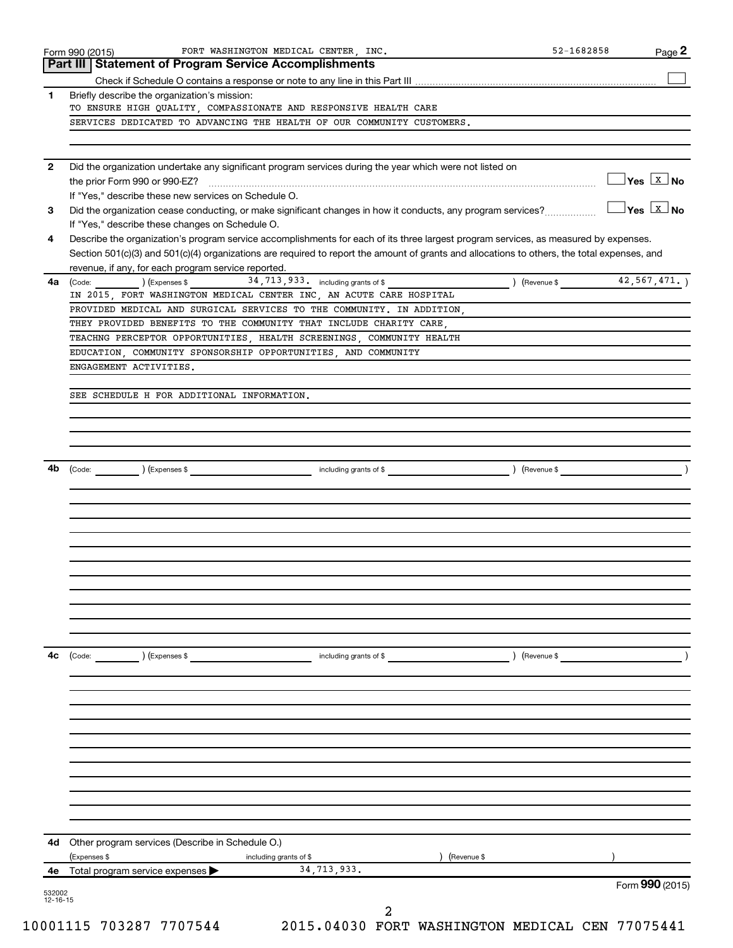| 4d<br>4е     | Other program services (Describe in Schedule O.)<br>(Expenses \$<br>Revenue \$<br>including grants of \$<br>34, 713, 933.<br>Total program service expenses                                         |               | Form 990 (2015)                  |
|--------------|-----------------------------------------------------------------------------------------------------------------------------------------------------------------------------------------------------|---------------|----------------------------------|
|              |                                                                                                                                                                                                     |               |                                  |
|              |                                                                                                                                                                                                     |               |                                  |
|              |                                                                                                                                                                                                     |               |                                  |
|              |                                                                                                                                                                                                     |               |                                  |
|              |                                                                                                                                                                                                     |               |                                  |
|              |                                                                                                                                                                                                     |               |                                  |
|              |                                                                                                                                                                                                     |               |                                  |
|              |                                                                                                                                                                                                     |               |                                  |
|              |                                                                                                                                                                                                     |               |                                  |
|              |                                                                                                                                                                                                     |               |                                  |
| 4c           | (Code:<br>) (Expenses \$<br>including grants of \$                                                                                                                                                  | ) (Revenue \$ |                                  |
|              |                                                                                                                                                                                                     |               |                                  |
|              |                                                                                                                                                                                                     |               |                                  |
|              |                                                                                                                                                                                                     |               |                                  |
|              |                                                                                                                                                                                                     |               |                                  |
|              |                                                                                                                                                                                                     |               |                                  |
|              |                                                                                                                                                                                                     |               |                                  |
|              |                                                                                                                                                                                                     |               |                                  |
|              |                                                                                                                                                                                                     |               |                                  |
|              |                                                                                                                                                                                                     |               |                                  |
| 4b           | including grants of \$<br>$\begin{pmatrix} \text{Code:} \end{pmatrix}$<br>) (Expenses \$                                                                                                            | ) (Revenue \$ |                                  |
|              |                                                                                                                                                                                                     |               |                                  |
|              |                                                                                                                                                                                                     |               |                                  |
|              |                                                                                                                                                                                                     |               |                                  |
|              | SEE SCHEDULE H FOR ADDITIONAL INFORMATION.                                                                                                                                                          |               |                                  |
|              |                                                                                                                                                                                                     |               |                                  |
|              | ENGAGEMENT ACTIVITIES.                                                                                                                                                                              |               |                                  |
|              | EDUCATION, COMMUNITY SPONSORSHIP OPPORTUNITIES, AND COMMUNITY                                                                                                                                       |               |                                  |
|              | THEY PROVIDED BENEFITS TO THE COMMUNITY THAT INCLUDE CHARITY CARE,<br>TEACHNG PERCEPTOR OPPORTUNITIES, HEALTH SCREENINGS, COMMUNITY HEALTH                                                          |               |                                  |
|              | PROVIDED MEDICAL AND SURGICAL SERVICES TO THE COMMUNITY. IN ADDITION,                                                                                                                               |               |                                  |
|              | IN 2015, FORT WASHINGTON MEDICAL CENTER INC, AN ACUTE CARE HOSPITAL                                                                                                                                 |               |                                  |
| 4a           | $34,713,933$ including grants of \$<br>(Code: ) (Expenses \$                                                                                                                                        | (Revenue \$   | 42, 567, 471.                    |
|              | Section 501(c)(3) and 501(c)(4) organizations are required to report the amount of grants and allocations to others, the total expenses, and<br>revenue, if any, for each program service reported. |               |                                  |
| 4            | Describe the organization's program service accomplishments for each of its three largest program services, as measured by expenses.                                                                |               |                                  |
|              | If "Yes," describe these changes on Schedule O.                                                                                                                                                     |               |                                  |
| 3            | Did the organization cease conducting, or make significant changes in how it conducts, any program services?                                                                                        |               | $\sqrt{Y}$ es $\sqrt{X}$ No      |
|              | If "Yes," describe these new services on Schedule O.                                                                                                                                                |               |                                  |
| $\mathbf{2}$ | Did the organization undertake any significant program services during the year which were not listed on                                                                                            |               | $\Box$ Yes $\boxed{\text{x}}$ No |
|              |                                                                                                                                                                                                     |               |                                  |
|              |                                                                                                                                                                                                     |               |                                  |
|              | SERVICES DEDICATED TO ADVANCING THE HEALTH OF OUR COMMUNITY CUSTOMERS.                                                                                                                              |               |                                  |
| 1            | Briefly describe the organization's mission:<br>TO ENSURE HIGH QUALITY, COMPASSIONATE AND RESPONSIVE HEALTH CARE                                                                                    |               |                                  |
|              |                                                                                                                                                                                                     |               |                                  |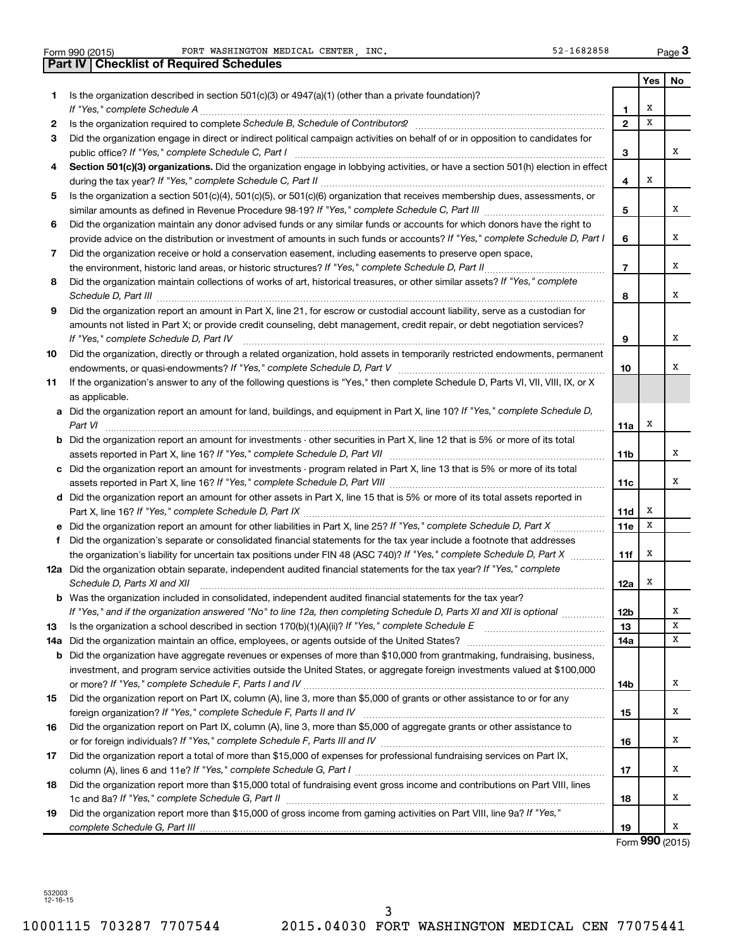| Form 990 (2015) | 52-1682858<br>FORT WASHINGTON MEDICAL CENTER, INC.                                                                                                                                                                                  |                 |     | Page 3          |
|-----------------|-------------------------------------------------------------------------------------------------------------------------------------------------------------------------------------------------------------------------------------|-----------------|-----|-----------------|
| Part IV         | <b>Checklist of Required Schedules</b>                                                                                                                                                                                              |                 |     |                 |
|                 |                                                                                                                                                                                                                                     |                 | Yes | No              |
| 1.              | Is the organization described in section 501(c)(3) or 4947(a)(1) (other than a private foundation)?                                                                                                                                 |                 |     |                 |
|                 |                                                                                                                                                                                                                                     | 1               | х   |                 |
| 2               | Is the organization required to complete Schedule B, Schedule of Contributors? [11] the organization required to complete Schedule B, Schedule of Contributors?                                                                     | $\mathbf{2}$    | x   |                 |
| 3               | Did the organization engage in direct or indirect political campaign activities on behalf of or in opposition to candidates for                                                                                                     |                 |     |                 |
|                 |                                                                                                                                                                                                                                     | з               |     | x               |
| 4               | Section 501(c)(3) organizations. Did the organization engage in lobbying activities, or have a section 501(h) election in effect                                                                                                    | 4               | х   |                 |
| 5               | Is the organization a section 501(c)(4), 501(c)(5), or 501(c)(6) organization that receives membership dues, assessments, or                                                                                                        |                 |     |                 |
|                 |                                                                                                                                                                                                                                     | 5               |     | x               |
| 6               | Did the organization maintain any donor advised funds or any similar funds or accounts for which donors have the right to                                                                                                           |                 |     |                 |
|                 | provide advice on the distribution or investment of amounts in such funds or accounts? If "Yes," complete Schedule D, Part I                                                                                                        | 6               |     | х               |
| 7               | Did the organization receive or hold a conservation easement, including easements to preserve open space,                                                                                                                           |                 |     |                 |
|                 |                                                                                                                                                                                                                                     | $\overline{7}$  |     | х               |
| 8               | Did the organization maintain collections of works of art, historical treasures, or other similar assets? If "Yes," complete                                                                                                        |                 |     |                 |
|                 | Schedule D, Part III <b>Marting Communities</b> and the contract of the contract of the contract of the contract of the contract of the contract of the contract of the contract of the contract of the contract of the contract of | 8               |     | x               |
| 9               | Did the organization report an amount in Part X, line 21, for escrow or custodial account liability, serve as a custodian for                                                                                                       |                 |     |                 |
|                 | amounts not listed in Part X; or provide credit counseling, debt management, credit repair, or debt negotiation services?                                                                                                           |                 |     |                 |
|                 | If "Yes," complete Schedule D, Part IV                                                                                                                                                                                              | 9               |     | х               |
| 10              | Did the organization, directly or through a related organization, hold assets in temporarily restricted endowments, permanent                                                                                                       |                 |     |                 |
|                 |                                                                                                                                                                                                                                     | 10              |     | х               |
| 11              | If the organization's answer to any of the following questions is "Yes," then complete Schedule D, Parts VI, VII, VIII, IX, or X                                                                                                    |                 |     |                 |
|                 | as applicable.<br>a Did the organization report an amount for land, buildings, and equipment in Part X, line 10? If "Yes," complete Schedule D,                                                                                     |                 |     |                 |
|                 | Part VI                                                                                                                                                                                                                             | 11a             | х   |                 |
|                 | <b>b</b> Did the organization report an amount for investments - other securities in Part X, line 12 that is 5% or more of its total                                                                                                |                 |     |                 |
|                 |                                                                                                                                                                                                                                     | 11 <sub>b</sub> |     | x               |
|                 | c Did the organization report an amount for investments - program related in Part X, line 13 that is 5% or more of its total                                                                                                        |                 |     |                 |
|                 |                                                                                                                                                                                                                                     | 11c             |     | x               |
|                 | d Did the organization report an amount for other assets in Part X, line 15 that is 5% or more of its total assets reported in                                                                                                      |                 |     |                 |
|                 |                                                                                                                                                                                                                                     | 11d             | x   |                 |
|                 |                                                                                                                                                                                                                                     | 11e             | X   |                 |
| f               | Did the organization's separate or consolidated financial statements for the tax year include a footnote that addresses                                                                                                             |                 |     |                 |
|                 | the organization's liability for uncertain tax positions under FIN 48 (ASC 740)? If "Yes," complete Schedule D, Part X                                                                                                              | 11f             | x   |                 |
|                 | 12a Did the organization obtain separate, independent audited financial statements for the tax year? If "Yes," complete                                                                                                             |                 |     |                 |
|                 | Schedule D, Parts XI and XII                                                                                                                                                                                                        | 12a             | х   |                 |
|                 | <b>b</b> Was the organization included in consolidated, independent audited financial statements for the tax year?                                                                                                                  |                 |     | х               |
|                 | If "Yes," and if the organization answered "No" to line 12a, then completing Schedule D, Parts XI and XII is optional <i>manum</i>                                                                                                  | 12b<br>13       |     | X               |
| 13<br>14a       |                                                                                                                                                                                                                                     | 14a             |     | х               |
| b               | Did the organization have aggregate revenues or expenses of more than \$10,000 from grantmaking, fundraising, business,                                                                                                             |                 |     |                 |
|                 | investment, and program service activities outside the United States, or aggregate foreign investments valued at \$100,000                                                                                                          |                 |     |                 |
|                 |                                                                                                                                                                                                                                     | 14b             |     | х               |
| 15              | Did the organization report on Part IX, column (A), line 3, more than \$5,000 of grants or other assistance to or for any                                                                                                           |                 |     |                 |
|                 |                                                                                                                                                                                                                                     | 15              |     | X               |
| 16              | Did the organization report on Part IX, column (A), line 3, more than \$5,000 of aggregate grants or other assistance to                                                                                                            |                 |     |                 |
|                 |                                                                                                                                                                                                                                     | 16              |     | X               |
| 17              | Did the organization report a total of more than \$15,000 of expenses for professional fundraising services on Part IX,                                                                                                             |                 |     |                 |
|                 |                                                                                                                                                                                                                                     | 17              |     | X               |
| 18              | Did the organization report more than \$15,000 total of fundraising event gross income and contributions on Part VIII, lines                                                                                                        |                 |     |                 |
|                 |                                                                                                                                                                                                                                     | 18              |     | X               |
| 19              | Did the organization report more than \$15,000 of gross income from gaming activities on Part VIII, line 9a? If "Yes,"                                                                                                              | 19              |     | x               |
|                 |                                                                                                                                                                                                                                     |                 |     | Form 990 (2015) |

532003 12-16-15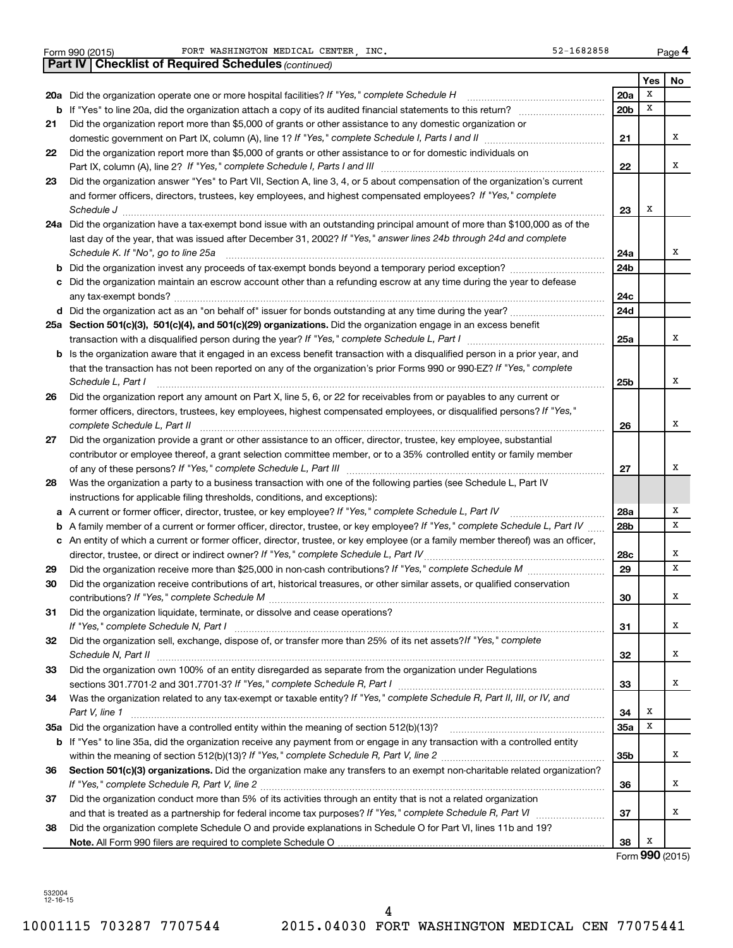|  | Form 990 (2015) |  |
|--|-----------------|--|

Form 990 (2015) Page FORT WASHINGTON MEDICAL CENTER, INC. 52-1682858

|    | <b>Part IV   Checklist of Required Schedules (continued)</b>                                                                                                                                                                                                 |                 |     |    |
|----|--------------------------------------------------------------------------------------------------------------------------------------------------------------------------------------------------------------------------------------------------------------|-----------------|-----|----|
|    |                                                                                                                                                                                                                                                              |                 | Yes | No |
|    |                                                                                                                                                                                                                                                              | 20a             | х   |    |
|    |                                                                                                                                                                                                                                                              | 20 <sub>b</sub> | x   |    |
| 21 | Did the organization report more than \$5,000 of grants or other assistance to any domestic organization or                                                                                                                                                  |                 |     |    |
|    |                                                                                                                                                                                                                                                              | 21              |     | x  |
| 22 | Did the organization report more than \$5,000 of grants or other assistance to or for domestic individuals on                                                                                                                                                |                 |     |    |
|    |                                                                                                                                                                                                                                                              | 22              |     | x  |
| 23 | Did the organization answer "Yes" to Part VII, Section A, line 3, 4, or 5 about compensation of the organization's current                                                                                                                                   |                 |     |    |
|    | and former officers, directors, trustees, key employees, and highest compensated employees? If "Yes," complete                                                                                                                                               |                 |     |    |
|    |                                                                                                                                                                                                                                                              | 23              | x   |    |
|    | 24a Did the organization have a tax-exempt bond issue with an outstanding principal amount of more than \$100,000 as of the                                                                                                                                  |                 |     |    |
|    | last day of the year, that was issued after December 31, 2002? If "Yes," answer lines 24b through 24d and complete                                                                                                                                           |                 |     |    |
|    | Schedule K. If "No", go to line 25a                                                                                                                                                                                                                          | 24a             |     | х  |
|    |                                                                                                                                                                                                                                                              | 24b             |     |    |
|    | c Did the organization maintain an escrow account other than a refunding escrow at any time during the year to defease                                                                                                                                       |                 |     |    |
|    |                                                                                                                                                                                                                                                              | 24c             |     |    |
|    |                                                                                                                                                                                                                                                              | 24d             |     |    |
|    | 25a Section 501(c)(3), 501(c)(4), and 501(c)(29) organizations. Did the organization engage in an excess benefit                                                                                                                                             |                 |     | x  |
|    |                                                                                                                                                                                                                                                              | 25a             |     |    |
|    | <b>b</b> Is the organization aware that it engaged in an excess benefit transaction with a disqualified person in a prior year, and<br>that the transaction has not been reported on any of the organization's prior Forms 990 or 990-EZ? If "Yes," complete |                 |     |    |
|    | Schedule L, Part I                                                                                                                                                                                                                                           | 25b             |     | x  |
| 26 | Did the organization report any amount on Part X, line 5, 6, or 22 for receivables from or payables to any current or                                                                                                                                        |                 |     |    |
|    | former officers, directors, trustees, key employees, highest compensated employees, or disqualified persons? If "Yes,"                                                                                                                                       |                 |     |    |
|    | complete Schedule L, Part II                                                                                                                                                                                                                                 | 26              |     | x  |
| 27 | Did the organization provide a grant or other assistance to an officer, director, trustee, key employee, substantial                                                                                                                                         |                 |     |    |
|    | contributor or employee thereof, a grant selection committee member, or to a 35% controlled entity or family member                                                                                                                                          |                 |     |    |
|    |                                                                                                                                                                                                                                                              | 27              |     | х  |
| 28 | Was the organization a party to a business transaction with one of the following parties (see Schedule L, Part IV                                                                                                                                            |                 |     |    |
|    | instructions for applicable filing thresholds, conditions, and exceptions):                                                                                                                                                                                  |                 |     |    |
|    | a A current or former officer, director, trustee, or key employee? If "Yes," complete Schedule L, Part IV                                                                                                                                                    | 28a             |     | х  |
|    | <b>b</b> A family member of a current or former officer, director, trustee, or key employee? If "Yes," complete Schedule L, Part IV                                                                                                                          | 28b             |     | x  |
|    | c An entity of which a current or former officer, director, trustee, or key employee (or a family member thereof) was an officer,                                                                                                                            |                 |     |    |
|    |                                                                                                                                                                                                                                                              | 28c             |     | х  |
| 29 |                                                                                                                                                                                                                                                              | 29              |     | x  |
| 30 | Did the organization receive contributions of art, historical treasures, or other similar assets, or qualified conservation                                                                                                                                  |                 |     |    |
|    |                                                                                                                                                                                                                                                              | 30              |     | x  |
| 31 | Did the organization liquidate, terminate, or dissolve and cease operations?                                                                                                                                                                                 |                 |     |    |
|    |                                                                                                                                                                                                                                                              | 31              |     | х  |
| 32 | Did the organization sell, exchange, dispose of, or transfer more than 25% of its net assets? If "Yes," complete                                                                                                                                             |                 |     | х  |
|    | Schedule N, Part II<br>Did the organization own 100% of an entity disregarded as separate from the organization under Regulations                                                                                                                            | 32              |     |    |
| 33 |                                                                                                                                                                                                                                                              | 33              |     | x  |
| 34 | Was the organization related to any tax-exempt or taxable entity? If "Yes," complete Schedule R, Part II, III, or IV, and                                                                                                                                    |                 |     |    |
|    | Part V, line 1                                                                                                                                                                                                                                               | 34              | х   |    |
|    |                                                                                                                                                                                                                                                              | 35a             | х   |    |
|    | <b>b</b> If "Yes" to line 35a, did the organization receive any payment from or engage in any transaction with a controlled entity                                                                                                                           |                 |     |    |
|    |                                                                                                                                                                                                                                                              | 35b             |     | х  |
| 36 | Section 501(c)(3) organizations. Did the organization make any transfers to an exempt non-charitable related organization?                                                                                                                                   |                 |     |    |
|    |                                                                                                                                                                                                                                                              | 36              |     | х  |
| 37 | Did the organization conduct more than 5% of its activities through an entity that is not a related organization                                                                                                                                             |                 |     |    |
|    |                                                                                                                                                                                                                                                              | 37              |     | х  |
| 38 | Did the organization complete Schedule O and provide explanations in Schedule O for Part VI, lines 11b and 19?                                                                                                                                               |                 |     |    |
|    |                                                                                                                                                                                                                                                              | 38              | X   |    |

Form **990** (2015)

532004 12-16-15

10001115 703287 7707544 2015.04030 FORT WASHINGTON MEDICAL CEN 77075441 4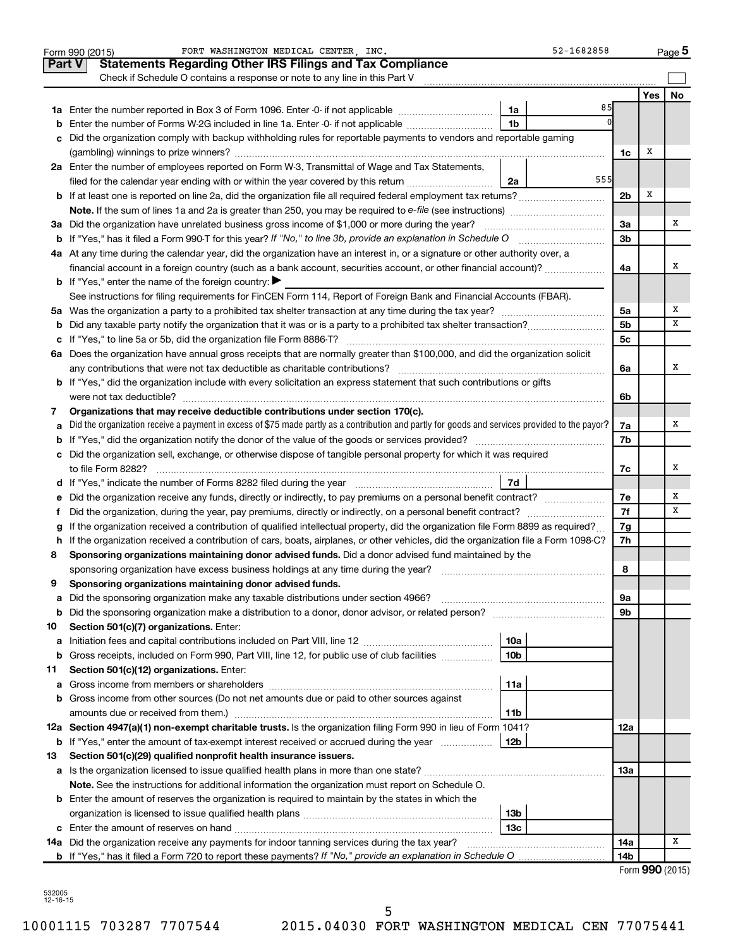|               | FORT WASHINGTON MEDICAL CENTER . INC.<br>52-1682858<br>Form 990 (2015)                                                                          |                 |     | Page 5          |
|---------------|-------------------------------------------------------------------------------------------------------------------------------------------------|-----------------|-----|-----------------|
| <b>Part V</b> | <b>Statements Regarding Other IRS Filings and Tax Compliance</b>                                                                                |                 |     |                 |
|               | Check if Schedule O contains a response or note to any line in this Part V                                                                      |                 |     |                 |
|               |                                                                                                                                                 |                 | Yes | <b>No</b>       |
|               | 85<br>1a                                                                                                                                        |                 |     |                 |
| b             | O<br>1 <sub>b</sub><br>Enter the number of Forms W-2G included in line 1a. Enter -0- if not applicable                                          |                 |     |                 |
| с             | Did the organization comply with backup withholding rules for reportable payments to vendors and reportable gaming                              |                 |     |                 |
|               |                                                                                                                                                 | 1c              | х   |                 |
|               | 2a Enter the number of employees reported on Form W-3, Transmittal of Wage and Tax Statements,                                                  |                 |     |                 |
|               | 555<br>filed for the calendar year ending with or within the year covered by this return <i>[[[[[[[[[[[[[[]]]]</i> ]]<br>2a                     |                 |     |                 |
|               |                                                                                                                                                 | 2 <sub>b</sub>  | х   |                 |
|               |                                                                                                                                                 |                 |     |                 |
| За            |                                                                                                                                                 | За              |     | х               |
|               |                                                                                                                                                 | 3b              |     |                 |
|               | 4a At any time during the calendar year, did the organization have an interest in, or a signature or other authority over, a                    |                 |     |                 |
|               | financial account in a foreign country (such as a bank account, securities account, or other financial account)?                                | 4a              |     | х               |
|               | <b>b</b> If "Yes," enter the name of the foreign country: $\blacktriangleright$                                                                 |                 |     |                 |
|               | See instructions for filing requirements for FinCEN Form 114, Report of Foreign Bank and Financial Accounts (FBAR).                             |                 |     |                 |
|               |                                                                                                                                                 | 5a              |     | х               |
| b             |                                                                                                                                                 | 5b              |     | х               |
| с             |                                                                                                                                                 | <b>5c</b>       |     |                 |
|               | 6a Does the organization have annual gross receipts that are normally greater than \$100,000, and did the organization solicit                  |                 |     |                 |
|               |                                                                                                                                                 | 6a              |     | х               |
|               | <b>b</b> If "Yes," did the organization include with every solicitation an express statement that such contributions or gifts                   |                 |     |                 |
|               |                                                                                                                                                 | 6b              |     |                 |
| 7             | Organizations that may receive deductible contributions under section 170(c).                                                                   |                 |     |                 |
| а             | Did the organization receive a payment in excess of \$75 made partly as a contribution and partly for goods and services provided to the payor? | 7a              |     | х               |
| b             |                                                                                                                                                 | 7b              |     |                 |
|               | c Did the organization sell, exchange, or otherwise dispose of tangible personal property for which it was required                             |                 |     |                 |
|               |                                                                                                                                                 | 7c              |     | х               |
|               | 7d                                                                                                                                              |                 |     |                 |
| е             |                                                                                                                                                 | 7е              |     | х               |
| f.            |                                                                                                                                                 | 7f              |     | x               |
| g             | If the organization received a contribution of qualified intellectual property, did the organization file Form 8899 as required?                | 7g              |     |                 |
| h             | If the organization received a contribution of cars, boats, airplanes, or other vehicles, did the organization file a Form 1098-C?              | 7h              |     |                 |
| 8             | Sponsoring organizations maintaining donor advised funds. Did a donor advised fund maintained by the                                            |                 |     |                 |
|               |                                                                                                                                                 | 8               |     |                 |
|               | Sponsoring organizations maintaining donor advised funds.                                                                                       |                 |     |                 |
| а             |                                                                                                                                                 | 9а              |     |                 |
| b             |                                                                                                                                                 | 9b              |     |                 |
| 10            | Section 501(c)(7) organizations. Enter:                                                                                                         |                 |     |                 |
| а             | 10a                                                                                                                                             |                 |     |                 |
| b             | 10 <sub>b</sub><br>Gross receipts, included on Form 990, Part VIII, line 12, for public use of club facilities                                  |                 |     |                 |
| 11            | Section 501(c)(12) organizations. Enter:                                                                                                        |                 |     |                 |
| а             | 11a                                                                                                                                             |                 |     |                 |
| b             | Gross income from other sources (Do not net amounts due or paid to other sources against                                                        |                 |     |                 |
|               | amounts due or received from them.)<br>11b                                                                                                      |                 |     |                 |
|               | 12a Section 4947(a)(1) non-exempt charitable trusts. Is the organization filing Form 990 in lieu of Form 1041?                                  | 12a             |     |                 |
| b             | 12b<br>If "Yes," enter the amount of tax-exempt interest received or accrued during the year                                                    |                 |     |                 |
| 13            | Section 501(c)(29) qualified nonprofit health insurance issuers.                                                                                |                 |     |                 |
|               | a Is the organization licensed to issue qualified health plans in more than one state?                                                          | 13a             |     |                 |
|               | Note. See the instructions for additional information the organization must report on Schedule O.                                               |                 |     |                 |
|               | <b>b</b> Enter the amount of reserves the organization is required to maintain by the states in which the                                       |                 |     |                 |
|               | 13b                                                                                                                                             |                 |     |                 |
| с             | 13c                                                                                                                                             |                 |     |                 |
|               | 14a Did the organization receive any payments for indoor tanning services during the tax year?                                                  | 14a             |     | х               |
|               |                                                                                                                                                 | 14 <sub>b</sub> |     |                 |
|               |                                                                                                                                                 |                 |     | Form 990 (2015) |

| 532005            |
|-------------------|
|                   |
| '-16-1<br>פו<br>h |
|                   |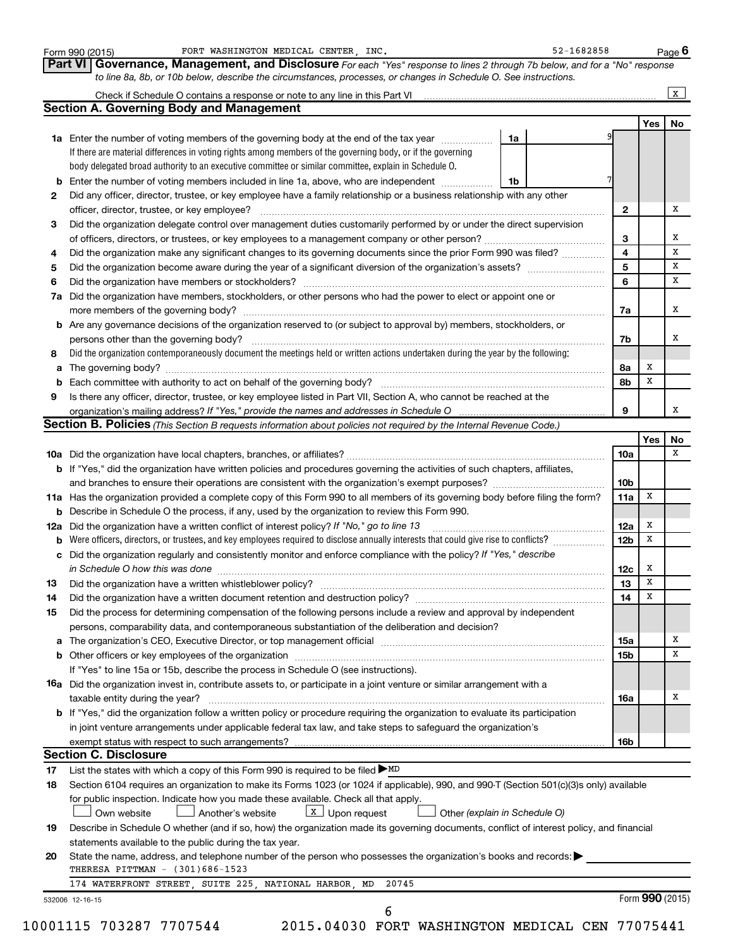|    | 52-1682858<br>FORT WASHINGTON MEDICAL CENTER, INC.<br>Form 990 (2015)<br>Governance, Management, and Disclosure For each "Yes" response to lines 2 through 7b below, and for a "No" response<br><b>Part VI</b>       |                 | Page 6 |              |
|----|----------------------------------------------------------------------------------------------------------------------------------------------------------------------------------------------------------------------|-----------------|--------|--------------|
|    | to line 8a, 8b, or 10b below, describe the circumstances, processes, or changes in Schedule O. See instructions.                                                                                                     |                 |        |              |
|    |                                                                                                                                                                                                                      |                 |        | $\mathbf{x}$ |
|    | Check if Schedule O contains a response or note to any line in this Part VI [11] [12] Check if Schedule O contains a response or note to any line in this Part VI<br><b>Section A. Governing Body and Management</b> |                 |        |              |
|    |                                                                                                                                                                                                                      |                 | Yes    | No           |
|    | 1a<br>1a Enter the number of voting members of the governing body at the end of the tax year                                                                                                                         |                 |        |              |
|    | If there are material differences in voting rights among members of the governing body, or if the governing                                                                                                          |                 |        |              |
|    | body delegated broad authority to an executive committee or similar committee, explain in Schedule O.                                                                                                                |                 |        |              |
|    | <b>b</b> Enter the number of voting members included in line 1a, above, who are independent <i>manument</i><br>1b                                                                                                    |                 |        |              |
| 2  | Did any officer, director, trustee, or key employee have a family relationship or a business relationship with any other                                                                                             |                 |        |              |
|    |                                                                                                                                                                                                                      | $\mathbf{2}$    |        | Х            |
| 3  | Did the organization delegate control over management duties customarily performed by or under the direct supervision                                                                                                |                 |        |              |
|    |                                                                                                                                                                                                                      | 3               |        |              |
| 4  | Did the organization make any significant changes to its governing documents since the prior Form 990 was filed?                                                                                                     | 4               |        | X            |
| 5  |                                                                                                                                                                                                                      | $\overline{5}$  |        | х            |
| 6  |                                                                                                                                                                                                                      | 6               |        | х            |
|    | 7a Did the organization have members, stockholders, or other persons who had the power to elect or appoint one or                                                                                                    |                 |        |              |
|    |                                                                                                                                                                                                                      | 7a              |        | x            |
|    | <b>b</b> Are any governance decisions of the organization reserved to (or subject to approval by) members, stockholders, or                                                                                          |                 |        |              |
|    | persons other than the governing body?                                                                                                                                                                               | 7b              |        | х            |
| 8  | Did the organization contemporaneously document the meetings held or written actions undertaken during the year by the following:                                                                                    |                 |        |              |
|    |                                                                                                                                                                                                                      | 8а              | X      |              |
|    |                                                                                                                                                                                                                      | 8b              | X      |              |
| 9  | Is there any officer, director, trustee, or key employee listed in Part VII, Section A, who cannot be reached at the                                                                                                 |                 |        |              |
|    |                                                                                                                                                                                                                      | 9               |        | x            |
|    | Section B. Policies (This Section B requests information about policies not required by the Internal Revenue Code.)                                                                                                  |                 |        |              |
|    |                                                                                                                                                                                                                      |                 | Yes    | No           |
|    |                                                                                                                                                                                                                      | 10a             |        |              |
|    | b If "Yes," did the organization have written policies and procedures governing the activities of such chapters, affiliates,                                                                                         |                 |        |              |
|    |                                                                                                                                                                                                                      | 10 <sub>b</sub> |        |              |
|    | 11a Has the organization provided a complete copy of this Form 990 to all members of its governing body before filing the form?                                                                                      | 11a             | X      |              |
|    | <b>b</b> Describe in Schedule O the process, if any, used by the organization to review this Form 990.                                                                                                               |                 |        |              |
|    | 12a Did the organization have a written conflict of interest policy? If "No," go to line 13                                                                                                                          | 12a             | Х      |              |
|    |                                                                                                                                                                                                                      | 12 <sub>b</sub> | X      |              |
|    | c Did the organization regularly and consistently monitor and enforce compliance with the policy? If "Yes," describe                                                                                                 |                 |        |              |
|    | in Schedule O how this was done <b>construction</b> and construction of the state of the state of the state of the sta                                                                                               | 12c             | X      |              |
| 13 | Did the organization have a written whistleblower policy?                                                                                                                                                            | 13              | х      |              |
| 14 |                                                                                                                                                                                                                      | 14              | X      |              |
| 15 | Did the process for determining compensation of the following persons include a review and approval by independent                                                                                                   |                 |        |              |
|    | persons, comparability data, and contemporaneous substantiation of the deliberation and decision?                                                                                                                    |                 |        |              |
|    |                                                                                                                                                                                                                      | 15a             |        |              |
|    |                                                                                                                                                                                                                      | 15b             |        |              |
|    | If "Yes" to line 15a or 15b, describe the process in Schedule O (see instructions).                                                                                                                                  |                 |        |              |
|    | 16a Did the organization invest in, contribute assets to, or participate in a joint venture or similar arrangement with a                                                                                            |                 |        |              |
|    | taxable entity during the year?                                                                                                                                                                                      | 16a             |        |              |
|    | <b>b</b> If "Yes," did the organization follow a written policy or procedure requiring the organization to evaluate its participation                                                                                |                 |        |              |
|    | in joint venture arrangements under applicable federal tax law, and take steps to safeguard the organization's                                                                                                       |                 |        |              |
|    | exempt status with respect to such arrangements?                                                                                                                                                                     | 16b             |        |              |
|    | <b>Section C. Disclosure</b>                                                                                                                                                                                         |                 |        |              |
|    | List the states with which a copy of this Form 990 is required to be filed $\blacktriangleright$ MD                                                                                                                  |                 |        |              |
| 17 | Section 6104 requires an organization to make its Forms 1023 (or 1024 if applicable), 990, and 990-T (Section 501(c)(3)s only) available                                                                             |                 |        |              |
| 18 |                                                                                                                                                                                                                      |                 |        |              |
|    | for public inspection. Indicate how you made these available. Check all that apply.                                                                                                                                  |                 |        |              |
|    | $X$ Upon request<br>Own website<br>Another's website<br>Other (explain in Schedule O)                                                                                                                                |                 |        |              |
| 19 |                                                                                                                                                                                                                      |                 |        |              |
|    | Describe in Schedule O whether (and if so, how) the organization made its governing documents, conflict of interest policy, and financial                                                                            |                 |        |              |
| 20 | statements available to the public during the tax year.                                                                                                                                                              |                 |        |              |
|    | State the name, address, and telephone number of the person who possesses the organization's books and records:<br>THERESA PITTMAN - (301)686-1523                                                                   |                 |        |              |
|    | 174 WATERFRONT STREET, SUITE 225, NATIONAL HARBOR, MD<br>20745                                                                                                                                                       |                 |        |              |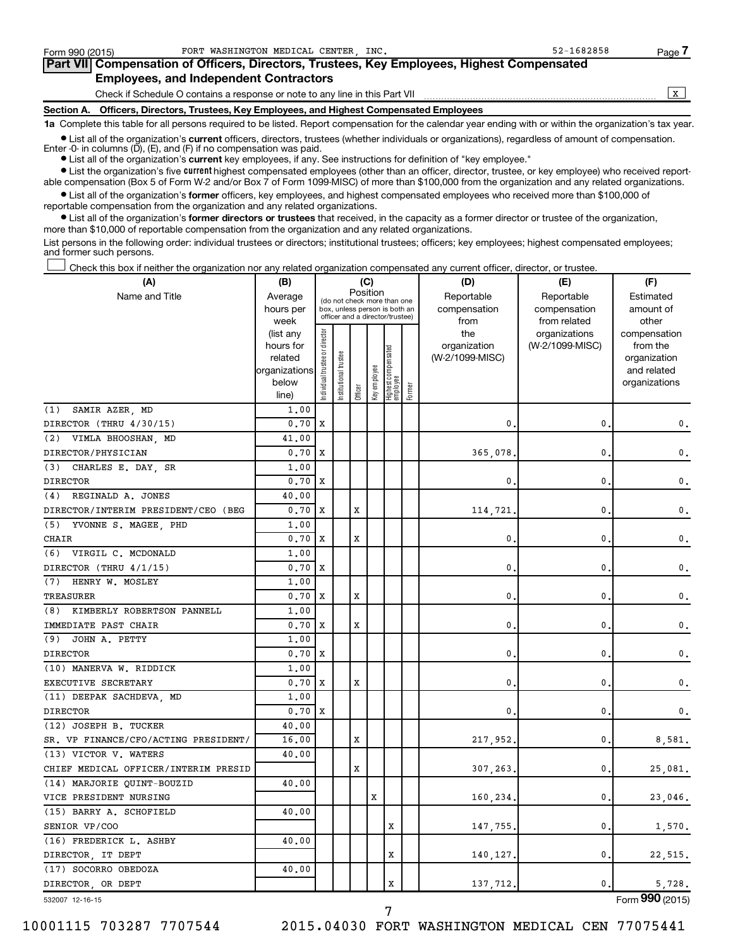| Form 990 (2015) | FORT WASHINGTON MEDICAL CENTER INC.                                                               | 52-1682858 | Page i |
|-----------------|---------------------------------------------------------------------------------------------------|------------|--------|
|                 | <b>Part VII Compensation of Officers, Directors, Trustees, Key Employees, Highest Compensated</b> |            |        |
|                 | <b>Employees, and Independent Contractors</b>                                                     |            |        |
|                 | Check if Schedule O contains a response or note to any line in this Part VII                      |            | X      |
|                 | Section A. Officers, Directors, Trustees, Key Employees, and Highest Compensated Employees        |            |        |

**1a**  Complete this table for all persons required to be listed. Report compensation for the calendar year ending with or within the organization's tax year.

 $\bullet$  List all of the organization's current officers, directors, trustees (whether individuals or organizations), regardless of amount of compensation. Enter  $-0$ - in columns  $(D)$ ,  $(E)$ , and  $(F)$  if no compensation was paid.

**•** List all of the organization's **current** key employees, if any. See instructions for definition of "key employee."

**•** List the organization's five current highest compensated employees (other than an officer, director, trustee, or key employee) who received reportable compensation (Box 5 of Form W-2 and/or Box 7 of Form 1099-MISC) of more than \$100,000 from the organization and any related organizations.

**•** List all of the organization's former officers, key employees, and highest compensated employees who received more than \$100,000 of reportable compensation from the organization and any related organizations.

**•** List all of the organization's former directors or trustees that received, in the capacity as a former director or trustee of the organization, more than \$10,000 of reportable compensation from the organization and any related organizations.

List persons in the following order: individual trustees or directors; institutional trustees; officers; key employees; highest compensated employees; and former such persons.

Check this box if neither the organization nor any related organization compensated any current officer, director, or trustee.  $\Box$ 

| (A)                                  | (B)<br>(C)        |                                |                                                                  |         |              |                                   |        | (D)             | (E)                           | (F)                   |
|--------------------------------------|-------------------|--------------------------------|------------------------------------------------------------------|---------|--------------|-----------------------------------|--------|-----------------|-------------------------------|-----------------------|
| Name and Title                       | Average           |                                | (do not check more than one                                      |         | Position     |                                   |        | Reportable      | Reportable                    | Estimated             |
|                                      | hours per         |                                | box, unless person is both an<br>officer and a director/trustee) |         |              |                                   |        | compensation    | compensation                  | amount of             |
|                                      | week<br>(list any |                                |                                                                  |         |              |                                   |        | from<br>the     | from related<br>organizations | other<br>compensation |
|                                      | hours for         | Individual trustee or director |                                                                  |         |              |                                   |        | organization    | (W-2/1099-MISC)               | from the              |
|                                      | related           |                                |                                                                  |         |              |                                   |        | (W-2/1099-MISC) |                               | organization          |
|                                      | organizations     |                                |                                                                  |         |              |                                   |        |                 |                               | and related           |
|                                      | below             |                                | Institutional trustee                                            | Officer | Key employee | Highest compensated<br>  employee | Former |                 |                               | organizations         |
|                                      | line)             |                                |                                                                  |         |              |                                   |        |                 |                               |                       |
| (1)<br>SAMIR AZER, MD                | 1,00              |                                |                                                                  |         |              |                                   |        |                 |                               |                       |
| DIRECTOR (THRU 4/30/15)              | 0.70              | X                              |                                                                  |         |              |                                   |        | 0.              | 0                             | $\mathbf{0}$ .        |
| (2)<br>VIMLA BHOOSHAN, MD            | 41.00             |                                |                                                                  |         |              |                                   |        |                 |                               |                       |
| DIRECTOR/PHYSICIAN                   | 0.70              | X                              |                                                                  |         |              |                                   |        | 365,078         | 0                             | $\mathsf{0}\,.$       |
| CHARLES E. DAY, SR<br>(3)            | 1.00              |                                |                                                                  |         |              |                                   |        |                 |                               |                       |
| <b>DIRECTOR</b>                      | 0.70              | Х                              |                                                                  |         |              |                                   |        | 0               | 0                             | $\mathsf{0}\,.$       |
| (4) REGINALD A. JONES                | 40.00             |                                |                                                                  |         |              |                                   |        |                 |                               |                       |
| DIRECTOR/INTERIM PRESIDENT/CEO (BEG  | 0.70              | х                              |                                                                  | X       |              |                                   |        | 114,721         | 0                             | $\mathsf{0}\,.$       |
| (5) YVONNE S. MAGEE, PHD             | 1,00              |                                |                                                                  |         |              |                                   |        |                 |                               |                       |
| CHAIR                                | 0.70              | X                              |                                                                  | X       |              |                                   |        | 0               | 0                             | 0.                    |
| (6) VIRGIL C. MCDONALD               | 1,00              |                                |                                                                  |         |              |                                   |        |                 |                               |                       |
| DIRECTOR (THRU 4/1/15)               | 0.70              | X                              |                                                                  |         |              |                                   |        | 0               | 0                             | $\mathsf{0}\,.$       |
| HENRY W. MOSLEY<br>(7)               | 1.00              |                                |                                                                  |         |              |                                   |        |                 |                               |                       |
| TREASURER                            | 0.70              | X                              |                                                                  | X       |              |                                   |        | 0               | 0                             | 0.                    |
| (8) KIMBERLY ROBERTSON PANNELL       | 1.00              |                                |                                                                  |         |              |                                   |        |                 |                               |                       |
| IMMEDIATE PAST CHAIR                 | 0,70              | Х                              |                                                                  | X       |              |                                   |        | 0               | 0                             | 0.                    |
| JOHN A. PETTY<br>(9)                 | 1.00              |                                |                                                                  |         |              |                                   |        |                 |                               |                       |
| <b>DIRECTOR</b>                      | 0.70              | х                              |                                                                  |         |              |                                   |        | 0.              | 0                             | $\mathbf 0$ .         |
| (10) MANERVA W. RIDDICK              | 1.00              |                                |                                                                  |         |              |                                   |        |                 |                               |                       |
| EXECUTIVE SECRETARY                  | 0.70              | x                              |                                                                  | x       |              |                                   |        | $\mathbf 0$     | 0                             | $\mathbf{0}$ .        |
| (11) DEEPAK SACHDEVA, MD             | 1.00              |                                |                                                                  |         |              |                                   |        |                 |                               |                       |
| <b>DIRECTOR</b>                      | 0.70              | x                              |                                                                  |         |              |                                   |        | 0.              | 0                             | 0.                    |
| (12) JOSEPH B. TUCKER                | 40.00             |                                |                                                                  |         |              |                                   |        |                 |                               |                       |
| SR. VP FINANCE/CFO/ACTING PRESIDENT/ | 16.00             |                                |                                                                  | X       |              |                                   |        | 217,952.        | 0                             | 8,581.                |
| (13) VICTOR V. WATERS                | 40.00             |                                |                                                                  |         |              |                                   |        |                 |                               |                       |
| CHIEF MEDICAL OFFICER/INTERIM PRESID |                   |                                |                                                                  | X       |              |                                   |        | 307,263         | 0                             | 25,081.               |
| (14) MARJORIE QUINT-BOUZID           | 40.00             |                                |                                                                  |         |              |                                   |        |                 |                               |                       |
| VICE PRESIDENT NURSING               |                   |                                |                                                                  |         | X            |                                   |        | 160,234.        | 0                             | 23,046.               |
| (15) BARRY A. SCHOFIELD              | 40.00             |                                |                                                                  |         |              |                                   |        |                 |                               |                       |
| SENIOR VP/COO                        |                   |                                |                                                                  |         |              | x                                 |        | 147,755,        | 0                             | 1,570.                |
| (16) FREDERICK L. ASHBY              | 40.00             |                                |                                                                  |         |              |                                   |        |                 |                               |                       |
| DIRECTOR, IT DEPT                    |                   |                                |                                                                  |         |              | x                                 |        | 140,127.        | 0                             | 22,515.               |
| (17) SOCORRO OBEDOZA                 | 40.00             |                                |                                                                  |         |              |                                   |        |                 |                               |                       |
| DIRECTOR, OR DEPT                    |                   |                                |                                                                  |         |              | X                                 |        | 137,712.        | 0                             | 5,728.                |
| 532007 12-16-15                      |                   |                                |                                                                  |         |              |                                   |        |                 |                               | Form 990 (2015)       |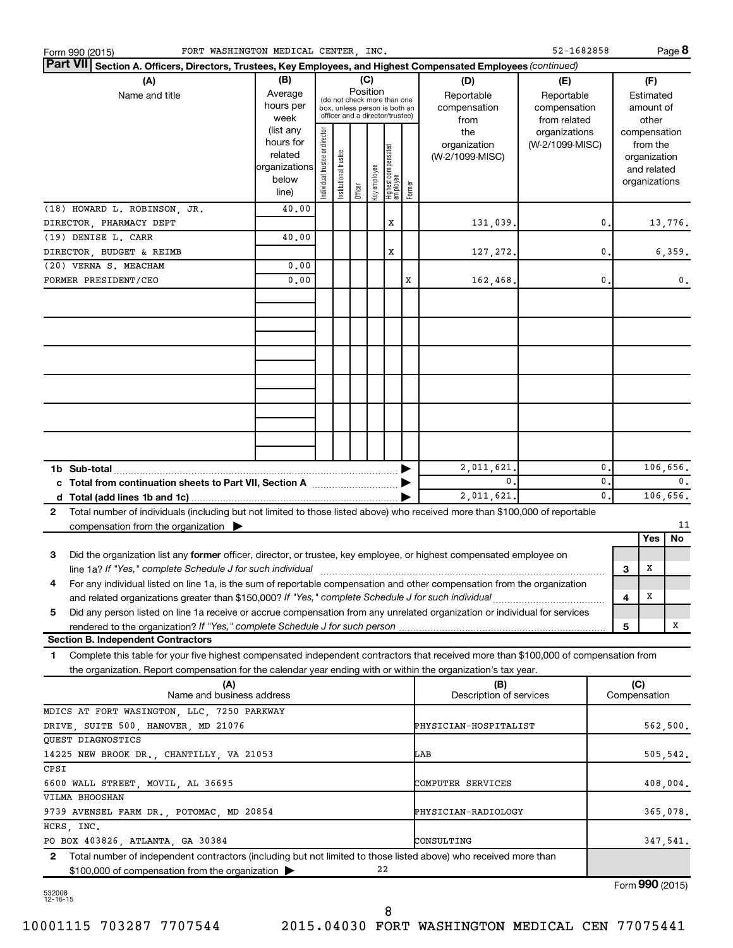| FORT WASHINGTON MEDICAL CENTER, INC.<br>Form 990 (2015)                                                                                                                                                                                                     |                                                                      |  |  |         |                                                                                                                                                     |                                  |        |                                           | 52-1682858                                        |          |   |                                                                          | Page 8                     |
|-------------------------------------------------------------------------------------------------------------------------------------------------------------------------------------------------------------------------------------------------------------|----------------------------------------------------------------------|--|--|---------|-----------------------------------------------------------------------------------------------------------------------------------------------------|----------------------------------|--------|-------------------------------------------|---------------------------------------------------|----------|---|--------------------------------------------------------------------------|----------------------------|
| <b>Part VII</b><br>Section A. Officers, Directors, Trustees, Key Employees, and Highest Compensated Employees (continued)                                                                                                                                   |                                                                      |  |  |         |                                                                                                                                                     |                                  |        |                                           |                                                   |          |   |                                                                          |                            |
| (A)<br>Name and title                                                                                                                                                                                                                                       | (B)<br>Average<br>hours per<br>week                                  |  |  |         | (C)<br>Position<br>(do not check more than one<br>box, unless person is both an<br>officer and a director/trustee)<br>ndividual trustee or director |                                  |        | (D)<br>Reportable<br>compensation<br>from | (E)<br>Reportable<br>compensation<br>from related |          |   | (F)<br>Estimated<br>amount of<br>other                                   |                            |
|                                                                                                                                                                                                                                                             | (list any<br>hours for<br>related<br>organizations<br>below<br>line) |  |  | Officer | Key employee                                                                                                                                        | Highest compensated<br> employee | Former | the<br>organization<br>(W-2/1099-MISC)    | organizations<br>(W-2/1099-MISC)                  |          |   | compensation<br>from the<br>organization<br>and related<br>organizations |                            |
| (18) HOWARD L. ROBINSON, JR.                                                                                                                                                                                                                                | 40.00                                                                |  |  |         |                                                                                                                                                     |                                  |        |                                           |                                                   |          |   |                                                                          |                            |
| DIRECTOR, PHARMACY DEPT                                                                                                                                                                                                                                     |                                                                      |  |  |         |                                                                                                                                                     | X                                |        | 131,039.                                  |                                                   | 0.       |   |                                                                          | 13,776.                    |
| (19) DENISE L. CARR                                                                                                                                                                                                                                         | 40.00                                                                |  |  |         |                                                                                                                                                     |                                  |        |                                           |                                                   |          |   |                                                                          |                            |
| DIRECTOR, BUDGET & REIMB<br>(20) VERNA S. MEACHAM                                                                                                                                                                                                           |                                                                      |  |  |         |                                                                                                                                                     | X                                |        | 127, 272.                                 |                                                   | 0.       |   |                                                                          | 6,359.                     |
| FORMER PRESIDENT/CEO                                                                                                                                                                                                                                        | 0.00<br>0.00                                                         |  |  |         |                                                                                                                                                     |                                  | х      | 162,468.                                  |                                                   | 0.       |   |                                                                          | 0.                         |
|                                                                                                                                                                                                                                                             |                                                                      |  |  |         |                                                                                                                                                     |                                  |        |                                           |                                                   |          |   |                                                                          |                            |
|                                                                                                                                                                                                                                                             |                                                                      |  |  |         |                                                                                                                                                     |                                  |        |                                           |                                                   |          |   |                                                                          |                            |
|                                                                                                                                                                                                                                                             |                                                                      |  |  |         |                                                                                                                                                     |                                  |        |                                           |                                                   |          |   |                                                                          |                            |
|                                                                                                                                                                                                                                                             |                                                                      |  |  |         |                                                                                                                                                     |                                  |        |                                           |                                                   |          |   |                                                                          |                            |
|                                                                                                                                                                                                                                                             |                                                                      |  |  |         |                                                                                                                                                     |                                  |        |                                           |                                                   |          |   |                                                                          |                            |
|                                                                                                                                                                                                                                                             |                                                                      |  |  |         |                                                                                                                                                     |                                  |        |                                           |                                                   |          |   |                                                                          |                            |
| 1b Sub-total                                                                                                                                                                                                                                                |                                                                      |  |  |         |                                                                                                                                                     |                                  |        | 2,011,621.                                |                                                   | 0.       |   |                                                                          | 106,656.                   |
| c Total from continuation sheets to Part VII, Section A [111] [12] [13] Doction A                                                                                                                                                                           |                                                                      |  |  |         |                                                                                                                                                     |                                  |        | $\mathbf{0}$ .<br>2,011,621.              |                                                   | 0.<br>0. |   |                                                                          | $\mathbf{0}$ .<br>106,656. |
| Total number of individuals (including but not limited to those listed above) who received more than \$100,000 of reportable<br>$\mathbf{2}$                                                                                                                |                                                                      |  |  |         |                                                                                                                                                     |                                  |        |                                           |                                                   |          |   |                                                                          |                            |
| compensation from the organization $\blacktriangleright$                                                                                                                                                                                                    |                                                                      |  |  |         |                                                                                                                                                     |                                  |        |                                           |                                                   |          |   |                                                                          | 11                         |
|                                                                                                                                                                                                                                                             |                                                                      |  |  |         |                                                                                                                                                     |                                  |        |                                           |                                                   |          |   | Yes                                                                      | No                         |
| 3<br>Did the organization list any former officer, director, or trustee, key employee, or highest compensated employee on                                                                                                                                   |                                                                      |  |  |         |                                                                                                                                                     |                                  |        |                                           |                                                   |          | З | х                                                                        |                            |
| For any individual listed on line 1a, is the sum of reportable compensation and other compensation from the organization<br>4<br>and related organizations greater than \$150,000? If "Yes," complete Schedule J for such individual                        |                                                                      |  |  |         |                                                                                                                                                     |                                  |        |                                           |                                                   |          | 4 | X                                                                        |                            |
| Did any person listed on line 1a receive or accrue compensation from any unrelated organization or individual for services<br>5                                                                                                                             |                                                                      |  |  |         |                                                                                                                                                     |                                  |        |                                           |                                                   |          |   |                                                                          |                            |
| <b>Section B. Independent Contractors</b>                                                                                                                                                                                                                   |                                                                      |  |  |         |                                                                                                                                                     |                                  |        |                                           |                                                   |          | 5 |                                                                          | х                          |
| 1<br>Complete this table for your five highest compensated independent contractors that received more than \$100,000 of compensation from<br>the organization. Report compensation for the calendar year ending with or within the organization's tax year. |                                                                      |  |  |         |                                                                                                                                                     |                                  |        |                                           |                                                   |          |   |                                                                          |                            |
| (A)<br>Name and business address                                                                                                                                                                                                                            |                                                                      |  |  |         |                                                                                                                                                     |                                  |        | (B)<br>Description of services            |                                                   |          |   | (C)<br>Compensation                                                      |                            |
| MDICS AT FORT WASINGTON, LLC, 7250 PARKWAY                                                                                                                                                                                                                  |                                                                      |  |  |         |                                                                                                                                                     |                                  |        |                                           |                                                   |          |   |                                                                          |                            |
| DRIVE, SUITE 500, HANOVER, MD 21076                                                                                                                                                                                                                         |                                                                      |  |  |         |                                                                                                                                                     |                                  |        | PHYSICIAN-HOSPITALIST                     |                                                   |          |   |                                                                          | 562,500.                   |
| QUEST DIAGNOSTICS                                                                                                                                                                                                                                           |                                                                      |  |  |         |                                                                                                                                                     |                                  |        |                                           |                                                   |          |   |                                                                          |                            |
| 14225 NEW BROOK DR., CHANTILLY, VA 21053<br>LAB                                                                                                                                                                                                             |                                                                      |  |  |         |                                                                                                                                                     |                                  |        |                                           | 505,542.                                          |          |   |                                                                          |                            |
| CPSI<br>COMPUTER SERVICES                                                                                                                                                                                                                                   |                                                                      |  |  |         |                                                                                                                                                     |                                  |        |                                           |                                                   |          |   |                                                                          |                            |
| 6600 WALL STREET, MOVIL, AL 36695                                                                                                                                                                                                                           | 408,004.<br>VILMA BHOOSHAN                                           |  |  |         |                                                                                                                                                     |                                  |        |                                           |                                                   |          |   |                                                                          |                            |
| 9739 AVENSEL FARM DR., POTOMAC, MD 20854<br>PHYSICIAN-RADIOLOGY                                                                                                                                                                                             |                                                                      |  |  |         |                                                                                                                                                     |                                  |        |                                           | 365,078.                                          |          |   |                                                                          |                            |
| HCRS, INC.<br>PO BOX 403826, ATLANTA, GA 30384                                                                                                                                                                                                              |                                                                      |  |  |         |                                                                                                                                                     |                                  |        | CONSULTING                                |                                                   |          |   |                                                                          | 347,541.                   |
| $\mathbf{2}$<br>Total number of independent contractors (including but not limited to those listed above) who received more than                                                                                                                            |                                                                      |  |  |         |                                                                                                                                                     |                                  |        |                                           |                                                   |          |   |                                                                          |                            |
| 22<br>\$100,000 of compensation from the organization                                                                                                                                                                                                       |                                                                      |  |  |         |                                                                                                                                                     |                                  |        |                                           |                                                   |          |   |                                                                          | Form 990 (2015)            |

532008 12-16-15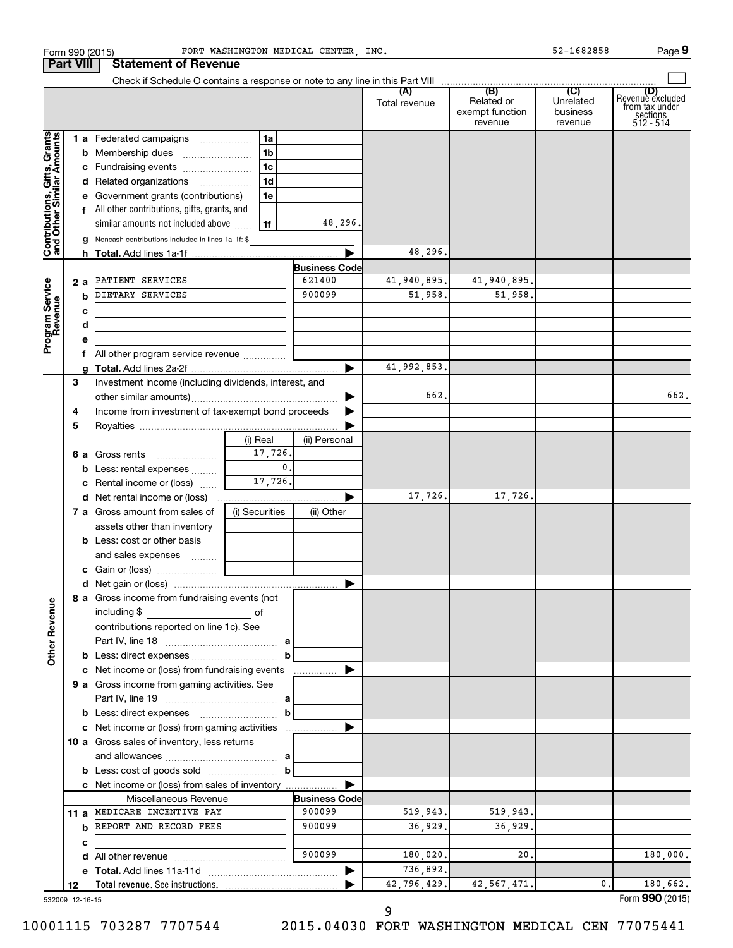|                                         |    | Form 990 (2015)                                                                                    |                | FORT WASHINGTON MEDICAL CENTER, INC. |                         |                                                 | 52-1682858                                         | Page 9                                                           |
|-----------------------------------------|----|----------------------------------------------------------------------------------------------------|----------------|--------------------------------------|-------------------------|-------------------------------------------------|----------------------------------------------------|------------------------------------------------------------------|
| <b>Part VIII</b>                        |    | <b>Statement of Revenue</b>                                                                        |                |                                      |                         |                                                 |                                                    |                                                                  |
|                                         |    |                                                                                                    |                |                                      |                         |                                                 |                                                    |                                                                  |
|                                         |    |                                                                                                    |                |                                      | (A)<br>Total revenue    | (B)<br>Related or<br>exempt function<br>revenue | $\overline{C}$<br>Unrelated<br>business<br>revenue | (D)<br>Revenue excluded<br>from tax under<br>sections<br>14- 512 |
| Gifts, Grants                           |    | 1 a Federated campaigns                                                                            | 1a             |                                      |                         |                                                 |                                                    |                                                                  |
|                                         |    | <b>b</b> Membership dues                                                                           | 1b             |                                      |                         |                                                 |                                                    |                                                                  |
|                                         |    | c Fundraising events                                                                               | 1c             |                                      |                         |                                                 |                                                    |                                                                  |
|                                         |    | d Related organizations                                                                            | 1 <sub>d</sub> |                                      |                         |                                                 |                                                    |                                                                  |
|                                         |    | e Government grants (contributions)                                                                | 1e             |                                      |                         |                                                 |                                                    |                                                                  |
|                                         |    | f All other contributions, gifts, grants, and                                                      |                |                                      |                         |                                                 |                                                    |                                                                  |
|                                         |    | similar amounts not included above                                                                 | 1f             | 48,296.                              |                         |                                                 |                                                    |                                                                  |
|                                         |    | g Noncash contributions included in lines 1a-1f: \$                                                |                |                                      |                         |                                                 |                                                    |                                                                  |
| Contributions, Gif<br>and Other Similar |    |                                                                                                    |                |                                      | 48,296.                 |                                                 |                                                    |                                                                  |
|                                         |    |                                                                                                    |                | <b>Business Code</b>                 |                         |                                                 |                                                    |                                                                  |
|                                         |    | 2 a PATIENT SERVICES                                                                               |                | 621400                               | 41,940,895.             | 41,940,895.                                     |                                                    |                                                                  |
|                                         |    | DIETARY SERVICES<br>b                                                                              |                | 900099                               | 51,958.                 | 51,958.                                         |                                                    |                                                                  |
|                                         |    |                                                                                                    |                |                                      |                         |                                                 |                                                    |                                                                  |
|                                         |    | c                                                                                                  |                |                                      |                         |                                                 |                                                    |                                                                  |
|                                         |    | d                                                                                                  |                |                                      |                         |                                                 |                                                    |                                                                  |
| Program Service<br>Revenue              |    | е                                                                                                  |                |                                      |                         |                                                 |                                                    |                                                                  |
|                                         |    |                                                                                                    |                |                                      |                         |                                                 |                                                    |                                                                  |
|                                         |    |                                                                                                    |                |                                      | 41,992,853.             |                                                 |                                                    |                                                                  |
|                                         | 3  | Investment income (including dividends, interest, and                                              |                |                                      |                         |                                                 |                                                    |                                                                  |
|                                         |    |                                                                                                    |                |                                      | 662.                    |                                                 |                                                    | 662.                                                             |
|                                         | 4  | Income from investment of tax-exempt bond proceeds                                                 |                |                                      |                         |                                                 |                                                    |                                                                  |
|                                         | 5  |                                                                                                    |                |                                      |                         |                                                 |                                                    |                                                                  |
|                                         |    |                                                                                                    | (i) Real       | (ii) Personal                        |                         |                                                 |                                                    |                                                                  |
|                                         |    | 6 a Gross rents                                                                                    | 17,726.        |                                      |                         |                                                 |                                                    |                                                                  |
|                                         |    | <b>b</b> Less: rental expenses                                                                     | 0.             |                                      |                         |                                                 |                                                    |                                                                  |
|                                         |    | c Rental income or (loss)                                                                          | 17,726.        |                                      |                         |                                                 |                                                    |                                                                  |
|                                         |    | <b>d</b> Net rental income or (loss)                                                               |                |                                      | 17,726.                 | 17,726.                                         |                                                    |                                                                  |
|                                         |    | 7 a Gross amount from sales of                                                                     | (i) Securities | (ii) Other                           |                         |                                                 |                                                    |                                                                  |
|                                         |    | assets other than inventory                                                                        |                |                                      |                         |                                                 |                                                    |                                                                  |
|                                         |    | <b>b</b> Less: cost or other basis                                                                 |                |                                      |                         |                                                 |                                                    |                                                                  |
|                                         |    | and sales expenses                                                                                 |                |                                      |                         |                                                 |                                                    |                                                                  |
|                                         |    | c Gain or (loss)                                                                                   |                |                                      |                         |                                                 |                                                    |                                                                  |
|                                         |    |                                                                                                    |                |                                      |                         |                                                 |                                                    |                                                                  |
| <b>Other Revenue</b>                    |    | 8 a Gross income from fundraising events (not<br>including \$<br>and the control of the control of |                |                                      |                         |                                                 |                                                    |                                                                  |
|                                         |    | contributions reported on line 1c). See                                                            |                |                                      |                         |                                                 |                                                    |                                                                  |
|                                         |    |                                                                                                    |                |                                      |                         |                                                 |                                                    |                                                                  |
|                                         |    | <b>b</b> Less: direct expenses                                                                     | b              |                                      |                         |                                                 |                                                    |                                                                  |
|                                         |    | c Net income or (loss) from fundraising events                                                     |                |                                      |                         |                                                 |                                                    |                                                                  |
|                                         |    | 9 a Gross income from gaming activities. See                                                       |                |                                      |                         |                                                 |                                                    |                                                                  |
|                                         |    |                                                                                                    |                |                                      |                         |                                                 |                                                    |                                                                  |
|                                         |    |                                                                                                    |                |                                      |                         |                                                 |                                                    |                                                                  |
|                                         |    | c Net income or (loss) from gaming activities                                                      |                |                                      |                         |                                                 |                                                    |                                                                  |
|                                         |    | 10 a Gross sales of inventory, less returns                                                        |                |                                      |                         |                                                 |                                                    |                                                                  |
|                                         |    |                                                                                                    |                |                                      |                         |                                                 |                                                    |                                                                  |
|                                         |    |                                                                                                    |                |                                      |                         |                                                 |                                                    |                                                                  |
|                                         |    |                                                                                                    | $\mathbf b$    |                                      |                         |                                                 |                                                    |                                                                  |
|                                         |    | c Net income or (loss) from sales of inventory                                                     |                | <b>Business Code</b>                 |                         |                                                 |                                                    |                                                                  |
|                                         |    | Miscellaneous Revenue<br>11 a MEDICARE INCENTIVE PAY                                               |                | 900099                               | 519,943.                | 519,943.                                        |                                                    |                                                                  |
|                                         |    |                                                                                                    |                |                                      |                         |                                                 |                                                    |                                                                  |
|                                         |    | REPORT AND RECORD FEES<br>b                                                                        |                | 900099                               | 36,929.                 | 36,929.                                         |                                                    |                                                                  |
|                                         |    | с                                                                                                  |                | 900099                               |                         |                                                 |                                                    |                                                                  |
|                                         |    |                                                                                                    |                |                                      | 180,020.                | 20.                                             |                                                    | 180,000.                                                         |
|                                         |    | d                                                                                                  |                |                                      |                         |                                                 |                                                    |                                                                  |
|                                         | 12 |                                                                                                    |                |                                      | 736,892.<br>42,796,429. | 42, 567, 471.                                   | 0.                                                 | 180,662.                                                         |

532009 12-16-15

9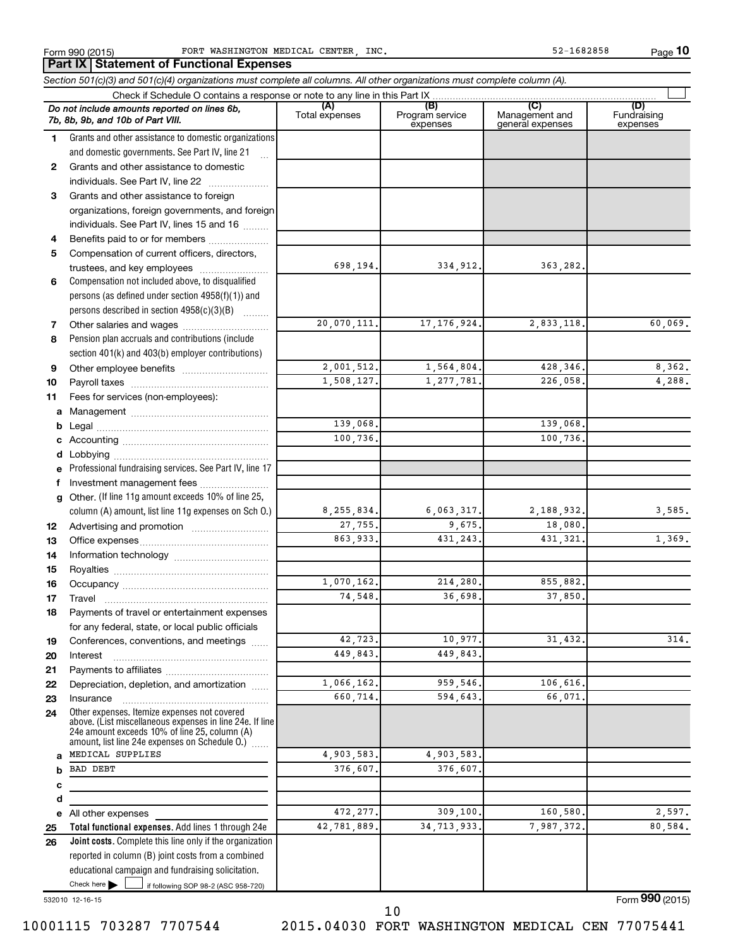**10**

|    | Section 501(c)(3) and 501(c)(4) organizations must complete all columns. All other organizations must complete column (A).                                                                                    |                       |                                    |                                           |                                |  |  |  |  |  |  |  |
|----|---------------------------------------------------------------------------------------------------------------------------------------------------------------------------------------------------------------|-----------------------|------------------------------------|-------------------------------------------|--------------------------------|--|--|--|--|--|--|--|
|    |                                                                                                                                                                                                               |                       |                                    |                                           |                                |  |  |  |  |  |  |  |
|    | Do not include amounts reported on lines 6b,<br>7b, 8b, 9b, and 10b of Part VIII.                                                                                                                             | (A)<br>Total expenses | (B)<br>Program service<br>expenses | (C)<br>Management and<br>general expenses | (D)<br>Fundraising<br>expenses |  |  |  |  |  |  |  |
| 1  | Grants and other assistance to domestic organizations                                                                                                                                                         |                       |                                    |                                           |                                |  |  |  |  |  |  |  |
|    | and domestic governments. See Part IV, line 21                                                                                                                                                                |                       |                                    |                                           |                                |  |  |  |  |  |  |  |
| 2  | Grants and other assistance to domestic                                                                                                                                                                       |                       |                                    |                                           |                                |  |  |  |  |  |  |  |
|    | individuals. See Part IV, line 22                                                                                                                                                                             |                       |                                    |                                           |                                |  |  |  |  |  |  |  |
| 3  | Grants and other assistance to foreign                                                                                                                                                                        |                       |                                    |                                           |                                |  |  |  |  |  |  |  |
|    | organizations, foreign governments, and foreign                                                                                                                                                               |                       |                                    |                                           |                                |  |  |  |  |  |  |  |
|    | individuals. See Part IV, lines 15 and 16                                                                                                                                                                     |                       |                                    |                                           |                                |  |  |  |  |  |  |  |
| 4  | Benefits paid to or for members                                                                                                                                                                               |                       |                                    |                                           |                                |  |  |  |  |  |  |  |
| 5  | Compensation of current officers, directors,                                                                                                                                                                  |                       |                                    |                                           |                                |  |  |  |  |  |  |  |
|    | trustees, and key employees                                                                                                                                                                                   | 698,194.              | 334,912.                           | 363,282.                                  |                                |  |  |  |  |  |  |  |
| 6  | Compensation not included above, to disqualified                                                                                                                                                              |                       |                                    |                                           |                                |  |  |  |  |  |  |  |
|    | persons (as defined under section 4958(f)(1)) and                                                                                                                                                             |                       |                                    |                                           |                                |  |  |  |  |  |  |  |
|    | persons described in section 4958(c)(3)(B)                                                                                                                                                                    |                       |                                    |                                           |                                |  |  |  |  |  |  |  |
| 7  | Other salaries and wages                                                                                                                                                                                      | 20,070,111.           | 17, 176, 924.                      | 2,833,118.                                | 60,069.                        |  |  |  |  |  |  |  |
| 8  | Pension plan accruals and contributions (include                                                                                                                                                              |                       |                                    |                                           |                                |  |  |  |  |  |  |  |
|    | section 401(k) and 403(b) employer contributions)                                                                                                                                                             |                       |                                    |                                           |                                |  |  |  |  |  |  |  |
| 9  |                                                                                                                                                                                                               | 2,001,512.            | 1,564,804.                         | 428,346.                                  | 8,362.                         |  |  |  |  |  |  |  |
| 10 |                                                                                                                                                                                                               | 1,508,127.            | 1,277,781.                         | 226,058.                                  | 4,288.                         |  |  |  |  |  |  |  |
| 11 | Fees for services (non-employees):                                                                                                                                                                            |                       |                                    |                                           |                                |  |  |  |  |  |  |  |
| a  |                                                                                                                                                                                                               |                       |                                    |                                           |                                |  |  |  |  |  |  |  |
|    |                                                                                                                                                                                                               | 139,068.              |                                    | 139,068.                                  |                                |  |  |  |  |  |  |  |
|    |                                                                                                                                                                                                               | 100,736.              |                                    | 100,736.                                  |                                |  |  |  |  |  |  |  |
| d  |                                                                                                                                                                                                               |                       |                                    |                                           |                                |  |  |  |  |  |  |  |
|    | Professional fundraising services. See Part IV, line 17                                                                                                                                                       |                       |                                    |                                           |                                |  |  |  |  |  |  |  |
| f  | Investment management fees                                                                                                                                                                                    |                       |                                    |                                           |                                |  |  |  |  |  |  |  |
| g  | Other. (If line 11g amount exceeds 10% of line 25,                                                                                                                                                            |                       |                                    |                                           |                                |  |  |  |  |  |  |  |
|    | column (A) amount, list line 11g expenses on Sch O.)                                                                                                                                                          | 8, 255, 834.          | 6,063,317.                         | 2,188,932.                                | 3,585.                         |  |  |  |  |  |  |  |
| 12 |                                                                                                                                                                                                               | 27,755.               | 9,675.                             | 18,080.                                   |                                |  |  |  |  |  |  |  |
| 13 |                                                                                                                                                                                                               | 863,933.              | 431,243.                           | 431, 321.                                 | 1,369.                         |  |  |  |  |  |  |  |
| 14 |                                                                                                                                                                                                               |                       |                                    |                                           |                                |  |  |  |  |  |  |  |
| 15 |                                                                                                                                                                                                               |                       |                                    |                                           |                                |  |  |  |  |  |  |  |
| 16 |                                                                                                                                                                                                               | 1,070,162.            | 214,280.                           | 855,882.                                  |                                |  |  |  |  |  |  |  |
| 17 |                                                                                                                                                                                                               | 74,548.               | 36,698.                            | 37,850.                                   |                                |  |  |  |  |  |  |  |
| 18 | Payments of travel or entertainment expenses                                                                                                                                                                  |                       |                                    |                                           |                                |  |  |  |  |  |  |  |
|    | for any federal, state, or local public officials                                                                                                                                                             |                       |                                    |                                           |                                |  |  |  |  |  |  |  |
| 19 | Conferences, conventions, and meetings                                                                                                                                                                        | 42,723.               | 10,977.                            | 31,432.                                   | 314.                           |  |  |  |  |  |  |  |
| 20 | Interest                                                                                                                                                                                                      | 449,843.              | 449,843.                           |                                           |                                |  |  |  |  |  |  |  |
| 21 |                                                                                                                                                                                                               |                       |                                    |                                           |                                |  |  |  |  |  |  |  |
| 22 | Depreciation, depletion, and amortization                                                                                                                                                                     | 1,066,162.            | 959,546.                           | 106,616.                                  |                                |  |  |  |  |  |  |  |
| 23 | Insurance                                                                                                                                                                                                     | 660,714.              | 594,643.                           | 66,071.                                   |                                |  |  |  |  |  |  |  |
| 24 | Other expenses. Itemize expenses not covered<br>above. (List miscellaneous expenses in line 24e. If line<br>24e amount exceeds 10% of line 25, column (A)<br>amount, list line 24e expenses on Schedule O.) [ |                       |                                    |                                           |                                |  |  |  |  |  |  |  |
| a  | MEDICAL SUPPLIES                                                                                                                                                                                              | 4,903,583.            | 4.903.583.                         |                                           |                                |  |  |  |  |  |  |  |
| b  | BAD DEBT                                                                                                                                                                                                      | 376,607.              | 376,607.                           |                                           |                                |  |  |  |  |  |  |  |
| c  |                                                                                                                                                                                                               |                       |                                    |                                           |                                |  |  |  |  |  |  |  |
| d  |                                                                                                                                                                                                               |                       |                                    |                                           |                                |  |  |  |  |  |  |  |
|    | e All other expenses                                                                                                                                                                                          | 472, 277.             | 309,100.                           | 160,580.                                  | 2,597.                         |  |  |  |  |  |  |  |
| 25 | Total functional expenses. Add lines 1 through 24e                                                                                                                                                            | 42,781,889.           | 34, 713, 933.                      | 7,987,372.                                | 80, 584.                       |  |  |  |  |  |  |  |
| 26 | <b>Joint costs.</b> Complete this line only if the organization                                                                                                                                               |                       |                                    |                                           |                                |  |  |  |  |  |  |  |
|    | reported in column (B) joint costs from a combined                                                                                                                                                            |                       |                                    |                                           |                                |  |  |  |  |  |  |  |
|    | educational campaign and fundraising solicitation.                                                                                                                                                            |                       |                                    |                                           |                                |  |  |  |  |  |  |  |
|    | Check here $\blacktriangleright$<br>if following SOP 98-2 (ASC 958-720)                                                                                                                                       |                       |                                    |                                           |                                |  |  |  |  |  |  |  |

532010 12-16-15

Form (2015) **990**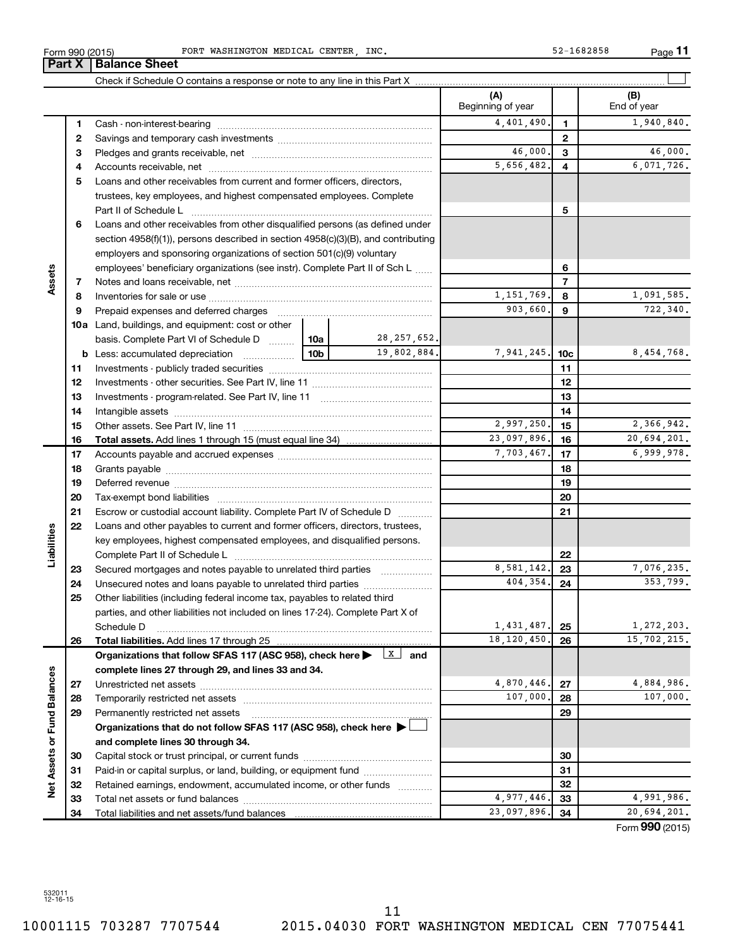|                             | 1  |                                                                                                       |     |               | 4,401,490.     | $\mathbf{1}$            | 1,940,840.      |
|-----------------------------|----|-------------------------------------------------------------------------------------------------------|-----|---------------|----------------|-------------------------|-----------------|
|                             | 2  |                                                                                                       |     |               | $\overline{2}$ |                         |                 |
|                             | 3  |                                                                                                       |     |               | 46,000.        | $\mathbf{3}$            | 46,000.         |
|                             | 4  |                                                                                                       |     |               | 5,656,482.     | $\overline{\mathbf{4}}$ | 6,071,726.      |
|                             | 5  | Loans and other receivables from current and former officers, directors,                              |     |               |                |                         |                 |
|                             |    | trustees, key employees, and highest compensated employees. Complete                                  |     |               |                |                         |                 |
|                             |    | Part II of Schedule L                                                                                 |     |               | 5              |                         |                 |
|                             | 6  | Loans and other receivables from other disqualified persons (as defined under                         |     |               |                |                         |                 |
|                             |    | section 4958(f)(1)), persons described in section 4958(c)(3)(B), and contributing                     |     |               |                |                         |                 |
|                             |    | employers and sponsoring organizations of section 501(c)(9) voluntary                                 |     |               |                |                         |                 |
|                             |    | employees' beneficiary organizations (see instr). Complete Part II of Sch L                           |     |               |                | 6                       |                 |
| Assets                      | 7  |                                                                                                       |     |               |                | $\overline{7}$          |                 |
|                             | 8  |                                                                                                       |     |               | 1, 151, 769.   | 8                       | 1,091,585.      |
|                             | 9  | Prepaid expenses and deferred charges                                                                 |     |               | 903,660.       | 9                       | 722,340.        |
|                             |    | 10a Land, buildings, and equipment: cost or other                                                     |     |               |                |                         |                 |
|                             |    | basis. Complete Part VI of Schedule D  10a                                                            |     | 28, 257, 652. |                |                         |                 |
|                             |    | <b>b</b> Less: accumulated depreciation                                                               | 10b | 19,802,884.   | 7,941,245.     | 10 <sub>c</sub>         | 8,454,768.      |
|                             | 11 |                                                                                                       |     |               |                | 11                      |                 |
|                             | 12 |                                                                                                       |     |               |                | 12                      |                 |
|                             | 13 |                                                                                                       |     |               |                | 13                      |                 |
|                             | 14 |                                                                                                       |     |               |                | 14                      |                 |
|                             | 15 |                                                                                                       |     |               | 2,997,250.     | 15                      | 2,366,942.      |
|                             | 16 |                                                                                                       |     |               | 23,097,896.    | 16                      | 20,694,201.     |
|                             | 17 |                                                                                                       |     |               | 7,703,467.     | 17                      | 6,999,978.      |
|                             | 18 |                                                                                                       |     |               |                | 18                      |                 |
|                             | 19 |                                                                                                       |     |               | 19             |                         |                 |
|                             | 20 |                                                                                                       |     |               | 20             |                         |                 |
|                             | 21 | Escrow or custodial account liability. Complete Part IV of Schedule D                                 |     |               |                | 21                      |                 |
|                             | 22 | Loans and other payables to current and former officers, directors, trustees,                         |     |               |                |                         |                 |
|                             |    | key employees, highest compensated employees, and disqualified persons.                               |     |               |                |                         |                 |
| Liabilities                 |    |                                                                                                       |     |               |                | 22                      |                 |
|                             | 23 | Secured mortgages and notes payable to unrelated third parties                                        |     |               | 8,581,142.     | 23                      | 7,076,235.      |
|                             | 24 | Unsecured notes and loans payable to unrelated third parties                                          |     |               | 404,354.       | 24                      | 353,799.        |
|                             | 25 | Other liabilities (including federal income tax, payables to related third                            |     |               |                |                         |                 |
|                             |    | parties, and other liabilities not included on lines 17-24). Complete Part X of                       |     |               |                |                         |                 |
|                             |    | Schedule D                                                                                            |     |               | 1,431,487.     | 25                      | 1,272,203.      |
|                             | 26 |                                                                                                       |     |               | 18, 120, 450.  | 26                      | 15,702,215.     |
|                             |    | Organizations that follow SFAS 117 (ASC 958), check here $\blacktriangleright$ $\boxed{\text{X}}$ and |     |               |                |                         |                 |
|                             |    | complete lines 27 through 29, and lines 33 and 34.                                                    |     |               |                |                         |                 |
|                             | 27 |                                                                                                       |     |               | 4,870,446.     | 27                      | 4,884,986.      |
|                             | 28 |                                                                                                       |     |               | 107,000        | 28                      | 107,000.        |
|                             | 29 | Permanently restricted net assets                                                                     |     |               |                | 29                      |                 |
|                             |    | Organizations that do not follow SFAS 117 (ASC 958), check here ▶                                     |     |               |                |                         |                 |
|                             |    | and complete lines 30 through 34.                                                                     |     |               |                |                         |                 |
|                             | 30 |                                                                                                       |     |               |                | 30                      |                 |
|                             | 31 | Paid-in or capital surplus, or land, building, or equipment fund                                      |     |               |                | 31                      |                 |
| Net Assets or Fund Balances | 32 | Retained earnings, endowment, accumulated income, or other funds                                      |     |               |                | 32                      |                 |
|                             | 33 |                                                                                                       |     |               | 4,977,446.     | 33                      | 4,991,986.      |
|                             | 34 |                                                                                                       |     |               | 23,097,896.    | 34                      | 20,694,201.     |
|                             |    |                                                                                                       |     |               |                |                         | Form 990 (2015) |

Form 990 (2015) PORT WASHINGTON MEDICAL CENTER, INC. The Same Section of the S2-1682858 Page

Check if Schedule O contains a response or note to any line in this Part X

**(A) (B)**

Beginning of year  $\vert$  | End of year

**11**

 $\perp$ 

**Part X** | Balance Sheet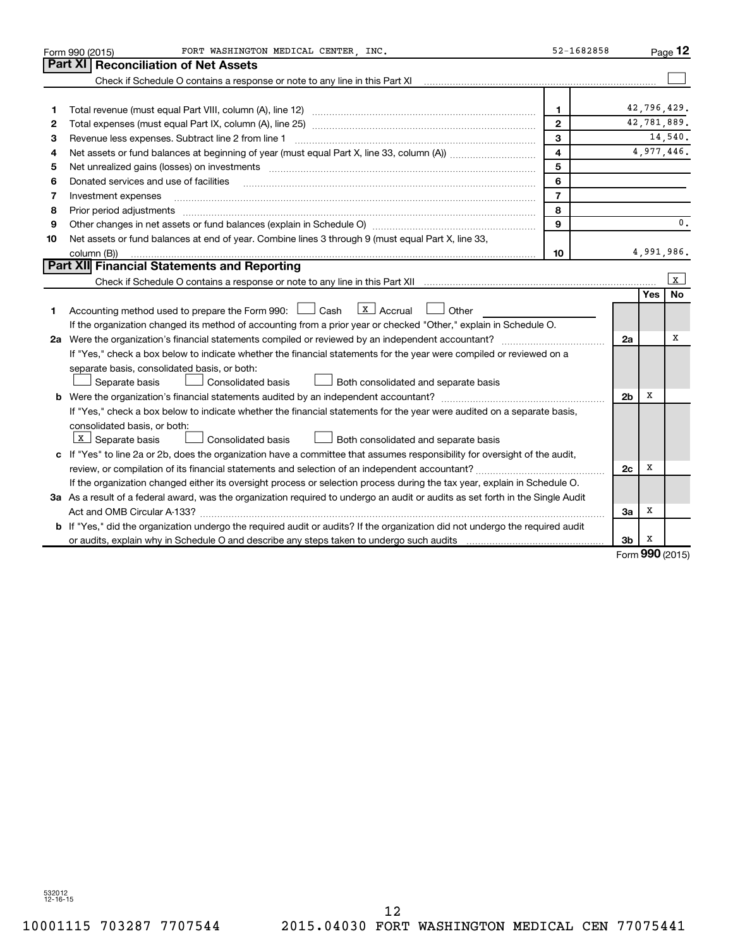|    | FORT WASHINGTON MEDICAL CENTER, INC.<br>Form 990 (2015)                                                                                                                                                                       | 52-1682858     |                |     | Page 12      |  |  |  |  |
|----|-------------------------------------------------------------------------------------------------------------------------------------------------------------------------------------------------------------------------------|----------------|----------------|-----|--------------|--|--|--|--|
|    | Part XI   Reconciliation of Net Assets                                                                                                                                                                                        |                |                |     |              |  |  |  |  |
|    | Check if Schedule O contains a response or note to any line in this Part XI [11] [11] Check if Schedule O contains a response or note to any line in this Part XI                                                             |                |                |     |              |  |  |  |  |
|    |                                                                                                                                                                                                                               |                |                |     |              |  |  |  |  |
| 1  |                                                                                                                                                                                                                               | 1              |                |     | 42,796,429.  |  |  |  |  |
| 2  |                                                                                                                                                                                                                               | $\overline{2}$ |                |     | 42,781,889.  |  |  |  |  |
| 3  | 3<br>Revenue less expenses. Subtract line 2 from line 1                                                                                                                                                                       |                |                |     |              |  |  |  |  |
| 4  |                                                                                                                                                                                                                               | 4              |                |     | 4,977,446.   |  |  |  |  |
| 5  | Net unrealized gains (losses) on investments [11] matter in the content of the state of the state of the state of the state of the state of the state of the state of the state of the state of the state of the state of the | 5              |                |     |              |  |  |  |  |
| 6  | Donated services and use of facilities                                                                                                                                                                                        | 6              |                |     |              |  |  |  |  |
| 7  | Investment expenses                                                                                                                                                                                                           | $\overline{7}$ |                |     |              |  |  |  |  |
| 8  | Prior period adjustments www.communication.communication.communication.com/news-managements                                                                                                                                   | 8              |                |     |              |  |  |  |  |
| 9  |                                                                                                                                                                                                                               | 9              |                |     | 0.           |  |  |  |  |
| 10 | Net assets or fund balances at end of year. Combine lines 3 through 9 (must equal Part X, line 33,                                                                                                                            |                |                |     |              |  |  |  |  |
|    | 10<br>column (B))                                                                                                                                                                                                             |                |                |     |              |  |  |  |  |
|    | Part XII Financial Statements and Reporting                                                                                                                                                                                   |                |                |     |              |  |  |  |  |
|    |                                                                                                                                                                                                                               |                |                |     | $\mathbf{x}$ |  |  |  |  |
|    |                                                                                                                                                                                                                               |                |                | Yes | <b>No</b>    |  |  |  |  |
| 1  | $\lfloor x \rfloor$ Accrual<br>Accounting method used to prepare the Form 990: $\Box$ Cash<br>Other                                                                                                                           |                |                |     |              |  |  |  |  |
|    | If the organization changed its method of accounting from a prior year or checked "Other," explain in Schedule O.                                                                                                             |                |                |     |              |  |  |  |  |
|    | 2a Were the organization's financial statements compiled or reviewed by an independent accountant?                                                                                                                            |                | 2a             |     | х            |  |  |  |  |
|    | If "Yes," check a box below to indicate whether the financial statements for the year were compiled or reviewed on a                                                                                                          |                |                |     |              |  |  |  |  |
|    | separate basis, consolidated basis, or both:                                                                                                                                                                                  |                |                |     |              |  |  |  |  |
|    | Separate basis<br>Consolidated basis<br>Both consolidated and separate basis                                                                                                                                                  |                |                |     |              |  |  |  |  |
|    |                                                                                                                                                                                                                               |                | 2 <sub>b</sub> | х   |              |  |  |  |  |
|    | If "Yes," check a box below to indicate whether the financial statements for the year were audited on a separate basis,                                                                                                       |                |                |     |              |  |  |  |  |
|    | consolidated basis, or both:                                                                                                                                                                                                  |                |                |     |              |  |  |  |  |
|    | $X$ Separate basis<br>Consolidated basis<br>Both consolidated and separate basis                                                                                                                                              |                |                |     |              |  |  |  |  |
|    | c If "Yes" to line 2a or 2b, does the organization have a committee that assumes responsibility for oversight of the audit,                                                                                                   |                |                |     |              |  |  |  |  |
|    |                                                                                                                                                                                                                               |                | 2c             | х   |              |  |  |  |  |
|    | If the organization changed either its oversight process or selection process during the tax year, explain in Schedule O.                                                                                                     |                |                |     |              |  |  |  |  |
|    | 3a As a result of a federal award, was the organization required to undergo an audit or audits as set forth in the Single Audit                                                                                               |                |                |     |              |  |  |  |  |
|    |                                                                                                                                                                                                                               |                | За             | х   |              |  |  |  |  |
|    | b If "Yes," did the organization undergo the required audit or audits? If the organization did not undergo the required audit                                                                                                 |                |                |     |              |  |  |  |  |
|    |                                                                                                                                                                                                                               |                | 3b             | х   |              |  |  |  |  |

Form (2015) **990**

532012 12-16-15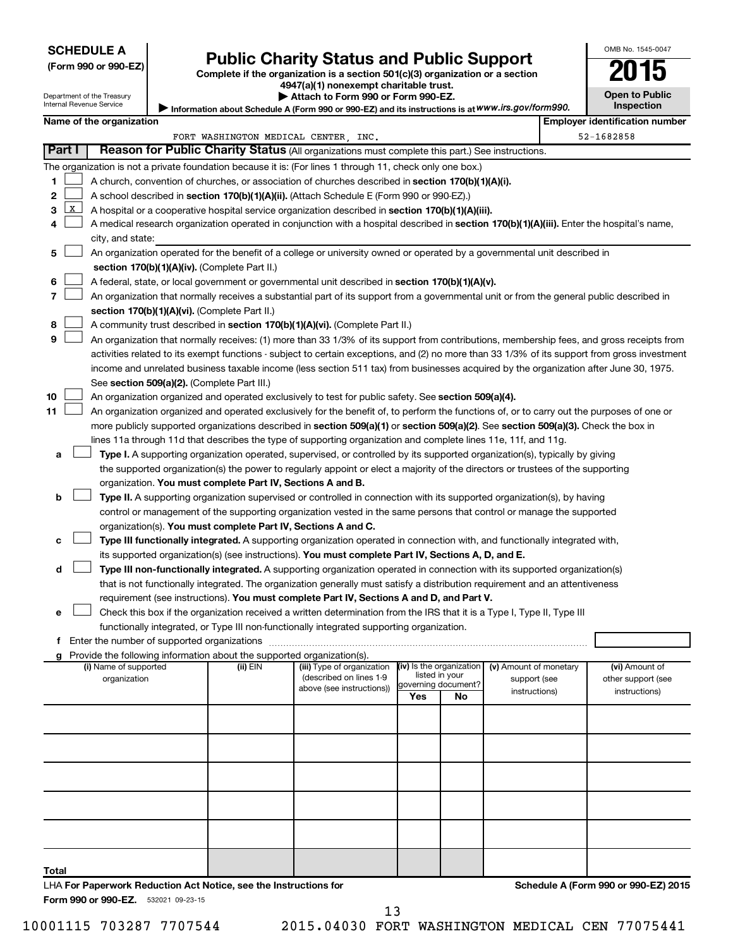# **SCHEDULE A**

# Form 990 or 990-EZ) **Public Charity Status and Public Support**<br>
Complete if the organization is a section 501(c)(3) organization or a section<br> **2015**

**4947(a)(1) nonexempt charitable trust.**

| <b>Open to Public</b><br>Inspection |
|-------------------------------------|

OMB No. 1545-0047

| Department of the Treasury<br>Internal Revenue Service |  |
|--------------------------------------------------------|--|
|--------------------------------------------------------|--|

| Attach to Form 990 or Form 990-EZ.                                                                |
|---------------------------------------------------------------------------------------------------|
| Information about Schedule A (Form 990 or 990-EZ) and its instructions is at WWW.irs.gov/form990. |

| Name of the organization<br><b>Employer identification number</b> |   |                                                                                                                                               |                                      |                                                       |                                            |                     |                               |  |                                     |  |  |
|-------------------------------------------------------------------|---|-----------------------------------------------------------------------------------------------------------------------------------------------|--------------------------------------|-------------------------------------------------------|--------------------------------------------|---------------------|-------------------------------|--|-------------------------------------|--|--|
|                                                                   |   |                                                                                                                                               | FORT WASHINGTON MEDICAL CENTER, INC. |                                                       |                                            |                     |                               |  | 52-1682858                          |  |  |
| Part I                                                            |   | Reason for Public Charity Status (All organizations must complete this part.) See instructions.                                               |                                      |                                                       |                                            |                     |                               |  |                                     |  |  |
|                                                                   |   | The organization is not a private foundation because it is: (For lines 1 through 11, check only one box.)                                     |                                      |                                                       |                                            |                     |                               |  |                                     |  |  |
| 1                                                                 |   | A church, convention of churches, or association of churches described in section 170(b)(1)(A)(i).                                            |                                      |                                                       |                                            |                     |                               |  |                                     |  |  |
| 2                                                                 |   | A school described in section 170(b)(1)(A)(ii). (Attach Schedule E (Form 990 or 990-EZ).)                                                     |                                      |                                                       |                                            |                     |                               |  |                                     |  |  |
| 3                                                                 | X | A hospital or a cooperative hospital service organization described in section 170(b)(1)(A)(iii).                                             |                                      |                                                       |                                            |                     |                               |  |                                     |  |  |
| 4                                                                 |   | A medical research organization operated in conjunction with a hospital described in section 170(b)(1)(A)(iii). Enter the hospital's name,    |                                      |                                                       |                                            |                     |                               |  |                                     |  |  |
|                                                                   |   | city, and state:                                                                                                                              |                                      |                                                       |                                            |                     |                               |  |                                     |  |  |
| 5.                                                                |   | An organization operated for the benefit of a college or university owned or operated by a governmental unit described in                     |                                      |                                                       |                                            |                     |                               |  |                                     |  |  |
|                                                                   |   | section 170(b)(1)(A)(iv). (Complete Part II.)                                                                                                 |                                      |                                                       |                                            |                     |                               |  |                                     |  |  |
| 6                                                                 |   | A federal, state, or local government or governmental unit described in section 170(b)(1)(A)(v).                                              |                                      |                                                       |                                            |                     |                               |  |                                     |  |  |
| 7                                                                 |   | An organization that normally receives a substantial part of its support from a governmental unit or from the general public described in     |                                      |                                                       |                                            |                     |                               |  |                                     |  |  |
|                                                                   |   | section 170(b)(1)(A)(vi). (Complete Part II.)                                                                                                 |                                      |                                                       |                                            |                     |                               |  |                                     |  |  |
| 8                                                                 |   | A community trust described in section 170(b)(1)(A)(vi). (Complete Part II.)                                                                  |                                      |                                                       |                                            |                     |                               |  |                                     |  |  |
| 9                                                                 |   | An organization that normally receives: (1) more than 33 1/3% of its support from contributions, membership fees, and gross receipts from     |                                      |                                                       |                                            |                     |                               |  |                                     |  |  |
|                                                                   |   | activities related to its exempt functions - subject to certain exceptions, and (2) no more than 33 1/3% of its support from gross investment |                                      |                                                       |                                            |                     |                               |  |                                     |  |  |
|                                                                   |   | income and unrelated business taxable income (less section 511 tax) from businesses acquired by the organization after June 30, 1975.         |                                      |                                                       |                                            |                     |                               |  |                                     |  |  |
|                                                                   |   | See section 509(a)(2). (Complete Part III.)                                                                                                   |                                      |                                                       |                                            |                     |                               |  |                                     |  |  |
| 10                                                                |   | An organization organized and operated exclusively to test for public safety. See section 509(a)(4).                                          |                                      |                                                       |                                            |                     |                               |  |                                     |  |  |
| 11                                                                |   | An organization organized and operated exclusively for the benefit of, to perform the functions of, or to carry out the purposes of one or    |                                      |                                                       |                                            |                     |                               |  |                                     |  |  |
|                                                                   |   | more publicly supported organizations described in section 509(a)(1) or section 509(a)(2). See section 509(a)(3). Check the box in            |                                      |                                                       |                                            |                     |                               |  |                                     |  |  |
|                                                                   |   | lines 11a through 11d that describes the type of supporting organization and complete lines 11e, 11f, and 11g.                                |                                      |                                                       |                                            |                     |                               |  |                                     |  |  |
| а                                                                 |   | Type I. A supporting organization operated, supervised, or controlled by its supported organization(s), typically by giving                   |                                      |                                                       |                                            |                     |                               |  |                                     |  |  |
|                                                                   |   | the supported organization(s) the power to regularly appoint or elect a majority of the directors or trustees of the supporting               |                                      |                                                       |                                            |                     |                               |  |                                     |  |  |
|                                                                   |   | organization. You must complete Part IV, Sections A and B.                                                                                    |                                      |                                                       |                                            |                     |                               |  |                                     |  |  |
| b                                                                 |   | Type II. A supporting organization supervised or controlled in connection with its supported organization(s), by having                       |                                      |                                                       |                                            |                     |                               |  |                                     |  |  |
|                                                                   |   | control or management of the supporting organization vested in the same persons that control or manage the supported                          |                                      |                                                       |                                            |                     |                               |  |                                     |  |  |
|                                                                   |   | organization(s). You must complete Part IV, Sections A and C.                                                                                 |                                      |                                                       |                                            |                     |                               |  |                                     |  |  |
| с                                                                 |   | Type III functionally integrated. A supporting organization operated in connection with, and functionally integrated with,                    |                                      |                                                       |                                            |                     |                               |  |                                     |  |  |
|                                                                   |   | its supported organization(s) (see instructions). You must complete Part IV, Sections A, D, and E.                                            |                                      |                                                       |                                            |                     |                               |  |                                     |  |  |
| d                                                                 |   | Type III non-functionally integrated. A supporting organization operated in connection with its supported organization(s)                     |                                      |                                                       |                                            |                     |                               |  |                                     |  |  |
|                                                                   |   | that is not functionally integrated. The organization generally must satisfy a distribution requirement and an attentiveness                  |                                      |                                                       |                                            |                     |                               |  |                                     |  |  |
|                                                                   |   | requirement (see instructions). You must complete Part IV, Sections A and D, and Part V.                                                      |                                      |                                                       |                                            |                     |                               |  |                                     |  |  |
| е                                                                 |   | Check this box if the organization received a written determination from the IRS that it is a Type I, Type II, Type III                       |                                      |                                                       |                                            |                     |                               |  |                                     |  |  |
|                                                                   |   | functionally integrated, or Type III non-functionally integrated supporting organization.                                                     |                                      |                                                       |                                            |                     |                               |  |                                     |  |  |
|                                                                   |   |                                                                                                                                               |                                      |                                                       |                                            |                     |                               |  |                                     |  |  |
|                                                                   |   | g Provide the following information about the supported organization(s).                                                                      |                                      |                                                       |                                            |                     |                               |  |                                     |  |  |
|                                                                   |   | (i) Name of supported                                                                                                                         | (ii) EIN                             | (iii) Type of organization<br>(described on lines 1-9 | (iv) Is the organization<br>listed in your |                     | (v) Amount of monetary        |  | (vi) Amount of                      |  |  |
|                                                                   |   | organization                                                                                                                                  |                                      | above (see instructions))                             |                                            | governing document? | support (see<br>instructions) |  | other support (see<br>instructions) |  |  |
|                                                                   |   |                                                                                                                                               |                                      |                                                       | Yes                                        | No                  |                               |  |                                     |  |  |
|                                                                   |   |                                                                                                                                               |                                      |                                                       |                                            |                     |                               |  |                                     |  |  |
|                                                                   |   |                                                                                                                                               |                                      |                                                       |                                            |                     |                               |  |                                     |  |  |
|                                                                   |   |                                                                                                                                               |                                      |                                                       |                                            |                     |                               |  |                                     |  |  |
|                                                                   |   |                                                                                                                                               |                                      |                                                       |                                            |                     |                               |  |                                     |  |  |
|                                                                   |   |                                                                                                                                               |                                      |                                                       |                                            |                     |                               |  |                                     |  |  |

LHA **For Paperwork Reduction Act Notice, see the Instructions for** 

**Schedule A (Form 990 or 990-EZ) 2015**

Form 990 or 990-EZ. 532021 09-23-15

**Total**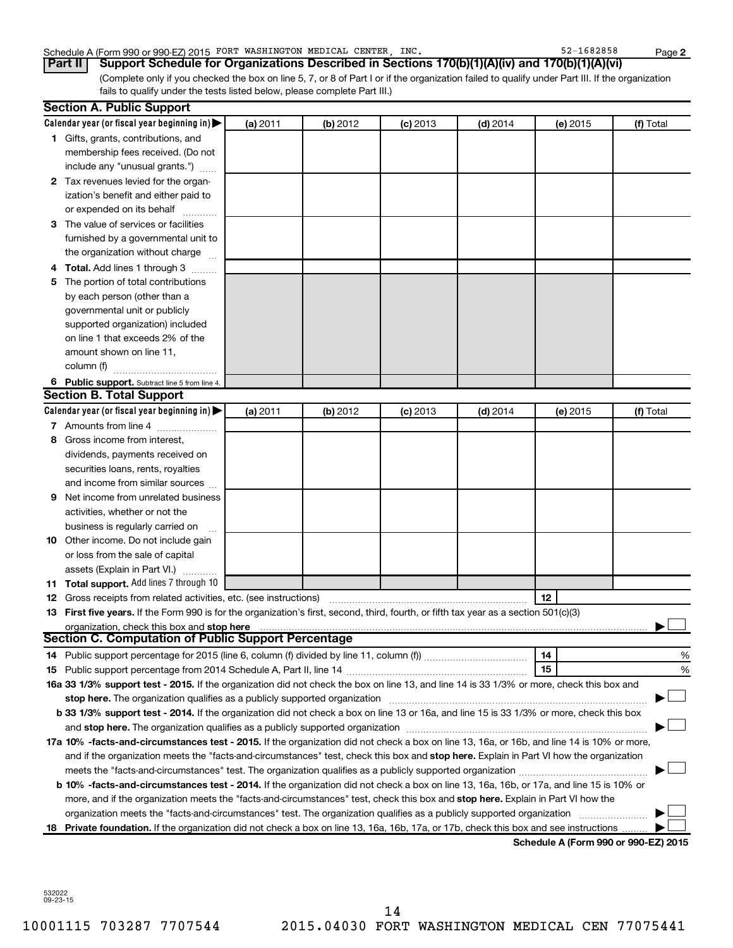## Schedule A (Form 990 or 990-EZ) 2015 FORT WASHINGTON MEDICAL CENTER, INC. Same state of the S2-1682858 Page

(Complete only if you checked the box on line 5, 7, or 8 of Part I or if the organization failed to qualify under Part III. If the organization fails to qualify under the tests listed below, please complete Part III.) **Part II Support Schedule for Organizations Described in Sections 170(b)(1)(A)(iv) and 170(b)(1)(A)(vi)**

| Calendar year (or fiscal year beginning in)<br>(a) 2011<br>(b) 2012<br>$(c)$ 2013<br>$(d)$ 2014<br>(e) 2015<br>(f) Total<br>1 Gifts, grants, contributions, and<br>membership fees received. (Do not<br>include any "unusual grants.")<br>2 Tax revenues levied for the organ-<br>ization's benefit and either paid to<br>or expended on its behalf<br>3 The value of services or facilities<br>furnished by a governmental unit to<br>the organization without charge<br>4 Total. Add lines 1 through 3<br>The portion of total contributions<br>5.<br>by each person (other than a<br>governmental unit or publicly<br>supported organization) included<br>on line 1 that exceeds 2% of the<br>amount shown on line 11,<br>column (f)<br>6 Public support. Subtract line 5 from line 4.<br><b>Section B. Total Support</b><br>Calendar year (or fiscal year beginning in)<br>(a) 2011<br>(b) 2012<br>$(c)$ 2013<br>$(d)$ 2014<br>(e) 2015<br>(f) Total<br>7 Amounts from line 4<br>Gross income from interest.<br>8<br>dividends, payments received on<br>securities loans, rents, royalties<br>and income from similar sources<br>Net income from unrelated business<br>9<br>activities, whether or not the<br>business is regularly carried on<br>10 Other income. Do not include gain<br>or loss from the sale of capital<br>assets (Explain in Part VI.)<br>11 Total support. Add lines 7 through 10<br>12<br><b>12</b> Gross receipts from related activities, etc. (see instructions)<br>13 First five years. If the Form 990 is for the organization's first, second, third, fourth, or fifth tax year as a section 501(c)(3)<br>organization, check this box and stop here<br>Section C. Computation of Public Support Percentage<br>14<br>%<br>15<br>%<br>16a 33 1/3% support test - 2015. If the organization did not check the box on line 13, and line 14 is 33 1/3% or more, check this box and<br>stop here. The organization qualifies as a publicly supported organization manufactured content and the organization<br>b 33 1/3% support test - 2014. If the organization did not check a box on line 13 or 16a, and line 15 is 33 1/3% or more, check this box<br>and stop here. The organization qualifies as a publicly supported organization [11] manuscription manuscription manuscription manuscription and stop here. The organization qualifies as a publicly supported organization<br>17a 10% -facts-and-circumstances test - 2015. If the organization did not check a box on line 13, 16a, or 16b, and line 14 is 10% or more,<br>and if the organization meets the "facts-and-circumstances" test, check this box and stop here. Explain in Part VI how the organization<br><b>b 10%</b> -facts-and-circumstances test - 2014. If the organization did not check a box on line 13, 16a, 16b, or 17a, and line 15 is 10% or<br>more, and if the organization meets the "facts-and-circumstances" test, check this box and stop here. Explain in Part VI how the<br>organization meets the "facts-and-circumstances" test. The organization qualifies as a publicly supported organization | <b>Section A. Public Support</b> |  |  |  |
|---------------------------------------------------------------------------------------------------------------------------------------------------------------------------------------------------------------------------------------------------------------------------------------------------------------------------------------------------------------------------------------------------------------------------------------------------------------------------------------------------------------------------------------------------------------------------------------------------------------------------------------------------------------------------------------------------------------------------------------------------------------------------------------------------------------------------------------------------------------------------------------------------------------------------------------------------------------------------------------------------------------------------------------------------------------------------------------------------------------------------------------------------------------------------------------------------------------------------------------------------------------------------------------------------------------------------------------------------------------------------------------------------------------------------------------------------------------------------------------------------------------------------------------------------------------------------------------------------------------------------------------------------------------------------------------------------------------------------------------------------------------------------------------------------------------------------------------------------------------------------------------------------------------------------------------------------------------------------------------------------------------------------------------------------------------------------------------------------------------------------------------------------------------------------------------------------------------------------------------------------------------------------------------------------------------------------------------------------------------------------------------------------------------------------------------------------------------------------------------------------------------------------------------------------------------------------------------------------------------------------------------------------------------------------------------------------------------------------------------------------------------------------------------------------------------------------------------------------------------------------------------------------------------------------------------------------------------------------------------------------------------------------------------------------------------------------------------------------------------------------|----------------------------------|--|--|--|
|                                                                                                                                                                                                                                                                                                                                                                                                                                                                                                                                                                                                                                                                                                                                                                                                                                                                                                                                                                                                                                                                                                                                                                                                                                                                                                                                                                                                                                                                                                                                                                                                                                                                                                                                                                                                                                                                                                                                                                                                                                                                                                                                                                                                                                                                                                                                                                                                                                                                                                                                                                                                                                                                                                                                                                                                                                                                                                                                                                                                                                                                                                                           |                                  |  |  |  |
|                                                                                                                                                                                                                                                                                                                                                                                                                                                                                                                                                                                                                                                                                                                                                                                                                                                                                                                                                                                                                                                                                                                                                                                                                                                                                                                                                                                                                                                                                                                                                                                                                                                                                                                                                                                                                                                                                                                                                                                                                                                                                                                                                                                                                                                                                                                                                                                                                                                                                                                                                                                                                                                                                                                                                                                                                                                                                                                                                                                                                                                                                                                           |                                  |  |  |  |
|                                                                                                                                                                                                                                                                                                                                                                                                                                                                                                                                                                                                                                                                                                                                                                                                                                                                                                                                                                                                                                                                                                                                                                                                                                                                                                                                                                                                                                                                                                                                                                                                                                                                                                                                                                                                                                                                                                                                                                                                                                                                                                                                                                                                                                                                                                                                                                                                                                                                                                                                                                                                                                                                                                                                                                                                                                                                                                                                                                                                                                                                                                                           |                                  |  |  |  |
|                                                                                                                                                                                                                                                                                                                                                                                                                                                                                                                                                                                                                                                                                                                                                                                                                                                                                                                                                                                                                                                                                                                                                                                                                                                                                                                                                                                                                                                                                                                                                                                                                                                                                                                                                                                                                                                                                                                                                                                                                                                                                                                                                                                                                                                                                                                                                                                                                                                                                                                                                                                                                                                                                                                                                                                                                                                                                                                                                                                                                                                                                                                           |                                  |  |  |  |
|                                                                                                                                                                                                                                                                                                                                                                                                                                                                                                                                                                                                                                                                                                                                                                                                                                                                                                                                                                                                                                                                                                                                                                                                                                                                                                                                                                                                                                                                                                                                                                                                                                                                                                                                                                                                                                                                                                                                                                                                                                                                                                                                                                                                                                                                                                                                                                                                                                                                                                                                                                                                                                                                                                                                                                                                                                                                                                                                                                                                                                                                                                                           |                                  |  |  |  |
|                                                                                                                                                                                                                                                                                                                                                                                                                                                                                                                                                                                                                                                                                                                                                                                                                                                                                                                                                                                                                                                                                                                                                                                                                                                                                                                                                                                                                                                                                                                                                                                                                                                                                                                                                                                                                                                                                                                                                                                                                                                                                                                                                                                                                                                                                                                                                                                                                                                                                                                                                                                                                                                                                                                                                                                                                                                                                                                                                                                                                                                                                                                           |                                  |  |  |  |
|                                                                                                                                                                                                                                                                                                                                                                                                                                                                                                                                                                                                                                                                                                                                                                                                                                                                                                                                                                                                                                                                                                                                                                                                                                                                                                                                                                                                                                                                                                                                                                                                                                                                                                                                                                                                                                                                                                                                                                                                                                                                                                                                                                                                                                                                                                                                                                                                                                                                                                                                                                                                                                                                                                                                                                                                                                                                                                                                                                                                                                                                                                                           |                                  |  |  |  |
|                                                                                                                                                                                                                                                                                                                                                                                                                                                                                                                                                                                                                                                                                                                                                                                                                                                                                                                                                                                                                                                                                                                                                                                                                                                                                                                                                                                                                                                                                                                                                                                                                                                                                                                                                                                                                                                                                                                                                                                                                                                                                                                                                                                                                                                                                                                                                                                                                                                                                                                                                                                                                                                                                                                                                                                                                                                                                                                                                                                                                                                                                                                           |                                  |  |  |  |
|                                                                                                                                                                                                                                                                                                                                                                                                                                                                                                                                                                                                                                                                                                                                                                                                                                                                                                                                                                                                                                                                                                                                                                                                                                                                                                                                                                                                                                                                                                                                                                                                                                                                                                                                                                                                                                                                                                                                                                                                                                                                                                                                                                                                                                                                                                                                                                                                                                                                                                                                                                                                                                                                                                                                                                                                                                                                                                                                                                                                                                                                                                                           |                                  |  |  |  |
|                                                                                                                                                                                                                                                                                                                                                                                                                                                                                                                                                                                                                                                                                                                                                                                                                                                                                                                                                                                                                                                                                                                                                                                                                                                                                                                                                                                                                                                                                                                                                                                                                                                                                                                                                                                                                                                                                                                                                                                                                                                                                                                                                                                                                                                                                                                                                                                                                                                                                                                                                                                                                                                                                                                                                                                                                                                                                                                                                                                                                                                                                                                           |                                  |  |  |  |
|                                                                                                                                                                                                                                                                                                                                                                                                                                                                                                                                                                                                                                                                                                                                                                                                                                                                                                                                                                                                                                                                                                                                                                                                                                                                                                                                                                                                                                                                                                                                                                                                                                                                                                                                                                                                                                                                                                                                                                                                                                                                                                                                                                                                                                                                                                                                                                                                                                                                                                                                                                                                                                                                                                                                                                                                                                                                                                                                                                                                                                                                                                                           |                                  |  |  |  |
|                                                                                                                                                                                                                                                                                                                                                                                                                                                                                                                                                                                                                                                                                                                                                                                                                                                                                                                                                                                                                                                                                                                                                                                                                                                                                                                                                                                                                                                                                                                                                                                                                                                                                                                                                                                                                                                                                                                                                                                                                                                                                                                                                                                                                                                                                                                                                                                                                                                                                                                                                                                                                                                                                                                                                                                                                                                                                                                                                                                                                                                                                                                           |                                  |  |  |  |
|                                                                                                                                                                                                                                                                                                                                                                                                                                                                                                                                                                                                                                                                                                                                                                                                                                                                                                                                                                                                                                                                                                                                                                                                                                                                                                                                                                                                                                                                                                                                                                                                                                                                                                                                                                                                                                                                                                                                                                                                                                                                                                                                                                                                                                                                                                                                                                                                                                                                                                                                                                                                                                                                                                                                                                                                                                                                                                                                                                                                                                                                                                                           |                                  |  |  |  |
|                                                                                                                                                                                                                                                                                                                                                                                                                                                                                                                                                                                                                                                                                                                                                                                                                                                                                                                                                                                                                                                                                                                                                                                                                                                                                                                                                                                                                                                                                                                                                                                                                                                                                                                                                                                                                                                                                                                                                                                                                                                                                                                                                                                                                                                                                                                                                                                                                                                                                                                                                                                                                                                                                                                                                                                                                                                                                                                                                                                                                                                                                                                           |                                  |  |  |  |
|                                                                                                                                                                                                                                                                                                                                                                                                                                                                                                                                                                                                                                                                                                                                                                                                                                                                                                                                                                                                                                                                                                                                                                                                                                                                                                                                                                                                                                                                                                                                                                                                                                                                                                                                                                                                                                                                                                                                                                                                                                                                                                                                                                                                                                                                                                                                                                                                                                                                                                                                                                                                                                                                                                                                                                                                                                                                                                                                                                                                                                                                                                                           |                                  |  |  |  |
|                                                                                                                                                                                                                                                                                                                                                                                                                                                                                                                                                                                                                                                                                                                                                                                                                                                                                                                                                                                                                                                                                                                                                                                                                                                                                                                                                                                                                                                                                                                                                                                                                                                                                                                                                                                                                                                                                                                                                                                                                                                                                                                                                                                                                                                                                                                                                                                                                                                                                                                                                                                                                                                                                                                                                                                                                                                                                                                                                                                                                                                                                                                           |                                  |  |  |  |
|                                                                                                                                                                                                                                                                                                                                                                                                                                                                                                                                                                                                                                                                                                                                                                                                                                                                                                                                                                                                                                                                                                                                                                                                                                                                                                                                                                                                                                                                                                                                                                                                                                                                                                                                                                                                                                                                                                                                                                                                                                                                                                                                                                                                                                                                                                                                                                                                                                                                                                                                                                                                                                                                                                                                                                                                                                                                                                                                                                                                                                                                                                                           |                                  |  |  |  |
|                                                                                                                                                                                                                                                                                                                                                                                                                                                                                                                                                                                                                                                                                                                                                                                                                                                                                                                                                                                                                                                                                                                                                                                                                                                                                                                                                                                                                                                                                                                                                                                                                                                                                                                                                                                                                                                                                                                                                                                                                                                                                                                                                                                                                                                                                                                                                                                                                                                                                                                                                                                                                                                                                                                                                                                                                                                                                                                                                                                                                                                                                                                           |                                  |  |  |  |
|                                                                                                                                                                                                                                                                                                                                                                                                                                                                                                                                                                                                                                                                                                                                                                                                                                                                                                                                                                                                                                                                                                                                                                                                                                                                                                                                                                                                                                                                                                                                                                                                                                                                                                                                                                                                                                                                                                                                                                                                                                                                                                                                                                                                                                                                                                                                                                                                                                                                                                                                                                                                                                                                                                                                                                                                                                                                                                                                                                                                                                                                                                                           |                                  |  |  |  |
|                                                                                                                                                                                                                                                                                                                                                                                                                                                                                                                                                                                                                                                                                                                                                                                                                                                                                                                                                                                                                                                                                                                                                                                                                                                                                                                                                                                                                                                                                                                                                                                                                                                                                                                                                                                                                                                                                                                                                                                                                                                                                                                                                                                                                                                                                                                                                                                                                                                                                                                                                                                                                                                                                                                                                                                                                                                                                                                                                                                                                                                                                                                           |                                  |  |  |  |
|                                                                                                                                                                                                                                                                                                                                                                                                                                                                                                                                                                                                                                                                                                                                                                                                                                                                                                                                                                                                                                                                                                                                                                                                                                                                                                                                                                                                                                                                                                                                                                                                                                                                                                                                                                                                                                                                                                                                                                                                                                                                                                                                                                                                                                                                                                                                                                                                                                                                                                                                                                                                                                                                                                                                                                                                                                                                                                                                                                                                                                                                                                                           |                                  |  |  |  |
|                                                                                                                                                                                                                                                                                                                                                                                                                                                                                                                                                                                                                                                                                                                                                                                                                                                                                                                                                                                                                                                                                                                                                                                                                                                                                                                                                                                                                                                                                                                                                                                                                                                                                                                                                                                                                                                                                                                                                                                                                                                                                                                                                                                                                                                                                                                                                                                                                                                                                                                                                                                                                                                                                                                                                                                                                                                                                                                                                                                                                                                                                                                           |                                  |  |  |  |
|                                                                                                                                                                                                                                                                                                                                                                                                                                                                                                                                                                                                                                                                                                                                                                                                                                                                                                                                                                                                                                                                                                                                                                                                                                                                                                                                                                                                                                                                                                                                                                                                                                                                                                                                                                                                                                                                                                                                                                                                                                                                                                                                                                                                                                                                                                                                                                                                                                                                                                                                                                                                                                                                                                                                                                                                                                                                                                                                                                                                                                                                                                                           |                                  |  |  |  |
|                                                                                                                                                                                                                                                                                                                                                                                                                                                                                                                                                                                                                                                                                                                                                                                                                                                                                                                                                                                                                                                                                                                                                                                                                                                                                                                                                                                                                                                                                                                                                                                                                                                                                                                                                                                                                                                                                                                                                                                                                                                                                                                                                                                                                                                                                                                                                                                                                                                                                                                                                                                                                                                                                                                                                                                                                                                                                                                                                                                                                                                                                                                           |                                  |  |  |  |
|                                                                                                                                                                                                                                                                                                                                                                                                                                                                                                                                                                                                                                                                                                                                                                                                                                                                                                                                                                                                                                                                                                                                                                                                                                                                                                                                                                                                                                                                                                                                                                                                                                                                                                                                                                                                                                                                                                                                                                                                                                                                                                                                                                                                                                                                                                                                                                                                                                                                                                                                                                                                                                                                                                                                                                                                                                                                                                                                                                                                                                                                                                                           |                                  |  |  |  |
|                                                                                                                                                                                                                                                                                                                                                                                                                                                                                                                                                                                                                                                                                                                                                                                                                                                                                                                                                                                                                                                                                                                                                                                                                                                                                                                                                                                                                                                                                                                                                                                                                                                                                                                                                                                                                                                                                                                                                                                                                                                                                                                                                                                                                                                                                                                                                                                                                                                                                                                                                                                                                                                                                                                                                                                                                                                                                                                                                                                                                                                                                                                           |                                  |  |  |  |
|                                                                                                                                                                                                                                                                                                                                                                                                                                                                                                                                                                                                                                                                                                                                                                                                                                                                                                                                                                                                                                                                                                                                                                                                                                                                                                                                                                                                                                                                                                                                                                                                                                                                                                                                                                                                                                                                                                                                                                                                                                                                                                                                                                                                                                                                                                                                                                                                                                                                                                                                                                                                                                                                                                                                                                                                                                                                                                                                                                                                                                                                                                                           |                                  |  |  |  |
|                                                                                                                                                                                                                                                                                                                                                                                                                                                                                                                                                                                                                                                                                                                                                                                                                                                                                                                                                                                                                                                                                                                                                                                                                                                                                                                                                                                                                                                                                                                                                                                                                                                                                                                                                                                                                                                                                                                                                                                                                                                                                                                                                                                                                                                                                                                                                                                                                                                                                                                                                                                                                                                                                                                                                                                                                                                                                                                                                                                                                                                                                                                           |                                  |  |  |  |
|                                                                                                                                                                                                                                                                                                                                                                                                                                                                                                                                                                                                                                                                                                                                                                                                                                                                                                                                                                                                                                                                                                                                                                                                                                                                                                                                                                                                                                                                                                                                                                                                                                                                                                                                                                                                                                                                                                                                                                                                                                                                                                                                                                                                                                                                                                                                                                                                                                                                                                                                                                                                                                                                                                                                                                                                                                                                                                                                                                                                                                                                                                                           |                                  |  |  |  |
|                                                                                                                                                                                                                                                                                                                                                                                                                                                                                                                                                                                                                                                                                                                                                                                                                                                                                                                                                                                                                                                                                                                                                                                                                                                                                                                                                                                                                                                                                                                                                                                                                                                                                                                                                                                                                                                                                                                                                                                                                                                                                                                                                                                                                                                                                                                                                                                                                                                                                                                                                                                                                                                                                                                                                                                                                                                                                                                                                                                                                                                                                                                           |                                  |  |  |  |
|                                                                                                                                                                                                                                                                                                                                                                                                                                                                                                                                                                                                                                                                                                                                                                                                                                                                                                                                                                                                                                                                                                                                                                                                                                                                                                                                                                                                                                                                                                                                                                                                                                                                                                                                                                                                                                                                                                                                                                                                                                                                                                                                                                                                                                                                                                                                                                                                                                                                                                                                                                                                                                                                                                                                                                                                                                                                                                                                                                                                                                                                                                                           |                                  |  |  |  |
|                                                                                                                                                                                                                                                                                                                                                                                                                                                                                                                                                                                                                                                                                                                                                                                                                                                                                                                                                                                                                                                                                                                                                                                                                                                                                                                                                                                                                                                                                                                                                                                                                                                                                                                                                                                                                                                                                                                                                                                                                                                                                                                                                                                                                                                                                                                                                                                                                                                                                                                                                                                                                                                                                                                                                                                                                                                                                                                                                                                                                                                                                                                           |                                  |  |  |  |
|                                                                                                                                                                                                                                                                                                                                                                                                                                                                                                                                                                                                                                                                                                                                                                                                                                                                                                                                                                                                                                                                                                                                                                                                                                                                                                                                                                                                                                                                                                                                                                                                                                                                                                                                                                                                                                                                                                                                                                                                                                                                                                                                                                                                                                                                                                                                                                                                                                                                                                                                                                                                                                                                                                                                                                                                                                                                                                                                                                                                                                                                                                                           |                                  |  |  |  |
|                                                                                                                                                                                                                                                                                                                                                                                                                                                                                                                                                                                                                                                                                                                                                                                                                                                                                                                                                                                                                                                                                                                                                                                                                                                                                                                                                                                                                                                                                                                                                                                                                                                                                                                                                                                                                                                                                                                                                                                                                                                                                                                                                                                                                                                                                                                                                                                                                                                                                                                                                                                                                                                                                                                                                                                                                                                                                                                                                                                                                                                                                                                           |                                  |  |  |  |
|                                                                                                                                                                                                                                                                                                                                                                                                                                                                                                                                                                                                                                                                                                                                                                                                                                                                                                                                                                                                                                                                                                                                                                                                                                                                                                                                                                                                                                                                                                                                                                                                                                                                                                                                                                                                                                                                                                                                                                                                                                                                                                                                                                                                                                                                                                                                                                                                                                                                                                                                                                                                                                                                                                                                                                                                                                                                                                                                                                                                                                                                                                                           |                                  |  |  |  |
|                                                                                                                                                                                                                                                                                                                                                                                                                                                                                                                                                                                                                                                                                                                                                                                                                                                                                                                                                                                                                                                                                                                                                                                                                                                                                                                                                                                                                                                                                                                                                                                                                                                                                                                                                                                                                                                                                                                                                                                                                                                                                                                                                                                                                                                                                                                                                                                                                                                                                                                                                                                                                                                                                                                                                                                                                                                                                                                                                                                                                                                                                                                           |                                  |  |  |  |
|                                                                                                                                                                                                                                                                                                                                                                                                                                                                                                                                                                                                                                                                                                                                                                                                                                                                                                                                                                                                                                                                                                                                                                                                                                                                                                                                                                                                                                                                                                                                                                                                                                                                                                                                                                                                                                                                                                                                                                                                                                                                                                                                                                                                                                                                                                                                                                                                                                                                                                                                                                                                                                                                                                                                                                                                                                                                                                                                                                                                                                                                                                                           |                                  |  |  |  |
|                                                                                                                                                                                                                                                                                                                                                                                                                                                                                                                                                                                                                                                                                                                                                                                                                                                                                                                                                                                                                                                                                                                                                                                                                                                                                                                                                                                                                                                                                                                                                                                                                                                                                                                                                                                                                                                                                                                                                                                                                                                                                                                                                                                                                                                                                                                                                                                                                                                                                                                                                                                                                                                                                                                                                                                                                                                                                                                                                                                                                                                                                                                           |                                  |  |  |  |
|                                                                                                                                                                                                                                                                                                                                                                                                                                                                                                                                                                                                                                                                                                                                                                                                                                                                                                                                                                                                                                                                                                                                                                                                                                                                                                                                                                                                                                                                                                                                                                                                                                                                                                                                                                                                                                                                                                                                                                                                                                                                                                                                                                                                                                                                                                                                                                                                                                                                                                                                                                                                                                                                                                                                                                                                                                                                                                                                                                                                                                                                                                                           |                                  |  |  |  |
|                                                                                                                                                                                                                                                                                                                                                                                                                                                                                                                                                                                                                                                                                                                                                                                                                                                                                                                                                                                                                                                                                                                                                                                                                                                                                                                                                                                                                                                                                                                                                                                                                                                                                                                                                                                                                                                                                                                                                                                                                                                                                                                                                                                                                                                                                                                                                                                                                                                                                                                                                                                                                                                                                                                                                                                                                                                                                                                                                                                                                                                                                                                           |                                  |  |  |  |
|                                                                                                                                                                                                                                                                                                                                                                                                                                                                                                                                                                                                                                                                                                                                                                                                                                                                                                                                                                                                                                                                                                                                                                                                                                                                                                                                                                                                                                                                                                                                                                                                                                                                                                                                                                                                                                                                                                                                                                                                                                                                                                                                                                                                                                                                                                                                                                                                                                                                                                                                                                                                                                                                                                                                                                                                                                                                                                                                                                                                                                                                                                                           |                                  |  |  |  |
|                                                                                                                                                                                                                                                                                                                                                                                                                                                                                                                                                                                                                                                                                                                                                                                                                                                                                                                                                                                                                                                                                                                                                                                                                                                                                                                                                                                                                                                                                                                                                                                                                                                                                                                                                                                                                                                                                                                                                                                                                                                                                                                                                                                                                                                                                                                                                                                                                                                                                                                                                                                                                                                                                                                                                                                                                                                                                                                                                                                                                                                                                                                           |                                  |  |  |  |
|                                                                                                                                                                                                                                                                                                                                                                                                                                                                                                                                                                                                                                                                                                                                                                                                                                                                                                                                                                                                                                                                                                                                                                                                                                                                                                                                                                                                                                                                                                                                                                                                                                                                                                                                                                                                                                                                                                                                                                                                                                                                                                                                                                                                                                                                                                                                                                                                                                                                                                                                                                                                                                                                                                                                                                                                                                                                                                                                                                                                                                                                                                                           |                                  |  |  |  |
|                                                                                                                                                                                                                                                                                                                                                                                                                                                                                                                                                                                                                                                                                                                                                                                                                                                                                                                                                                                                                                                                                                                                                                                                                                                                                                                                                                                                                                                                                                                                                                                                                                                                                                                                                                                                                                                                                                                                                                                                                                                                                                                                                                                                                                                                                                                                                                                                                                                                                                                                                                                                                                                                                                                                                                                                                                                                                                                                                                                                                                                                                                                           |                                  |  |  |  |
|                                                                                                                                                                                                                                                                                                                                                                                                                                                                                                                                                                                                                                                                                                                                                                                                                                                                                                                                                                                                                                                                                                                                                                                                                                                                                                                                                                                                                                                                                                                                                                                                                                                                                                                                                                                                                                                                                                                                                                                                                                                                                                                                                                                                                                                                                                                                                                                                                                                                                                                                                                                                                                                                                                                                                                                                                                                                                                                                                                                                                                                                                                                           |                                  |  |  |  |
|                                                                                                                                                                                                                                                                                                                                                                                                                                                                                                                                                                                                                                                                                                                                                                                                                                                                                                                                                                                                                                                                                                                                                                                                                                                                                                                                                                                                                                                                                                                                                                                                                                                                                                                                                                                                                                                                                                                                                                                                                                                                                                                                                                                                                                                                                                                                                                                                                                                                                                                                                                                                                                                                                                                                                                                                                                                                                                                                                                                                                                                                                                                           |                                  |  |  |  |
|                                                                                                                                                                                                                                                                                                                                                                                                                                                                                                                                                                                                                                                                                                                                                                                                                                                                                                                                                                                                                                                                                                                                                                                                                                                                                                                                                                                                                                                                                                                                                                                                                                                                                                                                                                                                                                                                                                                                                                                                                                                                                                                                                                                                                                                                                                                                                                                                                                                                                                                                                                                                                                                                                                                                                                                                                                                                                                                                                                                                                                                                                                                           |                                  |  |  |  |
|                                                                                                                                                                                                                                                                                                                                                                                                                                                                                                                                                                                                                                                                                                                                                                                                                                                                                                                                                                                                                                                                                                                                                                                                                                                                                                                                                                                                                                                                                                                                                                                                                                                                                                                                                                                                                                                                                                                                                                                                                                                                                                                                                                                                                                                                                                                                                                                                                                                                                                                                                                                                                                                                                                                                                                                                                                                                                                                                                                                                                                                                                                                           |                                  |  |  |  |
|                                                                                                                                                                                                                                                                                                                                                                                                                                                                                                                                                                                                                                                                                                                                                                                                                                                                                                                                                                                                                                                                                                                                                                                                                                                                                                                                                                                                                                                                                                                                                                                                                                                                                                                                                                                                                                                                                                                                                                                                                                                                                                                                                                                                                                                                                                                                                                                                                                                                                                                                                                                                                                                                                                                                                                                                                                                                                                                                                                                                                                                                                                                           |                                  |  |  |  |
| Private foundation. If the organization did not check a box on line 13, 16a, 16b, 17a, or 17b, check this box and see instructions<br>18.<br>Schodule A (Form 990 or 990-F7) 2015                                                                                                                                                                                                                                                                                                                                                                                                                                                                                                                                                                                                                                                                                                                                                                                                                                                                                                                                                                                                                                                                                                                                                                                                                                                                                                                                                                                                                                                                                                                                                                                                                                                                                                                                                                                                                                                                                                                                                                                                                                                                                                                                                                                                                                                                                                                                                                                                                                                                                                                                                                                                                                                                                                                                                                                                                                                                                                                                         |                                  |  |  |  |

**Schedule A (Form 990 or 990-EZ) 2015**

532022 09-23-15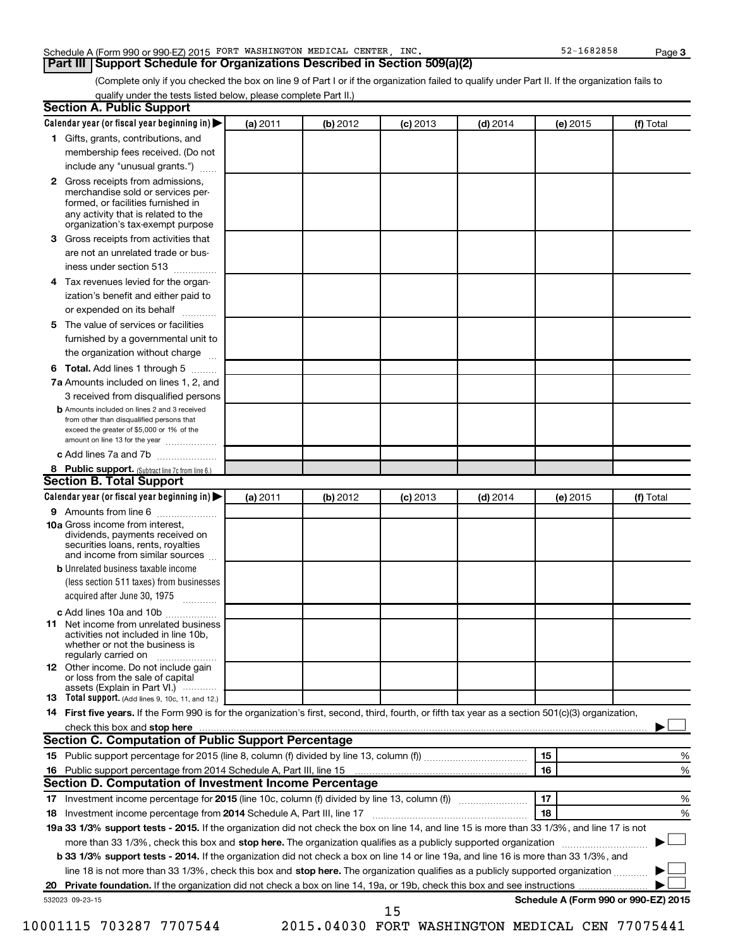## Schedule A (Form 990 or 990-EZ) 2015 FORT WASHINGTON MEDICAL CENTER, INC. Same state of the S2-1682858 Page

#### **Part III Support Schedule for Organizations Described in Section 509(a)(2)**

(Complete only if you checked the box on line 9 of Part I or if the organization failed to qualify under Part II. If the organization fails to qualify under the tests listed below, please complete Part II.)

| <b>Section A. Public Support</b>                                                                                                                                          |          |          |            |            |          |                                      |
|---------------------------------------------------------------------------------------------------------------------------------------------------------------------------|----------|----------|------------|------------|----------|--------------------------------------|
| Calendar year (or fiscal year beginning in)                                                                                                                               | (a) 2011 | (b) 2012 | $(c)$ 2013 | $(d)$ 2014 | (e) 2015 | (f) Total                            |
| 1 Gifts, grants, contributions, and                                                                                                                                       |          |          |            |            |          |                                      |
| membership fees received. (Do not                                                                                                                                         |          |          |            |            |          |                                      |
| include any "unusual grants.")                                                                                                                                            |          |          |            |            |          |                                      |
| 2 Gross receipts from admissions,<br>merchandise sold or services per-<br>formed, or facilities furnished in<br>any activity that is related to the                       |          |          |            |            |          |                                      |
| organization's tax-exempt purpose                                                                                                                                         |          |          |            |            |          |                                      |
| <b>3</b> Gross receipts from activities that                                                                                                                              |          |          |            |            |          |                                      |
| are not an unrelated trade or bus-                                                                                                                                        |          |          |            |            |          |                                      |
| iness under section 513                                                                                                                                                   |          |          |            |            |          |                                      |
| 4 Tax revenues levied for the organ-<br>ization's benefit and either paid to                                                                                              |          |          |            |            |          |                                      |
| or expended on its behalf                                                                                                                                                 |          |          |            |            |          |                                      |
| 5 The value of services or facilities                                                                                                                                     |          |          |            |            |          |                                      |
| furnished by a governmental unit to                                                                                                                                       |          |          |            |            |          |                                      |
| the organization without charge                                                                                                                                           |          |          |            |            |          |                                      |
|                                                                                                                                                                           |          |          |            |            |          |                                      |
| <b>6 Total.</b> Add lines 1 through 5                                                                                                                                     |          |          |            |            |          |                                      |
| 7a Amounts included on lines 1, 2, and                                                                                                                                    |          |          |            |            |          |                                      |
| 3 received from disqualified persons<br><b>b</b> Amounts included on lines 2 and 3 received                                                                               |          |          |            |            |          |                                      |
| from other than disqualified persons that<br>exceed the greater of \$5,000 or 1% of the<br>amount on line 13 for the year                                                 |          |          |            |            |          |                                      |
| c Add lines 7a and 7b                                                                                                                                                     |          |          |            |            |          |                                      |
| 8 Public support. (Subtract line 7c from line 6.)                                                                                                                         |          |          |            |            |          |                                      |
| <b>Section B. Total Support</b>                                                                                                                                           |          |          |            |            |          |                                      |
| Calendar year (or fiscal year beginning in) $\blacktriangleright$                                                                                                         | (a) 2011 | (b) 2012 | $(c)$ 2013 | $(d)$ 2014 | (e) 2015 | (f) Total                            |
| 9 Amounts from line 6                                                                                                                                                     |          |          |            |            |          |                                      |
| <b>10a</b> Gross income from interest,<br>dividends, payments received on<br>securities loans, rents, royalties<br>and income from similar sources                        |          |          |            |            |          |                                      |
| <b>b</b> Unrelated business taxable income                                                                                                                                |          |          |            |            |          |                                      |
| (less section 511 taxes) from businesses<br>acquired after June 30, 1975                                                                                                  |          |          |            |            |          |                                      |
| $\overline{\phantom{a}}$                                                                                                                                                  |          |          |            |            |          |                                      |
| c Add lines 10a and 10b<br><b>11</b> Net income from unrelated business<br>activities not included in line 10b.<br>whether or not the business is<br>regularly carried on |          |          |            |            |          |                                      |
| <b>12</b> Other income. Do not include gain<br>or loss from the sale of capital<br>assets (Explain in Part VI.)                                                           |          |          |            |            |          |                                      |
| <b>13</b> Total support. (Add lines 9, 10c, 11, and 12.)                                                                                                                  |          |          |            |            |          |                                      |
| 14 First five years. If the Form 990 is for the organization's first, second, third, fourth, or fifth tax year as a section 501(c)(3) organization,                       |          |          |            |            |          |                                      |
| check this box and stop here <i>macuum macuum macuum macuum macuum macuum macuum macuum macuum</i>                                                                        |          |          |            |            |          |                                      |
| Section C. Computation of Public Support Percentage                                                                                                                       |          |          |            |            |          |                                      |
|                                                                                                                                                                           |          |          |            |            | 15       | %                                    |
| 16 Public support percentage from 2014 Schedule A, Part III, line 15                                                                                                      |          |          |            |            | 16       | %                                    |
| Section D. Computation of Investment Income Percentage                                                                                                                    |          |          |            |            |          |                                      |
|                                                                                                                                                                           |          |          |            |            | 17       | %                                    |
| 18 Investment income percentage from 2014 Schedule A, Part III, line 17                                                                                                   |          |          |            |            | 18       | %                                    |
| 19a 33 1/3% support tests - 2015. If the organization did not check the box on line 14, and line 15 is more than 33 1/3%, and line 17 is not                              |          |          |            |            |          |                                      |
| more than 33 1/3%, check this box and stop here. The organization qualifies as a publicly supported organization                                                          |          |          |            |            |          |                                      |
| b 33 1/3% support tests - 2014. If the organization did not check a box on line 14 or line 19a, and line 16 is more than 33 1/3%, and                                     |          |          |            |            |          |                                      |
| line 18 is not more than 33 1/3%, check this box and stop here. The organization qualifies as a publicly supported organization                                           |          |          |            |            |          |                                      |
|                                                                                                                                                                           |          |          |            |            |          |                                      |
| 532023 09-23-15                                                                                                                                                           |          |          |            |            |          | Schedule A (Form 990 or 990-EZ) 2015 |
|                                                                                                                                                                           |          |          | 15         |            |          |                                      |

10001115 703287 7707544 2015.04030 FORT WASHINGTON MEDICAL CEN 77075441

**Page 3**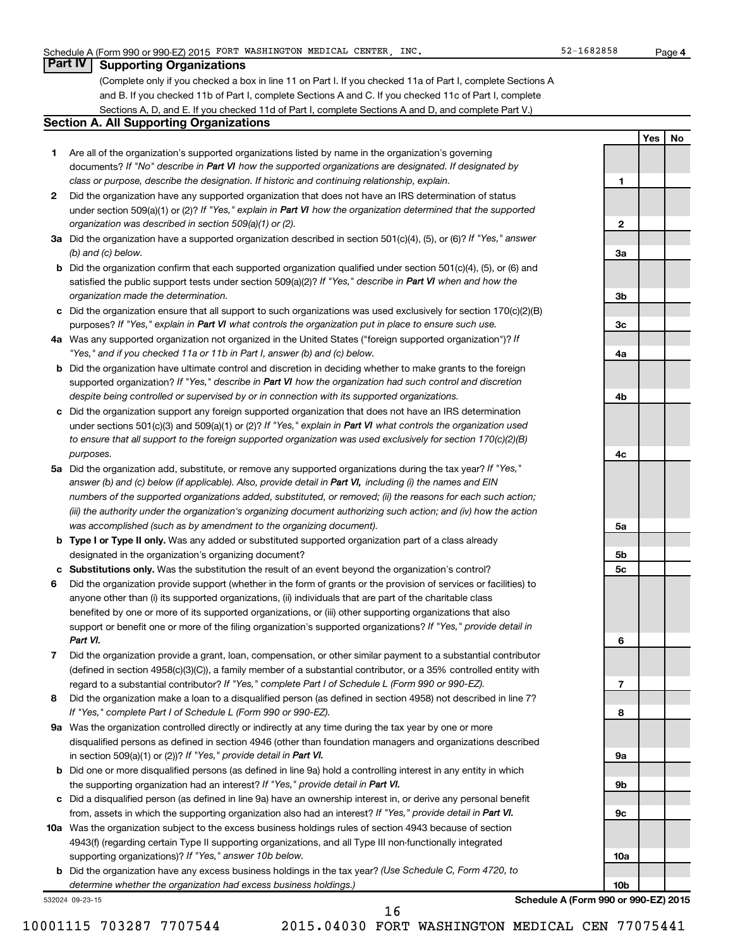# **Part IV Supporting Organizations**

(Complete only if you checked a box in line 11 on Part I. If you checked 11a of Part I, complete Sections A and B. If you checked 11b of Part I, complete Sections A and C. If you checked 11c of Part I, complete Sections A, D, and E. If you checked 11d of Part I, complete Sections A and D, and complete Part V.)

### **Section A. All Supporting Organizations**

- **1** Are all of the organization's supported organizations listed by name in the organization's governing documents? If "No" describe in Part VI how the supported organizations are designated. If designated by *class or purpose, describe the designation. If historic and continuing relationship, explain.*
- **2** Did the organization have any supported organization that does not have an IRS determination of status under section 509(a)(1) or (2)? If "Yes," explain in Part VI how the organization determined that the supported *organization was described in section 509(a)(1) or (2).*
- **3a** Did the organization have a supported organization described in section 501(c)(4), (5), or (6)? If "Yes," answer *(b) and (c) below.*
- **b** Did the organization confirm that each supported organization qualified under section 501(c)(4), (5), or (6) and satisfied the public support tests under section 509(a)(2)? If "Yes," describe in Part VI when and how the *organization made the determination.*
- **c** Did the organization ensure that all support to such organizations was used exclusively for section 170(c)(2)(B) purposes? If "Yes," explain in Part VI what controls the organization put in place to ensure such use.
- **4 a** *If* Was any supported organization not organized in the United States ("foreign supported organization")? *"Yes," and if you checked 11a or 11b in Part I, answer (b) and (c) below.*
- **b** Did the organization have ultimate control and discretion in deciding whether to make grants to the foreign supported organization? If "Yes," describe in Part VI how the organization had such control and discretion *despite being controlled or supervised by or in connection with its supported organizations.*
- **c** Did the organization support any foreign supported organization that does not have an IRS determination under sections 501(c)(3) and 509(a)(1) or (2)? If "Yes," explain in Part VI what controls the organization used *to ensure that all support to the foreign supported organization was used exclusively for section 170(c)(2)(B) purposes.*
- **5a** Did the organization add, substitute, or remove any supported organizations during the tax year? If "Yes," answer (b) and (c) below (if applicable). Also, provide detail in Part VI, including (i) the names and EIN *numbers of the supported organizations added, substituted, or removed; (ii) the reasons for each such action; (iii) the authority under the organization's organizing document authorizing such action; and (iv) how the action was accomplished (such as by amendment to the organizing document).*
- **b Type I or Type II only.** Was any added or substituted supported organization part of a class already designated in the organization's organizing document?
- **c Substitutions only.**  Was the substitution the result of an event beyond the organization's control?
- **6** Did the organization provide support (whether in the form of grants or the provision of services or facilities) to support or benefit one or more of the filing organization's supported organizations? If "Yes," provide detail in anyone other than (i) its supported organizations, (ii) individuals that are part of the charitable class benefited by one or more of its supported organizations, or (iii) other supporting organizations that also *Part VI.*
- **7** Did the organization provide a grant, loan, compensation, or other similar payment to a substantial contributor regard to a substantial contributor? If "Yes," complete Part I of Schedule L (Form 990 or 990-EZ). (defined in section 4958(c)(3)(C)), a family member of a substantial contributor, or a 35% controlled entity with
- **8** Did the organization make a loan to a disqualified person (as defined in section 4958) not described in line 7? *If "Yes," complete Part I of Schedule L (Form 990 or 990-EZ).*
- **9 a** Was the organization controlled directly or indirectly at any time during the tax year by one or more in section 509(a)(1) or (2))? If "Yes," provide detail in Part VI. disqualified persons as defined in section 4946 (other than foundation managers and organizations described
- **b** Did one or more disqualified persons (as defined in line 9a) hold a controlling interest in any entity in which the supporting organization had an interest? If "Yes," provide detail in Part VI.
- **c** Did a disqualified person (as defined in line 9a) have an ownership interest in, or derive any personal benefit from, assets in which the supporting organization also had an interest? If "Yes," provide detail in Part VI.
- **10 a** Was the organization subject to the excess business holdings rules of section 4943 because of section supporting organizations)? If "Yes," answer 10b below. 4943(f) (regarding certain Type II supporting organizations, and all Type III non-functionally integrated
	- **b** Did the organization have any excess business holdings in the tax year? (Use Schedule C, Form 4720, to *determine whether the organization had excess business holdings.)*

532024 09-23-15

**2 3a 3b 3c 4a 4b 4c 5a 5b 5c 6 7 8 9a 9b 9c 10a**

**Schedule A (Form 990 or 990-EZ) 2015**

**10b**

10001115 703287 7707544 2015.04030 FORT WASHINGTON MEDICAL CEN 77075441 16

**Yes No**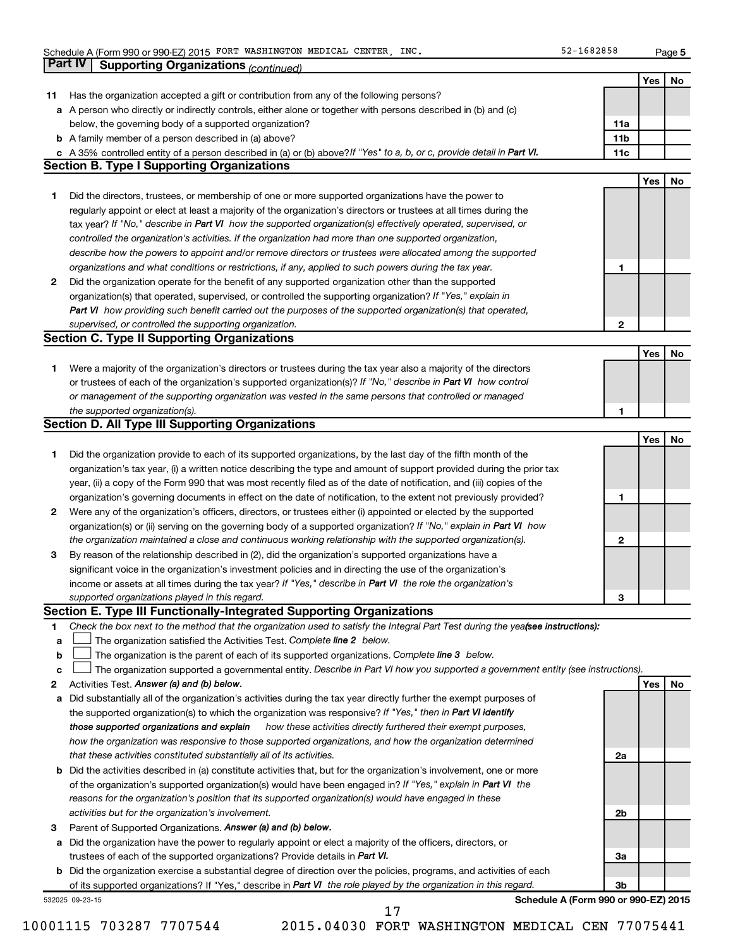**5**

532025 09-23-15 **Yes No 11** Has the organization accepted a gift or contribution from any of the following persons? **a** A person who directly or indirectly controls, either alone or together with persons described in (b) and (c) **b** A family member of a person described in (a) above? **c** A 35% controlled entity of a person described in (a) or (b) above?If "Yes" to a, b, or c, provide detail in Part VI. **11a 11b 11c Yes No 1** Did the directors, trustees, or membership of one or more supported organizations have the power to **2** Did the organization operate for the benefit of any supported organization other than the supported **1 2 Yes No 1** Were a majority of the organization's directors or trustees during the tax year also a majority of the directors **1 Yes No 1** Did the organization provide to each of its supported organizations, by the last day of the fifth month of the **2** Were any of the organization's officers, directors, or trustees either (i) appointed or elected by the supported **3** By reason of the relationship described in (2), did the organization's supported organizations have a **1 2 3 1 2** Activities Test.  *Answer (a) and (b) below.* **3** Parent of Supported Organizations. *Answer (a) and (b) below.* **a b c** The organization is the parent of each of its supported organizations. Complete line 3 below. **Yes No a** Did substantially all of the organization's activities during the tax year directly further the exempt purposes of **b** Did the activities described in (a) constitute activities that, but for the organization's involvement, one or more **a** Did the organization have the power to regularly appoint or elect a majority of the officers, directors, or **b** Did the organization exercise a substantial degree of direction over the policies, programs, and activities of each **2a 2b 3a 3b Schedule A (Form 990 or 990-EZ) 2015** tax year? If "No," describe in **Part VI** how the supported organization(s) effectively operated, supervised, or *controlled the organization's activities. If the organization had more than one supported organization, describe how the powers to appoint and/or remove directors or trustees were allocated among the supported organizations and what conditions or restrictions, if any, applied to such powers during the tax year.* organization(s) that operated, supervised, or controlled the supporting organization? If "Yes," explain in  *how providing such benefit carried out the purposes of the supported organization(s) that operated, Part VI supervised, or controlled the supporting organization.* or trustees of each of the organization's supported organization(s)? If "No," describe in Part VI how control *or management of the supporting organization was vested in the same persons that controlled or managed the supported organization(s).* organization(s) or (ii) serving on the governing body of a supported organization? If "No," explain in Part VI how *the organization maintained a close and continuous working relationship with the supported organization(s).* income or assets at all times during the tax year? If "Yes," describe in Part VI the role the organization's *supported organizations played in this regard.* Check the box next to the method that the organization used to satisfy the Integral Part Test during the yea**fsee instructions):** *Complete line* 2 below. The organization supported a governmental entity. Describe in Part VI how you supported a government entity (see instructions). the supported organization(s) to which the organization was responsive? If "Yes," then in Part VI identify  *how these activities directly furthered their exempt purposes, how the organization was responsive to those supported organizations, and how the organization determined that these activities constituted substantially all of its activities.* of the organization's supported organization(s) would have been engaged in? If "Yes," explain in Part VI the *reasons for the organization's position that its supported organization(s) would have engaged in these activities but for the organization's involvement.* of its supported organizations? If "Yes," describe in Part VI the role played by the organization in this regard. below, the governing body of a supported organization? regularly appoint or elect at least a majority of the organization's directors or trustees at all times during the organization's tax year, (i) a written notice describing the type and amount of support provided during the prior tax year, (ii) a copy of the Form 990 that was most recently filed as of the date of notification, and (iii) copies of the organization's governing documents in effect on the date of notification, to the extent not previously provided? significant voice in the organization's investment policies and in directing the use of the organization's trustees of each of the supported organizations? Provide details in *Part VI. those supported organizations and explain* **Part IV Supporting Organizations** *(continued)* **Section B. Type I Supporting Organizations Section C. Type II Supporting Organizations Section D. All Type III Supporting Organizations Section E. Type III Functionally-Integrated Supporting Organizations**  $\Box$  $\Box$ 17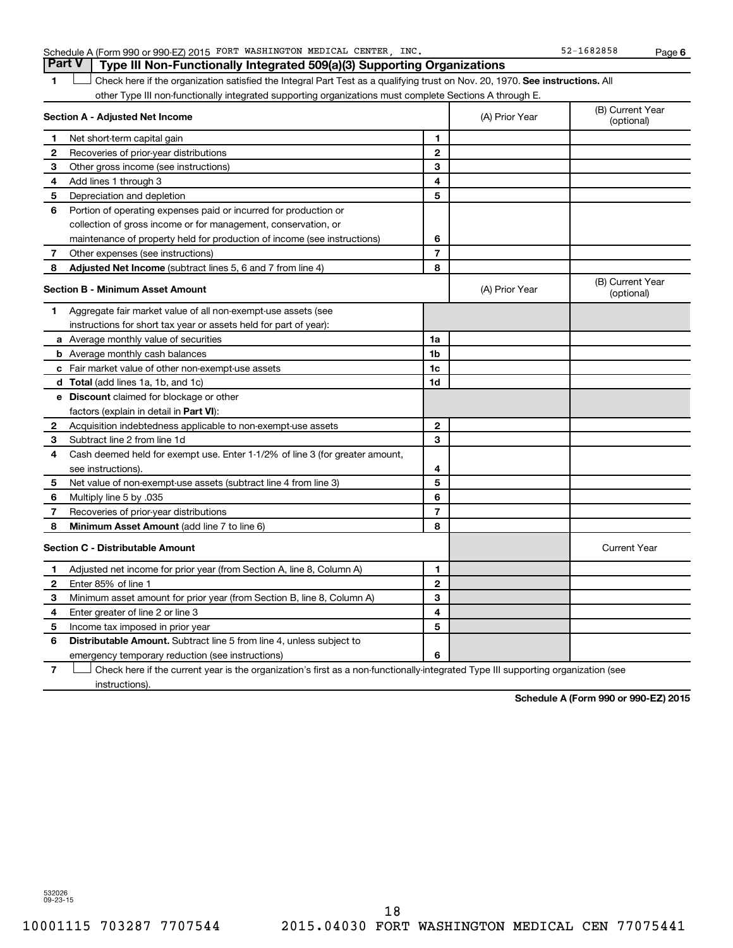| Schedule / | A (Form 990 or 990-EZ) 2015 | FORT | WASHINGTON<br>MEDICAL | CENTER | INC | 682858-<br>J 4<br>. | Page |
|------------|-----------------------------|------|-----------------------|--------|-----|---------------------|------|
|            |                             |      |                       |        |     |                     |      |

 $52 - 1682858$ 

**Page 6** 

|                          | <b>Part V</b><br>Type III Non-Functionally Integrated 509(a)(3) Supporting Organizations                                          |                |                |                                |  |  |  |  |
|--------------------------|-----------------------------------------------------------------------------------------------------------------------------------|----------------|----------------|--------------------------------|--|--|--|--|
| 1                        | Check here if the organization satisfied the Integral Part Test as a qualifying trust on Nov. 20, 1970. See instructions. All     |                |                |                                |  |  |  |  |
|                          | other Type III non-functionally integrated supporting organizations must complete Sections A through E.                           |                |                |                                |  |  |  |  |
|                          | Section A - Adjusted Net Income                                                                                                   |                | (A) Prior Year | (B) Current Year<br>(optional) |  |  |  |  |
| 1                        | Net short-term capital gain                                                                                                       | 1              |                |                                |  |  |  |  |
| 2                        | Recoveries of prior-year distributions                                                                                            | 2              |                |                                |  |  |  |  |
| з                        | Other gross income (see instructions)                                                                                             | 3              |                |                                |  |  |  |  |
| 4                        | Add lines 1 through 3                                                                                                             | 4              |                |                                |  |  |  |  |
| 5                        | Depreciation and depletion                                                                                                        | 5              |                |                                |  |  |  |  |
| 6                        | Portion of operating expenses paid or incurred for production or                                                                  |                |                |                                |  |  |  |  |
|                          | collection of gross income or for management, conservation, or                                                                    |                |                |                                |  |  |  |  |
|                          | maintenance of property held for production of income (see instructions)                                                          | 6              |                |                                |  |  |  |  |
| 7                        | Other expenses (see instructions)                                                                                                 | $\overline{7}$ |                |                                |  |  |  |  |
| 8                        | Adjusted Net Income (subtract lines 5, 6 and 7 from line 4)                                                                       | 8              |                |                                |  |  |  |  |
|                          | <b>Section B - Minimum Asset Amount</b>                                                                                           |                | (A) Prior Year | (B) Current Year<br>(optional) |  |  |  |  |
| 1                        | Aggregate fair market value of all non-exempt-use assets (see                                                                     |                |                |                                |  |  |  |  |
|                          | instructions for short tax year or assets held for part of year):                                                                 |                |                |                                |  |  |  |  |
|                          | <b>a</b> Average monthly value of securities                                                                                      | 1a             |                |                                |  |  |  |  |
|                          | <b>b</b> Average monthly cash balances                                                                                            | 1 <sub>b</sub> |                |                                |  |  |  |  |
|                          | c Fair market value of other non-exempt-use assets                                                                                | 1c             |                |                                |  |  |  |  |
|                          | <b>d</b> Total (add lines 1a, 1b, and 1c)                                                                                         | 1d             |                |                                |  |  |  |  |
|                          | <b>e</b> Discount claimed for blockage or other                                                                                   |                |                |                                |  |  |  |  |
|                          | factors (explain in detail in <b>Part VI</b> ):                                                                                   |                |                |                                |  |  |  |  |
| $\mathbf{2}$             | Acquisition indebtedness applicable to non-exempt-use assets                                                                      | $\mathbf{2}$   |                |                                |  |  |  |  |
| 3                        | Subtract line 2 from line 1d                                                                                                      | 3              |                |                                |  |  |  |  |
| 4                        | Cash deemed held for exempt use. Enter 1-1/2% of line 3 (for greater amount,                                                      |                |                |                                |  |  |  |  |
|                          | see instructions)                                                                                                                 | 4              |                |                                |  |  |  |  |
| 5                        | Net value of non-exempt-use assets (subtract line 4 from line 3)                                                                  | 5              |                |                                |  |  |  |  |
| 6                        | Multiply line 5 by .035                                                                                                           | 6              |                |                                |  |  |  |  |
| 7                        | Recoveries of prior-year distributions                                                                                            | 7              |                |                                |  |  |  |  |
| 8                        | Minimum Asset Amount (add line 7 to line 6)                                                                                       | 8              |                |                                |  |  |  |  |
|                          | <b>Section C - Distributable Amount</b>                                                                                           |                |                | <b>Current Year</b>            |  |  |  |  |
| 1                        | Adjusted net income for prior year (from Section A, line 8, Column A)                                                             | 1              |                |                                |  |  |  |  |
| 2                        | Enter 85% of line 1                                                                                                               | $\mathbf 2$    |                |                                |  |  |  |  |
| З                        | Minimum asset amount for prior year (from Section B, line 8, Column A)                                                            | 3              |                |                                |  |  |  |  |
| 4                        | Enter greater of line 2 or line 3                                                                                                 | 4              |                |                                |  |  |  |  |
| 5                        | Income tax imposed in prior year                                                                                                  | 5              |                |                                |  |  |  |  |
| 6                        | <b>Distributable Amount.</b> Subtract line 5 from line 4, unless subject to                                                       |                |                |                                |  |  |  |  |
|                          | emergency temporary reduction (see instructions)                                                                                  | 6              |                |                                |  |  |  |  |
| $\overline{\phantom{a}}$ | Check here if the current year is the organization's first as a non-functionally-integrated Type III supporting organization (see |                |                |                                |  |  |  |  |

instructions).

**Schedule A (Form 990 or 990-EZ) 2015**

532026 09-23-15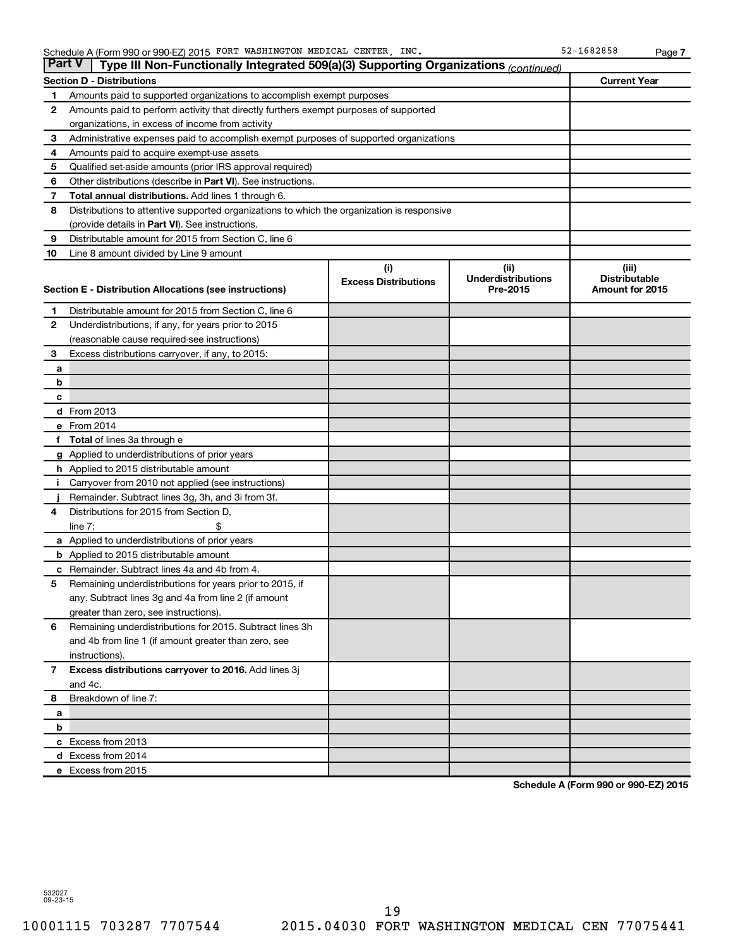| <b>Part V</b>  | Type III Non-Functionally Integrated 509(a)(3) Supporting Organizations (continued)         |                             |                                       |                                         |  |  |  |  |
|----------------|---------------------------------------------------------------------------------------------|-----------------------------|---------------------------------------|-----------------------------------------|--|--|--|--|
|                | <b>Current Year</b><br><b>Section D - Distributions</b>                                     |                             |                                       |                                         |  |  |  |  |
| 1              | Amounts paid to supported organizations to accomplish exempt purposes                       |                             |                                       |                                         |  |  |  |  |
| $\mathbf{2}$   | Amounts paid to perform activity that directly furthers exempt purposes of supported        |                             |                                       |                                         |  |  |  |  |
|                | organizations, in excess of income from activity                                            |                             |                                       |                                         |  |  |  |  |
| 3              | Administrative expenses paid to accomplish exempt purposes of supported organizations       |                             |                                       |                                         |  |  |  |  |
| 4              | Amounts paid to acquire exempt-use assets                                                   |                             |                                       |                                         |  |  |  |  |
| 5              | Qualified set-aside amounts (prior IRS approval required)                                   |                             |                                       |                                         |  |  |  |  |
| 6              | Other distributions (describe in <b>Part VI</b> ). See instructions.                        |                             |                                       |                                         |  |  |  |  |
| 7              | Total annual distributions. Add lines 1 through 6.                                          |                             |                                       |                                         |  |  |  |  |
| 8              | Distributions to attentive supported organizations to which the organization is responsive  |                             |                                       |                                         |  |  |  |  |
|                | (provide details in Part VI). See instructions.                                             |                             |                                       |                                         |  |  |  |  |
| 9              | Distributable amount for 2015 from Section C, line 6                                        |                             |                                       |                                         |  |  |  |  |
| 10             | Line 8 amount divided by Line 9 amount                                                      |                             |                                       |                                         |  |  |  |  |
|                |                                                                                             | (i)                         | (ii)                                  | (iii)                                   |  |  |  |  |
|                | Section E - Distribution Allocations (see instructions)                                     | <b>Excess Distributions</b> | <b>Underdistributions</b><br>Pre-2015 | <b>Distributable</b><br>Amount for 2015 |  |  |  |  |
|                |                                                                                             |                             |                                       |                                         |  |  |  |  |
| 1              | Distributable amount for 2015 from Section C, line 6                                        |                             |                                       |                                         |  |  |  |  |
| $\mathbf{2}$   | Underdistributions, if any, for years prior to 2015                                         |                             |                                       |                                         |  |  |  |  |
|                | (reasonable cause required-see instructions)                                                |                             |                                       |                                         |  |  |  |  |
| 3              | Excess distributions carryover, if any, to 2015:                                            |                             |                                       |                                         |  |  |  |  |
| а              |                                                                                             |                             |                                       |                                         |  |  |  |  |
| b              |                                                                                             |                             |                                       |                                         |  |  |  |  |
| с              |                                                                                             |                             |                                       |                                         |  |  |  |  |
|                | <b>d</b> From 2013                                                                          |                             |                                       |                                         |  |  |  |  |
|                | e From 2014                                                                                 |                             |                                       |                                         |  |  |  |  |
|                | f Total of lines 3a through e                                                               |                             |                                       |                                         |  |  |  |  |
|                | <b>g</b> Applied to underdistributions of prior years                                       |                             |                                       |                                         |  |  |  |  |
|                | h Applied to 2015 distributable amount                                                      |                             |                                       |                                         |  |  |  |  |
| Ť.             | Carryover from 2010 not applied (see instructions)                                          |                             |                                       |                                         |  |  |  |  |
| 4              | Remainder. Subtract lines 3g, 3h, and 3i from 3f.<br>Distributions for 2015 from Section D, |                             |                                       |                                         |  |  |  |  |
|                | line $7:$                                                                                   |                             |                                       |                                         |  |  |  |  |
|                | a Applied to underdistributions of prior years                                              |                             |                                       |                                         |  |  |  |  |
|                | <b>b</b> Applied to 2015 distributable amount                                               |                             |                                       |                                         |  |  |  |  |
| с              | Remainder. Subtract lines 4a and 4b from 4.                                                 |                             |                                       |                                         |  |  |  |  |
| 5              | Remaining underdistributions for years prior to 2015, if                                    |                             |                                       |                                         |  |  |  |  |
|                | any. Subtract lines 3g and 4a from line 2 (if amount                                        |                             |                                       |                                         |  |  |  |  |
|                | greater than zero, see instructions).                                                       |                             |                                       |                                         |  |  |  |  |
| 6              | Remaining underdistributions for 2015. Subtract lines 3h                                    |                             |                                       |                                         |  |  |  |  |
|                | and 4b from line 1 (if amount greater than zero, see                                        |                             |                                       |                                         |  |  |  |  |
|                | instructions).                                                                              |                             |                                       |                                         |  |  |  |  |
| $\overline{7}$ | Excess distributions carryover to 2016. Add lines 3j                                        |                             |                                       |                                         |  |  |  |  |
|                | and 4c.                                                                                     |                             |                                       |                                         |  |  |  |  |
| 8              | Breakdown of line 7:                                                                        |                             |                                       |                                         |  |  |  |  |
| а              |                                                                                             |                             |                                       |                                         |  |  |  |  |
| b              |                                                                                             |                             |                                       |                                         |  |  |  |  |
|                | c Excess from 2013                                                                          |                             |                                       |                                         |  |  |  |  |
|                | d Excess from 2014                                                                          |                             |                                       |                                         |  |  |  |  |
|                | e Excess from 2015                                                                          |                             |                                       |                                         |  |  |  |  |

**Schedule A (Form 990 or 990-EZ) 2015**

532027 09-23-15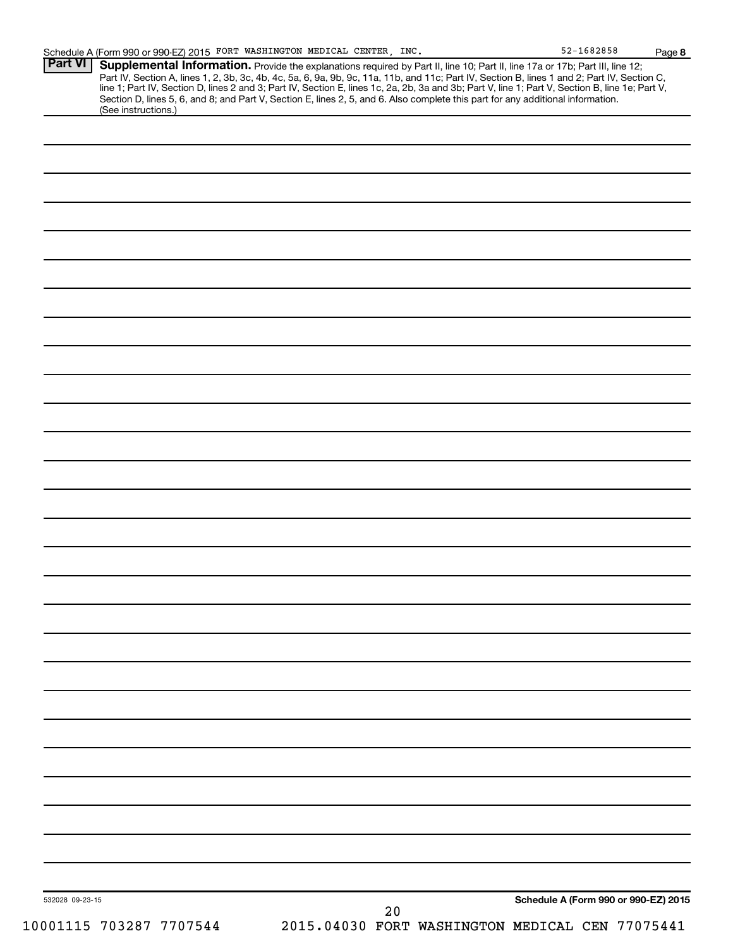|                 |                         | Schedule A (Form 990 or 990-EZ) 2015 FORT WASHINGTON MEDICAL CENTER, INC. |    | 52-1682858                                                                                                                                                                                                                                                                                                                                                                                                                                                                                                                                                          | Page 8 |
|-----------------|-------------------------|---------------------------------------------------------------------------|----|---------------------------------------------------------------------------------------------------------------------------------------------------------------------------------------------------------------------------------------------------------------------------------------------------------------------------------------------------------------------------------------------------------------------------------------------------------------------------------------------------------------------------------------------------------------------|--------|
| <b>Part VI</b>  | (See instructions.)     |                                                                           |    | Supplemental Information. Provide the explanations required by Part II, line 10; Part II, line 17a or 17b; Part III, line 12;<br>Part IV, Section A, lines 1, 2, 3b, 3c, 4b, 4c, 5a, 6, 9a, 9b, 9c, 11a, 11b, and 11c; Part IV, Section B, lines 1 and 2; Part IV, Section C,<br>line 1; Part IV, Section D, lines 2 and 3; Part IV, Section E, lines 1c, 2a, 2b, 3a and 3b; Part V, line 1; Part V, Section B, line 1e; Part V,<br>Section D, lines 5, 6, and 8; and Part V, Section E, lines 2, 5, and 6. Also complete this part for any additional information. |        |
|                 |                         |                                                                           |    |                                                                                                                                                                                                                                                                                                                                                                                                                                                                                                                                                                     |        |
|                 |                         |                                                                           |    |                                                                                                                                                                                                                                                                                                                                                                                                                                                                                                                                                                     |        |
|                 |                         |                                                                           |    |                                                                                                                                                                                                                                                                                                                                                                                                                                                                                                                                                                     |        |
|                 |                         |                                                                           |    |                                                                                                                                                                                                                                                                                                                                                                                                                                                                                                                                                                     |        |
|                 |                         |                                                                           |    |                                                                                                                                                                                                                                                                                                                                                                                                                                                                                                                                                                     |        |
|                 |                         |                                                                           |    |                                                                                                                                                                                                                                                                                                                                                                                                                                                                                                                                                                     |        |
|                 |                         |                                                                           |    |                                                                                                                                                                                                                                                                                                                                                                                                                                                                                                                                                                     |        |
|                 |                         |                                                                           |    |                                                                                                                                                                                                                                                                                                                                                                                                                                                                                                                                                                     |        |
|                 |                         |                                                                           |    |                                                                                                                                                                                                                                                                                                                                                                                                                                                                                                                                                                     |        |
|                 |                         |                                                                           |    |                                                                                                                                                                                                                                                                                                                                                                                                                                                                                                                                                                     |        |
|                 |                         |                                                                           |    |                                                                                                                                                                                                                                                                                                                                                                                                                                                                                                                                                                     |        |
|                 |                         |                                                                           |    |                                                                                                                                                                                                                                                                                                                                                                                                                                                                                                                                                                     |        |
|                 |                         |                                                                           |    |                                                                                                                                                                                                                                                                                                                                                                                                                                                                                                                                                                     |        |
|                 |                         |                                                                           |    |                                                                                                                                                                                                                                                                                                                                                                                                                                                                                                                                                                     |        |
|                 |                         |                                                                           |    |                                                                                                                                                                                                                                                                                                                                                                                                                                                                                                                                                                     |        |
|                 |                         |                                                                           |    |                                                                                                                                                                                                                                                                                                                                                                                                                                                                                                                                                                     |        |
|                 |                         |                                                                           |    |                                                                                                                                                                                                                                                                                                                                                                                                                                                                                                                                                                     |        |
|                 |                         |                                                                           |    |                                                                                                                                                                                                                                                                                                                                                                                                                                                                                                                                                                     |        |
|                 |                         |                                                                           |    |                                                                                                                                                                                                                                                                                                                                                                                                                                                                                                                                                                     |        |
|                 |                         |                                                                           |    |                                                                                                                                                                                                                                                                                                                                                                                                                                                                                                                                                                     |        |
|                 |                         |                                                                           |    |                                                                                                                                                                                                                                                                                                                                                                                                                                                                                                                                                                     |        |
|                 |                         |                                                                           |    |                                                                                                                                                                                                                                                                                                                                                                                                                                                                                                                                                                     |        |
|                 |                         |                                                                           |    |                                                                                                                                                                                                                                                                                                                                                                                                                                                                                                                                                                     |        |
|                 |                         |                                                                           |    |                                                                                                                                                                                                                                                                                                                                                                                                                                                                                                                                                                     |        |
|                 |                         |                                                                           |    |                                                                                                                                                                                                                                                                                                                                                                                                                                                                                                                                                                     |        |
|                 |                         |                                                                           |    |                                                                                                                                                                                                                                                                                                                                                                                                                                                                                                                                                                     |        |
|                 |                         |                                                                           |    |                                                                                                                                                                                                                                                                                                                                                                                                                                                                                                                                                                     |        |
|                 |                         |                                                                           |    |                                                                                                                                                                                                                                                                                                                                                                                                                                                                                                                                                                     |        |
|                 |                         |                                                                           |    |                                                                                                                                                                                                                                                                                                                                                                                                                                                                                                                                                                     |        |
|                 |                         |                                                                           |    |                                                                                                                                                                                                                                                                                                                                                                                                                                                                                                                                                                     |        |
|                 |                         |                                                                           |    |                                                                                                                                                                                                                                                                                                                                                                                                                                                                                                                                                                     |        |
|                 |                         |                                                                           |    |                                                                                                                                                                                                                                                                                                                                                                                                                                                                                                                                                                     |        |
|                 |                         |                                                                           |    |                                                                                                                                                                                                                                                                                                                                                                                                                                                                                                                                                                     |        |
|                 |                         |                                                                           |    |                                                                                                                                                                                                                                                                                                                                                                                                                                                                                                                                                                     |        |
|                 |                         |                                                                           |    |                                                                                                                                                                                                                                                                                                                                                                                                                                                                                                                                                                     |        |
| 532028 09-23-15 |                         |                                                                           |    | Schedule A (Form 990 or 990-EZ) 2015                                                                                                                                                                                                                                                                                                                                                                                                                                                                                                                                |        |
|                 | 10001115 703287 7707544 |                                                                           | 20 | 2015.04030 FORT WASHINGTON MEDICAL CEN 77075441                                                                                                                                                                                                                                                                                                                                                                                                                                                                                                                     |        |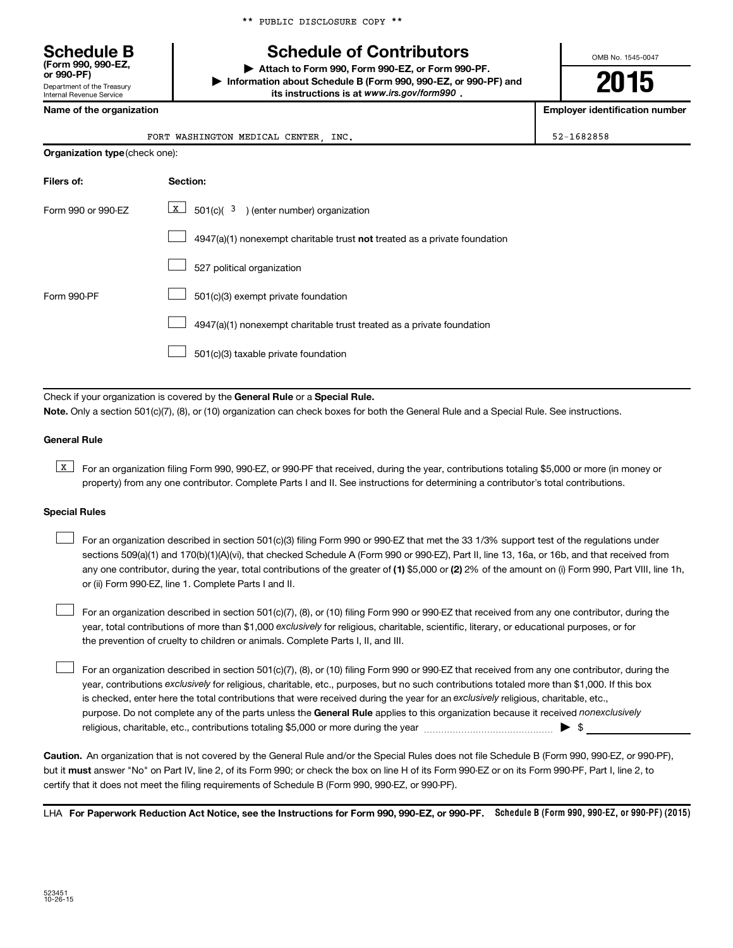\*\* PUBLIC DISCLOSURE COPY \*\*

# **Schedule B Schedule of Contributors**

**or 990-PF) | Attach to Form 990, Form 990-EZ, or Form 990-PF. | Information about Schedule B (Form 990, 990-EZ, or 990-PF) and** its instructions is at www.irs.gov/form990.

**Name of the organization** 

**Organization type** (check one):

Department of the Treasury Internal Revenue Service

**(Form 990, 990-EZ,**

| on                                  | Employer identification number |
|-------------------------------------|--------------------------------|
| FORT WASHINGTON MEDICAL CENTER INC. | 52-1682858                     |
| ck one):                            |                                |
|                                     |                                |

OMB No. 1545-0047

**2015**

| Section:                                                                  |
|---------------------------------------------------------------------------|
| $X$ 501(c)( 3) (enter number) organization                                |
| 4947(a)(1) nonexempt charitable trust not treated as a private foundation |
| 527 political organization                                                |
| 501(c)(3) exempt private foundation                                       |
| 4947(a)(1) nonexempt charitable trust treated as a private foundation     |
| 501(c)(3) taxable private foundation                                      |
|                                                                           |

Check if your organization is covered by the General Rule or a Special Rule. **Note.**  Only a section 501(c)(7), (8), or (10) organization can check boxes for both the General Rule and a Special Rule. See instructions.

#### **General Rule**

**K** For an organization filing Form 990, 990-EZ, or 990-PF that received, during the year, contributions totaling \$5,000 or more (in money or property) from any one contributor. Complete Parts I and II. See instructions for determining a contributor's total contributions.

#### **Special Rules**

 $\Box$ 

any one contributor, during the year, total contributions of the greater of **(1)** \$5,000 or **(2)** 2% of the amount on (i) Form 990, Part VIII, line 1h, For an organization described in section 501(c)(3) filing Form 990 or 990-EZ that met the 33 1/3% support test of the regulations under sections 509(a)(1) and 170(b)(1)(A)(vi), that checked Schedule A (Form 990 or 990-EZ), Part II, line 13, 16a, or 16b, and that received from or (ii) Form 990-EZ, line 1. Complete Parts I and II.  $\Box$ 

year, total contributions of more than \$1,000 *exclusively* for religious, charitable, scientific, literary, or educational purposes, or for For an organization described in section 501(c)(7), (8), or (10) filing Form 990 or 990-EZ that received from any one contributor, during the the prevention of cruelty to children or animals. Complete Parts I, II, and III.  $\Box$ 

purpose. Do not complete any of the parts unless the General Rule applies to this organization because it received nonexclusively year, contributions exclusively for religious, charitable, etc., purposes, but no such contributions totaled more than \$1,000. If this box is checked, enter here the total contributions that were received during the year for an exclusively religious, charitable, etc., For an organization described in section 501(c)(7), (8), or (10) filing Form 990 or 990-EZ that received from any one contributor, during the religious, charitable, etc., contributions totaling \$5,000 or more during the year  $\ldots$  $\ldots$  $\ldots$  $\ldots$  $\ldots$  $\ldots$ 

**Caution.** An organization that is not covered by the General Rule and/or the Special Rules does not file Schedule B (Form 990, 990-EZ, or 990-PF),  **must** but it answer "No" on Part IV, line 2, of its Form 990; or check the box on line H of its Form 990-EZ or on its Form 990-PF, Part I, line 2, to certify that it does not meet the filing requirements of Schedule B (Form 990, 990-EZ, or 990-PF).

LHA For Paperwork Reduction Act Notice, see the Instructions for Form 990, 990-EZ, or 990-PF. Schedule B (Form 990, 990-EZ, or 990-PF) (2015)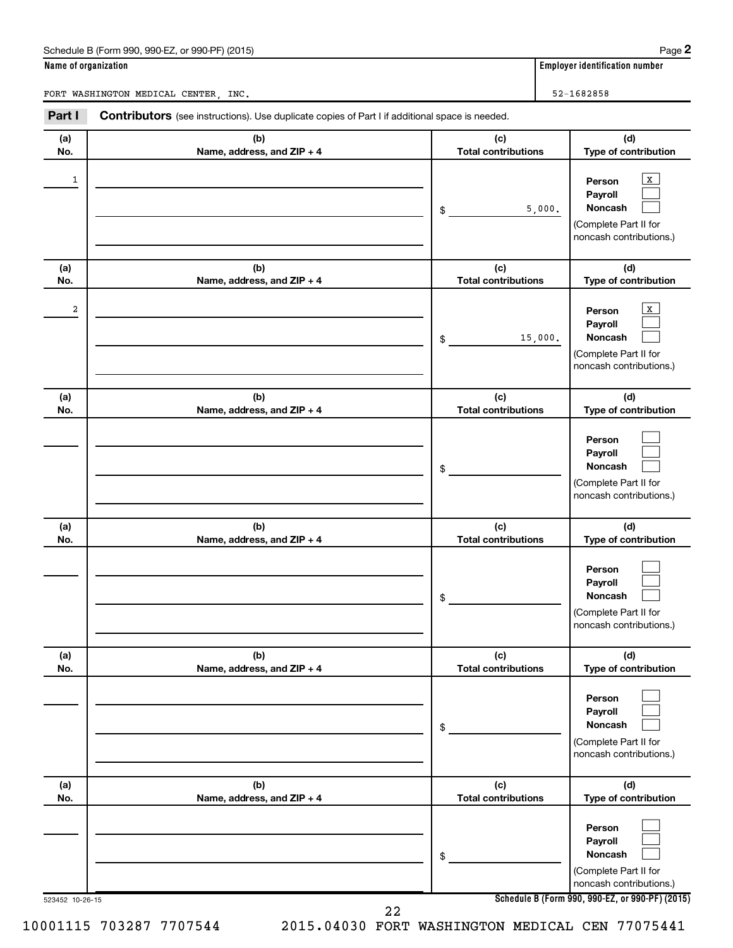#### Schedule B (Form 990, 990-EZ, or 990-PF) (2015)

| Name of organization |  |  |  |
|----------------------|--|--|--|
|                      |  |  |  |

FORT WASHINGTON MEDICAL CENTER, INC.  $52-1682858$ 

**Employer identification number** 

| Part I          | <b>Contributors</b> (see instructions). Use duplicate copies of Part I if additional space is needed. |                                   |                                                                                                         |
|-----------------|-------------------------------------------------------------------------------------------------------|-----------------------------------|---------------------------------------------------------------------------------------------------------|
| (a)<br>No.      | (b)<br>Name, address, and ZIP + 4                                                                     | (c)<br><b>Total contributions</b> | (d)<br>Type of contribution                                                                             |
| 1               |                                                                                                       | 5,000.<br>\$                      | $\mathbf{x}$<br>Person<br>Payroll<br><b>Noncash</b><br>(Complete Part II for<br>noncash contributions.) |
| (a)<br>No.      | (b)<br>Name, address, and ZIP + 4                                                                     | (c)<br><b>Total contributions</b> | (d)<br>Type of contribution                                                                             |
| $\overline{a}$  |                                                                                                       | 15,000.<br>\$                     | $\mathbf{x}$<br>Person<br>Payroll<br><b>Noncash</b><br>(Complete Part II for<br>noncash contributions.) |
| (a)<br>No.      | (b)<br>Name, address, and ZIP + 4                                                                     | (c)<br><b>Total contributions</b> | (d)<br>Type of contribution                                                                             |
|                 |                                                                                                       | \$                                | Person<br>Payroll<br>Noncash<br>(Complete Part II for<br>noncash contributions.)                        |
| (a)<br>No.      | (b)<br>Name, address, and ZIP + 4                                                                     | (c)<br><b>Total contributions</b> | (d)<br>Type of contribution                                                                             |
|                 |                                                                                                       | \$                                | Person<br>Payroll<br><b>Noncash</b><br>(Complete Part II for<br>noncash contributions.)                 |
| (a)<br>No.      | (b)<br>Name, address, and ZIP + 4                                                                     | (c)<br><b>Total contributions</b> | (d)<br>Type of contribution                                                                             |
|                 |                                                                                                       | \$                                | Person<br>Payroll<br><b>Noncash</b><br>(Complete Part II for<br>noncash contributions.)                 |
| (a)<br>No.      | (b)<br>Name, address, and ZIP + 4                                                                     | (c)<br><b>Total contributions</b> | (d)<br>Type of contribution                                                                             |
|                 |                                                                                                       | \$                                | Person<br>Payroll<br><b>Noncash</b><br>(Complete Part II for<br>noncash contributions.)                 |
| 523452 10-26-15 |                                                                                                       |                                   | Schedule B (Form 990, 990-EZ, or 990-PF) (2015)                                                         |

10001115 703287 7707544 2015.04030 FORT WASHINGTON MEDICAL CEN 77075441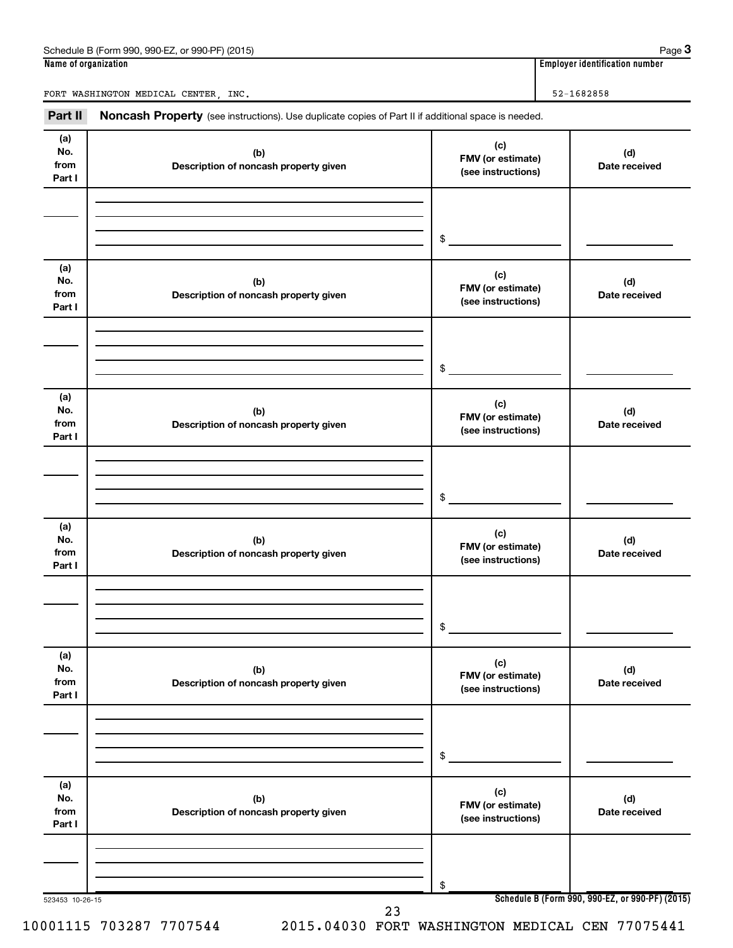| QQ <sub>0</sub> E7<br>(2015)<br>$-490$ PF $^{\circ}$<br>990<br>$\sim$ 000<br>$\overline{\phantom{0}}$<br>(Form<br>Schedule<br>$\sim$<br>۰л<br>-1.-11<br>.<br>. . | Page                                 |
|------------------------------------------------------------------------------------------------------------------------------------------------------------------|--------------------------------------|
| Name<br>of organization :                                                                                                                                        | <br>identification number<br>Emplove |

FORT WASHINGTON MEDICAL CENTER, INC. THE SECOND SECOND SECTION OF SALES AND SALES ASSESSED ASSESSED AS A SECOND SECOND SECOND SECOND SECOND SECOND SECOND SECOND SECOND SECOND SECOND SECOND SECOND SECOND SECOND SECOND SECON

Part II Noncash Property (see instructions). Use duplicate copies of Part II if additional space is needed.

| (a)<br>No.<br>from<br>Part I | (b)<br>Description of noncash property given | (c)<br>FMV (or estimate)<br>(see instructions) | (d)<br>Date received |
|------------------------------|----------------------------------------------|------------------------------------------------|----------------------|
|                              |                                              |                                                |                      |
|                              |                                              |                                                |                      |
|                              |                                              | \$                                             |                      |
| (a)<br>No.<br>from<br>Part I | (b)<br>Description of noncash property given | (c)<br>FMV (or estimate)<br>(see instructions) | (d)<br>Date received |
|                              |                                              |                                                |                      |
|                              |                                              |                                                |                      |
|                              |                                              | \$                                             |                      |
| (a)<br>No.<br>from<br>Part I | (b)<br>Description of noncash property given | (c)<br>FMV (or estimate)<br>(see instructions) | (d)<br>Date received |
|                              |                                              |                                                |                      |
|                              |                                              |                                                |                      |
|                              |                                              | \$                                             |                      |
| (a)                          |                                              | (c)                                            |                      |
| No.<br>from<br>Part I        | (b)<br>Description of noncash property given | FMV (or estimate)<br>(see instructions)        | (d)<br>Date received |
|                              |                                              |                                                |                      |
|                              |                                              |                                                |                      |
|                              |                                              | \$                                             |                      |
| (a)<br>No.<br>from<br>Part I | (b)<br>Description of noncash property given | (c)<br>FMV (or estimate)<br>(see instructions) | (d)<br>Date received |
|                              |                                              |                                                |                      |
|                              |                                              |                                                |                      |
|                              |                                              | \$                                             |                      |
| (a)<br>No.<br>from<br>Part I | (b)<br>Description of noncash property given | (c)<br>FMV (or estimate)<br>(see instructions) | (d)<br>Date received |
|                              |                                              |                                                |                      |
|                              |                                              |                                                |                      |
|                              |                                              |                                                |                      |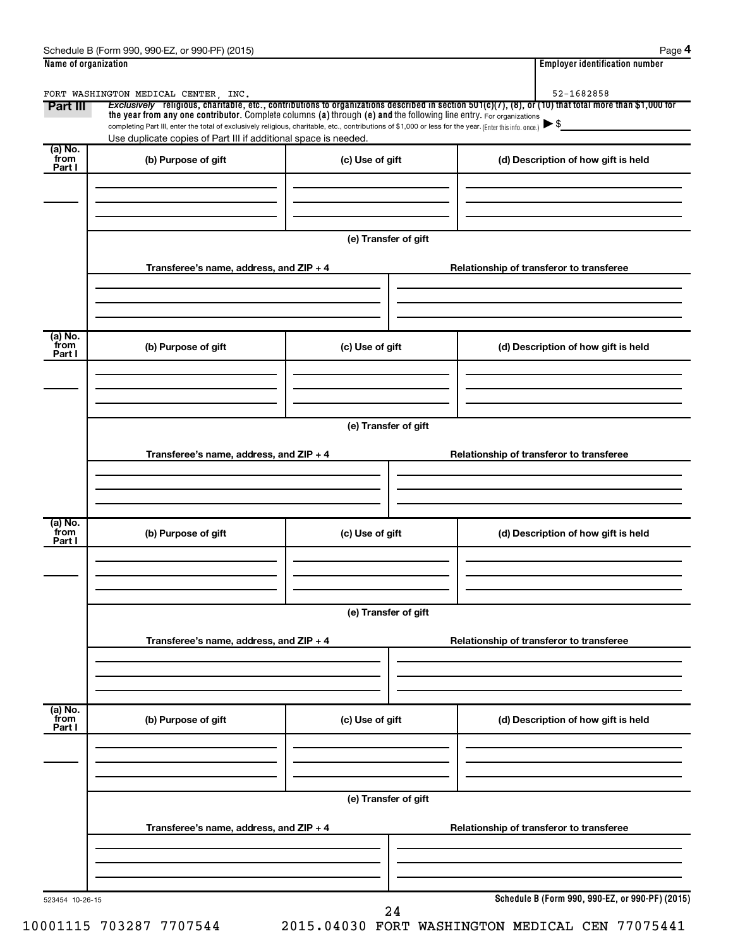| Part III                  | FORT WASHINGTON MEDICAL CENTER, INC.                                                                                                                                                                                                                                            |                      | 52-1682858<br>Exclusively religious, charitable, etc., contributions to organizations described in section 501(c)(7), (8), or (10) that total more than \$1,000 for |  |  |  |
|---------------------------|---------------------------------------------------------------------------------------------------------------------------------------------------------------------------------------------------------------------------------------------------------------------------------|----------------------|---------------------------------------------------------------------------------------------------------------------------------------------------------------------|--|--|--|
|                           | the year from any one contributor. Complete columns (a) through (e) and the following line entry. For organizations<br>completing Part III, enter the total of exclusively religious, charitable, etc., contributions of \$1,000 or less for the year. (Enter this info. once.) |                      |                                                                                                                                                                     |  |  |  |
|                           | Use duplicate copies of Part III if additional space is needed.                                                                                                                                                                                                                 |                      |                                                                                                                                                                     |  |  |  |
| (a) No.<br>from<br>Part I | (b) Purpose of gift                                                                                                                                                                                                                                                             | (c) Use of gift      | (d) Description of how gift is held                                                                                                                                 |  |  |  |
|                           |                                                                                                                                                                                                                                                                                 |                      |                                                                                                                                                                     |  |  |  |
|                           |                                                                                                                                                                                                                                                                                 | (e) Transfer of gift |                                                                                                                                                                     |  |  |  |
|                           | Transferee's name, address, and ZIP + 4                                                                                                                                                                                                                                         |                      | Relationship of transferor to transferee                                                                                                                            |  |  |  |
| (a) No.<br>from<br>Part I | (b) Purpose of gift                                                                                                                                                                                                                                                             | (c) Use of gift      | (d) Description of how gift is held                                                                                                                                 |  |  |  |
|                           |                                                                                                                                                                                                                                                                                 |                      |                                                                                                                                                                     |  |  |  |
|                           | (e) Transfer of gift                                                                                                                                                                                                                                                            |                      |                                                                                                                                                                     |  |  |  |
|                           | Transferee's name, address, and ZIP + 4                                                                                                                                                                                                                                         |                      | Relationship of transferor to transferee                                                                                                                            |  |  |  |
|                           |                                                                                                                                                                                                                                                                                 |                      |                                                                                                                                                                     |  |  |  |
| (a) No.<br>from<br>Part I | (b) Purpose of gift                                                                                                                                                                                                                                                             | (c) Use of gift      | (d) Description of how gift is held                                                                                                                                 |  |  |  |
|                           |                                                                                                                                                                                                                                                                                 |                      |                                                                                                                                                                     |  |  |  |
|                           |                                                                                                                                                                                                                                                                                 |                      |                                                                                                                                                                     |  |  |  |
|                           | Transferee's name, address, and ZIP + 4                                                                                                                                                                                                                                         |                      | Relationship of transferor to transferee                                                                                                                            |  |  |  |
| (a) No.<br>from<br>Part I | (b) Purpose of gift                                                                                                                                                                                                                                                             | (c) Use of gift      | (d) Description of how gift is held                                                                                                                                 |  |  |  |
|                           |                                                                                                                                                                                                                                                                                 |                      |                                                                                                                                                                     |  |  |  |
|                           | (e) Transfer of gift                                                                                                                                                                                                                                                            |                      |                                                                                                                                                                     |  |  |  |
|                           | Transferee's name, address, and ZIP + 4                                                                                                                                                                                                                                         |                      | Relationship of transferor to transferee                                                                                                                            |  |  |  |
|                           |                                                                                                                                                                                                                                                                                 |                      |                                                                                                                                                                     |  |  |  |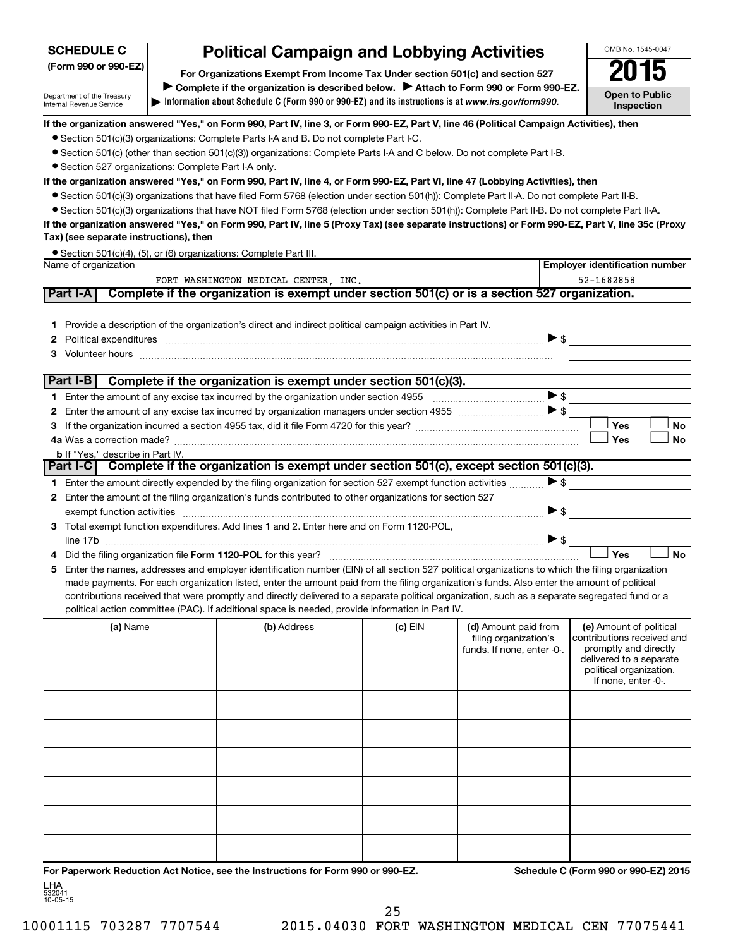# **SCHEDULE C**

Department of the Treasury Internal Revenue Service

# **Political Campaign and Lobbying Activities**<br>Drganizations Exempt From Income Tax Under section 501(c) and section 527 **2015**

**Information about Schedule C (Form 990 or 990-EZ) and its instructions is at |**  *www.irs.gov/form990.* **(Form 990 or 990-EZ) For Organizations Exempt From Income Tax Under section 501(c) and section 527** Complete if the organization is described below. > Attach to Form 990 or Form 990-EZ.



### **If the organization answered "Yes," on Form 990, Part IV, line 3, or Form 990-EZ, Part V, line 46 (Political Campaign Activities), then**

- Section 501(c)(3) organizations: Complete Parts I-A and B. Do not complete Part I-C.
- Section 501(c) (other than section 501(c)(3)) organizations: Complete Parts I-A and C below. Do not complete Part I-B.
- Section 527 organizations: Complete Part I-A only.

#### **If the organization answered "Yes," on Form 990, Part IV, line 4, or Form 990-EZ, Part VI, line 47 (Lobbying Activities), then**

- Section 501(c)(3) organizations that have filed Form 5768 (election under section 501(h)): Complete Part II-A. Do not complete Part II-B.
- Section 501(c)(3) organizations that have NOT filed Form 5768 (election under section 501(h)): Complete Part II-B. Do not complete Part II-A.

**If the organization answered "Yes," on Form 990, Part IV, line 5 (Proxy Tax) (see separate instructions) or Form 990-EZ, Part V, line 35c (Proxy Tax) (see separate instructions), then**

|  | • Section 501(c)(4), (5), or (6) organizations: Complete Part III. |
|--|--------------------------------------------------------------------|
|  |                                                                    |

|    | Name of organization |                                         |                                                                                                                                                                                                                                                                                                                                                                                                                                                                                                                                                      |           |                                                                             |                          | <b>Employer identification number</b>                                                                                                                       |
|----|----------------------|-----------------------------------------|------------------------------------------------------------------------------------------------------------------------------------------------------------------------------------------------------------------------------------------------------------------------------------------------------------------------------------------------------------------------------------------------------------------------------------------------------------------------------------------------------------------------------------------------------|-----------|-----------------------------------------------------------------------------|--------------------------|-------------------------------------------------------------------------------------------------------------------------------------------------------------|
|    |                      |                                         | FORT WASHINGTON MEDICAL CENTER, INC.                                                                                                                                                                                                                                                                                                                                                                                                                                                                                                                 |           |                                                                             |                          | 52-1682858                                                                                                                                                  |
|    | Part I-A             |                                         | Complete if the organization is exempt under section 501(c) or is a section 527 organization.                                                                                                                                                                                                                                                                                                                                                                                                                                                        |           |                                                                             |                          |                                                                                                                                                             |
|    |                      |                                         | 1 Provide a description of the organization's direct and indirect political campaign activities in Part IV.<br>Political expenditures <b>continuum continuum continuum continuum continuum continuum continuum continuum continuum</b>                                                                                                                                                                                                                                                                                                               |           |                                                                             |                          |                                                                                                                                                             |
|    | Part I-B             |                                         | Complete if the organization is exempt under section 501(c)(3).                                                                                                                                                                                                                                                                                                                                                                                                                                                                                      |           |                                                                             |                          |                                                                                                                                                             |
|    |                      |                                         |                                                                                                                                                                                                                                                                                                                                                                                                                                                                                                                                                      |           |                                                                             |                          |                                                                                                                                                             |
|    |                      |                                         |                                                                                                                                                                                                                                                                                                                                                                                                                                                                                                                                                      |           |                                                                             |                          |                                                                                                                                                             |
|    |                      |                                         |                                                                                                                                                                                                                                                                                                                                                                                                                                                                                                                                                      |           |                                                                             |                          | Yes<br><b>No</b>                                                                                                                                            |
|    |                      |                                         |                                                                                                                                                                                                                                                                                                                                                                                                                                                                                                                                                      |           |                                                                             |                          | <b>No</b><br>Yes                                                                                                                                            |
|    |                      | <b>b</b> If "Yes," describe in Part IV. |                                                                                                                                                                                                                                                                                                                                                                                                                                                                                                                                                      |           |                                                                             |                          |                                                                                                                                                             |
|    |                      |                                         | Part I-C Complete if the organization is exempt under section 501(c), except section 501(c)(3).                                                                                                                                                                                                                                                                                                                                                                                                                                                      |           |                                                                             |                          |                                                                                                                                                             |
|    |                      |                                         | 1 Enter the amount directly expended by the filing organization for section 527 exempt function activities                                                                                                                                                                                                                                                                                                                                                                                                                                           |           |                                                                             | $\blacktriangleright$ \$ |                                                                                                                                                             |
|    |                      |                                         | 2 Enter the amount of the filing organization's funds contributed to other organizations for section 527                                                                                                                                                                                                                                                                                                                                                                                                                                             |           |                                                                             |                          |                                                                                                                                                             |
|    |                      |                                         |                                                                                                                                                                                                                                                                                                                                                                                                                                                                                                                                                      |           |                                                                             | $\blacktriangleright$ \$ |                                                                                                                                                             |
|    |                      |                                         | 3 Total exempt function expenditures. Add lines 1 and 2. Enter here and on Form 1120-POL,                                                                                                                                                                                                                                                                                                                                                                                                                                                            |           |                                                                             |                          |                                                                                                                                                             |
|    |                      |                                         |                                                                                                                                                                                                                                                                                                                                                                                                                                                                                                                                                      |           |                                                                             | >                        |                                                                                                                                                             |
|    |                      |                                         |                                                                                                                                                                                                                                                                                                                                                                                                                                                                                                                                                      |           |                                                                             |                          | Yes<br><b>No</b>                                                                                                                                            |
| 5. |                      |                                         | Enter the names, addresses and employer identification number (EIN) of all section 527 political organizations to which the filing organization<br>made payments. For each organization listed, enter the amount paid from the filing organization's funds. Also enter the amount of political<br>contributions received that were promptly and directly delivered to a separate political organization, such as a separate segregated fund or a<br>political action committee (PAC). If additional space is needed, provide information in Part IV. |           |                                                                             |                          |                                                                                                                                                             |
|    |                      | (a) Name                                | (b) Address                                                                                                                                                                                                                                                                                                                                                                                                                                                                                                                                          | $(c)$ EIN | (d) Amount paid from<br>filing organization's<br>funds. If none, enter -0-. |                          | (e) Amount of political<br>contributions received and<br>promptly and directly<br>delivered to a separate<br>political organization.<br>If none, enter -0-. |
|    |                      |                                         |                                                                                                                                                                                                                                                                                                                                                                                                                                                                                                                                                      |           |                                                                             |                          |                                                                                                                                                             |
|    |                      |                                         |                                                                                                                                                                                                                                                                                                                                                                                                                                                                                                                                                      |           |                                                                             |                          |                                                                                                                                                             |
|    |                      |                                         |                                                                                                                                                                                                                                                                                                                                                                                                                                                                                                                                                      |           |                                                                             |                          |                                                                                                                                                             |

| For Paperwork Reduction Act Notice, see the Instructions for Form 990 or 990-EZ. | Schedule C (Form 990 or 990-EZ) 2015 |  |
|----------------------------------------------------------------------------------|--------------------------------------|--|
| LHA<br>532041                                                                    |                                      |  |

532041 10-05-15

25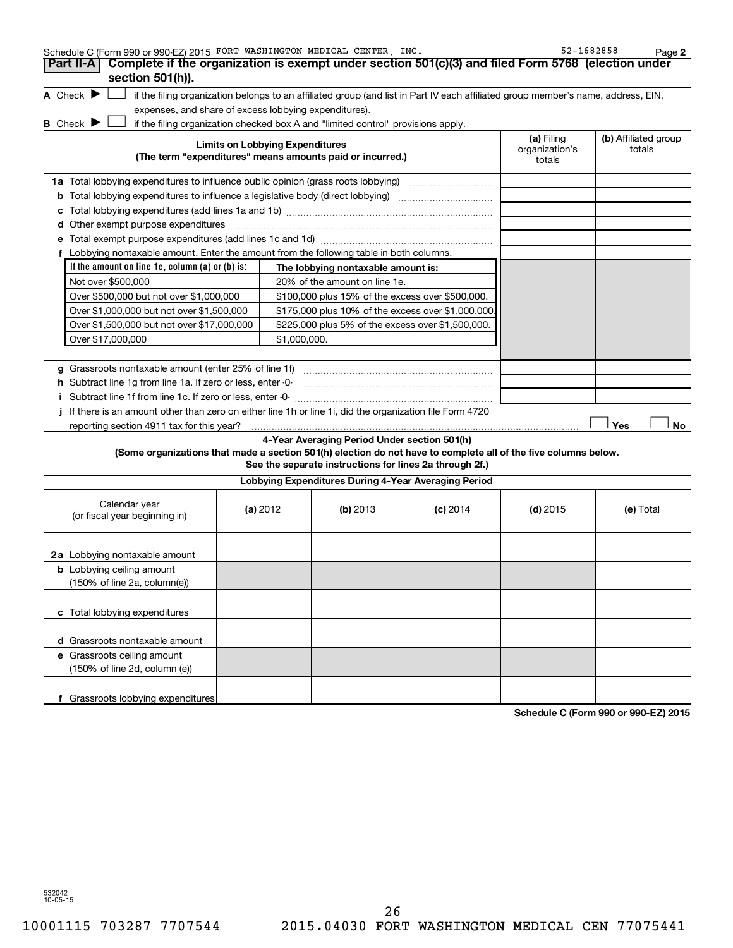| Schedule C (Form 990 or 990-EZ) 2015 FORT WASHINGTON MEDICAL CENTER, INC.                                       |                                        |                                                                                  |                                                                                                                                   | 52-1682858     | Page 2               |
|-----------------------------------------------------------------------------------------------------------------|----------------------------------------|----------------------------------------------------------------------------------|-----------------------------------------------------------------------------------------------------------------------------------|----------------|----------------------|
| Complete if the organization is exempt under section 501(c)(3) and filed Form 5768 (election under<br>Part II-A |                                        |                                                                                  |                                                                                                                                   |                |                      |
| section 501(h)).                                                                                                |                                        |                                                                                  |                                                                                                                                   |                |                      |
| A Check $\blacktriangleright$                                                                                   |                                        |                                                                                  | if the filing organization belongs to an affiliated group (and list in Part IV each affiliated group member's name, address, EIN, |                |                      |
| expenses, and share of excess lobbying expenditures).                                                           |                                        |                                                                                  |                                                                                                                                   |                |                      |
| <b>B</b> Check ▶                                                                                                |                                        | if the filing organization checked box A and "limited control" provisions apply. |                                                                                                                                   |                |                      |
|                                                                                                                 | <b>Limits on Lobbying Expenditures</b> |                                                                                  |                                                                                                                                   | (a) Filing     | (b) Affiliated group |
|                                                                                                                 |                                        | (The term "expenditures" means amounts paid or incurred.)                        |                                                                                                                                   | organization's | totals               |
|                                                                                                                 |                                        |                                                                                  |                                                                                                                                   | totals         |                      |
| 1a Total lobbying expenditures to influence public opinion (grass roots lobbying)                               |                                        |                                                                                  |                                                                                                                                   |                |                      |
|                                                                                                                 |                                        |                                                                                  |                                                                                                                                   |                |                      |
|                                                                                                                 |                                        |                                                                                  |                                                                                                                                   |                |                      |
|                                                                                                                 |                                        |                                                                                  |                                                                                                                                   |                |                      |
|                                                                                                                 |                                        |                                                                                  |                                                                                                                                   |                |                      |
| f Lobbying nontaxable amount. Enter the amount from the following table in both columns.                        |                                        |                                                                                  |                                                                                                                                   |                |                      |
| If the amount on line 1e, column $(a)$ or $(b)$ is:                                                             |                                        | The lobbying nontaxable amount is:                                               |                                                                                                                                   |                |                      |
| Not over \$500,000                                                                                              |                                        | 20% of the amount on line 1e.                                                    |                                                                                                                                   |                |                      |
| Over \$500,000 but not over \$1,000,000                                                                         |                                        | \$100,000 plus 15% of the excess over \$500,000.                                 |                                                                                                                                   |                |                      |
| Over \$1,000,000 but not over \$1,500,000                                                                       |                                        | \$175,000 plus 10% of the excess over \$1,000,000                                |                                                                                                                                   |                |                      |
| Over \$1,500,000 but not over \$17,000,000                                                                      |                                        | \$225,000 plus 5% of the excess over \$1,500,000.                                |                                                                                                                                   |                |                      |
| Over \$17,000,000                                                                                               | \$1,000,000.                           |                                                                                  |                                                                                                                                   |                |                      |
|                                                                                                                 |                                        |                                                                                  |                                                                                                                                   |                |                      |
|                                                                                                                 |                                        |                                                                                  |                                                                                                                                   |                |                      |
| h Subtract line 1q from line 1a. If zero or less, enter -0-                                                     |                                        |                                                                                  |                                                                                                                                   |                |                      |
|                                                                                                                 |                                        |                                                                                  |                                                                                                                                   |                |                      |
| If there is an amount other than zero on either line 1h or line 1i, did the organization file Form 4720         |                                        |                                                                                  |                                                                                                                                   |                |                      |
|                                                                                                                 |                                        |                                                                                  |                                                                                                                                   |                | Yes<br>No            |
|                                                                                                                 |                                        | 4-Year Averaging Period Under section 501(h)                                     |                                                                                                                                   |                |                      |
| (Some organizations that made a section 501(h) election do not have to complete all of the five columns below.  |                                        |                                                                                  |                                                                                                                                   |                |                      |
|                                                                                                                 |                                        | See the separate instructions for lines 2a through 2f.)                          |                                                                                                                                   |                |                      |
|                                                                                                                 |                                        | Lobbying Expenditures During 4-Year Averaging Period                             |                                                                                                                                   |                |                      |
| Calendar year                                                                                                   |                                        |                                                                                  |                                                                                                                                   |                |                      |
| (or fiscal year beginning in)                                                                                   | (a) 2012                               | (b) 2013                                                                         | $(c)$ 2014                                                                                                                        | $(d)$ 2015     | (e) Total            |
|                                                                                                                 |                                        |                                                                                  |                                                                                                                                   |                |                      |
|                                                                                                                 |                                        |                                                                                  |                                                                                                                                   |                |                      |
| 2a Lobbying nontaxable amount                                                                                   |                                        |                                                                                  |                                                                                                                                   |                |                      |
| <b>b</b> Lobbying ceiling amount                                                                                |                                        |                                                                                  |                                                                                                                                   |                |                      |
| (150% of line 2a, column(e))                                                                                    |                                        |                                                                                  |                                                                                                                                   |                |                      |
|                                                                                                                 |                                        |                                                                                  |                                                                                                                                   |                |                      |
| c Total lobbying expenditures                                                                                   |                                        |                                                                                  |                                                                                                                                   |                |                      |
|                                                                                                                 |                                        |                                                                                  |                                                                                                                                   |                |                      |
| d Grassroots nontaxable amount                                                                                  |                                        |                                                                                  |                                                                                                                                   |                |                      |
| e Grassroots ceiling amount                                                                                     |                                        |                                                                                  |                                                                                                                                   |                |                      |
| (150% of line 2d, column (e))                                                                                   |                                        |                                                                                  |                                                                                                                                   |                |                      |
|                                                                                                                 |                                        |                                                                                  |                                                                                                                                   |                |                      |
| f Grassroots lobbying expenditures                                                                              |                                        |                                                                                  |                                                                                                                                   |                |                      |

**Schedule C (Form 990 or 990-EZ) 2015**

532042 10-05-15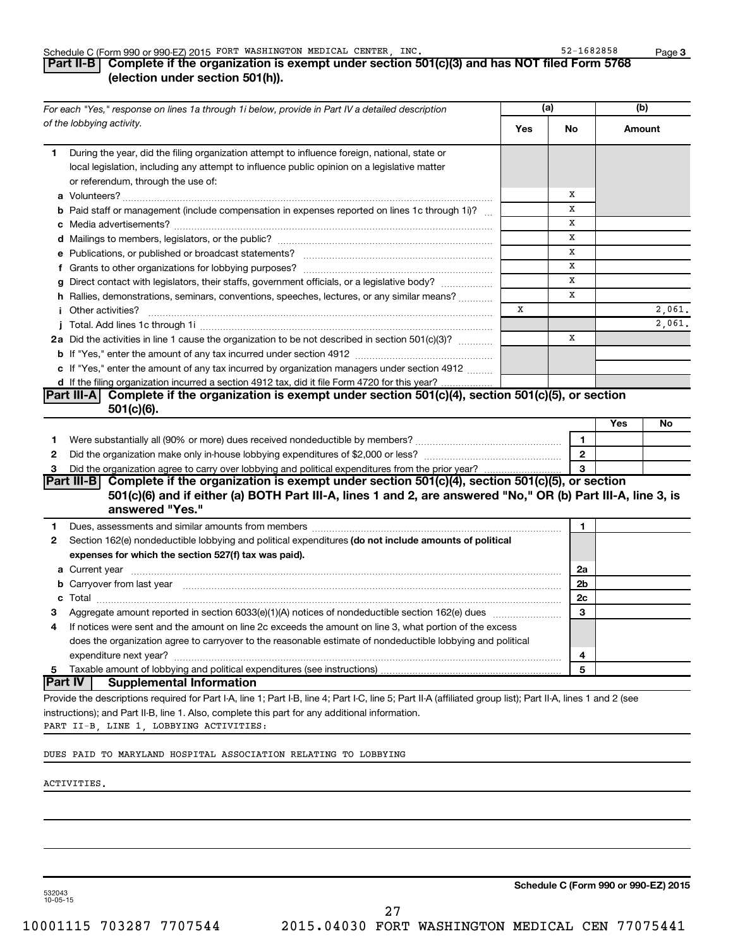## Schedule C (Form 990 or 990-EZ) 2015 FORT WASHINGTON MEDICAL CENTER, INC. 52 = 52-1682858 Page

# **Part II-B Complete if the organization is exempt under section 501(c)(3) and has NOT filed Form 5768 (election under section 501(h)).**

|                | For each "Yes," response on lines 1a through 1i below, provide in Part IV a detailed description                                                                                                                                            |     | (a)            |     | (b)    |
|----------------|---------------------------------------------------------------------------------------------------------------------------------------------------------------------------------------------------------------------------------------------|-----|----------------|-----|--------|
|                | of the lobbying activity.                                                                                                                                                                                                                   | Yes | No             |     | Amount |
| 1.             | During the year, did the filing organization attempt to influence foreign, national, state or<br>local legislation, including any attempt to influence public opinion on a legislative matter<br>or referendum, through the use of:         |     |                |     |        |
|                |                                                                                                                                                                                                                                             |     | х              |     |        |
|                | <b>b</b> Paid staff or management (include compensation in expenses reported on lines 1c through 1i)?                                                                                                                                       |     | х              |     |        |
|                |                                                                                                                                                                                                                                             |     | X              |     |        |
|                |                                                                                                                                                                                                                                             |     | х              |     |        |
|                |                                                                                                                                                                                                                                             |     | х              |     |        |
|                |                                                                                                                                                                                                                                             |     | х              |     |        |
|                | g Direct contact with legislators, their staffs, government officials, or a legislative body?                                                                                                                                               |     | X              |     |        |
|                | h Rallies, demonstrations, seminars, conventions, speeches, lectures, or any similar means?                                                                                                                                                 |     | X              |     |        |
|                | <i>i</i> Other activities?                                                                                                                                                                                                                  | X   |                |     | 2,061. |
|                |                                                                                                                                                                                                                                             |     |                |     | 2,061. |
|                | 2a Did the activities in line 1 cause the organization to be not described in section 501(c)(3)?                                                                                                                                            |     | x              |     |        |
|                |                                                                                                                                                                                                                                             |     |                |     |        |
|                | c If "Yes," enter the amount of any tax incurred by organization managers under section 4912                                                                                                                                                |     |                |     |        |
|                | d If the filing organization incurred a section 4912 tax, did it file Form 4720 for this year?                                                                                                                                              |     |                |     |        |
|                | Part III-A Complete if the organization is exempt under section 501(c)(4), section 501(c)(5), or section<br>$501(c)(6)$ .                                                                                                                   |     |                |     |        |
|                |                                                                                                                                                                                                                                             |     |                | Yes | No     |
| 1              |                                                                                                                                                                                                                                             |     | 1              |     |        |
| $\mathbf{2}$   |                                                                                                                                                                                                                                             |     | $\mathbf{2}$   |     |        |
| 3              |                                                                                                                                                                                                                                             |     | 3              |     |        |
|                | Part III-B Complete if the organization is exempt under section 501(c)(4), section 501(c)(5), or section<br>501(c)(6) and if either (a) BOTH Part III-A, lines 1 and 2, are answered "No," OR (b) Part III-A, line 3, is<br>answered "Yes." |     |                |     |        |
| 1.             | Dues, assessments and similar amounts from members [11] matter content and streamly matter and similar amounts from members [11] matter content and similar amounts from members [11] matter content and streamly matter and s              |     | 1              |     |        |
| 2              | Section 162(e) nondeductible lobbying and political expenditures (do not include amounts of political                                                                                                                                       |     |                |     |        |
|                | expenses for which the section 527(f) tax was paid).                                                                                                                                                                                        |     |                |     |        |
|                |                                                                                                                                                                                                                                             |     | 2a             |     |        |
|                | b Carryover from last year manufactured and content to content the content of the content of the content of the content of the content of the content of the content of the content of the content of the content of the conte              |     | 2 <sub>b</sub> |     |        |
| c              |                                                                                                                                                                                                                                             |     | 2c             |     |        |
|                |                                                                                                                                                                                                                                             |     | 3              |     |        |
| 4              | If notices were sent and the amount on line 2c exceeds the amount on line 3, what portion of the excess                                                                                                                                     |     |                |     |        |
|                | does the organization agree to carryover to the reasonable estimate of nondeductible lobbying and political                                                                                                                                 |     |                |     |        |
|                | expenditure next year?                                                                                                                                                                                                                      |     | 4              |     |        |
| 5              |                                                                                                                                                                                                                                             |     | 5              |     |        |
| <b>Part IV</b> | <b>Supplemental Information</b>                                                                                                                                                                                                             |     |                |     |        |
|                | Provide the descriptions required for Part I-A, line 1; Part I-B, line 4; Part I-C, line 5; Part II-A (affiliated group list); Part II-A, lines 1 and 2 (see                                                                                |     |                |     |        |
|                | instructions); and Part II-B, line 1. Also, complete this part for any additional information.                                                                                                                                              |     |                |     |        |
|                | PART II-B, LINE 1, LOBBYING ACTIVITIES:                                                                                                                                                                                                     |     |                |     |        |
|                |                                                                                                                                                                                                                                             |     |                |     |        |

DUES PAID TO MARYLAND HOSPITAL ASSOCIATION RELATING TO LOBBYING

ACTIVITIES.

**Schedule C (Form 990 or 990-EZ) 2015**

**Page 3** 

532043 10-05-15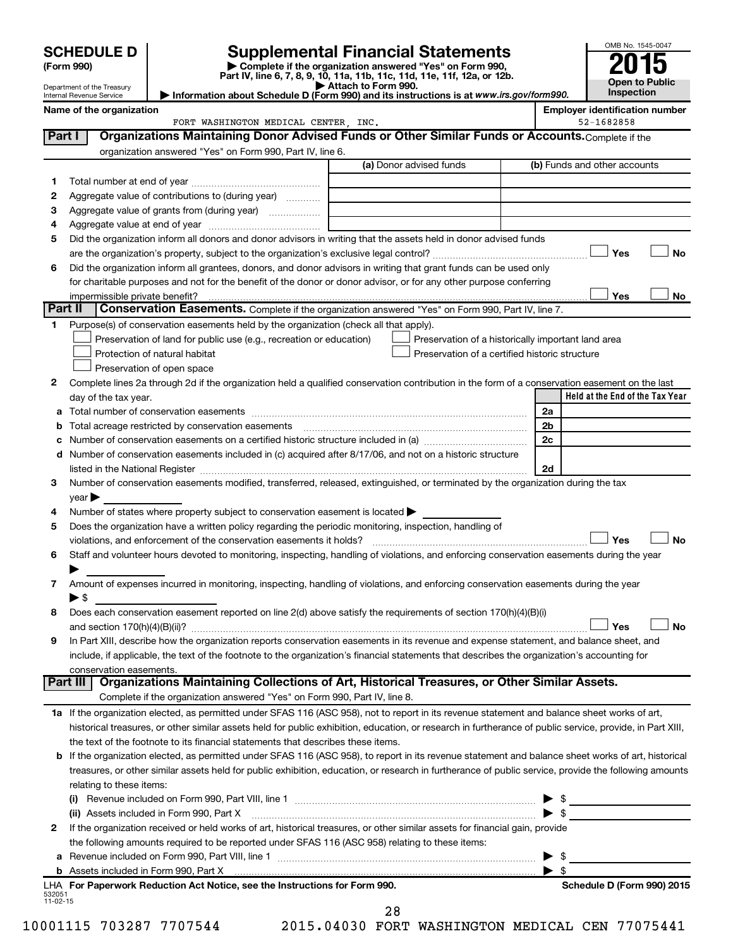|            | <b>SCHEDULE D</b>              |                                                                                                        | <b>Supplemental Financial Statements</b>                                                                                                                                                                                      |                         | OMB No. 1545-0047                                   |
|------------|--------------------------------|--------------------------------------------------------------------------------------------------------|-------------------------------------------------------------------------------------------------------------------------------------------------------------------------------------------------------------------------------|-------------------------|-----------------------------------------------------|
| (Form 990) |                                |                                                                                                        |                                                                                                                                                                                                                               |                         |                                                     |
|            | Department of the Treasury     |                                                                                                        | Part IV, line 6, 7, 8, 9, 10, 11a, 11b, 11c, 11d, 11e, 11f, 12a, or 12b.<br>Attach to Form 990.                                                                                                                               |                         | <b>Open to Public</b>                               |
|            | Internal Revenue Service       |                                                                                                        | Information about Schedule D (Form 990) and its instructions is at www.irs.gov/form990.                                                                                                                                       |                         | Inspection                                          |
|            | Name of the organization       | FORT WASHINGTON MEDICAL CENTER, INC.                                                                   |                                                                                                                                                                                                                               |                         | <b>Employer identification number</b><br>52-1682858 |
|            | Part I                         |                                                                                                        | Organizations Maintaining Donor Advised Funds or Other Similar Funds or Accounts. Complete if the                                                                                                                             |                         |                                                     |
|            |                                | organization answered "Yes" on Form 990, Part IV, line 6.                                              |                                                                                                                                                                                                                               |                         |                                                     |
|            |                                |                                                                                                        | (a) Donor advised funds                                                                                                                                                                                                       |                         | (b) Funds and other accounts                        |
| 1          |                                |                                                                                                        |                                                                                                                                                                                                                               |                         |                                                     |
| 2          |                                | Aggregate value of contributions to (during year)                                                      |                                                                                                                                                                                                                               |                         |                                                     |
| З          |                                | Aggregate value of grants from (during year)                                                           |                                                                                                                                                                                                                               |                         |                                                     |
| 4          |                                |                                                                                                        |                                                                                                                                                                                                                               |                         |                                                     |
| 5          |                                |                                                                                                        | Did the organization inform all donors and donor advisors in writing that the assets held in donor advised funds                                                                                                              |                         |                                                     |
| 6          |                                |                                                                                                        | Did the organization inform all grantees, donors, and donor advisors in writing that grant funds can be used only                                                                                                             |                         | No<br>Yes                                           |
|            |                                |                                                                                                        | for charitable purposes and not for the benefit of the donor or donor advisor, or for any other purpose conferring                                                                                                            |                         |                                                     |
|            | impermissible private benefit? |                                                                                                        |                                                                                                                                                                                                                               |                         | Yes<br>No                                           |
| Part II    |                                |                                                                                                        | Conservation Easements. Complete if the organization answered "Yes" on Form 990, Part IV, line 7.                                                                                                                             |                         |                                                     |
| 1          |                                | Purpose(s) of conservation easements held by the organization (check all that apply).                  |                                                                                                                                                                                                                               |                         |                                                     |
|            |                                | Preservation of land for public use (e.g., recreation or education)                                    | Preservation of a historically important land area                                                                                                                                                                            |                         |                                                     |
|            |                                | Protection of natural habitat                                                                          | Preservation of a certified historic structure                                                                                                                                                                                |                         |                                                     |
|            |                                | Preservation of open space                                                                             |                                                                                                                                                                                                                               |                         |                                                     |
| 2          |                                |                                                                                                        | Complete lines 2a through 2d if the organization held a qualified conservation contribution in the form of a conservation easement on the last                                                                                |                         |                                                     |
|            | day of the tax year.           |                                                                                                        |                                                                                                                                                                                                                               |                         | Held at the End of the Tax Year                     |
| а          |                                |                                                                                                        |                                                                                                                                                                                                                               | 2a                      |                                                     |
| b          |                                | Total acreage restricted by conservation easements                                                     |                                                                                                                                                                                                                               | 2b                      |                                                     |
| с          |                                |                                                                                                        |                                                                                                                                                                                                                               | 2c                      |                                                     |
| d          |                                |                                                                                                        | Number of conservation easements included in (c) acquired after 8/17/06, and not on a historic structure                                                                                                                      |                         |                                                     |
|            |                                |                                                                                                        | listed in the National Register [111] Marshall Register [11] Marshall Register [11] Marshall Register [11] Marshall Register [11] Marshall Register [11] Marshall Register [11] Marshall Register [11] Marshall Register [11] | 2d                      |                                                     |
| З          | year                           |                                                                                                        | Number of conservation easements modified, transferred, released, extinguished, or terminated by the organization during the tax                                                                                              |                         |                                                     |
| 4          |                                | Number of states where property subject to conservation easement is located >                          |                                                                                                                                                                                                                               |                         |                                                     |
| 5          |                                | Does the organization have a written policy regarding the periodic monitoring, inspection, handling of |                                                                                                                                                                                                                               |                         |                                                     |
|            |                                | violations, and enforcement of the conservation easements it holds?                                    |                                                                                                                                                                                                                               |                         | <b>No</b><br>Yes                                    |
| 6          |                                |                                                                                                        | Staff and volunteer hours devoted to monitoring, inspecting, handling of violations, and enforcing conservation easements during the year                                                                                     |                         |                                                     |
|            |                                |                                                                                                        |                                                                                                                                                                                                                               |                         |                                                     |
| 7          |                                |                                                                                                        | Amount of expenses incurred in monitoring, inspecting, handling of violations, and enforcing conservation easements during the year                                                                                           |                         |                                                     |
|            | $\blacktriangleright$ \$       |                                                                                                        |                                                                                                                                                                                                                               |                         |                                                     |
| 8          |                                |                                                                                                        | Does each conservation easement reported on line 2(d) above satisfy the requirements of section 170(h)(4)(B)(i)                                                                                                               |                         |                                                     |
|            |                                |                                                                                                        |                                                                                                                                                                                                                               |                         | Yes<br>No                                           |
| 9          |                                |                                                                                                        | In Part XIII, describe how the organization reports conservation easements in its revenue and expense statement, and balance sheet, and                                                                                       |                         |                                                     |
|            |                                |                                                                                                        | include, if applicable, the text of the footnote to the organization's financial statements that describes the organization's accounting for                                                                                  |                         |                                                     |
|            | conservation easements.        |                                                                                                        | Part III   Organizations Maintaining Collections of Art, Historical Treasures, or Other Similar Assets.                                                                                                                       |                         |                                                     |
|            |                                | Complete if the organization answered "Yes" on Form 990, Part IV, line 8.                              |                                                                                                                                                                                                                               |                         |                                                     |
|            |                                |                                                                                                        | 1a If the organization elected, as permitted under SFAS 116 (ASC 958), not to report in its revenue statement and balance sheet works of art,                                                                                 |                         |                                                     |
|            |                                |                                                                                                        | historical treasures, or other similar assets held for public exhibition, education, or research in furtherance of public service, provide, in Part XIII,                                                                     |                         |                                                     |
|            |                                | the text of the footnote to its financial statements that describes these items.                       |                                                                                                                                                                                                                               |                         |                                                     |
| b          |                                |                                                                                                        | If the organization elected, as permitted under SFAS 116 (ASC 958), to report in its revenue statement and balance sheet works of art, historical                                                                             |                         |                                                     |
|            |                                |                                                                                                        | treasures, or other similar assets held for public exhibition, education, or research in furtherance of public service, provide the following amounts                                                                         |                         |                                                     |
|            | relating to these items:       |                                                                                                        |                                                                                                                                                                                                                               |                         |                                                     |
|            |                                |                                                                                                        |                                                                                                                                                                                                                               |                         |                                                     |
|            |                                | (ii) Assets included in Form 990, Part X                                                               |                                                                                                                                                                                                                               |                         |                                                     |
| 2          |                                |                                                                                                        | If the organization received or held works of art, historical treasures, or other similar assets for financial gain, provide                                                                                                  |                         |                                                     |
|            |                                | the following amounts required to be reported under SFAS 116 (ASC 958) relating to these items:        |                                                                                                                                                                                                                               |                         |                                                     |
| а          |                                |                                                                                                        |                                                                                                                                                                                                                               | ▶                       | -\$                                                 |
|            |                                |                                                                                                        |                                                                                                                                                                                                                               | $\blacktriangleright$ s |                                                     |
| 532051     |                                | LHA For Paperwork Reduction Act Notice, see the Instructions for Form 990.                             |                                                                                                                                                                                                                               |                         | Schedule D (Form 990) 2015                          |

28

532051 11-02-15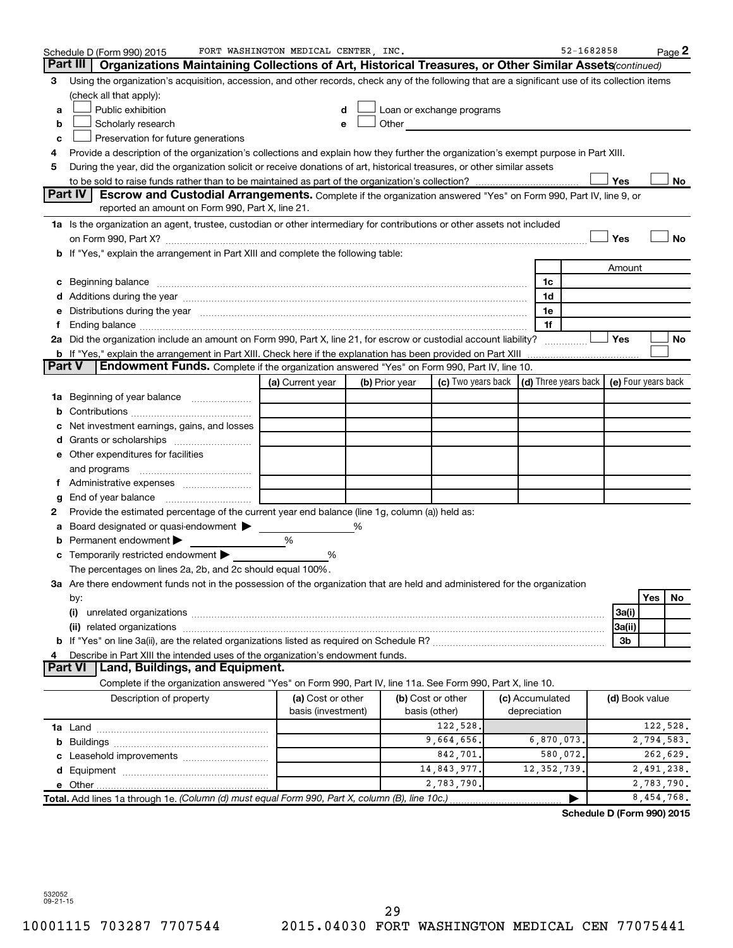|        | Schedule D (Form 990) 2015                                                                                                                                                                                                     | FORT WASHINGTON MEDICAL CENTER, INC. |                |                                                                                                                                                                                                                               |  | 52-1682858                                 |                | Page 2     |
|--------|--------------------------------------------------------------------------------------------------------------------------------------------------------------------------------------------------------------------------------|--------------------------------------|----------------|-------------------------------------------------------------------------------------------------------------------------------------------------------------------------------------------------------------------------------|--|--------------------------------------------|----------------|------------|
|        | Part III<br>Organizations Maintaining Collections of Art, Historical Treasures, or Other Similar Assets (continued)                                                                                                            |                                      |                |                                                                                                                                                                                                                               |  |                                            |                |            |
| З      | Using the organization's acquisition, accession, and other records, check any of the following that are a significant use of its collection items                                                                              |                                      |                |                                                                                                                                                                                                                               |  |                                            |                |            |
|        | (check all that apply):                                                                                                                                                                                                        |                                      |                |                                                                                                                                                                                                                               |  |                                            |                |            |
| a      | Public exhibition                                                                                                                                                                                                              | d                                    |                | Loan or exchange programs                                                                                                                                                                                                     |  |                                            |                |            |
| b      | Scholarly research                                                                                                                                                                                                             |                                      |                | Other and the contract of the contract of the contract of the contract of the contract of the contract of the contract of the contract of the contract of the contract of the contract of the contract of the contract of the |  |                                            |                |            |
| с      | Preservation for future generations                                                                                                                                                                                            |                                      |                |                                                                                                                                                                                                                               |  |                                            |                |            |
| 4      | Provide a description of the organization's collections and explain how they further the organization's exempt purpose in Part XIII.                                                                                           |                                      |                |                                                                                                                                                                                                                               |  |                                            |                |            |
| 5      | During the year, did the organization solicit or receive donations of art, historical treasures, or other similar assets                                                                                                       |                                      |                |                                                                                                                                                                                                                               |  |                                            |                |            |
|        |                                                                                                                                                                                                                                |                                      |                |                                                                                                                                                                                                                               |  |                                            | Yes            | No         |
|        | Part IV<br><b>Escrow and Custodial Arrangements.</b> Complete if the organization answered "Yes" on Form 990, Part IV, line 9, or                                                                                              |                                      |                |                                                                                                                                                                                                                               |  |                                            |                |            |
|        | reported an amount on Form 990, Part X, line 21.                                                                                                                                                                               |                                      |                |                                                                                                                                                                                                                               |  |                                            |                |            |
|        | 1a Is the organization an agent, trustee, custodian or other intermediary for contributions or other assets not included                                                                                                       |                                      |                |                                                                                                                                                                                                                               |  |                                            |                |            |
|        |                                                                                                                                                                                                                                |                                      |                |                                                                                                                                                                                                                               |  |                                            | Yes            | <b>No</b>  |
|        | b If "Yes," explain the arrangement in Part XIII and complete the following table:                                                                                                                                             |                                      |                |                                                                                                                                                                                                                               |  |                                            |                |            |
|        |                                                                                                                                                                                                                                |                                      |                |                                                                                                                                                                                                                               |  |                                            | Amount         |            |
|        | c Beginning balance measurements and the contract of the contract of the contract of the contract of the contract of the contract of the contract of the contract of the contract of the contract of the contract of the contr |                                      |                |                                                                                                                                                                                                                               |  | 1c                                         |                |            |
|        |                                                                                                                                                                                                                                |                                      |                |                                                                                                                                                                                                                               |  | 1d                                         |                |            |
|        | e Distributions during the year manufactured and continuum control of the control of the control of the set of                                                                                                                 |                                      |                |                                                                                                                                                                                                                               |  | 1e                                         |                |            |
|        |                                                                                                                                                                                                                                |                                      |                |                                                                                                                                                                                                                               |  | 1f                                         |                |            |
|        | 2a Did the organization include an amount on Form 990, Part X, line 21, for escrow or custodial account liability?                                                                                                             |                                      |                |                                                                                                                                                                                                                               |  |                                            | Yes            | No         |
|        | <b>b</b> If "Yes," explain the arrangement in Part XIII. Check here if the explanation has been provided on Part XIII                                                                                                          |                                      |                |                                                                                                                                                                                                                               |  |                                            |                |            |
| Part V | Endowment Funds. Complete if the organization answered "Yes" on Form 990, Part IV, line 10.                                                                                                                                    |                                      |                |                                                                                                                                                                                                                               |  |                                            |                |            |
|        |                                                                                                                                                                                                                                | (a) Current year                     | (b) Prior year | (c) Two years back                                                                                                                                                                                                            |  | (d) Three years back   (e) Four years back |                |            |
|        | 1a Beginning of year balance                                                                                                                                                                                                   |                                      |                |                                                                                                                                                                                                                               |  |                                            |                |            |
| b      |                                                                                                                                                                                                                                |                                      |                |                                                                                                                                                                                                                               |  |                                            |                |            |
|        | Net investment earnings, gains, and losses                                                                                                                                                                                     |                                      |                |                                                                                                                                                                                                                               |  |                                            |                |            |
|        |                                                                                                                                                                                                                                |                                      |                |                                                                                                                                                                                                                               |  |                                            |                |            |
|        | e Other expenditures for facilities                                                                                                                                                                                            |                                      |                |                                                                                                                                                                                                                               |  |                                            |                |            |
|        |                                                                                                                                                                                                                                |                                      |                |                                                                                                                                                                                                                               |  |                                            |                |            |
|        |                                                                                                                                                                                                                                |                                      |                |                                                                                                                                                                                                                               |  |                                            |                |            |
| g      | End of year balance <i>manually contained</i><br>Provide the estimated percentage of the current year end balance (line 1g, column (a)) held as:                                                                               |                                      |                |                                                                                                                                                                                                                               |  |                                            |                |            |
| 2      |                                                                                                                                                                                                                                |                                      |                |                                                                                                                                                                                                                               |  |                                            |                |            |
| а      | Board designated or quasi-endowment ><br><b>b</b> Permanent endowment $\blacktriangleright$                                                                                                                                    | %                                    | %              |                                                                                                                                                                                                                               |  |                                            |                |            |
|        |                                                                                                                                                                                                                                | %                                    |                |                                                                                                                                                                                                                               |  |                                            |                |            |
|        | <b>c</b> Temporarily restricted endowment $\blacktriangleright$<br>The percentages on lines 2a, 2b, and 2c should equal 100%.                                                                                                  |                                      |                |                                                                                                                                                                                                                               |  |                                            |                |            |
|        | 3a Are there endowment funds not in the possession of the organization that are held and administered for the organization                                                                                                     |                                      |                |                                                                                                                                                                                                                               |  |                                            |                |            |
|        | by:                                                                                                                                                                                                                            |                                      |                |                                                                                                                                                                                                                               |  |                                            |                | Yes<br>No  |
|        | (i)                                                                                                                                                                                                                            |                                      |                |                                                                                                                                                                                                                               |  |                                            | 3a(i)          |            |
|        |                                                                                                                                                                                                                                |                                      |                |                                                                                                                                                                                                                               |  |                                            | 3a(ii)         |            |
|        |                                                                                                                                                                                                                                |                                      |                |                                                                                                                                                                                                                               |  |                                            | 3b             |            |
| 4      | Describe in Part XIII the intended uses of the organization's endowment funds.                                                                                                                                                 |                                      |                |                                                                                                                                                                                                                               |  |                                            |                |            |
|        | Land, Buildings, and Equipment.<br><b>Part VI</b>                                                                                                                                                                              |                                      |                |                                                                                                                                                                                                                               |  |                                            |                |            |
|        | Complete if the organization answered "Yes" on Form 990, Part IV, line 11a. See Form 990, Part X, line 10.                                                                                                                     |                                      |                |                                                                                                                                                                                                                               |  |                                            |                |            |
|        | Description of property                                                                                                                                                                                                        | (a) Cost or other                    |                | (b) Cost or other                                                                                                                                                                                                             |  | (c) Accumulated                            | (d) Book value |            |
|        |                                                                                                                                                                                                                                | basis (investment)                   |                | basis (other)                                                                                                                                                                                                                 |  | depreciation                               |                |            |
|        |                                                                                                                                                                                                                                |                                      |                | 122,528.                                                                                                                                                                                                                      |  |                                            |                | 122,528.   |
|        |                                                                                                                                                                                                                                |                                      |                | 9,664,656.                                                                                                                                                                                                                    |  | 6,870,073.                                 |                | 2,794,583. |
|        |                                                                                                                                                                                                                                |                                      |                | 842,701.                                                                                                                                                                                                                      |  | 580,072.                                   |                | 262,629.   |
|        |                                                                                                                                                                                                                                |                                      |                | 14,843,977.                                                                                                                                                                                                                   |  | 12, 352, 739.                              |                | 2,491,238. |
|        |                                                                                                                                                                                                                                |                                      |                | 2,783,790,                                                                                                                                                                                                                    |  |                                            |                | 2,783,790. |
|        | Total. Add lines 1a through 1e. (Column (d) must equal Form 990, Part X, column (B), line 10c.)                                                                                                                                |                                      |                |                                                                                                                                                                                                                               |  | ▶                                          |                | 8,454,768. |
|        |                                                                                                                                                                                                                                |                                      |                |                                                                                                                                                                                                                               |  |                                            |                |            |

**Schedule D (Form 990) 2015**

532052 09-21-15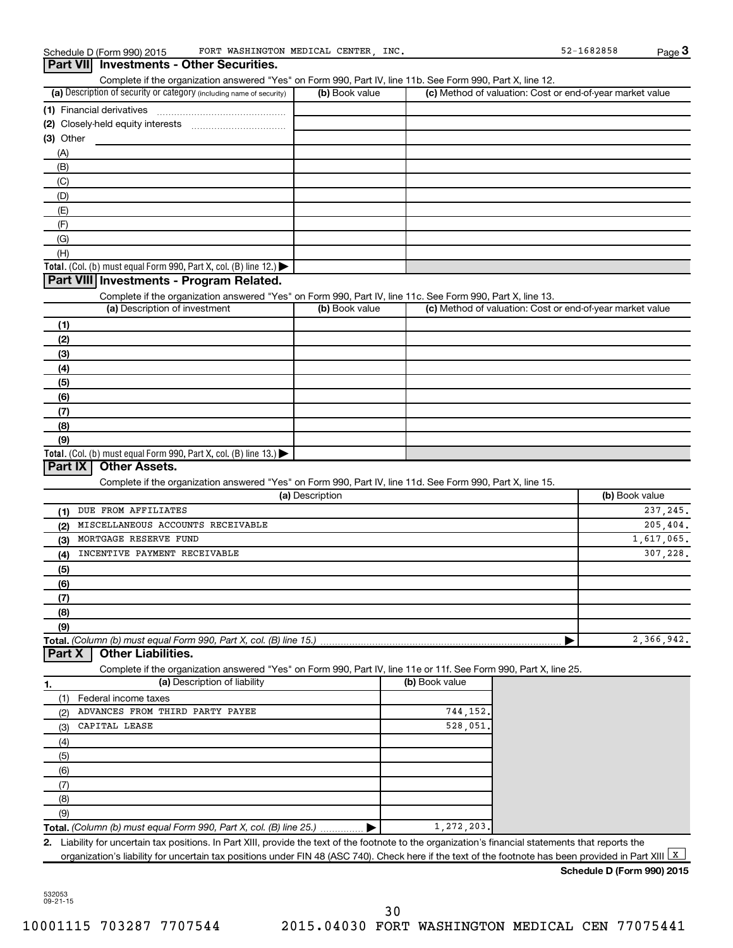| Part VII Investments - Other Securities.                                                                   |                |                                                           |
|------------------------------------------------------------------------------------------------------------|----------------|-----------------------------------------------------------|
| Complete if the organization answered "Yes" on Form 990, Part IV, line 11b. See Form 990, Part X, line 12. |                |                                                           |
| (a) Description of security or category (including name of security)                                       | (b) Book value | (c) Method of valuation: Cost or end-of-year market value |
| (1) Financial derivatives                                                                                  |                |                                                           |
| (2)                                                                                                        |                |                                                           |
| $(3)$ Other                                                                                                |                |                                                           |
| (A)                                                                                                        |                |                                                           |
| (B)                                                                                                        |                |                                                           |
| (C)                                                                                                        |                |                                                           |
| (D)                                                                                                        |                |                                                           |
| (E)                                                                                                        |                |                                                           |
| (F)                                                                                                        |                |                                                           |
| (G)                                                                                                        |                |                                                           |
| (H)                                                                                                        |                |                                                           |
| Total. (Col. (b) must equal Form 990, Part X, col. (B) line $12$ .)                                        |                |                                                           |
| Part VIII Investments - Program Related.                                                                   |                |                                                           |
| Complete if the organization answered "Yes" on Form 990, Part IV, line 11c. See Form 990, Part X, line 13. |                |                                                           |
| (a) Description of investment                                                                              | (b) Book value | (c) Method of valuation: Cost or end-of-year market value |
| (1)                                                                                                        |                |                                                           |
| (2)                                                                                                        |                |                                                           |
| (3)                                                                                                        |                |                                                           |
| (4)                                                                                                        |                |                                                           |
| (5)                                                                                                        |                |                                                           |
| (6)                                                                                                        |                |                                                           |
| (7)                                                                                                        |                |                                                           |
| (8)                                                                                                        |                |                                                           |
| (9)                                                                                                        |                |                                                           |
| <b>Total.</b> (Col. (b) must equal Form 990, Part X, col. (B) line 13.) $\blacktriangleright$              |                |                                                           |

## **Part IX Other Assets.**

Complete if the organization answered "Yes" on Form 990, Part IV, line 11d. See Form 990, Part X, line 15.

|     | (a) Description                   |            |  |  |
|-----|-----------------------------------|------------|--|--|
| (1) | DUE FROM AFFILIATES               | 237, 245.  |  |  |
| (2) | MISCELLANEOUS ACCOUNTS RECEIVABLE | 205,404.   |  |  |
| (3) | MORTGAGE RESERVE FUND             | 1,617,065. |  |  |
| (4) | INCENTIVE PAYMENT RECEIVABLE      | 307,228.   |  |  |
| (5) |                                   |            |  |  |
| (6) |                                   |            |  |  |
| (7) |                                   |            |  |  |
| (8) |                                   |            |  |  |
| (9) |                                   |            |  |  |
|     |                                   | 2,366,942. |  |  |

#### **Part X Other Liabilities.**

Complete if the organization answered "Yes" on Form 990, Part IV, line 11e or 11f. See Form 990, Part X, line 25.

|     | (a) Description of liability                                       | (b) Book value |
|-----|--------------------------------------------------------------------|----------------|
|     | Federal income taxes                                               |                |
| (2) | ADVANCES FROM THIRD PARTY PAYEE                                    | 744,152.       |
| (3) | CAPITAL LEASE                                                      | 528,051.       |
| (4) |                                                                    |                |
| (5) |                                                                    |                |
| (6) |                                                                    |                |
|     |                                                                    |                |
| (8) |                                                                    |                |
| (9) |                                                                    |                |
|     | Total. (Column (b) must equal Form 990, Part X, col. (B) line 25.) | 1,272,203.     |

**2.** Liability for uncertain tax positions. In Part XIII, provide the text of the footnote to the organization's financial statements that reports the organization's liability for uncertain tax positions under FIN 48 (ASC 740). Check here if the text of the footnote has been provided in Part XIII  $\boxed{\mathrm{x}}$ 

**Schedule D (Form 990) 2015**

532053 09-21-15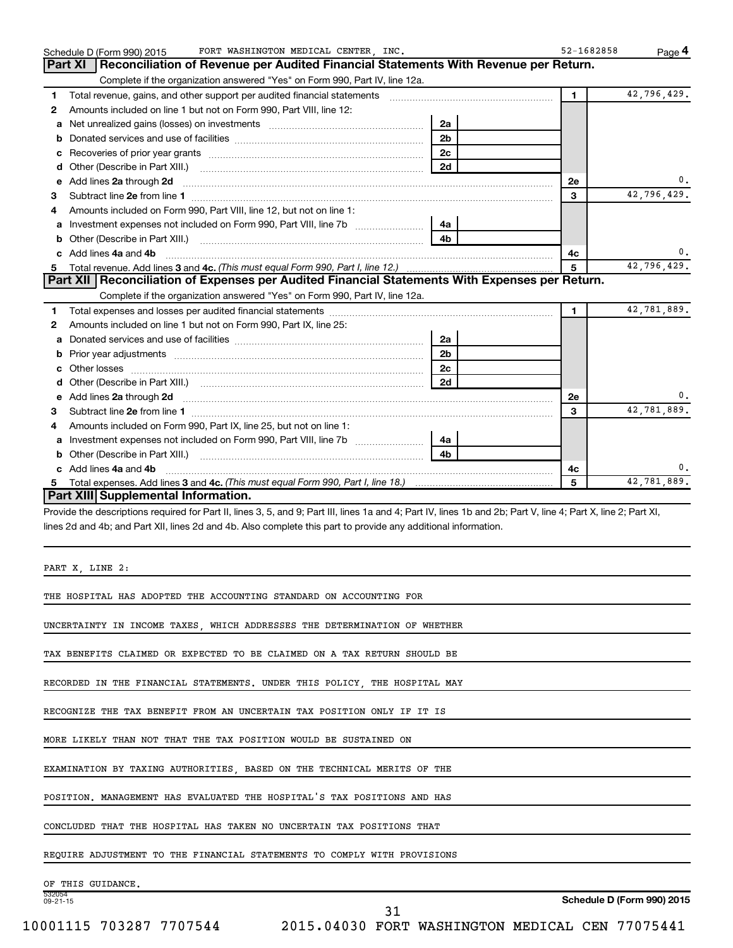|   | FORT WASHINGTON MEDICAL CENTER, INC.<br>Schedule D (Form 990) 2015                                                                                                                                                                                                                                 |                | 52-1682858   | Page 4      |
|---|----------------------------------------------------------------------------------------------------------------------------------------------------------------------------------------------------------------------------------------------------------------------------------------------------|----------------|--------------|-------------|
|   | Reconciliation of Revenue per Audited Financial Statements With Revenue per Return.<br>Part XI                                                                                                                                                                                                     |                |              |             |
|   | Complete if the organization answered "Yes" on Form 990, Part IV, line 12a.                                                                                                                                                                                                                        |                |              |             |
| 1 | Total revenue, gains, and other support per audited financial statements                                                                                                                                                                                                                           |                | $\mathbf{1}$ | 42,796,429. |
| 2 | Amounts included on line 1 but not on Form 990, Part VIII, line 12:                                                                                                                                                                                                                                |                |              |             |
| a |                                                                                                                                                                                                                                                                                                    | 2a             |              |             |
| b |                                                                                                                                                                                                                                                                                                    | 2 <sub>b</sub> |              |             |
| с |                                                                                                                                                                                                                                                                                                    | 2 <sub>c</sub> |              |             |
| d |                                                                                                                                                                                                                                                                                                    | 2d             |              |             |
| е | Add lines 2a through 2d                                                                                                                                                                                                                                                                            |                | 2e           | 0.          |
| З |                                                                                                                                                                                                                                                                                                    |                | 3            | 42,796,429. |
| 4 | Amounts included on Form 990, Part VIII, line 12, but not on line 1:                                                                                                                                                                                                                               |                |              |             |
| а | Investment expenses not included on Form 990, Part VIII, line 7b                                                                                                                                                                                                                                   | 4a             |              |             |
| b |                                                                                                                                                                                                                                                                                                    | 4 <sub>b</sub> |              |             |
|   | Add lines 4a and 4b                                                                                                                                                                                                                                                                                |                | 4c           | 0.          |
|   |                                                                                                                                                                                                                                                                                                    |                | 5            | 42,796,429. |
|   | Part XII   Reconciliation of Expenses per Audited Financial Statements With Expenses per Return.                                                                                                                                                                                                   |                |              |             |
|   | Complete if the organization answered "Yes" on Form 990, Part IV, line 12a.                                                                                                                                                                                                                        |                |              |             |
| 1 |                                                                                                                                                                                                                                                                                                    |                | $\mathbf{1}$ | 42,781,889. |
| 2 | Amounts included on line 1 but not on Form 990, Part IX, line 25:                                                                                                                                                                                                                                  |                |              |             |
| а |                                                                                                                                                                                                                                                                                                    | 2a             |              |             |
| b |                                                                                                                                                                                                                                                                                                    | 2 <sub>b</sub> |              |             |
| с | Other losses                                                                                                                                                                                                                                                                                       | 2 <sub>c</sub> |              |             |
| d | Other (Describe in Part XIII.) (COLORGIAL COMMODIAL CONTROL)                                                                                                                                                                                                                                       | 2d             |              |             |
| е | Add lines 2a through 2d                                                                                                                                                                                                                                                                            |                | 2e           |             |
| 3 |                                                                                                                                                                                                                                                                                                    |                | 3            | 42,781,889. |
| 4 | Amounts included on Form 990, Part IX, line 25, but not on line 1:                                                                                                                                                                                                                                 |                |              |             |
| а |                                                                                                                                                                                                                                                                                                    | 4a             |              |             |
| b | Other (Describe in Part XIII.) [100] [100] [100] [100] [100] [100] [100] [100] [100] [100] [100] [100] [100] [                                                                                                                                                                                     | 4 <sub>b</sub> |              |             |
|   | c Add lines 4a and 4b                                                                                                                                                                                                                                                                              |                | 4с           | 0           |
|   |                                                                                                                                                                                                                                                                                                    |                | 5            | 42,781,889. |
|   | Part XIII Supplemental Information.                                                                                                                                                                                                                                                                |                |              |             |
|   | Provide the descriptions required for Part II, lines 3, 5, and 9; Part III, lines 1a and 4; Part IV, lines 1b and 2b; Part V, line 4; Part X, line 2; Part XI,<br>lines 2d and 4b; and Part XII, lines 2d and 4b. Also complete this part to provide any additional information.<br>PART X LINE 2: |                |              |             |
|   | THE HOSPITAL HAS ADOPTED THE ACCOUNTING STANDARD ON ACCOUNTING FOR                                                                                                                                                                                                                                 |                |              |             |
|   | UNCERTAINTY IN INCOME TAXES, WHICH ADDRESSES THE DETERMINATION OF WHETHER                                                                                                                                                                                                                          |                |              |             |
|   | TAX BENEFITS CLAIMED OR EXPECTED TO BE CLAIMED ON A TAX RETURN SHOULD BE                                                                                                                                                                                                                           |                |              |             |
|   | RECORDED IN THE FINANCIAL STATEMENTS. UNDER THIS POLICY, THE HOSPITAL MAY                                                                                                                                                                                                                          |                |              |             |
|   | RECOGNIZE THE TAX BENEFIT FROM AN UNCERTAIN TAX POSITION ONLY IF IT IS                                                                                                                                                                                                                             |                |              |             |
|   | MORE LIKELY THAN NOT THAT THE TAX POSITION WOULD BE SUSTAINED ON                                                                                                                                                                                                                                   |                |              |             |
|   | EXAMINATION BY TAXING AUTHORITIES, BASED ON THE TECHNICAL MERITS OF THE                                                                                                                                                                                                                            |                |              |             |
|   | POSITION. MANAGEMENT HAS EVALUATED THE HOSPITAL'S TAX POSITIONS AND HAS                                                                                                                                                                                                                            |                |              |             |
|   | CONCLUDED THAT THE HOSPITAL HAS TAKEN NO UNCERTAIN TAX POSITIONS THAT                                                                                                                                                                                                                              |                |              |             |

REQUIRE ADJUSTMENT TO THE FINANCIAL STATEMENTS TO COMPLY WITH PROVISIONS

OF THIS GUIDANCE.

532054 09-21-15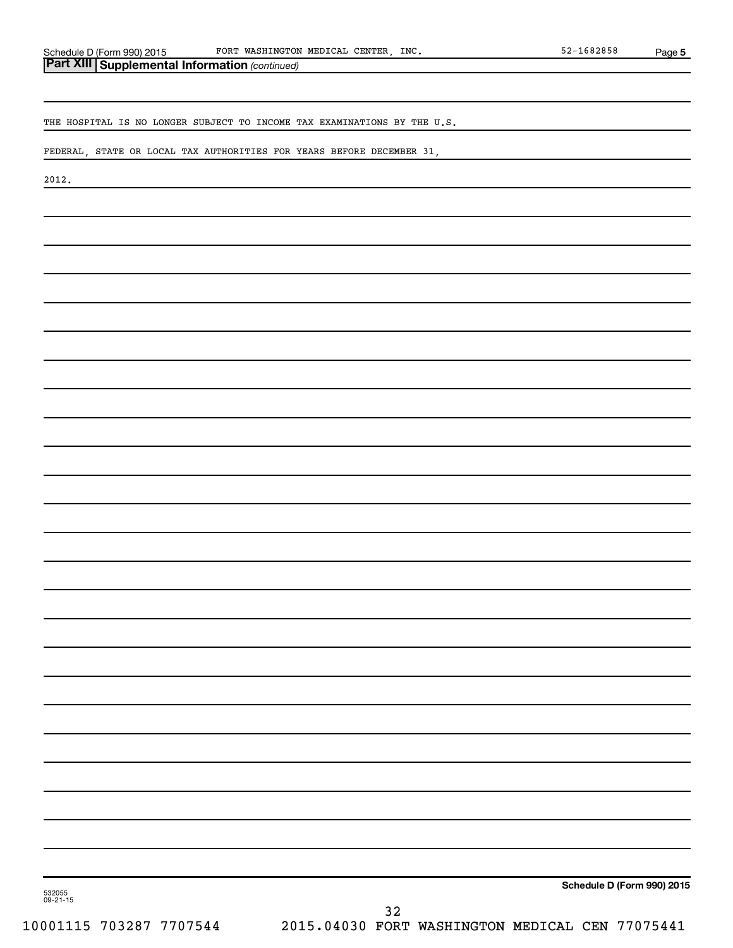THE HOSPITAL IS NO LONGER SUBJECT TO INCOME TAX EXAMINATIONS BY THE U.S.

FEDERAL, STATE OR LOCAL TAX AUTHORITIES FOR YEARS BEFORE DECEMBER 31,

2012.

**Schedule D (Form 990) 2015**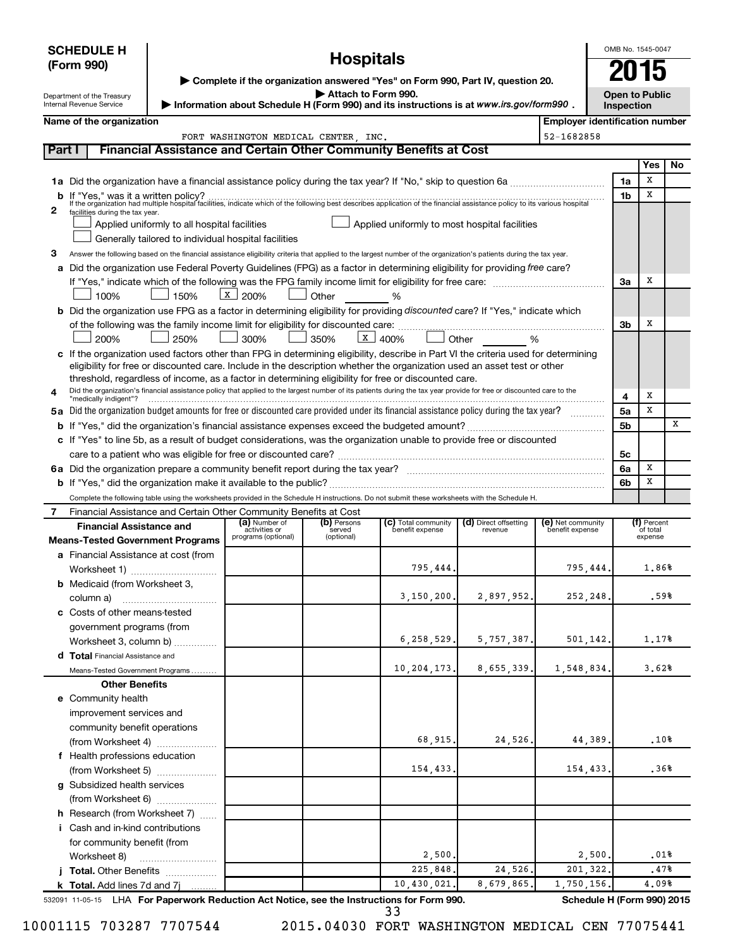| <b>SCHEDULE H</b>                                                                             |                                                                                                                                                                                                                                  |                                                                                           | <b>Hospitals</b>                                                                                        |                      |                       |                                       | OMB No. 1545-0047                   |                     |    |
|-----------------------------------------------------------------------------------------------|----------------------------------------------------------------------------------------------------------------------------------------------------------------------------------------------------------------------------------|-------------------------------------------------------------------------------------------|---------------------------------------------------------------------------------------------------------|----------------------|-----------------------|---------------------------------------|-------------------------------------|---------------------|----|
| (Form 990)                                                                                    |                                                                                                                                                                                                                                  |                                                                                           |                                                                                                         |                      |                       |                                       |                                     |                     |    |
|                                                                                               |                                                                                                                                                                                                                                  |                                                                                           | ▶ Complete if the organization answered "Yes" on Form 990, Part IV, question 20.<br>Attach to Form 990. |                      |                       |                                       |                                     |                     |    |
| Department of the Treasury<br>Internal Revenue Service                                        |                                                                                                                                                                                                                                  | A Information about Schedule H (Form 990) and its instructions is at www.irs.gov/form990. |                                                                                                         |                      |                       |                                       | <b>Open to Public</b><br>Inspection |                     |    |
| Name of the organization                                                                      |                                                                                                                                                                                                                                  |                                                                                           |                                                                                                         |                      |                       | <b>Employer identification number</b> |                                     |                     |    |
| Part I                                                                                        | Financial Assistance and Certain Other Community Benefits at Cost                                                                                                                                                                | FORT WASHINGTON MEDICAL CENTER . INC.                                                     |                                                                                                         |                      |                       | 52-1682858                            |                                     |                     |    |
|                                                                                               |                                                                                                                                                                                                                                  |                                                                                           |                                                                                                         |                      |                       |                                       |                                     | Yes                 | No |
|                                                                                               | 1a Did the organization have a financial assistance policy during the tax year? If "No," skip to question 6a                                                                                                                     |                                                                                           |                                                                                                         |                      |                       |                                       | 1a                                  | x                   |    |
|                                                                                               |                                                                                                                                                                                                                                  |                                                                                           |                                                                                                         |                      |                       |                                       | 1b                                  | x                   |    |
| 2<br>facilities during the tax year.                                                          |                                                                                                                                                                                                                                  |                                                                                           |                                                                                                         |                      |                       |                                       |                                     |                     |    |
| Applied uniformly to most hospital facilities<br>Applied uniformly to all hospital facilities |                                                                                                                                                                                                                                  |                                                                                           |                                                                                                         |                      |                       |                                       |                                     |                     |    |
|                                                                                               | Generally tailored to individual hospital facilities                                                                                                                                                                             |                                                                                           |                                                                                                         |                      |                       |                                       |                                     |                     |    |
| з                                                                                             | Answer the following based on the financial assistance eligibility criteria that applied to the largest number of the organization's patients during the tax year.                                                               |                                                                                           |                                                                                                         |                      |                       |                                       |                                     |                     |    |
|                                                                                               | a Did the organization use Federal Poverty Guidelines (FPG) as a factor in determining eligibility for providing free care?                                                                                                      |                                                                                           |                                                                                                         |                      |                       |                                       | За                                  | х                   |    |
| 100%                                                                                          | 150%                                                                                                                                                                                                                             | $\lfloor x \rfloor$ 200%                                                                  | Other                                                                                                   | %                    |                       |                                       |                                     |                     |    |
|                                                                                               | <b>b</b> Did the organization use FPG as a factor in determining eligibility for providing discounted care? If "Yes," indicate which                                                                                             |                                                                                           |                                                                                                         |                      |                       |                                       |                                     |                     |    |
|                                                                                               |                                                                                                                                                                                                                                  |                                                                                           |                                                                                                         |                      |                       |                                       | Зb                                  | x                   |    |
| 200%                                                                                          | 250%                                                                                                                                                                                                                             | 300%                                                                                      | 350%                                                                                                    | $\mid$ X $\mid$ 400% | Other<br>%            |                                       |                                     |                     |    |
|                                                                                               | c If the organization used factors other than FPG in determining eligibility, describe in Part VI the criteria used for determining                                                                                              |                                                                                           |                                                                                                         |                      |                       |                                       |                                     |                     |    |
|                                                                                               | eligibility for free or discounted care. Include in the description whether the organization used an asset test or other<br>threshold, regardless of income, as a factor in determining eligibility for free or discounted care. |                                                                                           |                                                                                                         |                      |                       |                                       |                                     |                     |    |
|                                                                                               | Did the organization's financial assistance policy that applied to the largest number of its patients during the tax year provide for free or discounted care to the                                                             |                                                                                           |                                                                                                         |                      |                       |                                       |                                     | х                   |    |
| "medically indigent"?                                                                         | 5a Did the organization budget amounts for free or discounted care provided under its financial assistance policy during the tax year?                                                                                           |                                                                                           |                                                                                                         |                      |                       |                                       | 4<br>5a                             | X                   |    |
|                                                                                               |                                                                                                                                                                                                                                  |                                                                                           |                                                                                                         |                      |                       |                                       | 5b                                  |                     | x  |
|                                                                                               | c If "Yes" to line 5b, as a result of budget considerations, was the organization unable to provide free or discounted                                                                                                           |                                                                                           |                                                                                                         |                      |                       |                                       |                                     |                     |    |
|                                                                                               |                                                                                                                                                                                                                                  |                                                                                           |                                                                                                         |                      |                       |                                       | 5c                                  |                     |    |
|                                                                                               |                                                                                                                                                                                                                                  |                                                                                           |                                                                                                         |                      |                       |                                       | 6a                                  | х                   |    |
|                                                                                               |                                                                                                                                                                                                                                  |                                                                                           |                                                                                                         |                      |                       |                                       | 6b                                  | х                   |    |
|                                                                                               | Complete the following table using the worksheets provided in the Schedule H instructions. Do not submit these worksheets with the Schedule H.                                                                                   |                                                                                           |                                                                                                         |                      |                       |                                       |                                     |                     |    |
|                                                                                               | Financial Assistance and Certain Other Community Benefits at Cost<br><b>Financial Assistance and</b>                                                                                                                             | (a) Number of                                                                             | (b) Persons                                                                                             | (c) Total community  | (d) Direct offsetting | (e) Net community                     |                                     | (f) Percent         |    |
|                                                                                               | <b>Means-Tested Government Programs</b>                                                                                                                                                                                          | activities or<br>programs (optional)                                                      | served<br>(optional)                                                                                    | benefit expense      | revenue               | benefit expense                       |                                     | of total<br>expense |    |
|                                                                                               | a Financial Assistance at cost (from                                                                                                                                                                                             |                                                                                           |                                                                                                         |                      |                       |                                       |                                     |                     |    |
| Worksheet 1)                                                                                  | .                                                                                                                                                                                                                                |                                                                                           |                                                                                                         | 795,444.             |                       | 795.444                               |                                     | 1,86%               |    |
|                                                                                               | <b>b</b> Medicaid (from Worksheet 3,                                                                                                                                                                                             |                                                                                           |                                                                                                         |                      |                       |                                       |                                     |                     |    |
| column a)                                                                                     |                                                                                                                                                                                                                                  |                                                                                           |                                                                                                         | 3, 150, 200.         | 2,897,952.            | 252,248                               |                                     | .59%                |    |
|                                                                                               | c Costs of other means-tested                                                                                                                                                                                                    |                                                                                           |                                                                                                         |                      |                       |                                       |                                     |                     |    |
|                                                                                               | government programs (from                                                                                                                                                                                                        |                                                                                           |                                                                                                         | 6,258,529.           | 5,757,387.            | 501,142                               |                                     | 1,17%               |    |
| d Total Financial Assistance and                                                              | Worksheet 3, column b)                                                                                                                                                                                                           |                                                                                           |                                                                                                         |                      |                       |                                       |                                     |                     |    |
|                                                                                               | Means-Tested Government Programs                                                                                                                                                                                                 |                                                                                           |                                                                                                         | 10,204,173.          | 8,655,339.            | 1,548,834                             |                                     | 3,62%               |    |
|                                                                                               | <b>Other Benefits</b>                                                                                                                                                                                                            |                                                                                           |                                                                                                         |                      |                       |                                       |                                     |                     |    |
| e Community health                                                                            |                                                                                                                                                                                                                                  |                                                                                           |                                                                                                         |                      |                       |                                       |                                     |                     |    |
|                                                                                               | improvement services and                                                                                                                                                                                                         |                                                                                           |                                                                                                         |                      |                       |                                       |                                     |                     |    |
|                                                                                               | community benefit operations                                                                                                                                                                                                     |                                                                                           |                                                                                                         |                      |                       |                                       |                                     |                     |    |
|                                                                                               | (from Worksheet 4)                                                                                                                                                                                                               |                                                                                           |                                                                                                         | 68,915.              | 24,526.               | 44,389                                |                                     | .10%                |    |
|                                                                                               | f Health professions education                                                                                                                                                                                                   |                                                                                           |                                                                                                         | 154,433.             |                       | 154,433                               |                                     | .36%                |    |
| g Subsidized health services                                                                  | (from Worksheet 5)                                                                                                                                                                                                               |                                                                                           |                                                                                                         |                      |                       |                                       |                                     |                     |    |
|                                                                                               | (from Worksheet 6)                                                                                                                                                                                                               |                                                                                           |                                                                                                         |                      |                       |                                       |                                     |                     |    |
|                                                                                               | h Research (from Worksheet 7)                                                                                                                                                                                                    |                                                                                           |                                                                                                         |                      |                       |                                       |                                     |                     |    |
|                                                                                               | i Cash and in-kind contributions                                                                                                                                                                                                 |                                                                                           |                                                                                                         |                      |                       |                                       |                                     |                     |    |
|                                                                                               | for community benefit (from                                                                                                                                                                                                      |                                                                                           |                                                                                                         |                      |                       |                                       |                                     |                     |    |
| Worksheet 8)                                                                                  |                                                                                                                                                                                                                                  |                                                                                           |                                                                                                         | 2,500.               |                       | 2,500                                 |                                     | .01%                |    |
|                                                                                               | j Total. Other Benefits                                                                                                                                                                                                          |                                                                                           |                                                                                                         | 225,848.             | 24,526.               | 201,322                               |                                     | .47%                |    |
|                                                                                               | k Total. Add lines 7d and 7j                                                                                                                                                                                                     |                                                                                           |                                                                                                         | 10,430,021.          | 8,679,865.            | 1,750,156                             |                                     | 4,09%               |    |

532091 11-05-15 LHA For Paperwork Reduction Act Notice, see the Instructions for Form 990. Schedule H (Form 990) 2015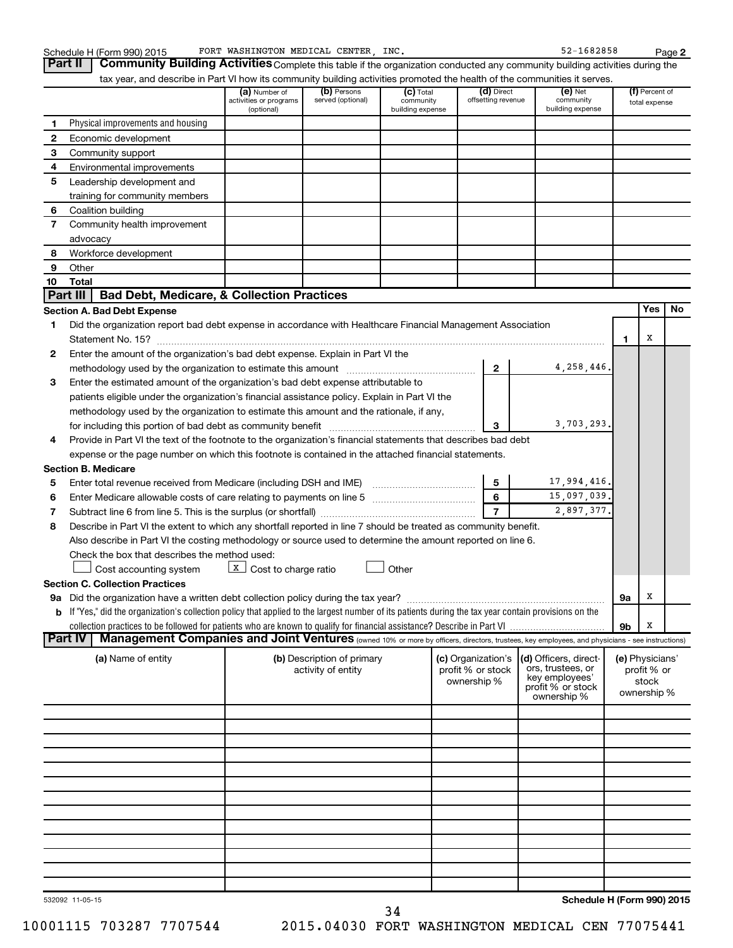|  | Schedule H (Form 990) 201 |  |  |  |  |
|--|---------------------------|--|--|--|--|
|--|---------------------------|--|--|--|--|

**Part II** | Community Building Activities Complete this table if the organization conducted any community building activities during the tax year, and describe in Part VI how its community building activities promoted the health of the communities it serves.

|    | tax year, and describe in Fart VI How its community building activities promoted the nealth of the communities it serves.                                        |                                                       |                                  |                                              |                    |                                  |                                            |    |                                 |    |
|----|------------------------------------------------------------------------------------------------------------------------------------------------------------------|-------------------------------------------------------|----------------------------------|----------------------------------------------|--------------------|----------------------------------|--------------------------------------------|----|---------------------------------|----|
|    |                                                                                                                                                                  | (a) Number of<br>activities or programs<br>(optional) | (b) Persons<br>served (optional) | $(c)$ Total<br>community<br>building expense |                    | (d) Direct<br>offsetting revenue | $(e)$ Net<br>community<br>building expense |    | (f) Percent of<br>total expense |    |
| 1  | Physical improvements and housing                                                                                                                                |                                                       |                                  |                                              |                    |                                  |                                            |    |                                 |    |
| 2  | Economic development                                                                                                                                             |                                                       |                                  |                                              |                    |                                  |                                            |    |                                 |    |
| З  | Community support                                                                                                                                                |                                                       |                                  |                                              |                    |                                  |                                            |    |                                 |    |
| 4  | Environmental improvements                                                                                                                                       |                                                       |                                  |                                              |                    |                                  |                                            |    |                                 |    |
| 5  | Leadership development and                                                                                                                                       |                                                       |                                  |                                              |                    |                                  |                                            |    |                                 |    |
|    | training for community members                                                                                                                                   |                                                       |                                  |                                              |                    |                                  |                                            |    |                                 |    |
| 6  | Coalition building                                                                                                                                               |                                                       |                                  |                                              |                    |                                  |                                            |    |                                 |    |
| 7  | Community health improvement                                                                                                                                     |                                                       |                                  |                                              |                    |                                  |                                            |    |                                 |    |
|    | advocacy                                                                                                                                                         |                                                       |                                  |                                              |                    |                                  |                                            |    |                                 |    |
| 8  | Workforce development                                                                                                                                            |                                                       |                                  |                                              |                    |                                  |                                            |    |                                 |    |
| 9  | Other                                                                                                                                                            |                                                       |                                  |                                              |                    |                                  |                                            |    |                                 |    |
| 10 | Total                                                                                                                                                            |                                                       |                                  |                                              |                    |                                  |                                            |    |                                 |    |
|    | <b>Bad Debt, Medicare, &amp; Collection Practices</b><br>Part III                                                                                                |                                                       |                                  |                                              |                    |                                  |                                            |    |                                 |    |
|    | <b>Section A. Bad Debt Expense</b>                                                                                                                               |                                                       |                                  |                                              |                    |                                  |                                            |    | Yes                             | No |
| 1  | Did the organization report bad debt expense in accordance with Healthcare Financial Management Association                                                      |                                                       |                                  |                                              |                    |                                  |                                            |    |                                 |    |
|    |                                                                                                                                                                  |                                                       |                                  |                                              |                    |                                  |                                            | 1. | X                               |    |
|    |                                                                                                                                                                  |                                                       |                                  |                                              |                    |                                  |                                            |    |                                 |    |
| 2  | Enter the amount of the organization's bad debt expense. Explain in Part VI the                                                                                  |                                                       |                                  |                                              |                    | $\overline{2}$                   | 4,258,446.                                 |    |                                 |    |
|    | methodology used by the organization to estimate this amount manufactured contains an intervent manufactured m                                                   |                                                       |                                  |                                              |                    |                                  |                                            |    |                                 |    |
| 3  | Enter the estimated amount of the organization's bad debt expense attributable to                                                                                |                                                       |                                  |                                              |                    |                                  |                                            |    |                                 |    |
|    | patients eligible under the organization's financial assistance policy. Explain in Part VI the                                                                   |                                                       |                                  |                                              |                    |                                  |                                            |    |                                 |    |
|    | methodology used by the organization to estimate this amount and the rationale, if any,                                                                          |                                                       |                                  |                                              |                    |                                  |                                            |    |                                 |    |
|    |                                                                                                                                                                  |                                                       |                                  |                                              |                    | 3                                | 3,703,293.                                 |    |                                 |    |
| 4  | Provide in Part VI the text of the footnote to the organization's financial statements that describes bad debt                                                   |                                                       |                                  |                                              |                    |                                  |                                            |    |                                 |    |
|    | expense or the page number on which this footnote is contained in the attached financial statements.                                                             |                                                       |                                  |                                              |                    |                                  |                                            |    |                                 |    |
|    | <b>Section B. Medicare</b>                                                                                                                                       |                                                       |                                  |                                              |                    |                                  |                                            |    |                                 |    |
| 5  | Enter total revenue received from Medicare (including DSH and IME)                                                                                               |                                                       |                                  |                                              |                    | 5                                | 17,994,416.                                |    |                                 |    |
| 6  | Enter Medicare allowable costs of care relating to payments on line 5 [111] [11] The Medicare allowable costs of care relating to payments on line 5             |                                                       |                                  |                                              |                    | 6                                | 15,097,039.                                |    |                                 |    |
| 7  | Subtract line 6 from line 5. This is the surplus (or shortfall)                                                                                                  |                                                       |                                  |                                              |                    | $\overline{7}$                   | 2,897,377.                                 |    |                                 |    |
| 8  | Describe in Part VI the extent to which any shortfall reported in line 7 should be treated as community benefit.                                                 |                                                       |                                  |                                              |                    |                                  |                                            |    |                                 |    |
|    | Also describe in Part VI the costing methodology or source used to determine the amount reported on line 6.                                                      |                                                       |                                  |                                              |                    |                                  |                                            |    |                                 |    |
|    | Check the box that describes the method used:                                                                                                                    |                                                       |                                  |                                              |                    |                                  |                                            |    |                                 |    |
|    | Cost accounting system                                                                                                                                           | $X$ Cost to charge ratio                              |                                  | Other                                        |                    |                                  |                                            |    |                                 |    |
|    | <b>Section C. Collection Practices</b>                                                                                                                           |                                                       |                                  |                                              |                    |                                  |                                            |    |                                 |    |
|    | 9a Did the organization have a written debt collection policy during the tax year?                                                                               |                                                       |                                  |                                              |                    |                                  |                                            | 9а | X                               |    |
|    | <b>b</b> If "Yes," did the organization's collection policy that applied to the largest number of its patients during the tax year contain provisions on the     |                                                       |                                  |                                              |                    |                                  |                                            |    |                                 |    |
|    | collection practices to be followed for patients who are known to qualify for financial assistance? Describe in Part VI                                          |                                                       |                                  |                                              |                    |                                  |                                            | 9b | X                               |    |
|    | Management Companies and Joint Ventures (owned 10% or more by officers, directors, trustees, key employees, and physicians - see instructions)<br><b>Part IV</b> |                                                       |                                  |                                              |                    |                                  |                                            |    |                                 |    |
|    | (a) Name of entity                                                                                                                                               |                                                       | (b) Description of primary       |                                              | (c) Organization's |                                  | (d) Officers, direct-                      |    | <b>(e)</b> Physicians'          |    |
|    |                                                                                                                                                                  |                                                       | activity of entity               |                                              | profit % or stock  |                                  | ors, trustees, or                          |    | profit % or                     |    |
|    |                                                                                                                                                                  |                                                       |                                  |                                              | ownership %        |                                  | key employees'<br>profit % or stock        |    | stock                           |    |
|    |                                                                                                                                                                  |                                                       |                                  |                                              |                    |                                  | ownership %                                |    | ownership %                     |    |
|    |                                                                                                                                                                  |                                                       |                                  |                                              |                    |                                  |                                            |    |                                 |    |
|    |                                                                                                                                                                  |                                                       |                                  |                                              |                    |                                  |                                            |    |                                 |    |
|    |                                                                                                                                                                  |                                                       |                                  |                                              |                    |                                  |                                            |    |                                 |    |
|    |                                                                                                                                                                  |                                                       |                                  |                                              |                    |                                  |                                            |    |                                 |    |
|    |                                                                                                                                                                  |                                                       |                                  |                                              |                    |                                  |                                            |    |                                 |    |
|    |                                                                                                                                                                  |                                                       |                                  |                                              |                    |                                  |                                            |    |                                 |    |
|    |                                                                                                                                                                  |                                                       |                                  |                                              |                    |                                  |                                            |    |                                 |    |
|    |                                                                                                                                                                  |                                                       |                                  |                                              |                    |                                  |                                            |    |                                 |    |
|    |                                                                                                                                                                  |                                                       |                                  |                                              |                    |                                  |                                            |    |                                 |    |
|    |                                                                                                                                                                  |                                                       |                                  |                                              |                    |                                  |                                            |    |                                 |    |
|    |                                                                                                                                                                  |                                                       |                                  |                                              |                    |                                  |                                            |    |                                 |    |
|    |                                                                                                                                                                  |                                                       |                                  |                                              |                    |                                  |                                            |    |                                 |    |
|    |                                                                                                                                                                  |                                                       |                                  |                                              |                    |                                  |                                            |    |                                 |    |
|    |                                                                                                                                                                  |                                                       |                                  |                                              |                    |                                  |                                            |    |                                 |    |

532092 11-05-15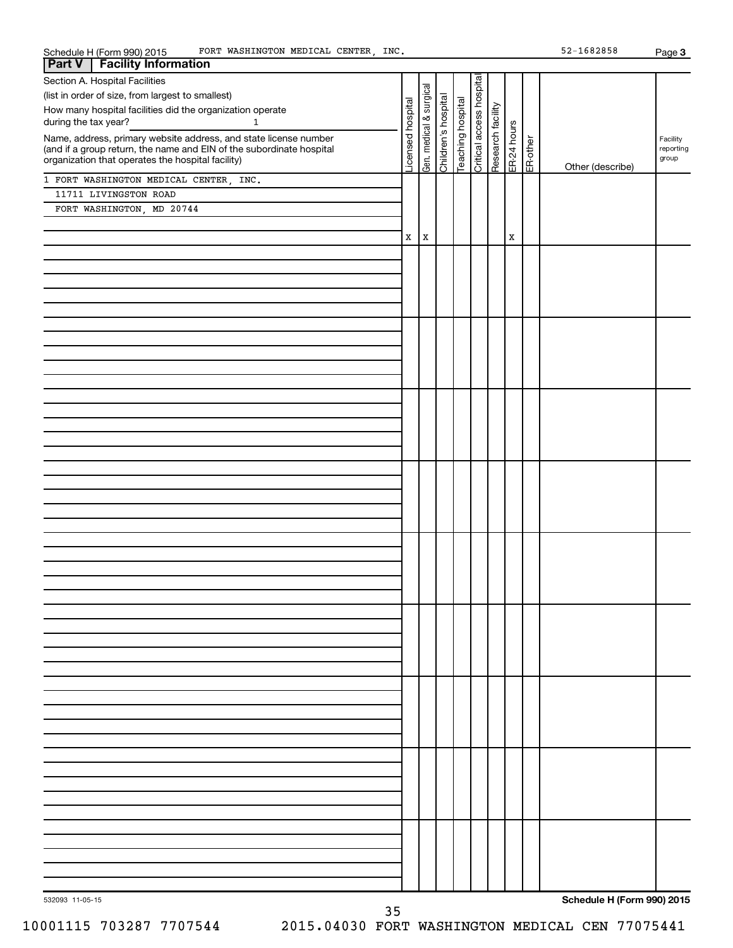| FORT WASHINGTON MEDICAL CENTER, INC.<br>Schedule H (Form 990) 2015   |                   |                         |                     |                                                                                   |  |   |          | $52 - 1682858$             | Page 3    |
|----------------------------------------------------------------------|-------------------|-------------------------|---------------------|-----------------------------------------------------------------------------------|--|---|----------|----------------------------|-----------|
| <b>Facility Information</b><br><b>Part V</b>                         |                   |                         |                     |                                                                                   |  |   |          |                            |           |
| Section A. Hospital Facilities                                       |                   |                         |                     | Teaching hospital<br>Oritical access hospital<br>Research facility<br>ER-24 hours |  |   |          |                            |           |
| (list in order of size, from largest to smallest)                    |                   | Gen. medical & surgical |                     |                                                                                   |  |   |          |                            |           |
|                                                                      |                   |                         |                     |                                                                                   |  |   |          |                            |           |
| How many hospital facilities did the organization operate            |                   |                         |                     |                                                                                   |  |   |          |                            |           |
| during the tax year?<br>1                                            | -icensed hospital |                         | Children's hospital |                                                                                   |  |   |          |                            |           |
| Name, address, primary website address, and state license number     |                   |                         |                     |                                                                                   |  |   |          |                            | Facility  |
| (and if a group return, the name and EIN of the subordinate hospital |                   |                         |                     |                                                                                   |  |   |          |                            | reporting |
| organization that operates the hospital facility)                    |                   |                         |                     |                                                                                   |  |   | ER-other | Other (describe)           | group     |
| 1 FORT WASHINGTON MEDICAL CENTER, INC.                               |                   |                         |                     |                                                                                   |  |   |          |                            |           |
|                                                                      |                   |                         |                     |                                                                                   |  |   |          |                            |           |
| 11711 LIVINGSTON ROAD                                                |                   |                         |                     |                                                                                   |  |   |          |                            |           |
| FORT WASHINGTON, MD 20744                                            |                   |                         |                     |                                                                                   |  |   |          |                            |           |
|                                                                      |                   |                         |                     |                                                                                   |  |   |          |                            |           |
|                                                                      | X                 | $\mathbf{x}$            |                     |                                                                                   |  | X |          |                            |           |
|                                                                      |                   |                         |                     |                                                                                   |  |   |          |                            |           |
|                                                                      |                   |                         |                     |                                                                                   |  |   |          |                            |           |
|                                                                      |                   |                         |                     |                                                                                   |  |   |          |                            |           |
|                                                                      |                   |                         |                     |                                                                                   |  |   |          |                            |           |
|                                                                      |                   |                         |                     |                                                                                   |  |   |          |                            |           |
|                                                                      |                   |                         |                     |                                                                                   |  |   |          |                            |           |
|                                                                      |                   |                         |                     |                                                                                   |  |   |          |                            |           |
|                                                                      |                   |                         |                     |                                                                                   |  |   |          |                            |           |
|                                                                      |                   |                         |                     |                                                                                   |  |   |          |                            |           |
|                                                                      |                   |                         |                     |                                                                                   |  |   |          |                            |           |
|                                                                      |                   |                         |                     |                                                                                   |  |   |          |                            |           |
|                                                                      |                   |                         |                     |                                                                                   |  |   |          |                            |           |
|                                                                      |                   |                         |                     |                                                                                   |  |   |          |                            |           |
|                                                                      |                   |                         |                     |                                                                                   |  |   |          |                            |           |
|                                                                      |                   |                         |                     |                                                                                   |  |   |          |                            |           |
|                                                                      |                   |                         |                     |                                                                                   |  |   |          |                            |           |
|                                                                      |                   |                         |                     |                                                                                   |  |   |          |                            |           |
|                                                                      |                   |                         |                     |                                                                                   |  |   |          |                            |           |
|                                                                      |                   |                         |                     |                                                                                   |  |   |          |                            |           |
|                                                                      |                   |                         |                     |                                                                                   |  |   |          |                            |           |
|                                                                      |                   |                         |                     |                                                                                   |  |   |          |                            |           |
|                                                                      |                   |                         |                     |                                                                                   |  |   |          |                            |           |
|                                                                      |                   |                         |                     |                                                                                   |  |   |          |                            |           |
|                                                                      |                   |                         |                     |                                                                                   |  |   |          |                            |           |
|                                                                      |                   |                         |                     |                                                                                   |  |   |          |                            |           |
|                                                                      |                   |                         |                     |                                                                                   |  |   |          |                            |           |
|                                                                      |                   |                         |                     |                                                                                   |  |   |          |                            |           |
|                                                                      |                   |                         |                     |                                                                                   |  |   |          |                            |           |
|                                                                      |                   |                         |                     |                                                                                   |  |   |          |                            |           |
|                                                                      |                   |                         |                     |                                                                                   |  |   |          |                            |           |
|                                                                      |                   |                         |                     |                                                                                   |  |   |          |                            |           |
|                                                                      |                   |                         |                     |                                                                                   |  |   |          |                            |           |
|                                                                      |                   |                         |                     |                                                                                   |  |   |          |                            |           |
|                                                                      |                   |                         |                     |                                                                                   |  |   |          |                            |           |
|                                                                      |                   |                         |                     |                                                                                   |  |   |          |                            |           |
|                                                                      |                   |                         |                     |                                                                                   |  |   |          |                            |           |
|                                                                      |                   |                         |                     |                                                                                   |  |   |          |                            |           |
|                                                                      |                   |                         |                     |                                                                                   |  |   |          |                            |           |
|                                                                      |                   |                         |                     |                                                                                   |  |   |          |                            |           |
|                                                                      |                   |                         |                     |                                                                                   |  |   |          |                            |           |
|                                                                      |                   |                         |                     |                                                                                   |  |   |          |                            |           |
|                                                                      |                   |                         |                     |                                                                                   |  |   |          |                            |           |
|                                                                      |                   |                         |                     |                                                                                   |  |   |          |                            |           |
|                                                                      |                   |                         |                     |                                                                                   |  |   |          |                            |           |
|                                                                      |                   |                         |                     |                                                                                   |  |   |          |                            |           |
|                                                                      |                   |                         |                     |                                                                                   |  |   |          |                            |           |
|                                                                      |                   |                         |                     |                                                                                   |  |   |          |                            |           |
|                                                                      |                   |                         |                     |                                                                                   |  |   |          |                            |           |
|                                                                      |                   |                         |                     |                                                                                   |  |   |          |                            |           |
|                                                                      |                   |                         |                     |                                                                                   |  |   |          |                            |           |
|                                                                      |                   |                         |                     |                                                                                   |  |   |          |                            |           |
|                                                                      |                   |                         |                     |                                                                                   |  |   |          |                            |           |
|                                                                      |                   |                         |                     |                                                                                   |  |   |          |                            |           |
|                                                                      |                   |                         |                     |                                                                                   |  |   |          |                            |           |
| 532093 11-05-15                                                      |                   |                         |                     |                                                                                   |  |   |          | Schedule H (Form 990) 2015 |           |
| 35                                                                   |                   |                         |                     |                                                                                   |  |   |          |                            |           |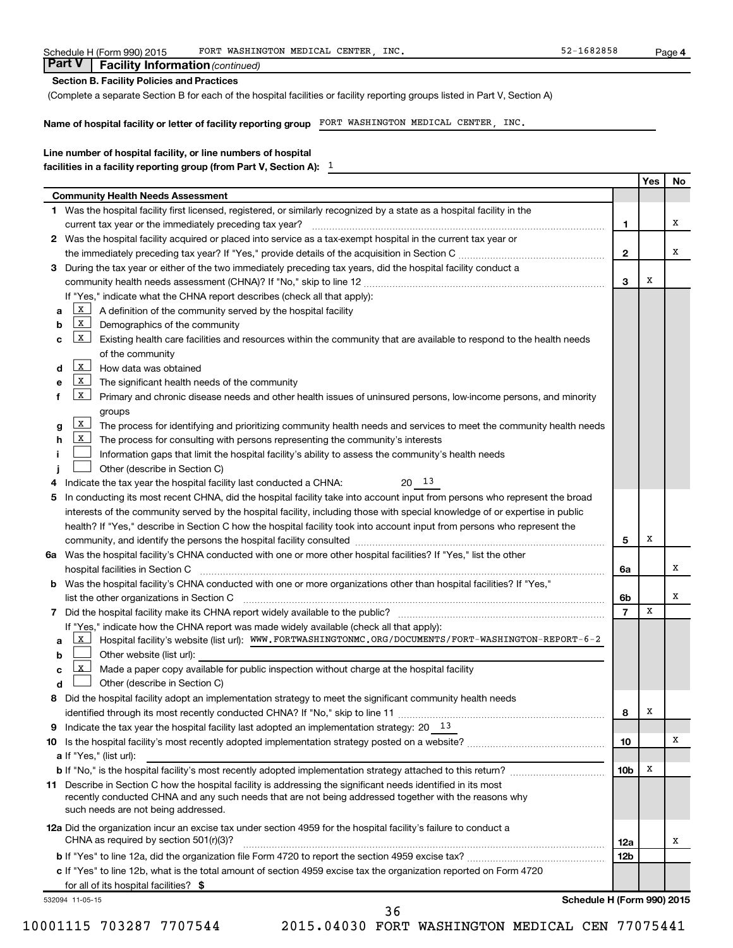# **Part V** | Facility Information (continued)

#### **Section B. Facility Policies and Practices**

(Complete a separate Section B for each of the hospital facilities or facility reporting groups listed in Part V, Section A)

**Name of hospital facility or letter of facility reporting group** FORT WASHINGTON MEDICAL CENTER, INC.

# **Line number of hospital facility, or line numbers of hospital**

**facilities in a facility reporting group (from Part V, Section A):** 1

|                                                                                                                 |                                                                                                                                             |                 | Yes | No |  |
|-----------------------------------------------------------------------------------------------------------------|---------------------------------------------------------------------------------------------------------------------------------------------|-----------------|-----|----|--|
|                                                                                                                 | <b>Community Health Needs Assessment</b>                                                                                                    |                 |     |    |  |
|                                                                                                                 | 1 Was the hospital facility first licensed, registered, or similarly recognized by a state as a hospital facility in the                    |                 |     |    |  |
| current tax year or the immediately preceding tax year?                                                         |                                                                                                                                             |                 |     |    |  |
| 2 Was the hospital facility acquired or placed into service as a tax-exempt hospital in the current tax year or |                                                                                                                                             |                 |     |    |  |
|                                                                                                                 |                                                                                                                                             | $\mathbf{2}$    |     | х  |  |
| з                                                                                                               | During the tax year or either of the two immediately preceding tax years, did the hospital facility conduct a                               |                 |     |    |  |
|                                                                                                                 |                                                                                                                                             | 3               | Х   |    |  |
|                                                                                                                 | If "Yes," indicate what the CHNA report describes (check all that apply):                                                                   |                 |     |    |  |
| а                                                                                                               | $\mathbf{X}$<br>A definition of the community served by the hospital facility                                                               |                 |     |    |  |
| b                                                                                                               | $\mathbf{X}$<br>Demographics of the community                                                                                               |                 |     |    |  |
| с                                                                                                               | $\lfloor x \rfloor$<br>Existing health care facilities and resources within the community that are available to respond to the health needs |                 |     |    |  |
|                                                                                                                 | of the community                                                                                                                            |                 |     |    |  |
| d                                                                                                               | $\mathbf{x}$<br>How data was obtained                                                                                                       |                 |     |    |  |
| е                                                                                                               | $\mathbf{X}$<br>The significant health needs of the community                                                                               |                 |     |    |  |
| f                                                                                                               | $\mathbf{X}$<br>Primary and chronic disease needs and other health issues of uninsured persons, low-income persons, and minority            |                 |     |    |  |
|                                                                                                                 | groups                                                                                                                                      |                 |     |    |  |
|                                                                                                                 | $\mathbf{x}$<br>The process for identifying and prioritizing community health needs and services to meet the community health needs         |                 |     |    |  |
| g<br>h                                                                                                          | $\mathbf{X}$<br>The process for consulting with persons representing the community's interests                                              |                 |     |    |  |
|                                                                                                                 |                                                                                                                                             |                 |     |    |  |
|                                                                                                                 | Information gaps that limit the hospital facility's ability to assess the community's health needs                                          |                 |     |    |  |
|                                                                                                                 | Other (describe in Section C)                                                                                                               |                 |     |    |  |
|                                                                                                                 | 20 13<br>Indicate the tax year the hospital facility last conducted a CHNA:                                                                 |                 |     |    |  |
| 5                                                                                                               | In conducting its most recent CHNA, did the hospital facility take into account input from persons who represent the broad                  |                 |     |    |  |
|                                                                                                                 | interests of the community served by the hospital facility, including those with special knowledge of or expertise in public                |                 |     |    |  |
|                                                                                                                 | health? If "Yes," describe in Section C how the hospital facility took into account input from persons who represent the                    |                 |     |    |  |
|                                                                                                                 |                                                                                                                                             | 5               | х   |    |  |
|                                                                                                                 | 6a Was the hospital facility's CHNA conducted with one or more other hospital facilities? If "Yes," list the other                          |                 |     |    |  |
|                                                                                                                 | hospital facilities in Section C                                                                                                            | 6a              |     | х  |  |
| b                                                                                                               | Was the hospital facility's CHNA conducted with one or more organizations other than hospital facilities? If "Yes,"                         |                 |     |    |  |
|                                                                                                                 | list the other organizations in Section C                                                                                                   | 6b              |     | х  |  |
| 7                                                                                                               |                                                                                                                                             | $\overline{7}$  | х   |    |  |
|                                                                                                                 | If "Yes," indicate how the CHNA report was made widely available (check all that apply):                                                    |                 |     |    |  |
| a                                                                                                               | <u>x  </u><br>Hospital facility's website (list url): WWW.FORTWASHINGTONMC.ORG/DOCUMENTS/FORT-WASHINGTON-REPORT-6-2                         |                 |     |    |  |
| b                                                                                                               | Other website (list url):                                                                                                                   |                 |     |    |  |
| c                                                                                                               | $\lfloor x \rfloor$<br>Made a paper copy available for public inspection without charge at the hospital facility                            |                 |     |    |  |
| d                                                                                                               | Other (describe in Section C)                                                                                                               |                 |     |    |  |
|                                                                                                                 | 8 Did the hospital facility adopt an implementation strategy to meet the significant community health needs                                 |                 |     |    |  |
|                                                                                                                 | identified through its most recently conducted CHNA? If "No," skip to line 11                                                               | 8               | х   |    |  |
|                                                                                                                 | <b>9</b> Indicate the tax year the hospital facility last adopted an implementation strategy: $20 \quad 13$                                 |                 |     |    |  |
|                                                                                                                 |                                                                                                                                             | 10              |     | х  |  |
|                                                                                                                 | <b>a</b> If "Yes," (list url):                                                                                                              |                 |     |    |  |
|                                                                                                                 |                                                                                                                                             | 10 <sub>b</sub> | Х   |    |  |
|                                                                                                                 | 11 Describe in Section C how the hospital facility is addressing the significant needs identified in its most                               |                 |     |    |  |
|                                                                                                                 | recently conducted CHNA and any such needs that are not being addressed together with the reasons why                                       |                 |     |    |  |
|                                                                                                                 | such needs are not being addressed.                                                                                                         |                 |     |    |  |
|                                                                                                                 | 12a Did the organization incur an excise tax under section 4959 for the hospital facility's failure to conduct a                            |                 |     |    |  |
|                                                                                                                 | CHNA as required by section $501(r)(3)?$                                                                                                    | 12a             |     | х  |  |
|                                                                                                                 |                                                                                                                                             | 12b             |     |    |  |
|                                                                                                                 | c If "Yes" to line 12b, what is the total amount of section 4959 excise tax the organization reported on Form 4720                          |                 |     |    |  |
|                                                                                                                 | for all of its hospital facilities? \$                                                                                                      |                 |     |    |  |
|                                                                                                                 | Schedule H (Form 990) 2015<br>532094 11-05-15                                                                                               |                 |     |    |  |

36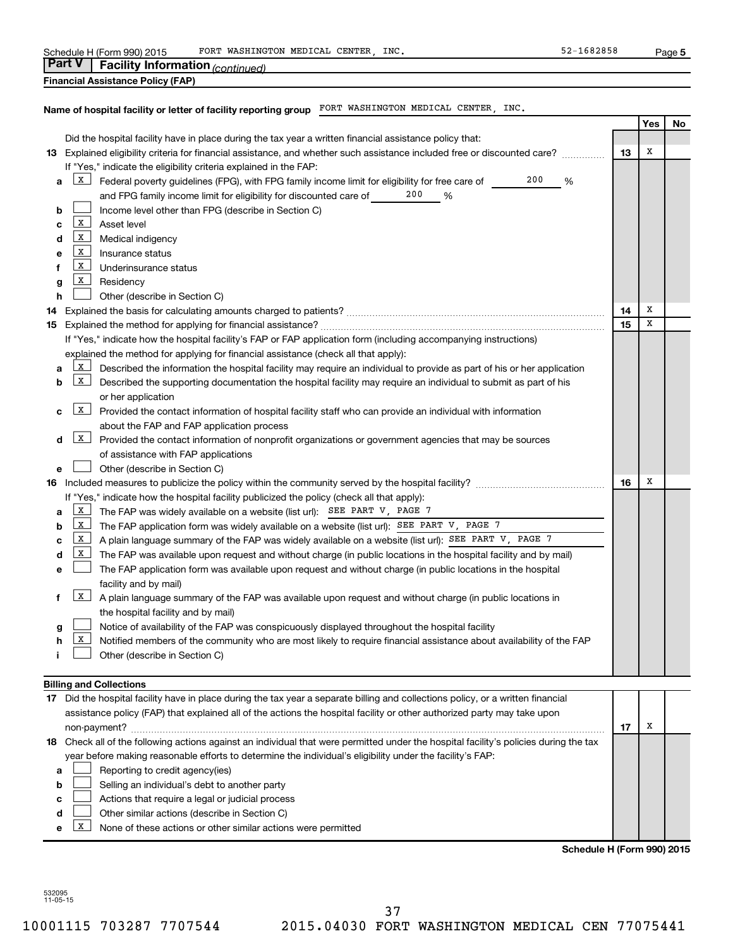| chedule H (Form 990) 2015 | FORT WASHINGTON MEDICAL CENTER INC |  |  |
|---------------------------|------------------------------------|--|--|
|                           |                                    |  |  |

| FORT WASHINGTON MEDICAL CENTER . INC.<br>Schedule H (Form 990) 2015                                                                              | 52-1682858 |     | Page 5 |
|--------------------------------------------------------------------------------------------------------------------------------------------------|------------|-----|--------|
| <b>Part V</b><br>Facility Information (continued)                                                                                                |            |     |        |
| <b>Financial Assistance Policy (FAP)</b>                                                                                                         |            |     |        |
|                                                                                                                                                  |            |     |        |
| Name of hospital facility or letter of facility reporting group FORT WASHINGTON MEDICAL CENTER, INC.                                             |            |     |        |
|                                                                                                                                                  |            | Yes | No     |
| Did the hospital facility have in place during the tax year a written financial assistance policy that:                                          |            |     |        |
| 13 Explained eligibility criteria for financial assistance, and whether such assistance included free or discounted care?                        | 13         | Х   |        |
| If "Yes," indicate the eligibility criteria explained in the FAP:                                                                                |            |     |        |
| $\lfloor x \rfloor$ Federal poverty guidelines (FPG), with FPG family income limit for eligibility for free care of $\hspace{0.1cm}$<br>200<br>a | %          |     |        |
| 200<br>and FPG family income limit for eligibility for discounted care of<br>%                                                                   |            |     |        |
| Income level other than FPG (describe in Section C)<br>b                                                                                         |            |     |        |
| X<br>Asset level<br>с                                                                                                                            |            |     |        |
| X<br>Medical indigency<br>d                                                                                                                      |            |     |        |
| X<br>Insurance status<br>е                                                                                                                       |            |     |        |
| X<br>Underinsurance status                                                                                                                       |            |     |        |
| X<br>Residency<br>g                                                                                                                              |            |     |        |
| Other (describe in Section C)<br>h                                                                                                               |            |     |        |
| 14                                                                                                                                               | 14         | х   |        |
| 15                                                                                                                                               | 15         | х   |        |
| If "Yes," indicate how the hospital facility's FAP or FAP application form (including accompanying instructions)                                 |            |     |        |
| explained the method for applying for financial assistance (check all that apply):                                                               |            |     |        |
| Described the information the hospital facility may require an individual to provide as part of his or her application<br>a                      |            |     |        |
| X  <br>Described the supporting documentation the hospital facility may require an individual to submit as part of his<br>b                      |            |     |        |
| or her application                                                                                                                               |            |     |        |
| $\boxed{\text{x}}$ Provided the contact information of hospital facility staff who can provide an individual with information<br>с               |            |     |        |
| about the FAP and FAP application process                                                                                                        |            |     |        |
| $\mathbf{X}$<br>Provided the contact information of nonprofit organizations or government agencies that may be sources<br>d                      |            |     |        |
| of assistance with FAP applications                                                                                                              |            |     |        |
| Other (describe in Section C)<br>е                                                                                                               |            |     |        |
| 16                                                                                                                                               | 16         | х   |        |
| If "Yes," indicate how the hospital facility publicized the policy (check all that apply):                                                       |            |     |        |
| X<br>The FAP was widely available on a website (list url): SEE PART V, PAGE 7<br>a                                                               |            |     |        |
| The FAP application form was widely available on a website (list url): SEE PART V, PAGE 7<br>X<br>b                                              |            |     |        |
| X<br>A plain language summary of the FAP was widely available on a website (list url): SEE PART V, PAGE 7<br>с                                   |            |     |        |
| X<br>The FAP was available upon request and without charge (in public locations in the hospital facility and by mail)<br>d                       |            |     |        |
| The FAP application form was available upon request and without charge (in public locations in the hospital<br>е                                 |            |     |        |
| facility and by mail)                                                                                                                            |            |     |        |
| $\mathbf{X}$<br>A plain language summary of the FAP was available upon request and without charge (in public locations in<br>f                   |            |     |        |
| the hospital facility and by mail)                                                                                                               |            |     |        |
| Notice of availability of the FAP was conspicuously displayed throughout the hospital facility<br>g                                              |            |     |        |
| X<br>Notified members of the community who are most likely to require financial assistance about availability of the FAP<br>h                    |            |     |        |
| Other (describe in Section C)                                                                                                                    |            |     |        |
|                                                                                                                                                  |            |     |        |
| <b>Billing and Collections</b>                                                                                                                   |            |     |        |
| 17 Did the hospital facility have in place during the tax year a separate billing and collections policy, or a written financial                 |            |     |        |
| assistance policy (FAP) that explained all of the actions the hospital facility or other authorized party may take upon                          |            |     |        |
|                                                                                                                                                  | 17         | х   |        |
| 18 Check all of the following actions against an individual that were permitted under the hospital facility's policies during the tax            |            |     |        |
| year before making reasonable efforts to determine the individual's eligibility under the facility's FAP:                                        |            |     |        |
| Reporting to credit agency(ies)<br>a                                                                                                             |            |     |        |

**b** Selling an individual's debt to another party  $\Box$ 

- **c d** Actions that require a legal or judicial process  $\Box$
- Other similar actions (describe in Section C)  $\Box$
- **e**  $\boxed{\text{X}}$  None of these actions or other similar actions were permitted

**Schedule H (Form 990) 2015**

532095 11-05-15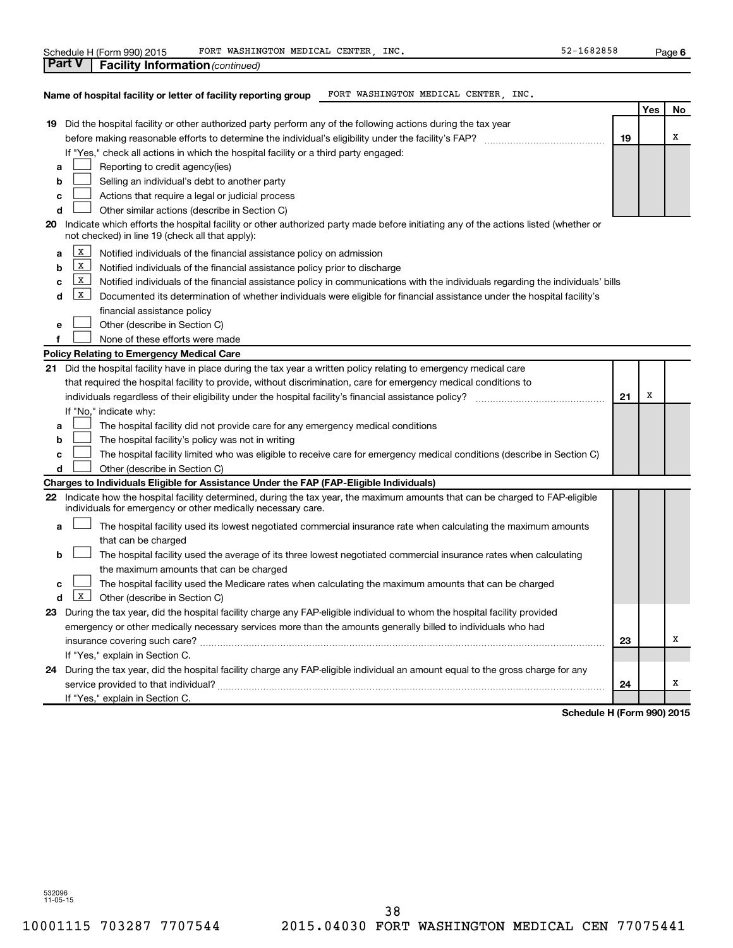| Schedule H | .4 (Form 990) 2015 |  | FORT WASHINGTON | MEDICAL <sup>.</sup> | <b>CENTER</b> | INC. | L 0 0 Z 0 J 0 | Page |  |
|------------|--------------------|--|-----------------|----------------------|---------------|------|---------------|------|--|
|------------|--------------------|--|-----------------|----------------------|---------------|------|---------------|------|--|

| <b>Part V</b><br><b>Facility Information (continued)</b>                                                                                                                                       |    |     |    |
|------------------------------------------------------------------------------------------------------------------------------------------------------------------------------------------------|----|-----|----|
| FORT WASHINGTON MEDICAL CENTER, INC.<br>Name of hospital facility or letter of facility reporting group                                                                                        |    |     |    |
|                                                                                                                                                                                                |    | Yes | No |
| Did the hospital facility or other authorized party perform any of the following actions during the tax year<br>19                                                                             |    |     |    |
|                                                                                                                                                                                                | 19 |     | Χ  |
| If "Yes," check all actions in which the hospital facility or a third party engaged:                                                                                                           |    |     |    |
| Reporting to credit agency(ies)<br>а                                                                                                                                                           |    |     |    |
| Selling an individual's debt to another party<br>b                                                                                                                                             |    |     |    |
| Actions that require a legal or judicial process<br>с                                                                                                                                          |    |     |    |
| Other similar actions (describe in Section C)<br>d                                                                                                                                             |    |     |    |
| Indicate which efforts the hospital facility or other authorized party made before initiating any of the actions listed (whether or<br>20<br>not checked) in line 19 (check all that apply):   |    |     |    |
| x<br>Notified individuals of the financial assistance policy on admission<br>а                                                                                                                 |    |     |    |
| X<br>Notified individuals of the financial assistance policy prior to discharge<br>b                                                                                                           |    |     |    |
| X  <br>Notified individuals of the financial assistance policy in communications with the individuals regarding the individuals' bills<br>с                                                    |    |     |    |
| X<br>Documented its determination of whether individuals were eligible for financial assistance under the hospital facility's<br>d                                                             |    |     |    |
| financial assistance policy                                                                                                                                                                    |    |     |    |
| Other (describe in Section C)<br>е                                                                                                                                                             |    |     |    |
| f<br>None of these efforts were made                                                                                                                                                           |    |     |    |
| <b>Policy Relating to Emergency Medical Care</b>                                                                                                                                               |    |     |    |
| 21 Did the hospital facility have in place during the tax year a written policy relating to emergency medical care                                                                             |    |     |    |
| that required the hospital facility to provide, without discrimination, care for emergency medical conditions to                                                                               |    |     |    |
|                                                                                                                                                                                                | 21 | х   |    |
| If "No," indicate why:                                                                                                                                                                         |    |     |    |
| The hospital facility did not provide care for any emergency medical conditions<br>а                                                                                                           |    |     |    |
| The hospital facility's policy was not in writing<br>b                                                                                                                                         |    |     |    |
| The hospital facility limited who was eligible to receive care for emergency medical conditions (describe in Section C)<br>с                                                                   |    |     |    |
| Other (describe in Section C)<br>d                                                                                                                                                             |    |     |    |
| Charges to Individuals Eligible for Assistance Under the FAP (FAP-Eligible Individuals)                                                                                                        |    |     |    |
| 22 Indicate how the hospital facility determined, during the tax year, the maximum amounts that can be charged to FAP-eligible<br>individuals for emergency or other medically necessary care. |    |     |    |
| The hospital facility used its lowest negotiated commercial insurance rate when calculating the maximum amounts<br>а                                                                           |    |     |    |
| that can be charged                                                                                                                                                                            |    |     |    |
| The hospital facility used the average of its three lowest negotiated commercial insurance rates when calculating<br>$\mathbf b$                                                               |    |     |    |
| the maximum amounts that can be charged                                                                                                                                                        |    |     |    |
| The hospital facility used the Medicare rates when calculating the maximum amounts that can be charged<br>с                                                                                    |    |     |    |
| $\boxed{\textbf{X}}$ Other (describe in Section C)<br>d                                                                                                                                        |    |     |    |
| 23 During the tax year, did the hospital facility charge any FAP-eligible individual to whom the hospital facility provided                                                                    |    |     |    |
| emergency or other medically necessary services more than the amounts generally billed to individuals who had                                                                                  |    |     |    |
|                                                                                                                                                                                                | 23 |     | х  |
| If "Yes," explain in Section C.                                                                                                                                                                |    |     |    |
| 24 During the tax year, did the hospital facility charge any FAP-eligible individual an amount equal to the gross charge for any                                                               |    |     |    |
|                                                                                                                                                                                                | 24 |     | х  |
| If "Yes," explain in Section C.                                                                                                                                                                |    |     |    |
|                                                                                                                                                                                                |    |     |    |

**Schedule H (Form 990) 2015**

532096 11-05-15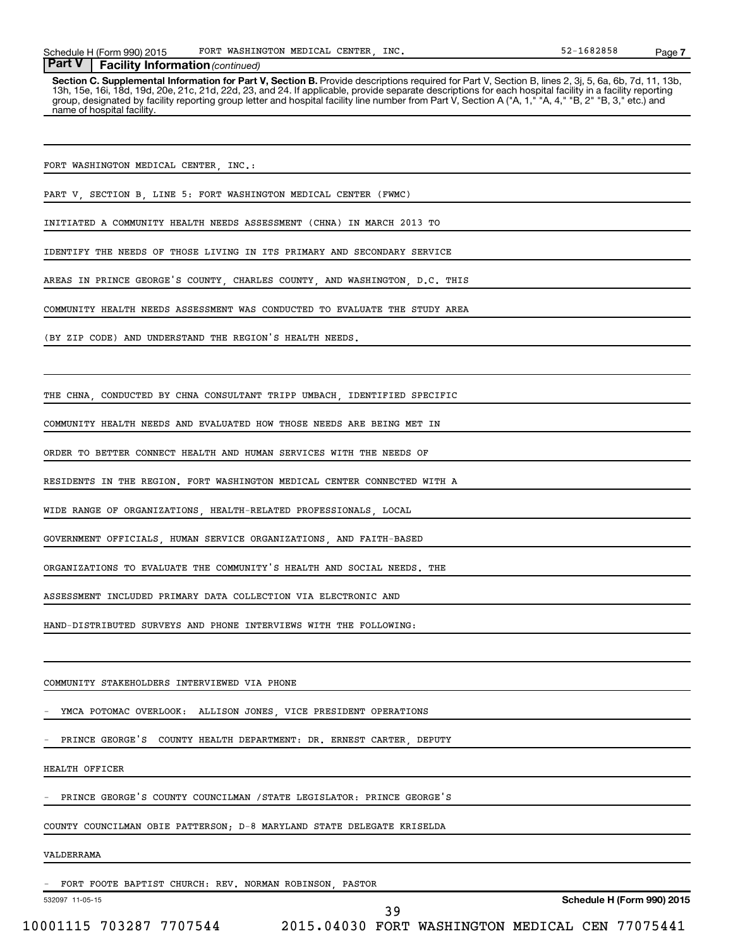Schedule H (Form 990) 2015 FORT WASHINGTON MEDICAL CENTER, INC. Same state of the S2-1682858 Page

**7**

# **Part V** | Facility Information (continued)

Section C. Supplemental Information for Part V, Section B. Provide descriptions required for Part V, Section B, lines 2, 3j, 5, 6a, 6b, 7d, 11, 13b, 13h, 15e, 16i, 18d, 19d, 20e, 21c, 21d, 22d, 23, and 24. If applicable, provide separate descriptions for each hospital facility in a facility reporting group, designated by facility reporting group letter and hospital facility line number from Part V, Section A ("A, 1," "A, 4," "B, 2" "B, 3," etc.) and name of hospital facility.

FORT WASHINGTON MEDICAL CENTER, INC.:

PART V SECTION B LINE 5: FORT WASHINGTON MEDICAL CENTER (FWMC)

INITIATED A COMMUNITY HEALTH NEEDS ASSESSMENT (CHNA) IN MARCH 2013 TO

IDENTIFY THE NEEDS OF THOSE LIVING IN ITS PRIMARY AND SECONDARY SERVICE

AREAS IN PRINCE GEORGE'S COUNTY, CHARLES COUNTY, AND WASHINGTON, D.C. THIS

COMMUNITY HEALTH NEEDS ASSESSMENT WAS CONDUCTED TO EVALUATE THE STUDY AREA

(BY ZIP CODE) AND UNDERSTAND THE REGION'S HEALTH NEEDS.

THE CHNA, CONDUCTED BY CHNA CONSULTANT TRIPP UMBACH, IDENTIFIED SPECIFIC

COMMUNITY HEALTH NEEDS AND EVALUATED HOW THOSE NEEDS ARE BEING MET IN

ORDER TO BETTER CONNECT HEALTH AND HUMAN SERVICES WITH THE NEEDS OF

RESIDENTS IN THE REGION. FORT WASHINGTON MEDICAL CENTER CONNECTED WITH A

WIDE RANGE OF ORGANIZATIONS, HEALTH-RELATED PROFESSIONALS, LOCAL

GOVERNMENT OFFICIALS, HUMAN SERVICE ORGANIZATIONS, AND FAITH-BASED

ORGANIZATIONS TO EVALUATE THE COMMUNITY'S HEALTH AND SOCIAL NEEDS. THE

ASSESSMENT INCLUDED PRIMARY DATA COLLECTION VIA ELECTRONIC AND

HAND-DISTRIBUTED SURVEYS AND PHONE INTERVIEWS WITH THE FOLLOWING:

COMMUNITY STAKEHOLDERS INTERVIEWED VIA PHONE

YMCA POTOMAC OVERLOOK: ALLISON JONES, VICE PRESIDENT OPERATIONS

PRINCE GEORGE'S COUNTY HEALTH DEPARTMENT: DR. ERNEST CARTER DEPUTY

HEALTH OFFICER

- PRINCE GEORGE'S COUNTY COUNCILMAN /STATE LEGISLATOR: PRINCE GEORGE'S

COUNTY COUNCILMAN OBIE PATTERSON; D-8 MARYLAND STATE DELEGATE KRISELDA

#### VALDERRAMA

FORT FOOTE BAPTIST CHURCH: REV. NORMAN ROBINSON, PASTOR

532097 11-05-15

10001115 703287 7707544 2015.04030 FORT WASHINGTON MEDICAL CEN 77075441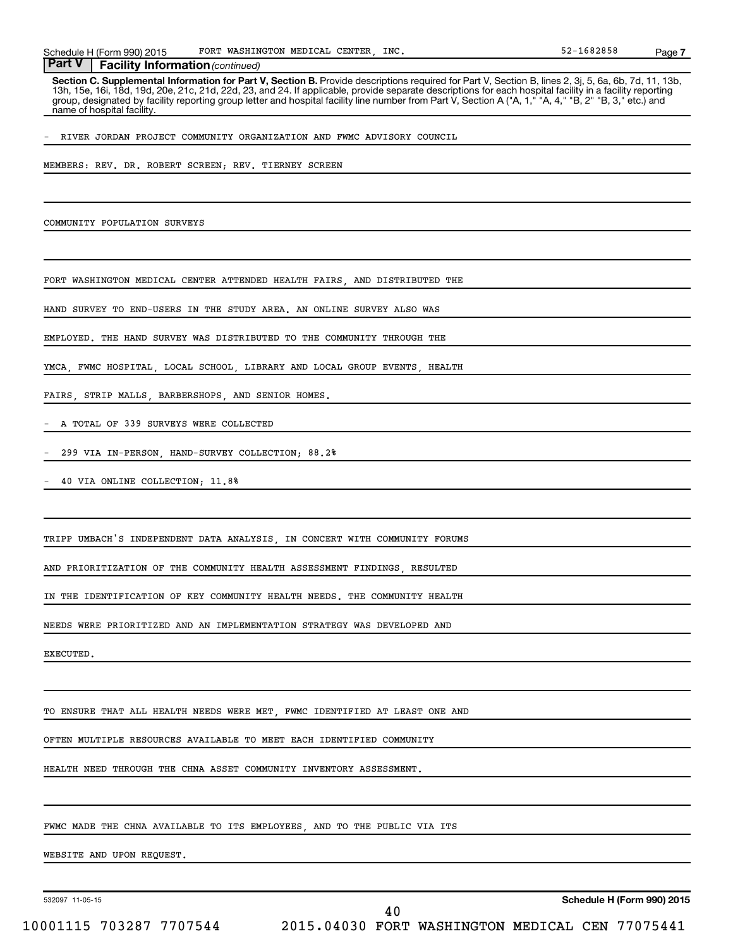**Part V** | Facility Information (continued)

Schedule H (Form 990) 2015 FORT WASHINGTON MEDICAL CENTER, INC. Same state of the S2-1682858 Page

**7**

# Section C. Supplemental Information for Part V, Section B. Provide descriptions required for Part V, Section B, lines 2, 3j, 5, 6a, 6b, 7d, 11, 13b, 13h, 15e, 16i, 18d, 19d, 20e, 21c, 21d, 22d, 23, and 24. If applicable, provide separate descriptions for each hospital facility in a facility reporting group, designated by facility reporting group letter and hospital facility line number from Part V, Section A ("A, 1," "A, 4," "B, 2" "B, 3," etc.) and name of hospital facility. - RIVER JORDAN PROJECT COMMUNITY ORGANIZATION AND FWMC ADVISORY COUNCIL MEMBERS: REV. DR. ROBERT SCREEN; REV. TIERNEY SCREEN COMMUNITY POPULATION SURVEYS FORT WASHINGTON MEDICAL CENTER ATTENDED HEALTH FAIRS, AND DISTRIBUTED THE

HAND SURVEY TO END-USERS IN THE STUDY AREA. AN ONLINE SURVEY ALSO WAS

EMPLOYED. THE HAND SURVEY WAS DISTRIBUTED TO THE COMMUNITY THROUGH THE

YMCA, FWMC HOSPITAL, LOCAL SCHOOL, LIBRARY AND LOCAL GROUP EVENTS, HEALTH

FAIRS, STRIP MALLS, BARBERSHOPS, AND SENIOR HOMES.

A TOTAL OF 339 SURVEYS WERE COLLECTED

- 299 VIA IN-PERSON, HAND-SURVEY COLLECTION; 88.2%

40 VIA ONLINE COLLECTION; 11.8%

TRIPP UMBACH'S INDEPENDENT DATA ANALYSIS, IN CONCERT WITH COMMUNITY FORUMS

AND PRIORITIZATION OF THE COMMUNITY HEALTH ASSESSMENT FINDINGS, RESULTED

IN THE IDENTIFICATION OF KEY COMMUNITY HEALTH NEEDS. THE COMMUNITY HEALTH

NEEDS WERE PRIORITIZED AND AN IMPLEMENTATION STRATEGY WAS DEVELOPED AND

EXECUTED.

TO ENSURE THAT ALL HEALTH NEEDS WERE MET, FWMC IDENTIFIED AT LEAST ONE AND

OFTEN MULTIPLE RESOURCES AVAILABLE TO MEET EACH IDENTIFIED COMMUNITY

HEALTH NEED THROUGH THE CHNA ASSET COMMUNITY INVENTORY ASSESSMENT.

FWMC MADE THE CHNA AVAILABLE TO ITS EMPLOYEES, AND TO THE PUBLIC VIA ITS

WEBSITE AND UPON REQUEST.

532097 11-05-15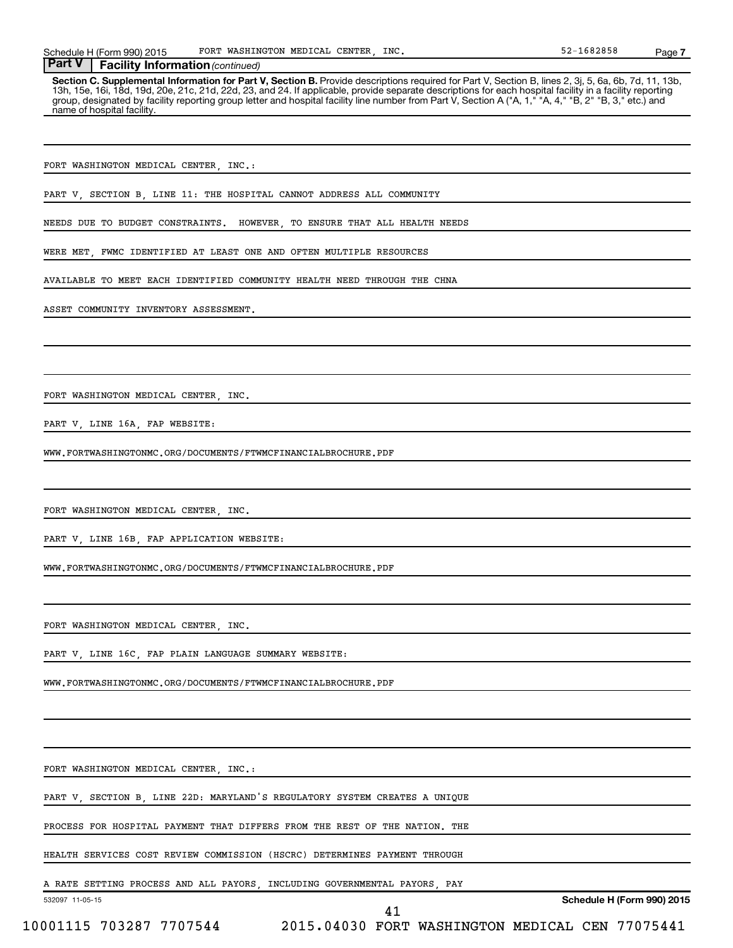Schedule H (Form 990) 2015 FORT WASHINGTON MEDICAL CENTER, INC. Same state of the S2-1682858 Page

# **Part V** | Facility Information (continued)

Section C. Supplemental Information for Part V, Section B. Provide descriptions required for Part V, Section B, lines 2, 3j, 5, 6a, 6b, 7d, 11, 13b, 13h, 15e, 16i, 18d, 19d, 20e, 21c, 21d, 22d, 23, and 24. If applicable, provide separate descriptions for each hospital facility in a facility reporting group, designated by facility reporting group letter and hospital facility line number from Part V, Section A ("A, 1," "A, 4," "B, 2" "B, 3," etc.) and name of hospital facility.

FORT WASHINGTON MEDICAL CENTER, INC.:

PART V, SECTION B, LINE 11: THE HOSPITAL CANNOT ADDRESS ALL COMMUNITY

NEEDS DUE TO BUDGET CONSTRAINTS. HOWEVER, TO ENSURE THAT ALL HEALTH NEEDS

WERE MET, FWMC IDENTIFIED AT LEAST ONE AND OFTEN MULTIPLE RESOURCES

AVAILABLE TO MEET EACH IDENTIFIED COMMUNITY HEALTH NEED THROUGH THE CHNA

#### ASSET COMMUNITY INVENTORY ASSESSMENT.

FORT WASHINGTON MEDICAL CENTER, INC.

PART V, LINE 16A, FAP WEBSITE:

WWW.FORTWASHINGTONMC.ORG/DOCUMENTS/FTWMCFINANCIALBROCHURE.PDF

FORT WASHINGTON MEDICAL CENTER INC.

PART V, LINE 16B, FAP APPLICATION WEBSITE:

WWW.FORTWASHINGTONMC.ORG/DOCUMENTS/FTWMCFINANCIALBROCHURE.PDF

FORT WASHINGTON MEDICAL CENTER, INC.

PART V, LINE 16C, FAP PLAIN LANGUAGE SUMMARY WEBSITE:

WWW.FORTWASHINGTONMC.ORG/DOCUMENTS/FTWMCFINANCIALBROCHURE.PDF

FORT WASHINGTON MEDICAL CENTER INC.:

PART V, SECTION B, LINE 22D: MARYLAND'S REGULATORY SYSTEM CREATES A UNIQUE

PROCESS FOR HOSPITAL PAYMENT THAT DIFFERS FROM THE REST OF THE NATION. THE

HEALTH SERVICES COST REVIEW COMMISSION (HSCRC) DETERMINES PAYMENT THROUGH

A RATE SETTING PROCESS AND ALL PAYORS, INCLUDING GOVERNMENTAL PAYORS, PAY

532097 11-05-15

41

**Schedule H (Form 990) 2015**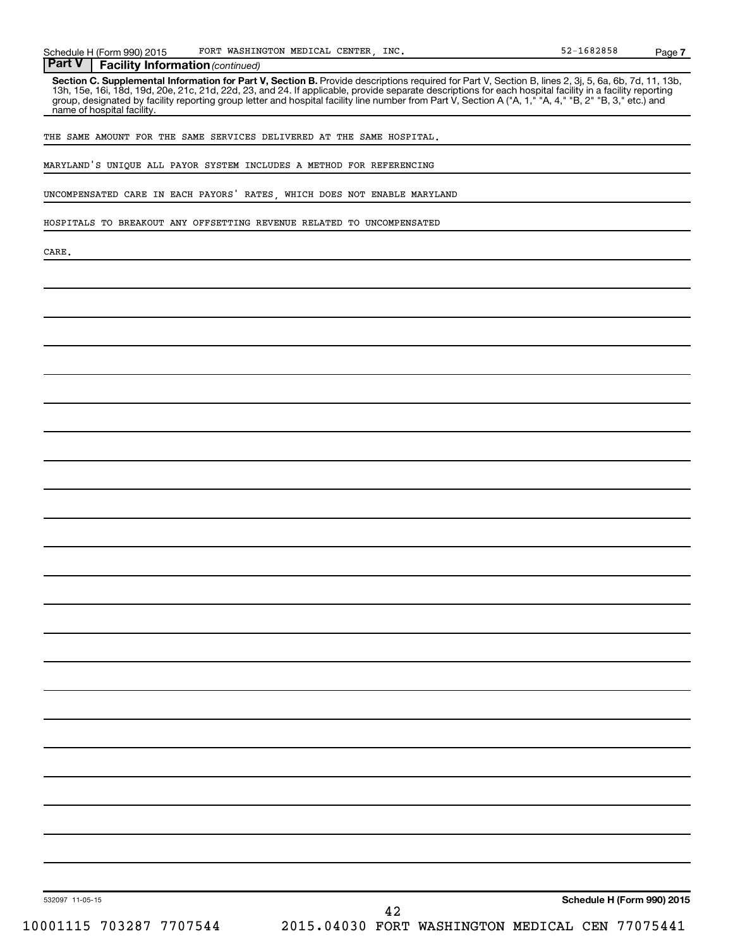Schedule H (Form 990) 2015 FORT WASHINGTON MEDICAL CENTER, INC. Same state of the S2-1682858 Page

# **Part V** | Facility Information (continued)

Section C. Supplemental Information for Part V, Section B. Provide descriptions required for Part V, Section B, lines 2, 3j, 5, 6a, 6b, 7d, 11, 13b, 13h, 15e, 16i, 18d, 19d, 20e, 21c, 21d, 22d, 23, and 24. If applicable, provide separate descriptions for each hospital facility in a facility reporting group, designated by facility reporting group letter and hospital facility line number from Part V, Section A ("A, 1," "A, 4," "B, 2" "B, 3," etc.) and name of hospital facility.

THE SAME AMOUNT FOR THE SAME SERVICES DELIVERED AT THE SAME HOSPITAL.

MARYLAND'S UNIQUE ALL PAYOR SYSTEM INCLUDES A METHOD FOR REFERENCING

UNCOMPENSATED CARE IN EACH PAYORS' RATES, WHICH DOES NOT ENABLE MARYLAND

HOSPITALS TO BREAKOUT ANY OFFSETTING REVENUE RELATED TO UNCOMPENSATED

CARE.

532097 11-05-15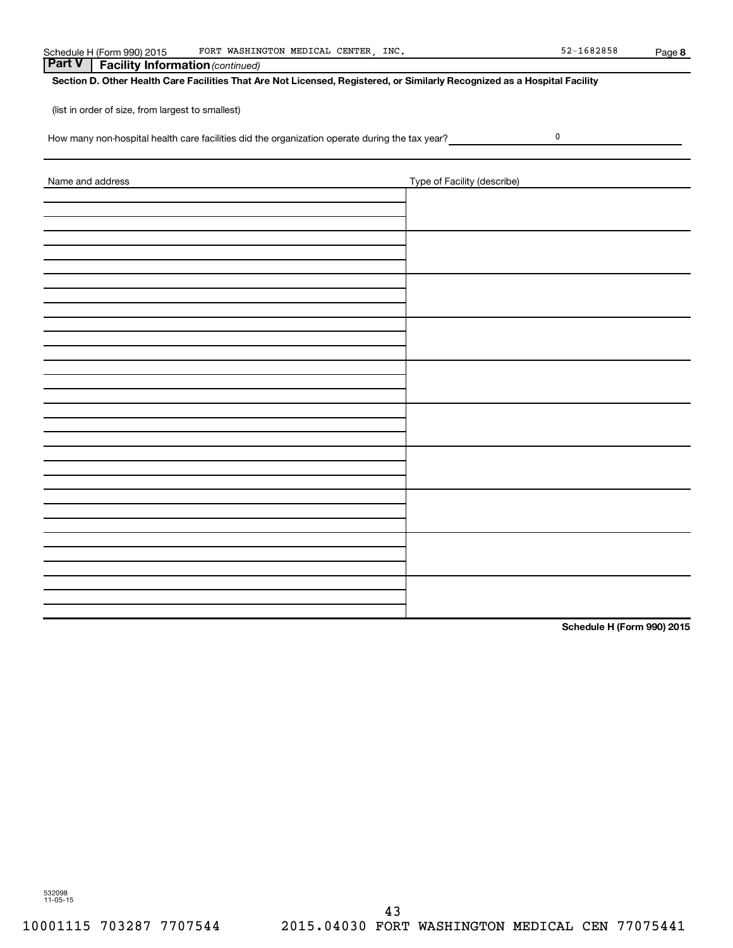**Part V** | Facility Information (continued)

**Section D. Other Health Care Facilities That Are Not Licensed, Registered, or Similarly Recognized as a Hospital Facility**

(list in order of size, from largest to smallest)

How many non-hospital health care facilities did the organization operate during the tax year?

| Name and address | Type of Facility (describe) |
|------------------|-----------------------------|
|                  |                             |
|                  |                             |
|                  |                             |
|                  |                             |
|                  |                             |
|                  |                             |
|                  |                             |
|                  |                             |
|                  |                             |
|                  |                             |
|                  |                             |
|                  |                             |
|                  |                             |
|                  |                             |
|                  |                             |
|                  |                             |
|                  |                             |
|                  |                             |
|                  |                             |
|                  |                             |
|                  |                             |
|                  |                             |

**Schedule H (Form 990) 2015**

0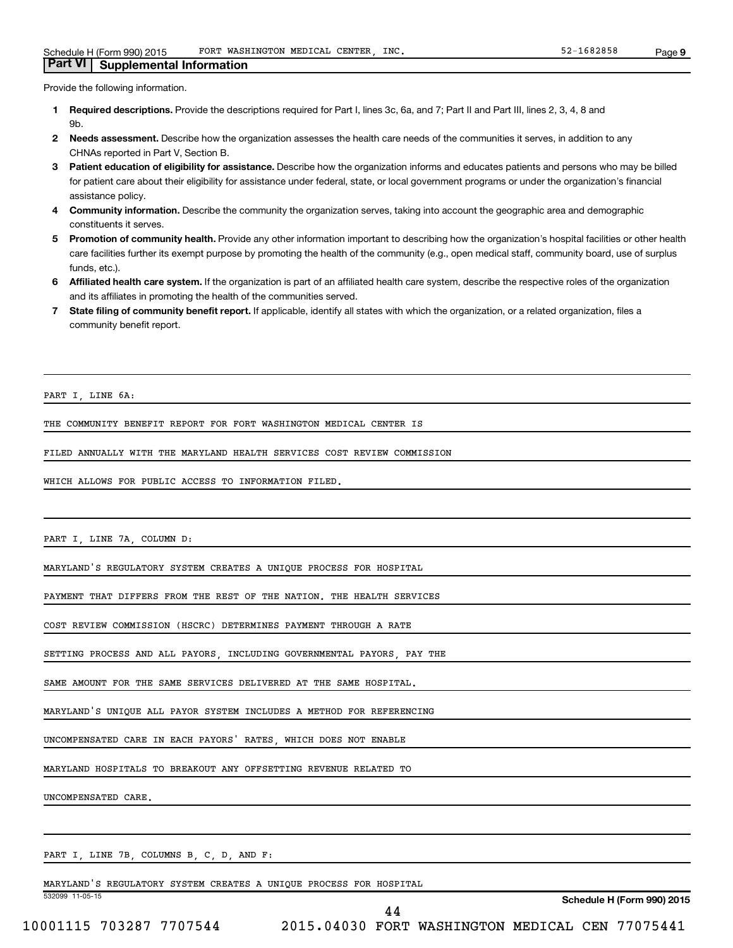**9**

Provide the following information.

**Part VI Supplemental Information**

- **1 Required descriptions.** Provide the descriptions required for Part I, lines 3c, 6a, and 7; Part II and Part III, lines 2, 3, 4, 8 and 9b.
- **2** Needs assessment. Describe how the organization assesses the health care needs of the communities it serves, in addition to any CHNAs reported in Part V, Section B.
- **3 Patient education of eligibility for assistance.** Describe how the organization informs and educates patients and persons who may be billed for patient care about their eligibility for assistance under federal, state, or local government programs or under the organization's financial assistance policy.
- **4 Community information.** Describe the community the organization serves, taking into account the geographic area and demographic constituents it serves.
- 5 Promotion of community health. Provide any other information important to describing how the organization's hospital facilities or other health care facilities further its exempt purpose by promoting the health of the community (e.g., open medical staff, community board, use of surplus funds, etc.).
- **6 Affiliated health care system.** If the organization is part of an affiliated health care system, describe the respective roles of the organization and its affiliates in promoting the health of the communities served.
- **7** State filing of community benefit report. If applicable, identify all states with which the organization, or a related organization, files a community benefit report.

PART I, LINE 6A:

THE COMMUNITY BENEFIT REPORT FOR FORT WASHINGTON MEDICAL CENTER IS

FILED ANNUALLY WITH THE MARYLAND HEALTH SERVICES COST REVIEW COMMISSION

WHICH ALLOWS FOR PUBLIC ACCESS TO INFORMATION FILED.

PART I, LINE 7A, COLUMN D:

MARYLAND'S REGULATORY SYSTEM CREATES A UNIQUE PROCESS FOR HOSPITAL

PAYMENT THAT DIFFERS FROM THE REST OF THE NATION. THE HEALTH SERVICES

COST REVIEW COMMISSION (HSCRC) DETERMINES PAYMENT THROUGH A RATE

SETTING PROCESS AND ALL PAYORS, INCLUDING GOVERNMENTAL PAYORS, PAY THE

SAME AMOUNT FOR THE SAME SERVICES DELIVERED AT THE SAME HOSPITAL.

MARYLAND'S UNIQUE ALL PAYOR SYSTEM INCLUDES A METHOD FOR REFERENCING

UNCOMPENSATED CARE IN EACH PAYORS' RATES, WHICH DOES NOT ENABLE

MARYLAND HOSPITALS TO BREAKOUT ANY OFFSETTING REVENUE RELATED TO

UNCOMPENSATED CARE.

PART I, LINE 7B, COLUMNS B, C, D, AND F:

MARYLAND'S REGULATORY SYSTEM CREATES A UNIQUE PROCESS FOR HOSPITAL

532099 11-05-15

**Schedule H (Form 990) 2015**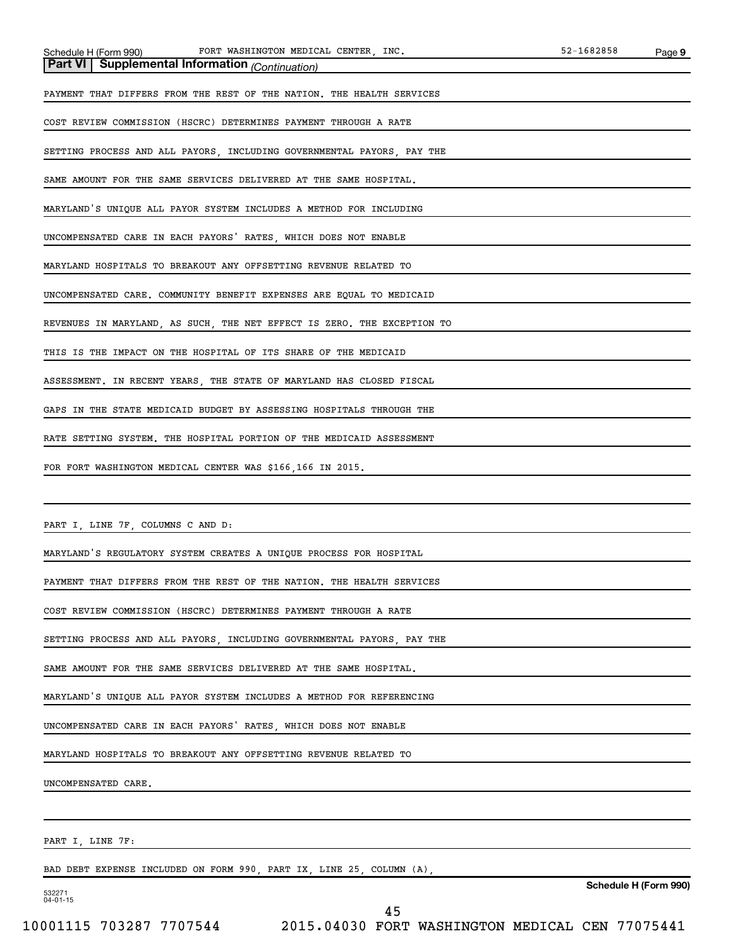| Schedule H (Form 990 |  |
|----------------------|--|
|----------------------|--|

PAYMENT THAT DIFFERS FROM THE REST OF THE NATION. THE HEALTH SERVICES

COST REVIEW COMMISSION (HSCRC) DETERMINES PAYMENT THROUGH A RATE

SETTING PROCESS AND ALL PAYORS, INCLUDING GOVERNMENTAL PAYORS, PAY THE

SAME AMOUNT FOR THE SAME SERVICES DELIVERED AT THE SAME HOSPITAL.

MARYLAND'S UNIQUE ALL PAYOR SYSTEM INCLUDES A METHOD FOR INCLUDING

UNCOMPENSATED CARE IN EACH PAYORS' RATES, WHICH DOES NOT ENABLE

MARYLAND HOSPITALS TO BREAKOUT ANY OFFSETTING REVENUE RELATED TO

UNCOMPENSATED CARE. COMMUNITY BENEFIT EXPENSES ARE EQUAL TO MEDICAID

REVENUES IN MARYLAND, AS SUCH, THE NET EFFECT IS ZERO. THE EXCEPTION TO

THIS IS THE IMPACT ON THE HOSPITAL OF ITS SHARE OF THE MEDICAID

ASSESSMENT. IN RECENT YEARS, THE STATE OF MARYLAND HAS CLOSED FISCAL

GAPS IN THE STATE MEDICAID BUDGET BY ASSESSING HOSPITALS THROUGH THE

RATE SETTING SYSTEM. THE HOSPITAL PORTION OF THE MEDICAID ASSESSMENT

FOR FORT WASHINGTON MEDICAL CENTER WAS \$166,166 IN 2015.

PART I, LINE 7F, COLUMNS C AND D:

MARYLAND'S REGULATORY SYSTEM CREATES A UNIQUE PROCESS FOR HOSPITAL

PAYMENT THAT DIFFERS FROM THE REST OF THE NATION. THE HEALTH SERVICES

COST REVIEW COMMISSION (HSCRC) DETERMINES PAYMENT THROUGH A RATE

SETTING PROCESS AND ALL PAYORS, INCLUDING GOVERNMENTAL PAYORS, PAY THE

SAME AMOUNT FOR THE SAME SERVICES DELIVERED AT THE SAME HOSPITAL.

MARYLAND'S UNIQUE ALL PAYOR SYSTEM INCLUDES A METHOD FOR REFERENCING

UNCOMPENSATED CARE IN EACH PAYORS' RATES, WHICH DOES NOT ENABLE

MARYLAND HOSPITALS TO BREAKOUT ANY OFFSETTING REVENUE RELATED TO

UNCOMPENSATED CARE.

PART I, LINE 7F:

BAD DEBT EXPENSE INCLUDED ON FORM 990, PART IX, LINE 25, COLUMN (A),

532271 04-01-15

**Schedule H (Form 990)**

45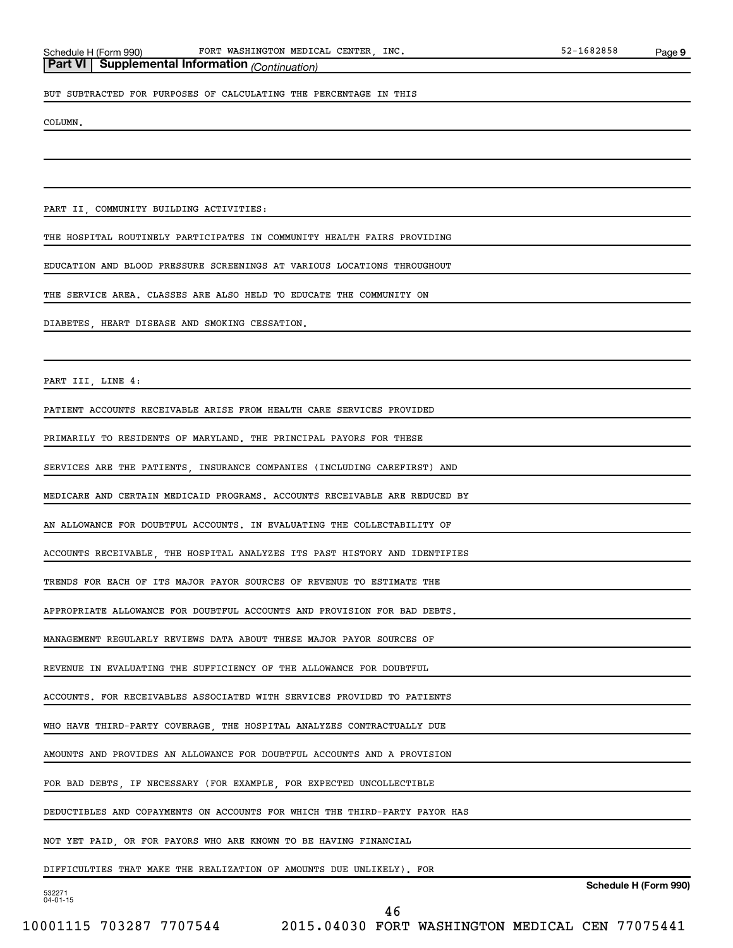BUT SUBTRACTED FOR PURPOSES OF CALCULATING THE PERCENTAGE IN THIS

COLUMN.

PART II, COMMUNITY BUILDING ACTIVITIES:

THE HOSPITAL ROUTINELY PARTICIPATES IN COMMUNITY HEALTH FAIRS PROVIDING

EDUCATION AND BLOOD PRESSURE SCREENINGS AT VARIOUS LOCATIONS THROUGHOUT

THE SERVICE AREA. CLASSES ARE ALSO HELD TO EDUCATE THE COMMUNITY ON

DIABETES, HEART DISEASE AND SMOKING CESSATION.

PART III, LINE 4:

PATIENT ACCOUNTS RECEIVABLE ARISE FROM HEALTH CARE SERVICES PROVIDED

PRIMARILY TO RESIDENTS OF MARYLAND. THE PRINCIPAL PAYORS FOR THESE

SERVICES ARE THE PATIENTS, INSURANCE COMPANIES (INCLUDING CAREFIRST) AND

MEDICARE AND CERTAIN MEDICAID PROGRAMS. ACCOUNTS RECEIVABLE ARE REDUCED BY

AN ALLOWANCE FOR DOUBTFUL ACCOUNTS. IN EVALUATING THE COLLECTABILITY OF

ACCOUNTS RECEIVABLE, THE HOSPITAL ANALYZES ITS PAST HISTORY AND IDENTIFIES

TRENDS FOR EACH OF ITS MAJOR PAYOR SOURCES OF REVENUE TO ESTIMATE THE

APPROPRIATE ALLOWANCE FOR DOUBTFUL ACCOUNTS AND PROVISION FOR BAD DEBTS.

MANAGEMENT REGULARLY REVIEWS DATA ABOUT THESE MAJOR PAYOR SOURCES OF

REVENUE IN EVALUATING THE SUFFICIENCY OF THE ALLOWANCE FOR DOUBTFUL

ACCOUNTS. FOR RECEIVABLES ASSOCIATED WITH SERVICES PROVIDED TO PATIENTS

WHO HAVE THIRD-PARTY COVERAGE, THE HOSPITAL ANALYZES CONTRACTUALLY DUE

AMOUNTS AND PROVIDES AN ALLOWANCE FOR DOUBTFUL ACCOUNTS AND A PROVISION

FOR BAD DEBTS, IF NECESSARY (FOR EXAMPLE, FOR EXPECTED UNCOLLECTIBLE

DEDUCTIBLES AND COPAYMENTS ON ACCOUNTS FOR WHICH THE THIRD-PARTY PAYOR HAS

NOT YET PAID, OR FOR PAYORS WHO ARE KNOWN TO BE HAVING FINANCIAL

#### DIFFICULTIES THAT MAKE THE REALIZATION OF AMOUNTS DUE UNLIKELY). FOR

**Schedule H (Form 990)**

532271 04-01-15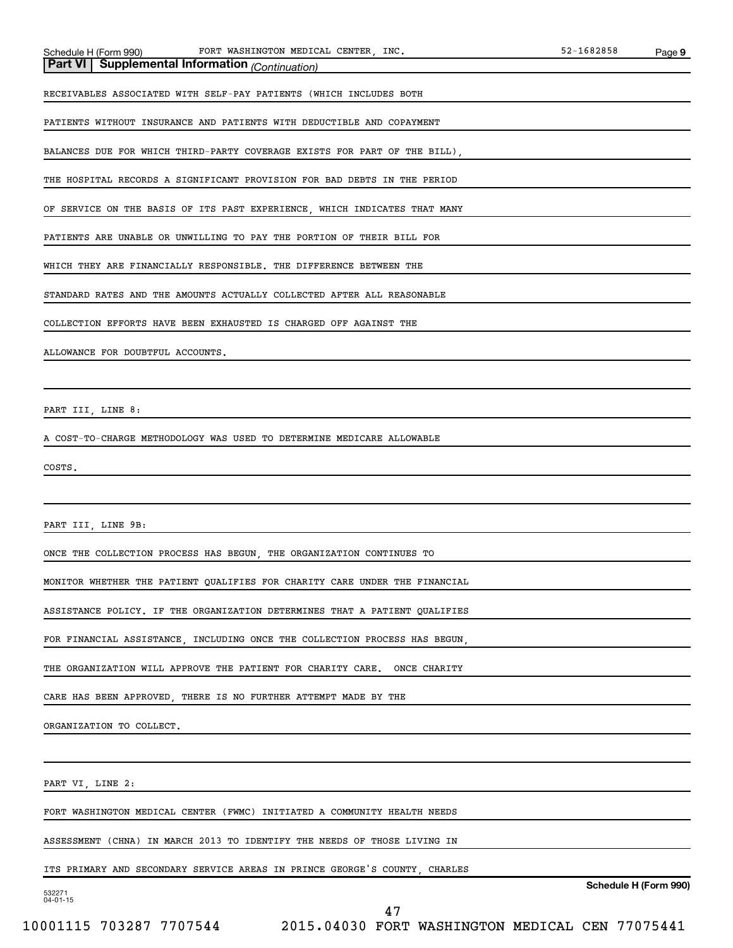RECEIVABLES ASSOCIATED WITH SELF-PAY PATIENTS (WHICH INCLUDES BOTH

PATIENTS WITHOUT INSURANCE AND PATIENTS WITH DEDUCTIBLE AND COPAYMENT

BALANCES DUE FOR WHICH THIRD-PARTY COVERAGE EXISTS FOR PART OF THE BILL),

THE HOSPITAL RECORDS A SIGNIFICANT PROVISION FOR BAD DEBTS IN THE PERIOD

OF SERVICE ON THE BASIS OF ITS PAST EXPERIENCE, WHICH INDICATES THAT MANY

PATIENTS ARE UNABLE OR UNWILLING TO PAY THE PORTION OF THEIR BILL FOR

WHICH THEY ARE FINANCIALLY RESPONSIBLE. THE DIFFERENCE BETWEEN THE

STANDARD RATES AND THE AMOUNTS ACTUALLY COLLECTED AFTER ALL REASONABLE

COLLECTION EFFORTS HAVE BEEN EXHAUSTED IS CHARGED OFF AGAINST THE

ALLOWANCE FOR DOUBTFUL ACCOUNTS.

PART III, LINE 8:

A COST-TO-CHARGE METHODOLOGY WAS USED TO DETERMINE MEDICARE ALLOWABLE

COSTS.

PART III, LINE 9B:

ONCE THE COLLECTION PROCESS HAS BEGUN, THE ORGANIZATION CONTINUES TO

MONITOR WHETHER THE PATIENT QUALIFIES FOR CHARITY CARE UNDER THE FINANCIAL

ASSISTANCE POLICY. IF THE ORGANIZATION DETERMINES THAT A PATIENT QUALIFIES

FOR FINANCIAL ASSISTANCE, INCLUDING ONCE THE COLLECTION PROCESS HAS BEGUN,

THE ORGANIZATION WILL APPROVE THE PATIENT FOR CHARITY CARE. ONCE CHARITY

CARE HAS BEEN APPROVED, THERE IS NO FURTHER ATTEMPT MADE BY THE

ORGANIZATION TO COLLECT.

PART VI, LINE 2:

FORT WASHINGTON MEDICAL CENTER (FWMC) INITIATED A COMMUNITY HEALTH NEEDS

ASSESSMENT (CHNA) IN MARCH 2013 TO IDENTIFY THE NEEDS OF THOSE LIVING IN

ITS PRIMARY AND SECONDARY SERVICE AREAS IN PRINCE GEORGE'S COUNTY, CHARLES

532271 04-01-15

**Schedule H (Form 990)**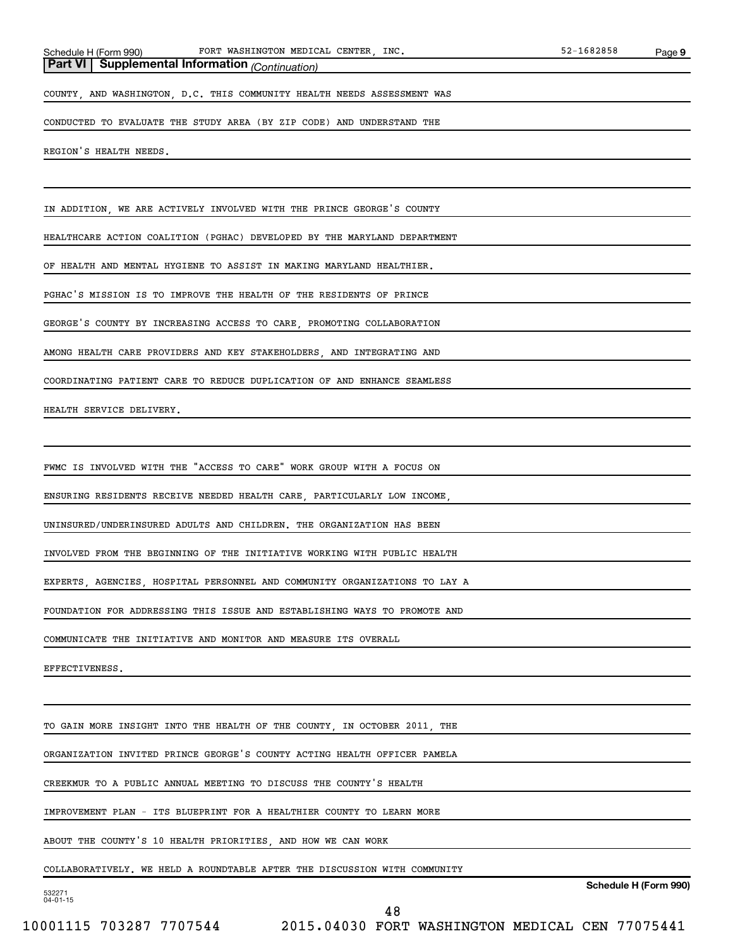COUNTY, AND WASHINGTON, D.C. THIS COMMUNITY HEALTH NEEDS ASSESSMENT WAS

CONDUCTED TO EVALUATE THE STUDY AREA (BY ZIP CODE) AND UNDERSTAND THE

REGION'S HEALTH NEEDS.

IN ADDITION, WE ARE ACTIVELY INVOLVED WITH THE PRINCE GEORGE'S COUNTY

HEALTHCARE ACTION COALITION (PGHAC) DEVELOPED BY THE MARYLAND DEPARTMENT

OF HEALTH AND MENTAL HYGIENE TO ASSIST IN MAKING MARYLAND HEALTHIER.

PGHAC'S MISSION IS TO IMPROVE THE HEALTH OF THE RESIDENTS OF PRINCE

GEORGE'S COUNTY BY INCREASING ACCESS TO CARE, PROMOTING COLLABORATION

AMONG HEALTH CARE PROVIDERS AND KEY STAKEHOLDERS, AND INTEGRATING AND

COORDINATING PATIENT CARE TO REDUCE DUPLICATION OF AND ENHANCE SEAMLESS

HEALTH SERVICE DELIVERY.

FWMC IS INVOLVED WITH THE "ACCESS TO CARE" WORK GROUP WITH A FOCUS ON

ENSURING RESIDENTS RECEIVE NEEDED HEALTH CARE, PARTICULARLY LOW INCOME,

UNINSURED/UNDERINSURED ADULTS AND CHILDREN. THE ORGANIZATION HAS BEEN

INVOLVED FROM THE BEGINNING OF THE INITIATIVE WORKING WITH PUBLIC HEALTH

EXPERTS, AGENCIES, HOSPITAL PERSONNEL AND COMMUNITY ORGANIZATIONS TO LAY A

FOUNDATION FOR ADDRESSING THIS ISSUE AND ESTABLISHING WAYS TO PROMOTE AND

COMMUNICATE THE INITIATIVE AND MONITOR AND MEASURE ITS OVERALL

EFFECTIVENESS.

TO GAIN MORE INSIGHT INTO THE HEALTH OF THE COUNTY, IN OCTOBER 2011, THE

ORGANIZATION INVITED PRINCE GEORGE'S COUNTY ACTING HEALTH OFFICER PAMELA

CREEKMUR TO A PUBLIC ANNUAL MEETING TO DISCUSS THE COUNTY'S HEALTH

IMPROVEMENT PLAN - ITS BLUEPRINT FOR A HEALTHIER COUNTY TO LEARN MORE

ABOUT THE COUNTY'S 10 HEALTH PRIORITIES, AND HOW WE CAN WORK

COLLABORATIVELY. WE HELD A ROUNDTABLE AFTER THE DISCUSSION WITH COMMUNITY

532271 04-01-15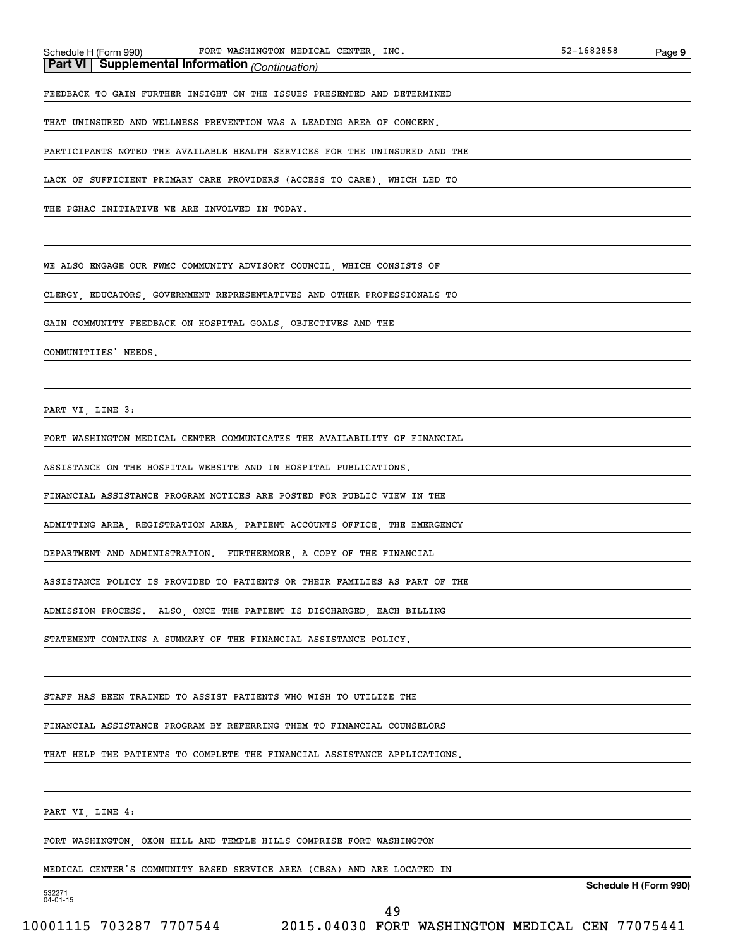FEEDBACK TO GAIN FURTHER INSIGHT ON THE ISSUES PRESENTED AND DETERMINED

THAT UNINSURED AND WELLNESS PREVENTION WAS A LEADING AREA OF CONCERN.

PARTICIPANTS NOTED THE AVAILABLE HEALTH SERVICES FOR THE UNINSURED AND THE

LACK OF SUFFICIENT PRIMARY CARE PROVIDERS (ACCESS TO CARE), WHICH LED TO

THE PGHAC INITIATIVE WE ARE INVOLVED IN TODAY.

WE ALSO ENGAGE OUR FWMC COMMUNITY ADVISORY COUNCIL, WHICH CONSISTS OF

CLERGY, EDUCATORS, GOVERNMENT REPRESENTATIVES AND OTHER PROFESSIONALS TO

GAIN COMMUNITY FEEDBACK ON HOSPITAL GOALS, OBJECTIVES AND THE

COMMUNITIIES' NEEDS.

PART VI, LINE 3:

FORT WASHINGTON MEDICAL CENTER COMMUNICATES THE AVAILABILITY OF FINANCIAL

ASSISTANCE ON THE HOSPITAL WEBSITE AND IN HOSPITAL PUBLICATIONS.

FINANCIAL ASSISTANCE PROGRAM NOTICES ARE POSTED FOR PUBLIC VIEW IN THE

ADMITTING AREA, REGISTRATION AREA, PATIENT ACCOUNTS OFFICE, THE EMERGENCY

DEPARTMENT AND ADMINISTRATION. FURTHERMORE, A COPY OF THE FINANCIAL

ASSISTANCE POLICY IS PROVIDED TO PATIENTS OR THEIR FAMILIES AS PART OF THE

ADMISSION PROCESS. ALSO, ONCE THE PATIENT IS DISCHARGED, EACH BILLING

STATEMENT CONTAINS A SUMMARY OF THE FINANCIAL ASSISTANCE POLICY.

STAFF HAS BEEN TRAINED TO ASSIST PATIENTS WHO WISH TO UTILIZE THE

FINANCIAL ASSISTANCE PROGRAM BY REFERRING THEM TO FINANCIAL COUNSELORS

THAT HELP THE PATIENTS TO COMPLETE THE FINANCIAL ASSISTANCE APPLICATIONS.

PART VI, LINE 4:

FORT WASHINGTON, OXON HILL AND TEMPLE HILLS COMPRISE FORT WASHINGTON

MEDICAL CENTER'S COMMUNITY BASED SERVICE AREA (CBSA) AND ARE LOCATED IN

**Schedule H (Form 990)**

532271 04-01-15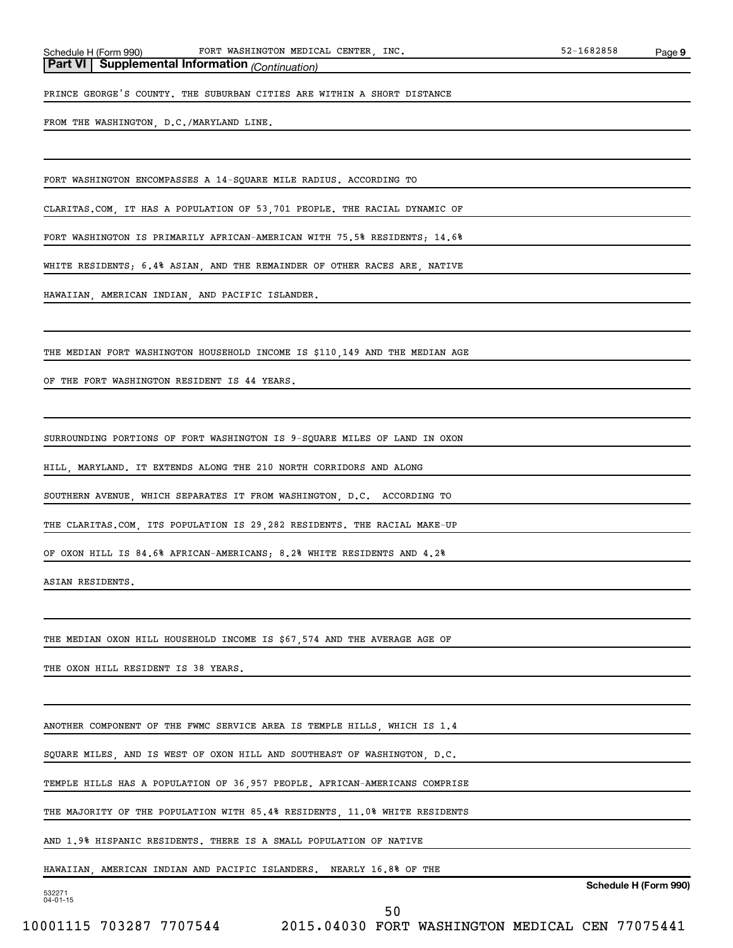PRINCE GEORGE'S COUNTY. THE SUBURBAN CITIES ARE WITHIN A SHORT DISTANCE

FROM THE WASHINGTON, D.C./MARYLAND LINE.

FORT WASHINGTON ENCOMPASSES A 14-SQUARE MILE RADIUS. ACCORDING TO

CLARITAS.COM, IT HAS A POPULATION OF 53,701 PEOPLE. THE RACIAL DYNAMIC OF

FORT WASHINGTON IS PRIMARILY AFRICAN-AMERICAN WITH 75.5% RESIDENTS; 14.6%

WHITE RESIDENTS; 6.4% ASIAN, AND THE REMAINDER OF OTHER RACES ARE, NATIVE

HAWAIIAN, AMERICAN INDIAN, AND PACIFIC ISLANDER.

THE MEDIAN FORT WASHINGTON HOUSEHOLD INCOME IS \$110,149 AND THE MEDIAN AGE

OF THE FORT WASHINGTON RESIDENT IS 44 YEARS.

SURROUNDING PORTIONS OF FORT WASHINGTON IS 9-SQUARE MILES OF LAND IN OXON

HILL, MARYLAND. IT EXTENDS ALONG THE 210 NORTH CORRIDORS AND ALONG

SOUTHERN AVENUE, WHICH SEPARATES IT FROM WASHINGTON, D.C. ACCORDING TO

THE CLARITAS.COM, ITS POPULATION IS 29,282 RESIDENTS. THE RACIAL MAKE-UP

OF OXON HILL IS 84.6% AFRICAN-AMERICANS; 8.2% WHITE RESIDENTS AND 4.2%

ASIAN RESIDENTS.

THE MEDIAN OXON HILL HOUSEHOLD INCOME IS \$67,574 AND THE AVERAGE AGE OF

THE OXON HILL RESIDENT IS 38 YEARS.

ANOTHER COMPONENT OF THE FWMC SERVICE AREA IS TEMPLE HILLS, WHICH IS 1.4

SQUARE MILES, AND IS WEST OF OXON HILL AND SOUTHEAST OF WASHINGTON, D.C.

TEMPLE HILLS HAS A POPULATION OF 36,957 PEOPLE. AFRICAN-AMERICANS COMPRISE

THE MAJORITY OF THE POPULATION WITH 85.4% RESIDENTS, 11.0% WHITE RESIDENTS

AND 1.9% HISPANIC RESIDENTS. THERE IS A SMALL POPULATION OF NATIVE

HAWAIIAN, AMERICAN INDIAN AND PACIFIC ISLANDERS. NEARLY 16.8% OF THE

**Schedule H (Form 990)**

532271 04-01-15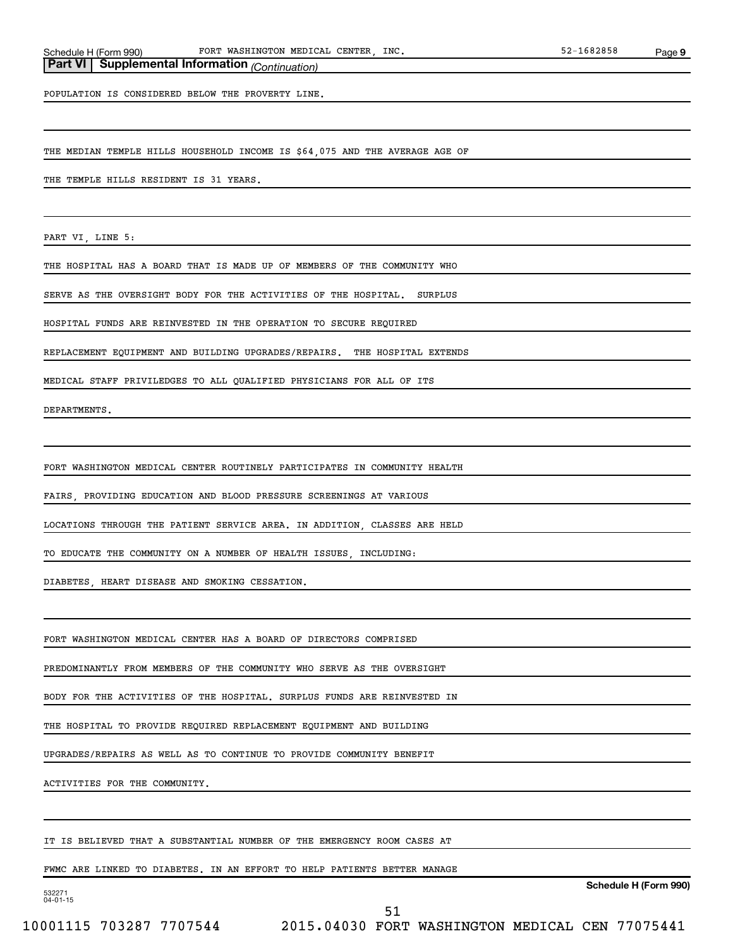POPULATION IS CONSIDERED BELOW THE PROVERTY LINE.

THE MEDIAN TEMPLE HILLS HOUSEHOLD INCOME IS \$64,075 AND THE AVERAGE AGE OF

THE TEMPLE HILLS RESIDENT IS 31 YEARS.

PART VI, LINE 5:

THE HOSPITAL HAS A BOARD THAT IS MADE UP OF MEMBERS OF THE COMMUNITY WHO

SERVE AS THE OVERSIGHT BODY FOR THE ACTIVITIES OF THE HOSPITAL. SURPLUS

HOSPITAL FUNDS ARE REINVESTED IN THE OPERATION TO SECURE REQUIRED

REPLACEMENT EQUIPMENT AND BUILDING UPGRADES/REPAIRS. THE HOSPITAL EXTENDS

MEDICAL STAFF PRIVILEDGES TO ALL QUALIFIED PHYSICIANS FOR ALL OF ITS

DEPARTMENTS.

FORT WASHINGTON MEDICAL CENTER ROUTINELY PARTICIPATES IN COMMUNITY HEALTH

FAIRS, PROVIDING EDUCATION AND BLOOD PRESSURE SCREENINGS AT VARIOUS

LOCATIONS THROUGH THE PATIENT SERVICE AREA. IN ADDITION, CLASSES ARE HELD

TO EDUCATE THE COMMUNITY ON A NUMBER OF HEALTH ISSUES, INCLUDING:

DIABETES, HEART DISEASE AND SMOKING CESSATION.

FORT WASHINGTON MEDICAL CENTER HAS A BOARD OF DIRECTORS COMPRISED

PREDOMINANTLY FROM MEMBERS OF THE COMMUNITY WHO SERVE AS THE OVERSIGHT

BODY FOR THE ACTIVITIES OF THE HOSPITAL. SURPLUS FUNDS ARE REINVESTED IN

THE HOSPITAL TO PROVIDE REQUIRED REPLACEMENT EQUIPMENT AND BUILDING

UPGRADES/REPAIRS AS WELL AS TO CONTINUE TO PROVIDE COMMUNITY BENEFIT

ACTIVITIES FOR THE COMMUNITY.

IT IS BELIEVED THAT A SUBSTANTIAL NUMBER OF THE EMERGENCY ROOM CASES AT

FWMC ARE LINKED TO DIABETES. IN AN EFFORT TO HELP PATIENTS BETTER MANAGE

532271 04-01-15

**Schedule H (Form 990)**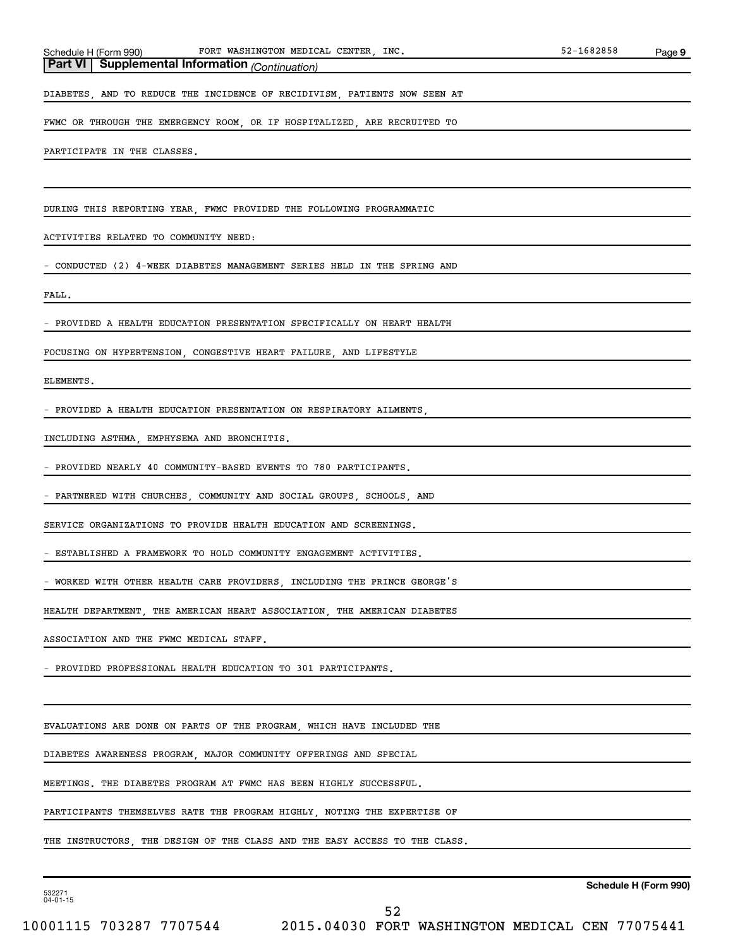DIABETES, AND TO REDUCE THE INCIDENCE OF RECIDIVISM, PATIENTS NOW SEEN AT

FWMC OR THROUGH THE EMERGENCY ROOM, OR IF HOSPITALIZED, ARE RECRUITED TO

PARTICIPATE IN THE CLASSES.

DURING THIS REPORTING YEAR, FWMC PROVIDED THE FOLLOWING PROGRAMMATIC

ACTIVITIES RELATED TO COMMUNITY NEED:

- CONDUCTED (2) 4-WEEK DIABETES MANAGEMENT SERIES HELD IN THE SPRING AND

FALL.

PROVIDED A HEALTH EDUCATION PRESENTATION SPECIFICALLY ON HEART HEALTH

FOCUSING ON HYPERTENSION, CONGESTIVE HEART FAILURE, AND LIFESTYLE

ELEMENTS.

PROVIDED A HEALTH EDUCATION PRESENTATION ON RESPIRATORY AILMENTS,

INCLUDING ASTHMA, EMPHYSEMA AND BRONCHITIS.

PROVIDED NEARLY 40 COMMUNITY-BASED EVENTS TO 780 PARTICIPANTS.

PARTNERED WITH CHURCHES, COMMUNITY AND SOCIAL GROUPS, SCHOOLS, AND

SERVICE ORGANIZATIONS TO PROVIDE HEALTH EDUCATION AND SCREENINGS.

- ESTABLISHED A FRAMEWORK TO HOLD COMMUNITY ENGAGEMENT ACTIVITIES.

- WORKED WITH OTHER HEALTH CARE PROVIDERS, INCLUDING THE PRINCE GEORGE'S

HEALTH DEPARTMENT, THE AMERICAN HEART ASSOCIATION, THE AMERICAN DIABETES

ASSOCIATION AND THE FWMC MEDICAL STAFF.

PROVIDED PROFESSIONAL HEALTH EDUCATION TO 301 PARTICIPANTS.

EVALUATIONS ARE DONE ON PARTS OF THE PROGRAM, WHICH HAVE INCLUDED THE

DIABETES AWARENESS PROGRAM, MAJOR COMMUNITY OFFERINGS AND SPECIAL

MEETINGS. THE DIABETES PROGRAM AT FWMC HAS BEEN HIGHLY SUCCESSFUL.

PARTICIPANTS THEMSELVES RATE THE PROGRAM HIGHLY, NOTING THE EXPERTISE OF

THE INSTRUCTORS, THE DESIGN OF THE CLASS AND THE EASY ACCESS TO THE CLASS.

532271 04-01-15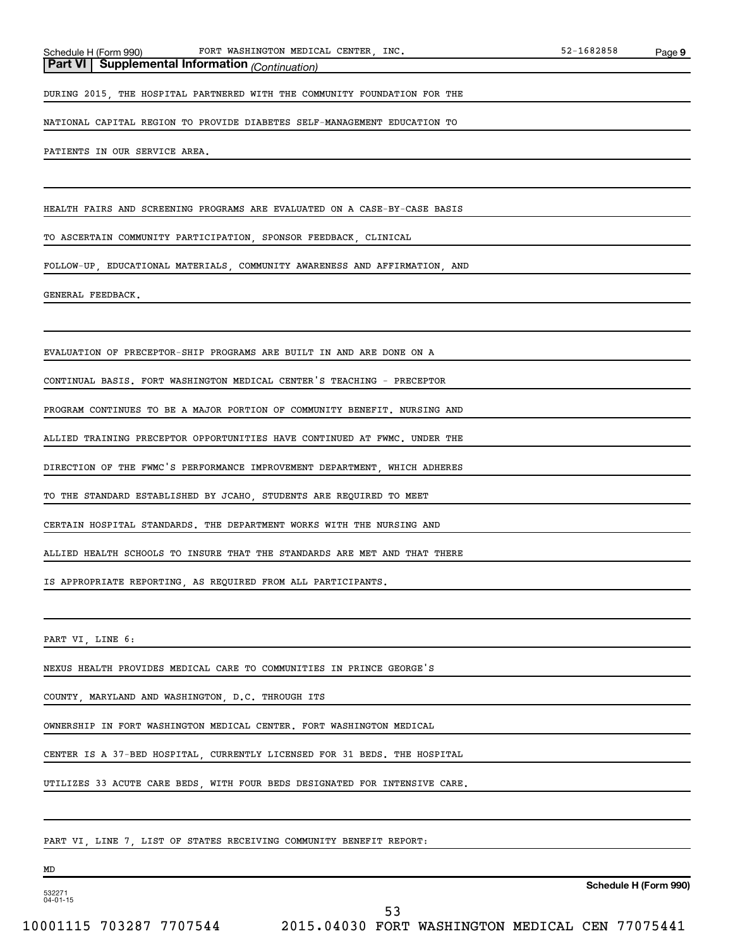DURING 2015, THE HOSPITAL PARTNERED WITH THE COMMUNITY FOUNDATION FOR THE

NATIONAL CAPITAL REGION TO PROVIDE DIABETES SELF-MANAGEMENT EDUCATION TO

PATIENTS IN OUR SERVICE AREA.

HEALTH FAIRS AND SCREENING PROGRAMS ARE EVALUATED ON A CASE-BY-CASE BASIS

TO ASCERTAIN COMMUNITY PARTICIPATION, SPONSOR FEEDBACK, CLINICAL

FOLLOW-UP, EDUCATIONAL MATERIALS, COMMUNITY AWARENESS AND AFFIRMATION, AND

GENERAL FEEDBACK.

EVALUATION OF PRECEPTOR-SHIP PROGRAMS ARE BUILT IN AND ARE DONE ON A

CONTINUAL BASIS. FORT WASHINGTON MEDICAL CENTER'S TEACHING - PRECEPTOR

PROGRAM CONTINUES TO BE A MAJOR PORTION OF COMMUNITY BENEFIT. NURSING AND

ALLIED TRAINING PRECEPTOR OPPORTUNITIES HAVE CONTINUED AT FWMC. UNDER THE

DIRECTION OF THE FWMC'S PERFORMANCE IMPROVEMENT DEPARTMENT, WHICH ADHERES

TO THE STANDARD ESTABLISHED BY JCAHO, STUDENTS ARE REQUIRED TO MEET

CERTAIN HOSPITAL STANDARDS. THE DEPARTMENT WORKS WITH THE NURSING AND

ALLIED HEALTH SCHOOLS TO INSURE THAT THE STANDARDS ARE MET AND THAT THERE

IS APPROPRIATE REPORTING, AS REQUIRED FROM ALL PARTICIPANTS.

PART VI, LINE 6:

NEXUS HEALTH PROVIDES MEDICAL CARE TO COMMUNITIES IN PRINCE GEORGE'S

COUNTY, MARYLAND AND WASHINGTON, D.C. THROUGH ITS

OWNERSHIP IN FORT WASHINGTON MEDICAL CENTER. FORT WASHINGTON MEDICAL

CENTER IS A 37-BED HOSPITAL, CURRENTLY LICENSED FOR 31 BEDS. THE HOSPITAL

UTILIZES 33 ACUTE CARE BEDS, WITH FOUR BEDS DESIGNATED FOR INTENSIVE CARE.

PART VI, LINE 7, LIST OF STATES RECEIVING COMMUNITY BENEFIT REPORT:

MD

532271 04-01-15

**Schedule H (Form 990)**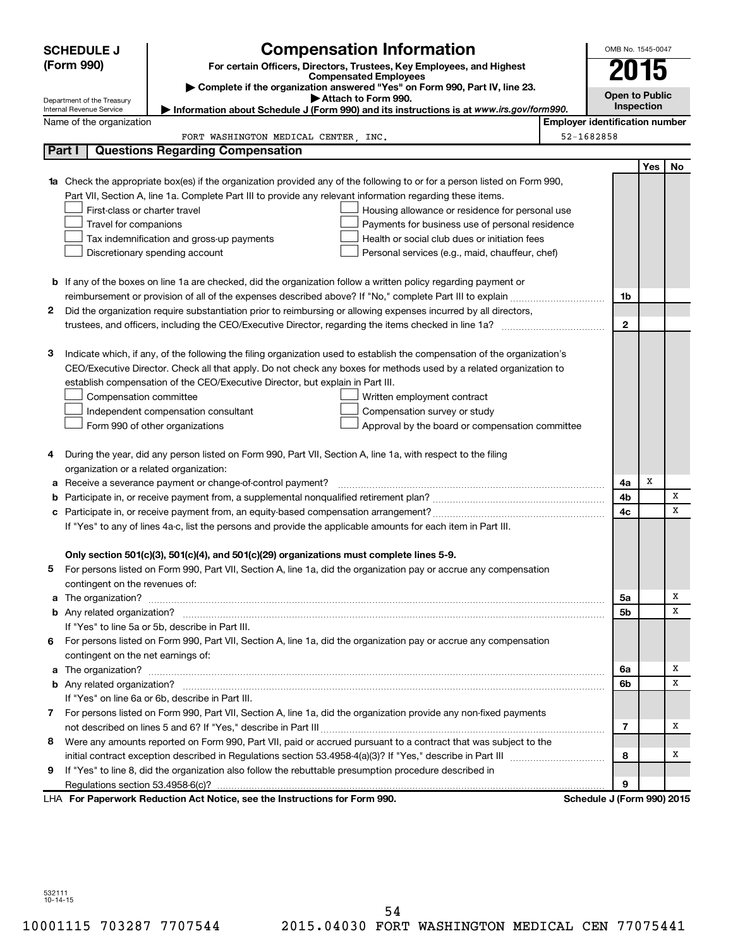|    | <b>Compensation Information</b><br><b>SCHEDULE J</b>                                                                                                                     |                                       | OMB No. 1545-0047     |            |    |
|----|--------------------------------------------------------------------------------------------------------------------------------------------------------------------------|---------------------------------------|-----------------------|------------|----|
|    | (Form 990)<br>For certain Officers, Directors, Trustees, Key Employees, and Highest<br><b>Compensated Employees</b>                                                      |                                       |                       | 15         |    |
|    | Complete if the organization answered "Yes" on Form 990, Part IV, line 23.                                                                                               |                                       |                       |            |    |
|    | Attach to Form 990.<br>Department of the Treasury<br>Information about Schedule J (Form 990) and its instructions is at www.irs.gov/form990.<br>Internal Revenue Service |                                       | <b>Open to Public</b> | Inspection |    |
|    | Name of the organization                                                                                                                                                 | <b>Employer identification number</b> |                       |            |    |
|    | FORT WASHINGTON MEDICAL CENTER, INC.                                                                                                                                     | 52-1682858                            |                       |            |    |
|    | Part I<br><b>Questions Regarding Compensation</b>                                                                                                                        |                                       |                       |            |    |
|    |                                                                                                                                                                          |                                       |                       | Yes        | No |
| 1a | Check the appropriate box(es) if the organization provided any of the following to or for a person listed on Form 990,                                                   |                                       |                       |            |    |
|    | Part VII, Section A, line 1a. Complete Part III to provide any relevant information regarding these items.                                                               |                                       |                       |            |    |
|    | First-class or charter travel<br>Housing allowance or residence for personal use                                                                                         |                                       |                       |            |    |
|    | Travel for companions<br>Payments for business use of personal residence                                                                                                 |                                       |                       |            |    |
|    | Health or social club dues or initiation fees<br>Tax indemnification and gross-up payments                                                                               |                                       |                       |            |    |
|    | Discretionary spending account<br>Personal services (e.g., maid, chauffeur, chef)                                                                                        |                                       |                       |            |    |
|    |                                                                                                                                                                          |                                       |                       |            |    |
|    | <b>b</b> If any of the boxes on line 1a are checked, did the organization follow a written policy regarding payment or                                                   |                                       |                       |            |    |
|    |                                                                                                                                                                          |                                       | 1b                    |            |    |
| 2  | Did the organization require substantiation prior to reimbursing or allowing expenses incurred by all directors,                                                         |                                       |                       |            |    |
|    |                                                                                                                                                                          |                                       | $\mathbf{2}$          |            |    |
|    |                                                                                                                                                                          |                                       |                       |            |    |
| З  | Indicate which, if any, of the following the filing organization used to establish the compensation of the organization's                                                |                                       |                       |            |    |
|    | CEO/Executive Director. Check all that apply. Do not check any boxes for methods used by a related organization to                                                       |                                       |                       |            |    |
|    | establish compensation of the CEO/Executive Director, but explain in Part III.                                                                                           |                                       |                       |            |    |
|    | Compensation committee<br>Written employment contract                                                                                                                    |                                       |                       |            |    |
|    | Independent compensation consultant<br>Compensation survey or study                                                                                                      |                                       |                       |            |    |
|    | Approval by the board or compensation committee<br>Form 990 of other organizations                                                                                       |                                       |                       |            |    |
|    |                                                                                                                                                                          |                                       |                       |            |    |
| 4  | During the year, did any person listed on Form 990, Part VII, Section A, line 1a, with respect to the filing                                                             |                                       |                       |            |    |
|    | organization or a related organization:                                                                                                                                  |                                       |                       |            |    |
| а  | Receive a severance payment or change-of-control payment?                                                                                                                |                                       | 4a                    | х          |    |
| b  |                                                                                                                                                                          |                                       | 4b                    |            | x  |
| с  |                                                                                                                                                                          |                                       | 4c                    |            | X  |
|    | If "Yes" to any of lines 4a-c, list the persons and provide the applicable amounts for each item in Part III.                                                            |                                       |                       |            |    |
|    |                                                                                                                                                                          |                                       |                       |            |    |
|    | Only section 501(c)(3), 501(c)(4), and 501(c)(29) organizations must complete lines 5-9.                                                                                 |                                       |                       |            |    |
|    | For persons listed on Form 990, Part VII, Section A, line 1a, did the organization pay or accrue any compensation                                                        |                                       |                       |            |    |
|    | contingent on the revenues of:                                                                                                                                           |                                       |                       |            |    |
|    |                                                                                                                                                                          |                                       | 5a                    |            | х  |
|    |                                                                                                                                                                          |                                       | 5b                    |            | x  |
|    | If "Yes" to line 5a or 5b, describe in Part III.                                                                                                                         |                                       |                       |            |    |
| 6  | For persons listed on Form 990, Part VII, Section A, line 1a, did the organization pay or accrue any compensation                                                        |                                       |                       |            |    |
|    | contingent on the net earnings of:                                                                                                                                       |                                       |                       |            |    |
|    |                                                                                                                                                                          |                                       | 6a                    |            | X  |
|    |                                                                                                                                                                          |                                       | 6b                    |            | x  |
|    | If "Yes" on line 6a or 6b, describe in Part III.                                                                                                                         |                                       |                       |            |    |
|    | 7 For persons listed on Form 990, Part VII, Section A, line 1a, did the organization provide any non-fixed payments                                                      |                                       |                       |            |    |
|    |                                                                                                                                                                          |                                       | 7                     |            | X  |
| 8  | Were any amounts reported on Form 990, Part VII, paid or accrued pursuant to a contract that was subject to the                                                          |                                       |                       |            |    |
|    |                                                                                                                                                                          |                                       | 8                     |            | x  |
| 9  | If "Yes" to line 8, did the organization also follow the rebuttable presumption procedure described in                                                                   |                                       |                       |            |    |
|    |                                                                                                                                                                          |                                       | 9                     |            |    |
|    | LHA For Paperwork Reduction Act Notice, see the Instructions for Form 990.                                                                                               | Schedule J (Form 990) 2015            |                       |            |    |

532111 10-14-15

10001115 703287 7707544 2015.04030 FORT WASHINGTON MEDICAL CEN 77075441 54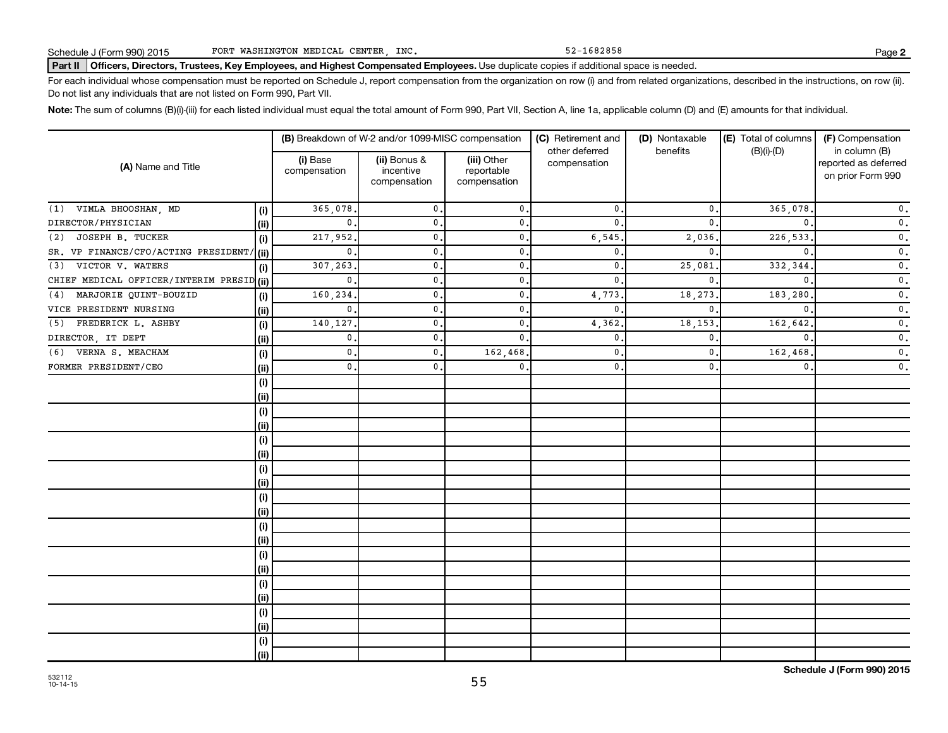#### Part II | Officers, Directors, Trustees, Key Employees, and Highest Compensated Employees. Use duplicate copies if additional space is needed.

For each individual whose compensation must be reported on Schedule J, report compensation from the organization on row (i) and from related organizations, described in the instructions, on row (ii). Do not list any individuals that are not listed on Form 990, Part VII.

Note: The sum of columns (B)(i)-(iii) for each listed individual must equal the total amount of Form 990, Part VII, Section A, line 1a, applicable column (D) and (E) amounts for that individual.

| (A) Name and Title                        |       |                          | (B) Breakdown of W-2 and/or 1099-MISC compensation |                                           | (C) Retirement and             | (D) Nontaxable | (E) Total of columns | (F) Compensation                                           |
|-------------------------------------------|-------|--------------------------|----------------------------------------------------|-------------------------------------------|--------------------------------|----------------|----------------------|------------------------------------------------------------|
|                                           |       | (i) Base<br>compensation | (ii) Bonus &<br>incentive<br>compensation          | (iii) Other<br>reportable<br>compensation | other deferred<br>compensation | benefits       | $(B)(i)-(D)$         | in column (B)<br>reported as deferred<br>on prior Form 990 |
| VIMLA BHOOSHAN, MD<br>(1)                 | (i)   | 365,078                  | $\mathbf{0}$                                       | $\mathbf{0}$ .                            | $\mathbf{0}$                   | $\mathbf{0}$   | 365,078              | $\mathfrak o$ .                                            |
| DIRECTOR/PHYSICIAN                        | (ii)  | $\mathbf{0}$             | 0                                                  | $\mathbf{0}$                              | $\mathbf{0}$                   | $\mathbf{0}$   | $\Omega$             | $\mathfrak o$ .                                            |
| JOSEPH B. TUCKER<br>(2)                   | (i)   | 217,952                  | 0                                                  | $\mathbf{0}$                              | 6,545                          | 2,036          | 226,533              | $\mathfrak o$ .                                            |
| SR. VP FINANCE/CFO/ACTING PRESIDENT/      | (ii)  | $\mathbf{0}$             | 0                                                  | $\mathbf{0}$                              | $\mathbf{0}$                   | $\mathbf{0}$   | $\Omega$             | $\mathfrak o$ .                                            |
| VICTOR V. WATERS<br>(3)                   | (i)   | 307,263                  | 0                                                  | $\mathbf{0}$                              | $\mathbf{0}$                   | 25,081         | 332,344              | $\mathfrak o$ .                                            |
| CHIEF MEDICAL OFFICER/INTERIM PRESID (ii) |       | $\mathbf{0}$             | 0                                                  | $\mathbf{0}$                              | $\mathbf{0}$                   | $\mathbf{0}$   | 0                    | $\mathfrak o$ .                                            |
| MARJORIE QUINT-BOUZID<br>(4)              | (i)   | 160,234                  | 0                                                  | $\mathbf{0}$                              | 4,773                          | 18,273         | 183,280              | $\mathfrak o$ .                                            |
| VICE PRESIDENT NURSING                    | (ii)  | $\mathbf{0}$             | 0                                                  | $\mathbf{0}$                              | $\mathbf{0}$                   | $\mathbf{0}$   | $\Omega$             | $\mathfrak o$ .                                            |
| FREDERICK L. ASHBY<br>(5)                 | (i)   | 140,127                  | 0                                                  | $\mathbf{0}$                              | 4,362                          | 18,153         | 162,642              | $\mathfrak o$ .                                            |
| DIRECTOR, IT DEPT                         | (ii)  | $\mathbf{0}$ .           | $\mathbf{0}$                                       | $\mathbf{0}$                              | $\mathbf{0}$                   | $\mathbf 0$    | 0                    | $\mathfrak o$ .                                            |
| VERNA S. MEACHAM<br>(6)                   | (i)   | $\mathbf{0}$ .           | $\mathbf{0}$                                       | 162,468                                   | $\mathbf{0}$                   | $\mathbf{0}$   | 162,468              | $\mathfrak o$ .                                            |
| FORMER PRESIDENT/CEO                      | (ii)  | $\mathbf{0}$ .           | $\mathbf{0}$                                       | $\mathbf{0}$                              | $\mathbf{0}$                   | $\mathbf{0}$   | 0                    | $\mathfrak o$ .                                            |
|                                           | (i)   |                          |                                                    |                                           |                                |                |                      |                                                            |
|                                           | (ii)  |                          |                                                    |                                           |                                |                |                      |                                                            |
|                                           | (i)   |                          |                                                    |                                           |                                |                |                      |                                                            |
|                                           | (ii)  |                          |                                                    |                                           |                                |                |                      |                                                            |
|                                           | (i)   |                          |                                                    |                                           |                                |                |                      |                                                            |
|                                           | (ii)  |                          |                                                    |                                           |                                |                |                      |                                                            |
|                                           | (i)   |                          |                                                    |                                           |                                |                |                      |                                                            |
|                                           | (iii) |                          |                                                    |                                           |                                |                |                      |                                                            |
|                                           | (i)   |                          |                                                    |                                           |                                |                |                      |                                                            |
|                                           | (ii)  |                          |                                                    |                                           |                                |                |                      |                                                            |
|                                           | (i)   |                          |                                                    |                                           |                                |                |                      |                                                            |
|                                           | (ii)  |                          |                                                    |                                           |                                |                |                      |                                                            |
|                                           | (i)   |                          |                                                    |                                           |                                |                |                      |                                                            |
|                                           | (ii)  |                          |                                                    |                                           |                                |                |                      |                                                            |
|                                           | (i)   |                          |                                                    |                                           |                                |                |                      |                                                            |
|                                           | (ii)  |                          |                                                    |                                           |                                |                |                      |                                                            |
|                                           | (i)   |                          |                                                    |                                           |                                |                |                      |                                                            |
|                                           | (i)   |                          |                                                    |                                           |                                |                |                      |                                                            |
|                                           | (i)   |                          |                                                    |                                           |                                |                |                      |                                                            |
|                                           | (ii)  |                          |                                                    |                                           |                                |                |                      |                                                            |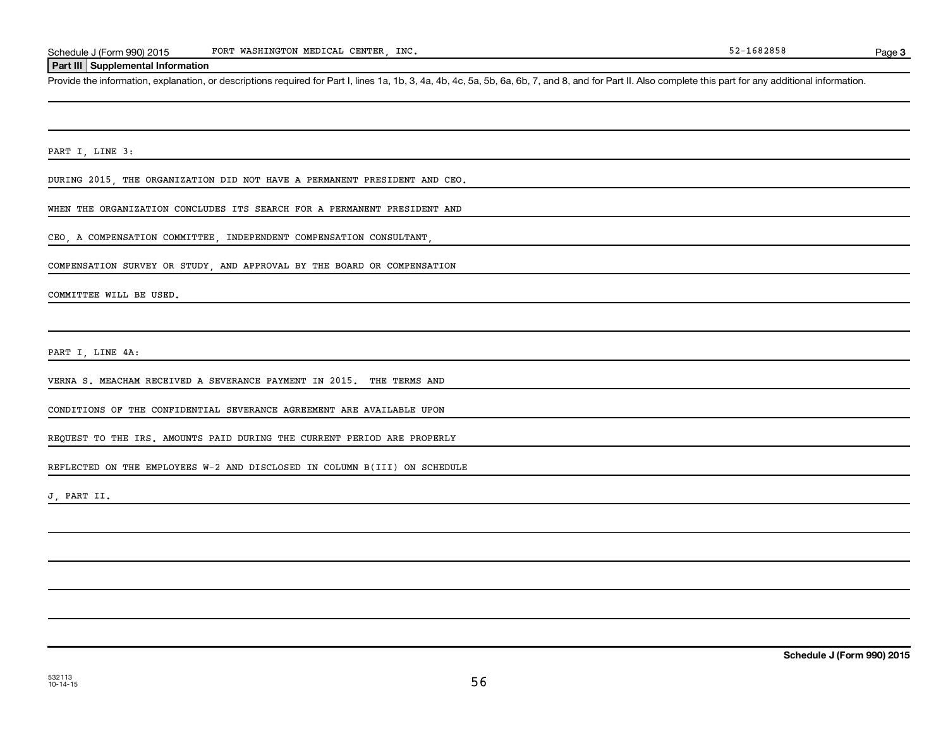#### **Part III Supplemental Information**

Provide the information, explanation, or descriptions required for Part I, lines 1a, 1b, 3, 4a, 4b, 4c, 5a, 5b, 6a, 6b, 7, and 8, and for Part II. Also complete this part for any additional information.

PART I, LINE 3:

DURING 2015, THE ORGANIZATION DID NOT HAVE A PERMANENT PRESIDENT AND CEO.

WHEN THE ORGANIZATION CONCLUDES ITS SEARCH FOR A PERMANENT PRESIDENT AND

CEO, A COMPENSATION COMMITTEE, INDEPENDENT COMPENSATION CONSULTANT,

COMPENSATION SURVEY OR STUDY, AND APPROVAL BY THE BOARD OR COMPENSATION

COMMITTEE WILL BE USED.

PART I, LINE 4A:

VERNA S. MEACHAM RECEIVED A SEVERANCE PAYMENT IN 2015. THE TERMS AND

CONDITIONS OF THE CONFIDENTIAL SEVERANCE AGREEMENT ARE AVAILABLE UPON

REQUEST TO THE IRS. AMOUNTS PAID DURING THE CURRENT PERIOD ARE PROPERLY

REFLECTED ON THE EMPLOYEES W-2 AND DISCLOSED IN COLUMN B(III) ON SCHEDULE

J, PART II.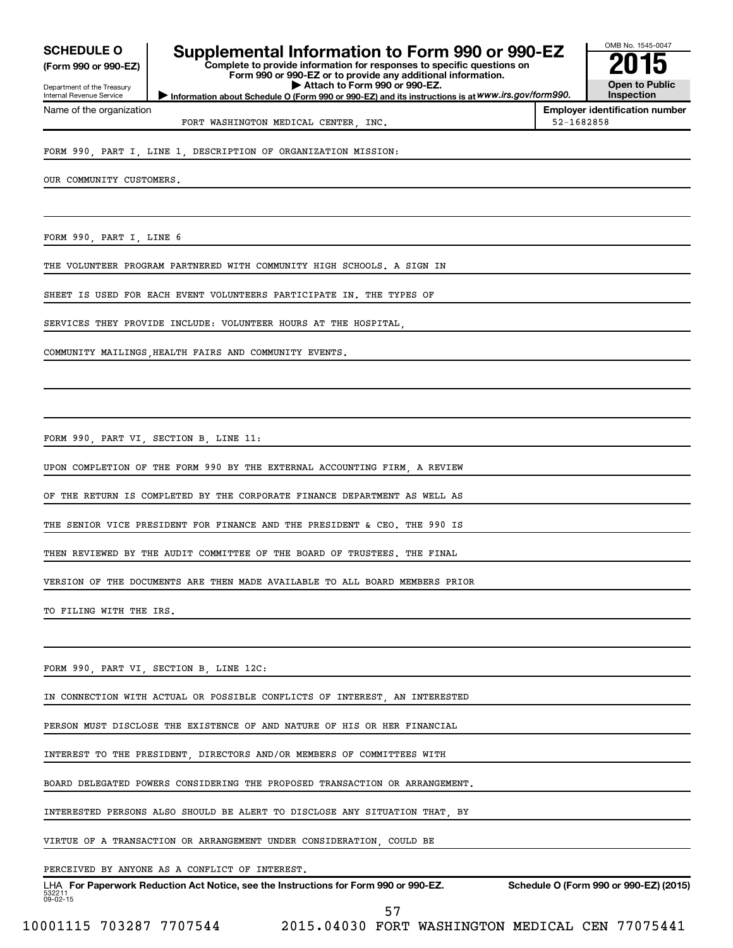| <b>SCHEDULE O</b> |  |
|-------------------|--|
|-------------------|--|

**(Form 990 or 990-EZ)**

Department of the Treasury Internal Revenue Service Name of the organization

# **Supplemental Information to Form 990 or 990-EZ**

**Information about Schedule O (Form 990 or 990-EZ) and its instructions is at WWW.irs.gov/form990. Complete to provide information for responses to specific questions on Form 990 or 990-EZ or to provide any additional information. | Attach to Form 990 or 990-EZ.**



FORT WASHINGTON MEDICAL CENTER, INC. THE SAME RESERVE ASSESSED.

**Employer identification number**

#### FORM 990, PART I, LINE 1, DESCRIPTION OF ORGANIZATION MISSION:

OUR COMMUNITY CUSTOMERS.

FORM 990, PART I, LINE 6

THE VOLUNTEER PROGRAM PARTNERED WITH COMMUNITY HIGH SCHOOLS. A SIGN IN

SHEET IS USED FOR EACH EVENT VOLUNTEERS PARTICIPATE IN. THE TYPES OF

SERVICES THEY PROVIDE INCLUDE: VOLUNTEER HOURS AT THE HOSPITAL,

COMMUNITY MAILINGS HEALTH FAIRS AND COMMUNITY EVENTS.

FORM 990, PART VI, SECTION B, LINE 11:

UPON COMPLETION OF THE FORM 990 BY THE EXTERNAL ACCOUNTING FIRM, A REVIEW

OF THE RETURN IS COMPLETED BY THE CORPORATE FINANCE DEPARTMENT AS WELL AS

THE SENIOR VICE PRESIDENT FOR FINANCE AND THE PRESIDENT & CEO. THE 990 IS

THEN REVIEWED BY THE AUDIT COMMITTEE OF THE BOARD OF TRUSTEES. THE FINAL

VERSION OF THE DOCUMENTS ARE THEN MADE AVAILABLE TO ALL BOARD MEMBERS PRIOR

TO FILING WITH THE IRS.

FORM 990, PART VI, SECTION B, LINE 12C:

IN CONNECTION WITH ACTUAL OR POSSIBLE CONFLICTS OF INTEREST, AN INTERESTED

PERSON MUST DISCLOSE THE EXISTENCE OF AND NATURE OF HIS OR HER FINANCIAL

INTEREST TO THE PRESIDENT, DIRECTORS AND/OR MEMBERS OF COMMITTEES WITH

BOARD DELEGATED POWERS CONSIDERING THE PROPOSED TRANSACTION OR ARRANGEMENT.

INTERESTED PERSONS ALSO SHOULD BE ALERT TO DISCLOSE ANY SITUATION THAT, BY

VIRTUE OF A TRANSACTION OR ARRANGEMENT UNDER CONSIDERATION, COULD BE

PERCEIVED BY ANYONE AS A CONFLICT OF INTEREST.

532211  $09 - 02 - 15$ LHA For Paperwork Reduction Act Notice, see the Instructions for Form 990 or 990-EZ. Schedule O (Form 990 or 990-EZ) (2015)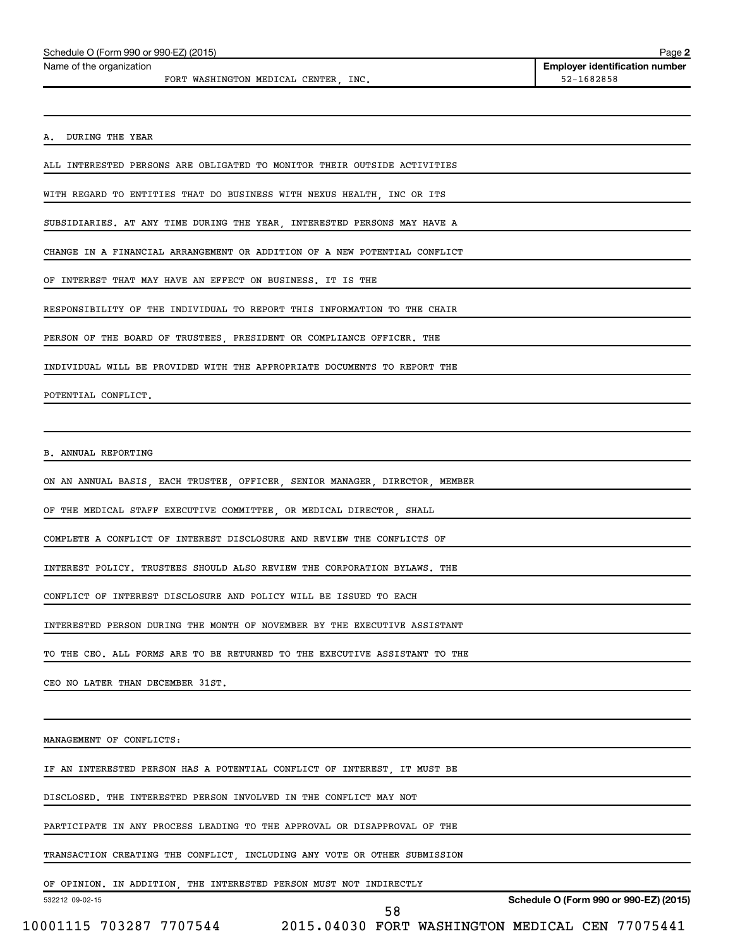Name of the organization

FORT WASHINGTON MEDICAL CENTER, INC.  $52-1682858$ 

A. DURING THE YEAR

ALL INTERESTED PERSONS ARE OBLIGATED TO MONITOR THEIR OUTSIDE ACTIVITIES

WITH REGARD TO ENTITIES THAT DO BUSINESS WITH NEXUS HEALTH, INC OR ITS

SUBSIDIARIES. AT ANY TIME DURING THE YEAR, INTERESTED PERSONS MAY HAVE A

CHANGE IN A FINANCIAL ARRANGEMENT OR ADDITION OF A NEW POTENTIAL CONFLICT

OF INTEREST THAT MAY HAVE AN EFFECT ON BUSINESS. IT IS THE

RESPONSIBILITY OF THE INDIVIDUAL TO REPORT THIS INFORMATION TO THE CHAIR

PERSON OF THE BOARD OF TRUSTEES, PRESIDENT OR COMPLIANCE OFFICER. THE

INDIVIDUAL WILL BE PROVIDED WITH THE APPROPRIATE DOCUMENTS TO REPORT THE

POTENTIAL CONFLICT.

B. ANNUAL REPORTING

ON AN ANNUAL BASIS, EACH TRUSTEE, OFFICER, SENIOR MANAGER, DIRECTOR, MEMBER

OF THE MEDICAL STAFF EXECUTIVE COMMITTEE, OR MEDICAL DIRECTOR, SHALL

COMPLETE A CONFLICT OF INTEREST DISCLOSURE AND REVIEW THE CONFLICTS OF

INTEREST POLICY. TRUSTEES SHOULD ALSO REVIEW THE CORPORATION BYLAWS. THE

CONFLICT OF INTEREST DISCLOSURE AND POLICY WILL BE ISSUED TO EACH

INTERESTED PERSON DURING THE MONTH OF NOVEMBER BY THE EXECUTIVE ASSISTANT

TO THE CEO. ALL FORMS ARE TO BE RETURNED TO THE EXECUTIVE ASSISTANT TO THE

CEO NO LATER THAN DECEMBER 31ST.

MANAGEMENT OF CONFLICTS:

IF AN INTERESTED PERSON HAS A POTENTIAL CONFLICT OF INTEREST, IT MUST BE

DISCLOSED. THE INTERESTED PERSON INVOLVED IN THE CONFLICT MAY NOT

PARTICIPATE IN ANY PROCESS LEADING TO THE APPROVAL OR DISAPPROVAL OF THE

TRANSACTION CREATING THE CONFLICT, INCLUDING ANY VOTE OR OTHER SUBMISSION

OF OPINION. IN ADDITION, THE INTERESTED PERSON MUST NOT INDIRECTLY

532212 09-02-15

58

**Schedule O (Form 990 or 990-EZ) (2015)**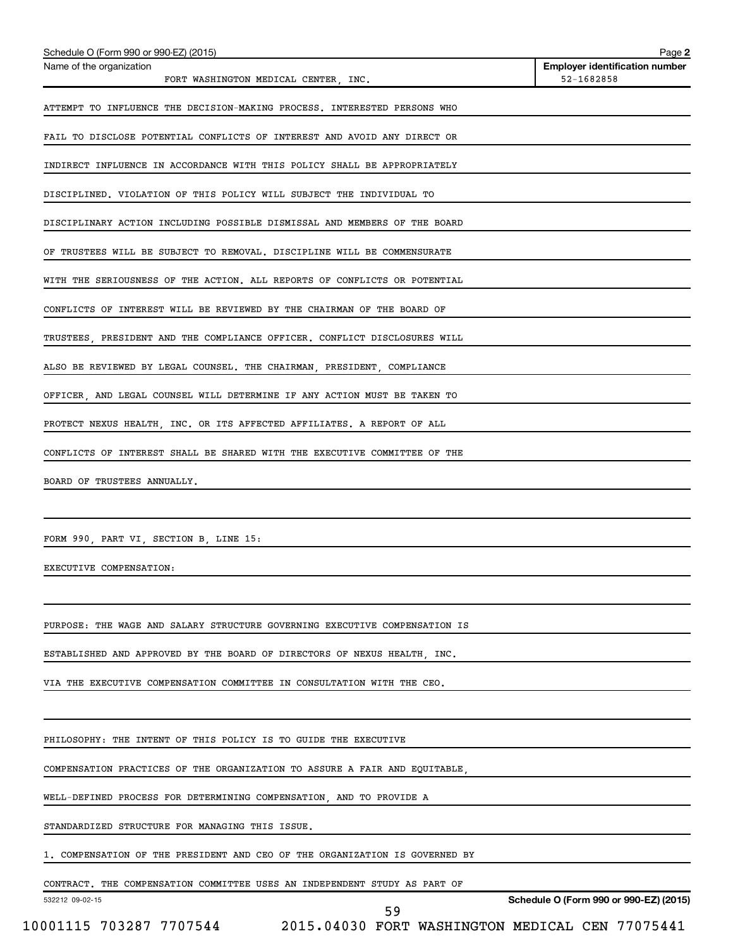| Name of the organization<br>FORT WASHINGTON MEDICAL CENTER, INC.            | <b>Employer identification number</b><br>52-1682858 |
|-----------------------------------------------------------------------------|-----------------------------------------------------|
|                                                                             |                                                     |
| ATTEMPT TO INFLUENCE THE DECISION-MAKING PROCESS. INTERESTED PERSONS WHO    |                                                     |
| FAIL TO DISCLOSE POTENTIAL CONFLICTS OF INTEREST AND AVOID ANY DIRECT OR    |                                                     |
| INDIRECT INFLUENCE IN ACCORDANCE WITH THIS POLICY SHALL BE APPROPRIATELY    |                                                     |
| DISCIPLINED. VIOLATION OF THIS POLICY WILL SUBJECT THE INDIVIDUAL TO        |                                                     |
| DISCIPLINARY ACTION INCLUDING POSSIBLE DISMISSAL AND MEMBERS OF THE BOARD   |                                                     |
| OF TRUSTEES WILL BE SUBJECT TO REMOVAL. DISCIPLINE WILL BE COMMENSURATE     |                                                     |
| WITH THE SERIOUSNESS OF THE ACTION. ALL REPORTS OF CONFLICTS OR POTENTIAL   |                                                     |
| CONFLICTS OF INTEREST WILL BE REVIEWED BY THE CHAIRMAN OF THE BOARD OF      |                                                     |
| TRUSTEES PRESIDENT AND THE COMPLIANCE OFFICER. CONFLICT DISCLOSURES WILL    |                                                     |
| ALSO BE REVIEWED BY LEGAL COUNSEL. THE CHAIRMAN, PRESIDENT, COMPLIANCE      |                                                     |
| OFFICER, AND LEGAL COUNSEL WILL DETERMINE IF ANY ACTION MUST BE TAKEN TO    |                                                     |
| PROTECT NEXUS HEALTH, INC. OR ITS AFFECTED AFFILIATES. A REPORT OF ALL      |                                                     |
| CONFLICTS OF INTEREST SHALL BE SHARED WITH THE EXECUTIVE COMMITTEE OF THE   |                                                     |
| BOARD OF TRUSTEES ANNUALLY.                                                 |                                                     |
|                                                                             |                                                     |
| FORM 990, PART VI, SECTION B, LINE 15:                                      |                                                     |
| EXECUTIVE COMPENSATION:                                                     |                                                     |
|                                                                             |                                                     |
| PURPOSE: THE WAGE AND SALARY STRUCTURE GOVERNING EXECUTIVE COMPENSATION IS  |                                                     |
| ESTABLISHED AND APPROVED BY THE BOARD OF DIRECTORS OF NEXUS HEALTH, INC.    |                                                     |
| VIA THE EXECUTIVE COMPENSATION COMMITTEE IN CONSULTATION WITH THE CEO.      |                                                     |
|                                                                             |                                                     |
| PHILOSOPHY: THE INTENT OF THIS POLICY IS TO GUIDE THE EXECUTIVE             |                                                     |
| COMPENSATION PRACTICES OF THE ORGANIZATION TO ASSURE A FAIR AND EQUITABLE,  |                                                     |
| WELL-DEFINED PROCESS FOR DETERMINING COMPENSATION, AND TO PROVIDE A         |                                                     |
| STANDARDIZED STRUCTURE FOR MANAGING THIS ISSUE.                             |                                                     |
| 1. COMPENSATION OF THE PRESIDENT AND CEO OF THE ORGANIZATION IS GOVERNED BY |                                                     |

CONTRACT. THE COMPENSATION COMMITTEE USES AN INDEPENDENT STUDY AS PART OF

532212 09-02-15

**Schedule O (Form 990 or 990-EZ) (2015)**

10001115 703287 7707544 2015.04030 FORT WASHINGTON MEDICAL CEN 77075441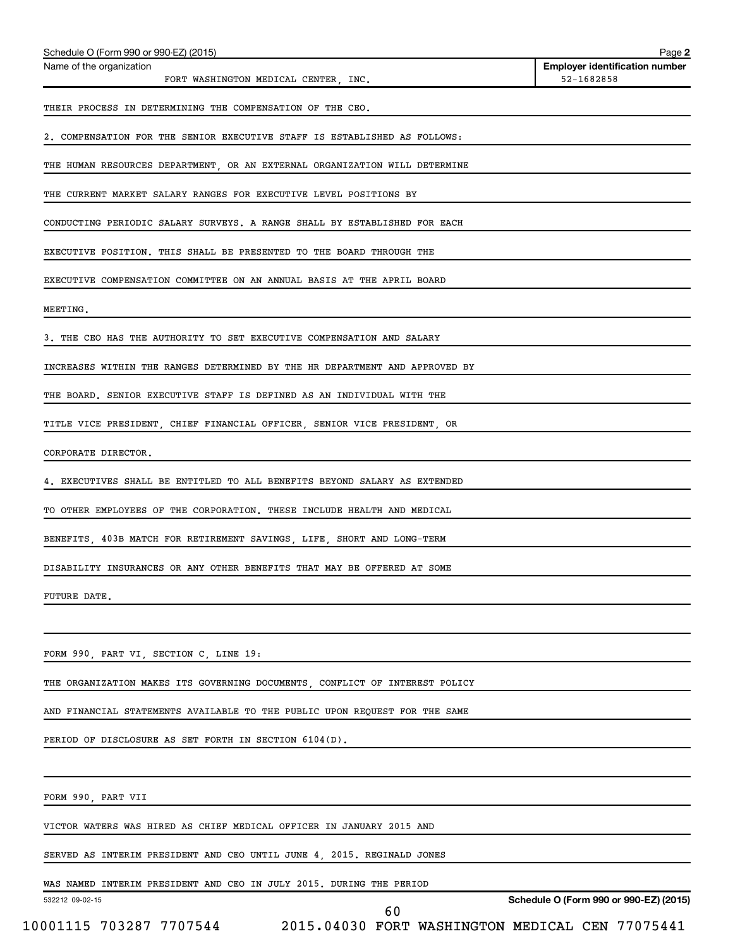| Schedule O (Form 990 or 990-EZ) (2015)                                                 | Page 2                                              |
|----------------------------------------------------------------------------------------|-----------------------------------------------------|
| Name of the organization<br>FORT WASHINGTON MEDICAL CENTER, INC.                       | <b>Employer identification number</b><br>52-1682858 |
| THEIR PROCESS IN DETERMINING THE COMPENSATION OF THE CEO.                              |                                                     |
| 2. COMPENSATION FOR THE SENIOR EXECUTIVE STAFF IS ESTABLISHED AS FOLLOWS:              |                                                     |
| THE HUMAN RESOURCES DEPARTMENT, OR AN EXTERNAL ORGANIZATION WILL DETERMINE             |                                                     |
| THE CURRENT MARKET SALARY RANGES FOR EXECUTIVE LEVEL POSITIONS BY                      |                                                     |
| CONDUCTING PERIODIC SALARY SURVEYS. A RANGE SHALL BY ESTABLISHED FOR EACH              |                                                     |
| EXECUTIVE POSITION. THIS SHALL BE PRESENTED TO THE BOARD THROUGH THE                   |                                                     |
| EXECUTIVE COMPENSATION COMMITTEE ON AN ANNUAL BASIS AT THE APRIL BOARD                 |                                                     |
| MEETING.                                                                               |                                                     |
| 3. THE CEO HAS THE AUTHORITY TO SET EXECUTIVE COMPENSATION AND SALARY                  |                                                     |
| INCREASES WITHIN THE RANGES DETERMINED BY THE HR DEPARTMENT AND APPROVED BY            |                                                     |
| THE BOARD. SENIOR EXECUTIVE STAFF IS DEFINED AS AN INDIVIDUAL WITH THE                 |                                                     |
| TITLE VICE PRESIDENT, CHIEF FINANCIAL OFFICER, SENIOR VICE PRESIDENT, OR               |                                                     |
| CORPORATE DIRECTOR.                                                                    |                                                     |
| 4. EXECUTIVES SHALL BE ENTITLED TO ALL BENEFITS BEYOND SALARY AS EXTENDED              |                                                     |
| TO OTHER EMPLOYEES OF THE CORPORATION. THESE INCLUDE HEALTH AND MEDICAL                |                                                     |
| BENEFITS, 403B MATCH FOR RETIREMENT SAVINGS, LIFE, SHORT AND LONG-TERM                 |                                                     |
| DISABILITY INSURANCES OR ANY OTHER BENEFITS THAT MAY BE OFFERED AT SOME                |                                                     |
| FUTURE DATE.                                                                           |                                                     |
|                                                                                        |                                                     |
| FORM 990, PART VI, SECTION C, LINE 19:                                                 |                                                     |
| THE ORGANIZATION MAKES ITS GOVERNING DOCUMENTS, CONFLICT OF INTEREST POLICY            |                                                     |
| AND FINANCIAL STATEMENTS AVAILABLE TO THE PUBLIC UPON REQUEST FOR THE SAME             |                                                     |
| PERIOD OF DISCLOSURE AS SET FORTH IN SECTION 6104(D).                                  |                                                     |
| FORM 990, PART VII                                                                     |                                                     |
| VICTOR WATERS WAS HIRED AS CHIEF MEDICAL OFFICER IN JANUARY 2015 AND                   |                                                     |
| SERVED AS INTERIM PRESIDENT AND CEO UNTIL JUNE 4, 2015. REGINALD JONES                 |                                                     |
| WAS NAMED INTERIM PRESIDENT AND CEO IN JULY 2015. DURING THE PERIOD<br>532212 09-02-15 | Schedule O (Form 990 or 990-EZ) (2015)              |

10001115 703287 7707544 2015.04030 FORT WASHINGTON MEDICAL CEN 77075441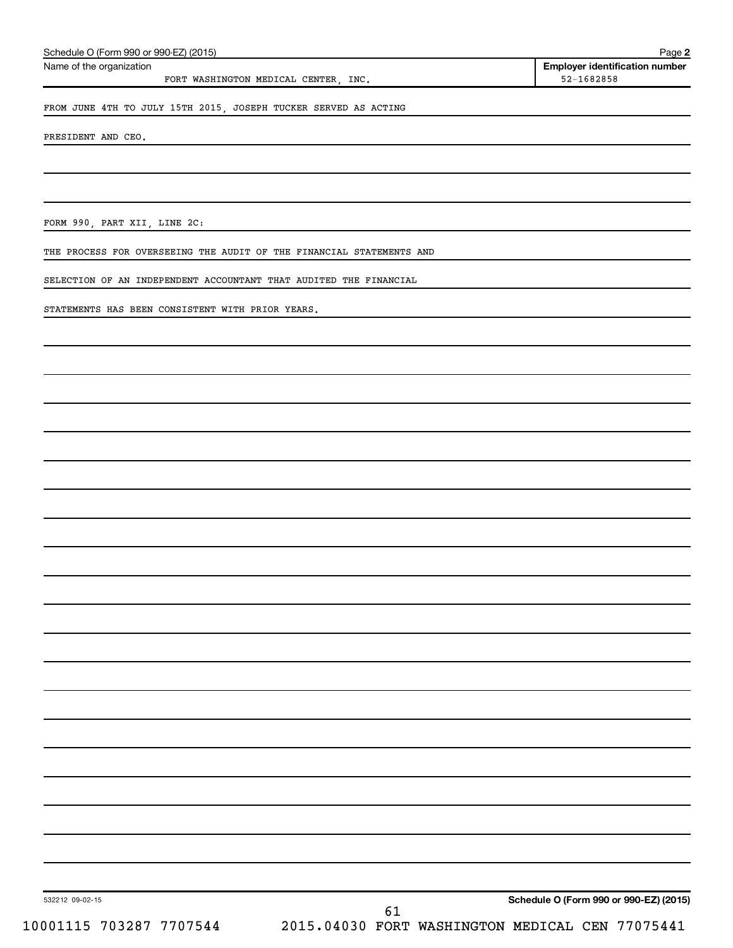FORT WASHINGTON MEDICAL CENTER, INC. THE SECOND SECTION OF SALES AS A SECOND SECTION OF SALES AND SECOND SECTION OF SALES AND SECOND SECOND SECOND SECOND SECOND SECOND SECOND SECOND SECOND SECOND SECOND SECOND SECOND SECON

**Employer identification number**

FROM JUNE 4TH TO JULY 15TH 2015, JOSEPH TUCKER SERVED AS ACTING

PRESIDENT AND CEO.

FORM 990, PART XII, LINE 2C:

THE PROCESS FOR OVERSEEING THE AUDIT OF THE FINANCIAL STATEMENTS AND

SELECTION OF AN INDEPENDENT ACCOUNTANT THAT AUDITED THE FINANCIAL

STATEMENTS HAS BEEN CONSISTENT WITH PRIOR YEARS.

**2**

532212 09-02-15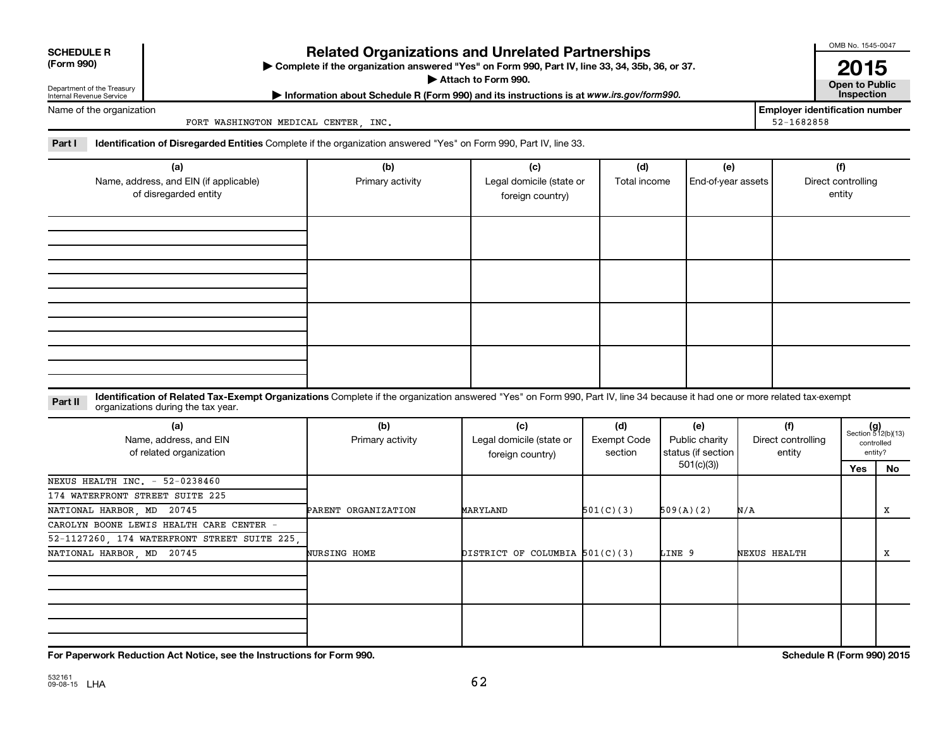| <b>SCHEDULE R</b><br>(Form 990)                        | <b>Related Organizations and Unrelated Partnerships</b><br>> Complete if the organization answered "Yes" on Form 990, Part IV, line 33, 34, 35b, 36, or 37. | Attach to Form 990. |                                       |  |  |  |
|--------------------------------------------------------|-------------------------------------------------------------------------------------------------------------------------------------------------------------|---------------------|---------------------------------------|--|--|--|
| Department of the Treasury<br>Internal Revenue Service | Information about Schedule R (Form 990) and its instructions is at www.irs.gov/form990.                                                                     |                     |                                       |  |  |  |
| Name of the organization                               |                                                                                                                                                             |                     | <b>Employer identification number</b> |  |  |  |
|                                                        | FORT WASHINGTON MEDICAL CENTER<br>INC.                                                                                                                      | 52-1682858          |                                       |  |  |  |
| Part I                                                 | <b>Identification of Disregarded Entities</b> Complete if the organization answered "Yes" on Form 990, Part IV, line 33.                                    |                     |                                       |  |  |  |

| the contract of the contract of                                        |                         |                                                     |                     |                           |                                     |
|------------------------------------------------------------------------|-------------------------|-----------------------------------------------------|---------------------|---------------------------|-------------------------------------|
| (a)<br>Name, address, and EIN (if applicable)<br>of disregarded entity | (b)<br>Primary activity | (c)<br>Legal domicile (state or<br>foreign country) | (d)<br>Total income | (e)<br>End-of-year assets | (1)<br>Direct controlling<br>entity |
|                                                                        |                         |                                                     |                     |                           |                                     |
|                                                                        |                         |                                                     |                     |                           |                                     |
|                                                                        |                         |                                                     |                     |                           |                                     |
|                                                                        |                         |                                                     |                     |                           |                                     |

#### **Part II** Identification of Related Tax-Exempt Organizations Complete if the organization answered "Yes" on Form 990, Part IV, line 34 because it had one or more related tax-exempt<br>Complete it is a seriest of the two wears organizations during the tax year.

| (a)<br>Name, address, and EIN<br>of related organization | (b)<br>Primary activity | (c)<br>Legal domicile (state or<br>foreign country) | (d)<br>Exempt Code<br>section | (e)<br>Public charity<br>status (if section | (f)<br>Direct controlling<br>entity |     | $(g)$<br>Section 512(b)(13)<br>controlled<br>entity? |
|----------------------------------------------------------|-------------------------|-----------------------------------------------------|-------------------------------|---------------------------------------------|-------------------------------------|-----|------------------------------------------------------|
|                                                          |                         |                                                     |                               | 501(c)(3))                                  |                                     | Yes | No                                                   |
| NEXUS HEALTH $INC = 52-0238460$                          |                         |                                                     |                               |                                             |                                     |     |                                                      |
| 174 WATERFRONT STREET SUITE 225                          |                         |                                                     |                               |                                             |                                     |     |                                                      |
| NATIONAL HARBOR, MD 20745                                | PARENT ORGANIZATION     | MARYLAND                                            | 501(C)(3)                     | 509(A)(2)                                   | N/A                                 |     | х                                                    |
| CAROLYN BOONE LEWIS HEALTH CARE CENTER -                 |                         |                                                     |                               |                                             |                                     |     |                                                      |
| 52-1127260, 174 WATERFRONT STREET SUITE 225,             |                         |                                                     |                               |                                             |                                     |     |                                                      |
| NATIONAL HARBOR, MD 20745                                | NURSING HOME            | DISTRICT OF COLUMBIA 501(C)(3)                      |                               | LINE 9                                      | <b>NEXUS HEALTH</b>                 |     | х                                                    |
|                                                          |                         |                                                     |                               |                                             |                                     |     |                                                      |
|                                                          |                         |                                                     |                               |                                             |                                     |     |                                                      |

**For Paperwork Reduction Act Notice, see the Instructions for Form 990. Schedule R (Form 990) 2015**

OMB No. 1545-0047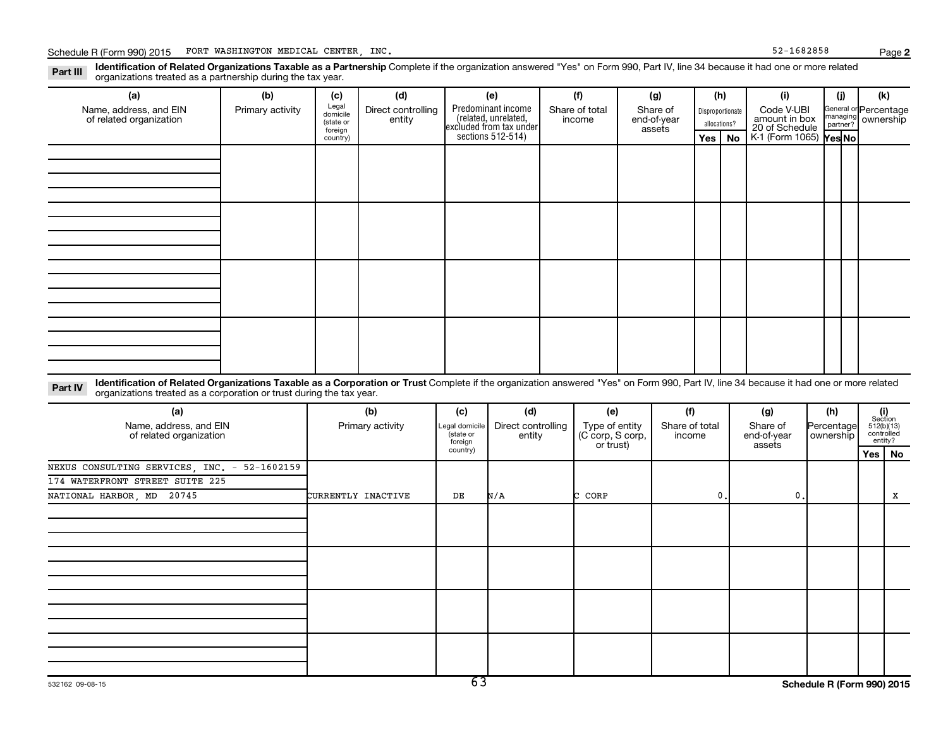Part III Identification of Related Organizations Taxable as a Partnership Complete if the organization answered "Yes" on Form 990, Part IV, line 34 because it had one or more related<br>Read to the organizations tracted as a organizations treated as a partnership during the tax year.

| (a)                                               | (b)              | (c)                                       | (d)                          | (e)                                                                                       | (f)                      | (g)                               |         | (h)                              | (i)                                           | (i) | (k)                                                     |
|---------------------------------------------------|------------------|-------------------------------------------|------------------------------|-------------------------------------------------------------------------------------------|--------------------------|-----------------------------------|---------|----------------------------------|-----------------------------------------------|-----|---------------------------------------------------------|
| Name, address, and EIN<br>of related organization | Primary activity | Legal<br>domicile<br>(state or<br>foreign | Direct controlling<br>entity | Predominant income<br>related, unrelated,<br>excluded from tax under<br>sections 512-514) | Share of total<br>income | Share of<br>end-of-year<br>assets |         | Disproportionate<br>allocations? | Code V-UBI<br>amount in box<br>20 of Schedule |     | General or Percentage<br>managing ownership<br>partner? |
|                                                   |                  | country)                                  |                              |                                                                                           |                          |                                   | Yes $ $ | No                               | K-1 (Form 1065) <b>Yes No</b>                 |     |                                                         |
|                                                   |                  |                                           |                              |                                                                                           |                          |                                   |         |                                  |                                               |     |                                                         |
|                                                   |                  |                                           |                              |                                                                                           |                          |                                   |         |                                  |                                               |     |                                                         |
|                                                   |                  |                                           |                              |                                                                                           |                          |                                   |         |                                  |                                               |     |                                                         |
|                                                   |                  |                                           |                              |                                                                                           |                          |                                   |         |                                  |                                               |     |                                                         |
|                                                   |                  |                                           |                              |                                                                                           |                          |                                   |         |                                  |                                               |     |                                                         |
|                                                   |                  |                                           |                              |                                                                                           |                          |                                   |         |                                  |                                               |     |                                                         |
|                                                   |                  |                                           |                              |                                                                                           |                          |                                   |         |                                  |                                               |     |                                                         |
|                                                   |                  |                                           |                              |                                                                                           |                          |                                   |         |                                  |                                               |     |                                                         |
|                                                   |                  |                                           |                              |                                                                                           |                          |                                   |         |                                  |                                               |     |                                                         |
|                                                   |                  |                                           |                              |                                                                                           |                          |                                   |         |                                  |                                               |     |                                                         |
|                                                   |                  |                                           |                              |                                                                                           |                          |                                   |         |                                  |                                               |     |                                                         |
|                                                   |                  |                                           |                              |                                                                                           |                          |                                   |         |                                  |                                               |     |                                                         |
|                                                   |                  |                                           |                              |                                                                                           |                          |                                   |         |                                  |                                               |     |                                                         |
|                                                   |                  |                                           |                              |                                                                                           |                          |                                   |         |                                  |                                               |     |                                                         |
|                                                   |                  |                                           |                              |                                                                                           |                          |                                   |         |                                  |                                               |     |                                                         |
|                                                   |                  |                                           |                              |                                                                                           |                          |                                   |         |                                  |                                               |     |                                                         |

Part IV Identification of Related Organizations Taxable as a Corporation or Trust Complete if the organization answered "Yes" on Form 990, Part IV, line 34 because it had one or more related<br>Comparison tracted as a comprat organizations treated as a corporation or trust during the tax year.

| (a)<br>Name, address, and EIN<br>of related organization                        | (b)<br>Primary activity | (c)<br>Legal domicile<br>(state or<br>foreign | (d)<br>Direct controlling<br>entity | (e)<br>Type of entity<br>(C corp, S corp,<br>or trust) | (f)<br>Share of total<br>income | (g)<br>Share of<br>end-of-year<br>assets | (h)<br>Percentage<br>ownership | $(i)$<br>Section<br>512(b)(13)<br>controlled<br>entity? |
|---------------------------------------------------------------------------------|-------------------------|-----------------------------------------------|-------------------------------------|--------------------------------------------------------|---------------------------------|------------------------------------------|--------------------------------|---------------------------------------------------------|
|                                                                                 |                         | country)                                      |                                     |                                                        |                                 |                                          |                                | Yes   No                                                |
| NEXUS CONSULTING SERVICES, INC. - 52-1602159<br>174 WATERFRONT STREET SUITE 225 |                         |                                               |                                     |                                                        |                                 |                                          |                                |                                                         |
| NATIONAL HARBOR, MD 20745                                                       | CURRENTLY INACTIVE      | DE                                            | N/A                                 | CORP<br>IC.                                            | 0.                              | 0.                                       |                                | x                                                       |
|                                                                                 |                         |                                               |                                     |                                                        |                                 |                                          |                                |                                                         |
|                                                                                 |                         |                                               |                                     |                                                        |                                 |                                          |                                |                                                         |
|                                                                                 |                         |                                               |                                     |                                                        |                                 |                                          |                                |                                                         |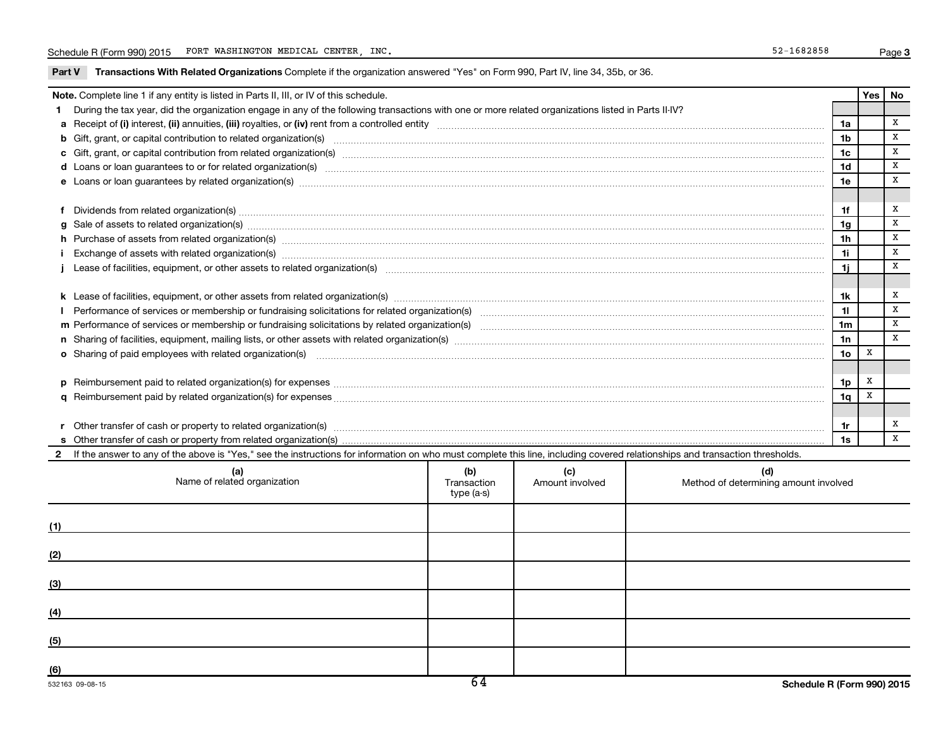Part V Transactions With Related Organizations Complete if the organization answered "Yes" on Form 990, Part IV, line 34, 35b, or 36.

|                                                                                                                                                                                              | Note. Complete line 1 if any entity is listed in Parts II, III, or IV of this schedule.                                                                                                                                        |                                   |                        |                                              |                | Yes I | No           |  |  |  |  |
|----------------------------------------------------------------------------------------------------------------------------------------------------------------------------------------------|--------------------------------------------------------------------------------------------------------------------------------------------------------------------------------------------------------------------------------|-----------------------------------|------------------------|----------------------------------------------|----------------|-------|--------------|--|--|--|--|
|                                                                                                                                                                                              | During the tax year, did the organization engage in any of the following transactions with one or more related organizations listed in Parts II-IV?                                                                            |                                   |                        |                                              |                |       |              |  |  |  |  |
|                                                                                                                                                                                              |                                                                                                                                                                                                                                |                                   |                        |                                              | 1a             |       | $\mathbf{x}$ |  |  |  |  |
|                                                                                                                                                                                              | b Gift, grant, or capital contribution to related organization(s) manufactured content and content of the contribution to related organization(s) manufactured content and content of the content of the content of the conten |                                   |                        |                                              | 1 <sub>b</sub> |       | X            |  |  |  |  |
|                                                                                                                                                                                              |                                                                                                                                                                                                                                |                                   |                        |                                              | 1 <sub>c</sub> |       | $\mathbf{x}$ |  |  |  |  |
|                                                                                                                                                                                              | d Loans or loan guarantees to or for related organization(s) www.communities.com/www.communities.com/www.communities.com/www.communities.com/www.communities.com/www.communities.com/www.communities.com/www.communities.com/w |                                   |                        |                                              | 1 <sub>d</sub> |       | x            |  |  |  |  |
|                                                                                                                                                                                              |                                                                                                                                                                                                                                |                                   |                        |                                              | 1e             |       | X            |  |  |  |  |
|                                                                                                                                                                                              |                                                                                                                                                                                                                                |                                   |                        |                                              |                |       |              |  |  |  |  |
|                                                                                                                                                                                              |                                                                                                                                                                                                                                |                                   |                        |                                              | 1f             |       | х            |  |  |  |  |
|                                                                                                                                                                                              | g Sale of assets to related organization(s) manufactured assembly contained as a set of assets to related organization(s) manufactured assets to related organization(s)                                                       |                                   |                        |                                              | 1 <sub>q</sub> |       | x            |  |  |  |  |
|                                                                                                                                                                                              | h Purchase of assets from related organization(s) manufactured content to content the content of an area organization (s) manufactured content to content the content of a set of assets from related organization(s) manufact |                                   |                        |                                              | 1 <sub>h</sub> |       | $\mathbf{x}$ |  |  |  |  |
|                                                                                                                                                                                              | Exchange of assets with related organization(s) manufactured and content and content and content and content and content and content and content and content and content and content and content and content and content and c |                                   |                        |                                              | 1i             |       | $\mathbf{x}$ |  |  |  |  |
|                                                                                                                                                                                              |                                                                                                                                                                                                                                |                                   |                        |                                              |                |       | X            |  |  |  |  |
|                                                                                                                                                                                              |                                                                                                                                                                                                                                |                                   |                        |                                              |                |       |              |  |  |  |  |
|                                                                                                                                                                                              |                                                                                                                                                                                                                                |                                   |                        |                                              | 1k             |       | x            |  |  |  |  |
|                                                                                                                                                                                              |                                                                                                                                                                                                                                |                                   |                        |                                              | 11             |       | X            |  |  |  |  |
|                                                                                                                                                                                              |                                                                                                                                                                                                                                |                                   |                        |                                              | 1 <sub>m</sub> |       | $\mathbf{x}$ |  |  |  |  |
|                                                                                                                                                                                              |                                                                                                                                                                                                                                |                                   |                        |                                              | 1n             |       | x            |  |  |  |  |
|                                                                                                                                                                                              | o Sharing of paid employees with related organization(s) manufactured content to the content of the content of the content of the content of the content of the content of the content of the content of the content of the co |                                   |                        |                                              | 1o             | X     |              |  |  |  |  |
|                                                                                                                                                                                              |                                                                                                                                                                                                                                |                                   |                        |                                              |                |       |              |  |  |  |  |
|                                                                                                                                                                                              |                                                                                                                                                                                                                                |                                   |                        |                                              | 1p             | X     |              |  |  |  |  |
|                                                                                                                                                                                              |                                                                                                                                                                                                                                |                                   |                        |                                              | 1q             | X     |              |  |  |  |  |
|                                                                                                                                                                                              |                                                                                                                                                                                                                                |                                   |                        |                                              |                |       |              |  |  |  |  |
|                                                                                                                                                                                              |                                                                                                                                                                                                                                |                                   |                        |                                              |                |       | x            |  |  |  |  |
|                                                                                                                                                                                              |                                                                                                                                                                                                                                |                                   |                        |                                              |                |       | $\mathbf{x}$ |  |  |  |  |
| If the answer to any of the above is "Yes," see the instructions for information on who must complete this line, including covered relationships and transaction thresholds.<br>$\mathbf{2}$ |                                                                                                                                                                                                                                |                                   |                        |                                              |                |       |              |  |  |  |  |
|                                                                                                                                                                                              | (a)<br>Name of related organization                                                                                                                                                                                            | (b)<br>Transaction<br>$type(a-s)$ | (c)<br>Amount involved | (d)<br>Method of determining amount involved |                |       |              |  |  |  |  |

| Name of related organization | . .<br>Transaction<br>type (a-s) | $\cdots$<br>Amount involved | Method of determining amount involved |
|------------------------------|----------------------------------|-----------------------------|---------------------------------------|
| (1)                          |                                  |                             |                                       |
| (2)                          |                                  |                             |                                       |
| (3)                          |                                  |                             |                                       |
| (4)                          |                                  |                             |                                       |
| (5)                          |                                  |                             |                                       |
| (6)                          | --                               |                             |                                       |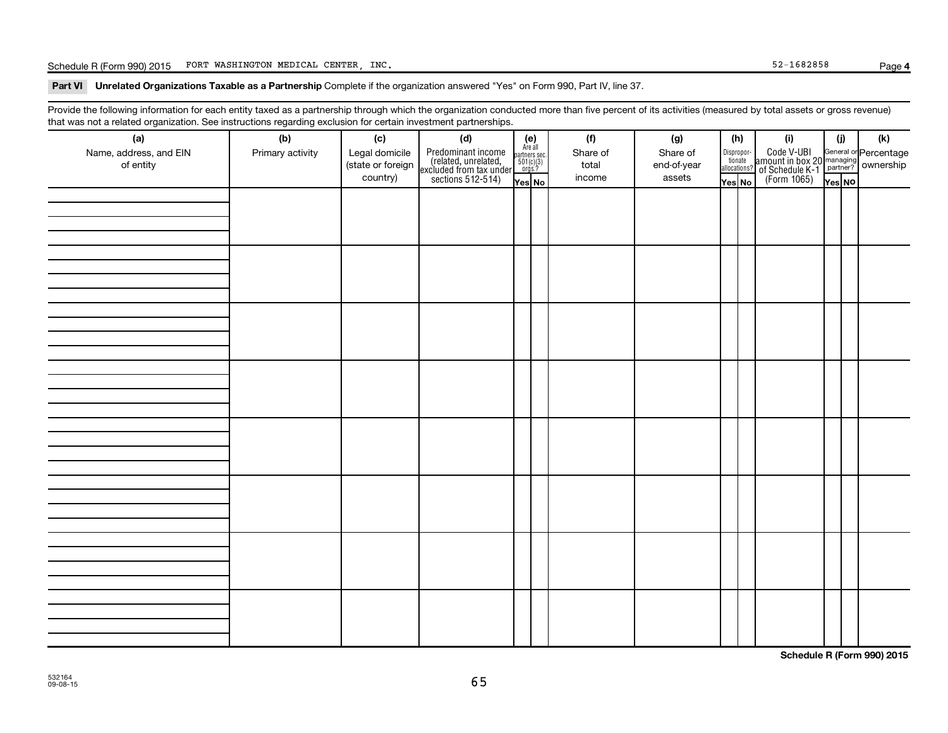Schedule R (Form 990) 2015 FORT WASHINGTON MEDICAL CENTER, INC. SCHEDULE 1999 1999 52-1682858

**4**

Part VI Unrelated Organizations Taxable as a Partnership Complete if the organization answered "Yes" on Form 990, Part IV, line 37.

Provide the following information for each entity taxed as a partnership through which the organization conducted more than five percent of its activities (measured by total assets or gross revenue) that was not a related organization. See instructions regarding exclusion for certain investment partnerships.

| that was not a related organization. Occ instructions regarding exclusion for certain investment partnerships.<br>(a) | (b)              | (c)                                 | (d)                                                                                        |                                                          |  | (f)               | (g)                     | (h)    | (i)                                                                                                                                     | (j)    | (k) |  |  |  |  |  |  |  |  |  |  |  |  |  |  |  |  |  |
|-----------------------------------------------------------------------------------------------------------------------|------------------|-------------------------------------|--------------------------------------------------------------------------------------------|----------------------------------------------------------|--|-------------------|-------------------------|--------|-----------------------------------------------------------------------------------------------------------------------------------------|--------|-----|--|--|--|--|--|--|--|--|--|--|--|--|--|--|--|--|--|
| Name, address, and EIN<br>of entity                                                                                   | Primary activity | Legal domicile<br>(state or foreign | Predominant income<br>(related, unrelated,<br>excluded from tax under<br>sections 512-514) | (e)<br>Are all<br>partners sec.<br>$501(c)(3)$<br>orgs.? |  | Share of<br>total | Share of<br>end-of-year |        | Dispropor-<br>Dispropor-<br>allocations? and annount in box 20 managing<br>allocations? of Schedule K-1<br>Yes No (Form 1065)<br>Yes No |        |     |  |  |  |  |  |  |  |  |  |  |  |  |  |  |  |  |  |
|                                                                                                                       |                  | country)                            |                                                                                            | Yes No                                                   |  | income            | assets                  | Yes No |                                                                                                                                         | Yes No |     |  |  |  |  |  |  |  |  |  |  |  |  |  |  |  |  |  |
|                                                                                                                       |                  |                                     |                                                                                            |                                                          |  |                   |                         |        |                                                                                                                                         |        |     |  |  |  |  |  |  |  |  |  |  |  |  |  |  |  |  |  |
|                                                                                                                       |                  |                                     |                                                                                            |                                                          |  |                   |                         |        |                                                                                                                                         |        |     |  |  |  |  |  |  |  |  |  |  |  |  |  |  |  |  |  |
|                                                                                                                       |                  |                                     |                                                                                            |                                                          |  |                   |                         |        |                                                                                                                                         |        |     |  |  |  |  |  |  |  |  |  |  |  |  |  |  |  |  |  |
|                                                                                                                       |                  |                                     |                                                                                            |                                                          |  |                   |                         |        |                                                                                                                                         |        |     |  |  |  |  |  |  |  |  |  |  |  |  |  |  |  |  |  |
|                                                                                                                       |                  |                                     |                                                                                            |                                                          |  |                   |                         |        |                                                                                                                                         |        |     |  |  |  |  |  |  |  |  |  |  |  |  |  |  |  |  |  |
|                                                                                                                       |                  |                                     |                                                                                            |                                                          |  |                   |                         |        |                                                                                                                                         |        |     |  |  |  |  |  |  |  |  |  |  |  |  |  |  |  |  |  |
|                                                                                                                       |                  |                                     |                                                                                            |                                                          |  |                   |                         |        |                                                                                                                                         |        |     |  |  |  |  |  |  |  |  |  |  |  |  |  |  |  |  |  |
|                                                                                                                       |                  |                                     |                                                                                            |                                                          |  |                   |                         |        |                                                                                                                                         |        |     |  |  |  |  |  |  |  |  |  |  |  |  |  |  |  |  |  |
|                                                                                                                       |                  |                                     |                                                                                            |                                                          |  |                   |                         |        |                                                                                                                                         |        |     |  |  |  |  |  |  |  |  |  |  |  |  |  |  |  |  |  |
|                                                                                                                       |                  |                                     |                                                                                            |                                                          |  |                   |                         |        |                                                                                                                                         |        |     |  |  |  |  |  |  |  |  |  |  |  |  |  |  |  |  |  |
|                                                                                                                       |                  |                                     |                                                                                            |                                                          |  |                   |                         |        |                                                                                                                                         |        |     |  |  |  |  |  |  |  |  |  |  |  |  |  |  |  |  |  |
|                                                                                                                       |                  |                                     |                                                                                            |                                                          |  |                   |                         |        |                                                                                                                                         |        |     |  |  |  |  |  |  |  |  |  |  |  |  |  |  |  |  |  |
|                                                                                                                       |                  |                                     |                                                                                            |                                                          |  |                   |                         |        |                                                                                                                                         |        |     |  |  |  |  |  |  |  |  |  |  |  |  |  |  |  |  |  |
|                                                                                                                       |                  |                                     |                                                                                            |                                                          |  |                   |                         |        |                                                                                                                                         |        |     |  |  |  |  |  |  |  |  |  |  |  |  |  |  |  |  |  |
|                                                                                                                       |                  |                                     |                                                                                            |                                                          |  |                   |                         |        |                                                                                                                                         |        |     |  |  |  |  |  |  |  |  |  |  |  |  |  |  |  |  |  |
|                                                                                                                       |                  |                                     |                                                                                            |                                                          |  |                   |                         |        |                                                                                                                                         |        |     |  |  |  |  |  |  |  |  |  |  |  |  |  |  |  |  |  |
|                                                                                                                       |                  |                                     |                                                                                            |                                                          |  |                   |                         |        |                                                                                                                                         |        |     |  |  |  |  |  |  |  |  |  |  |  |  |  |  |  |  |  |
|                                                                                                                       |                  |                                     |                                                                                            |                                                          |  |                   |                         |        |                                                                                                                                         |        |     |  |  |  |  |  |  |  |  |  |  |  |  |  |  |  |  |  |
|                                                                                                                       |                  |                                     |                                                                                            |                                                          |  |                   |                         |        |                                                                                                                                         |        |     |  |  |  |  |  |  |  |  |  |  |  |  |  |  |  |  |  |
|                                                                                                                       |                  |                                     |                                                                                            |                                                          |  |                   |                         |        |                                                                                                                                         |        |     |  |  |  |  |  |  |  |  |  |  |  |  |  |  |  |  |  |
|                                                                                                                       |                  |                                     |                                                                                            |                                                          |  |                   |                         |        |                                                                                                                                         |        |     |  |  |  |  |  |  |  |  |  |  |  |  |  |  |  |  |  |
|                                                                                                                       |                  |                                     |                                                                                            |                                                          |  |                   |                         |        |                                                                                                                                         |        |     |  |  |  |  |  |  |  |  |  |  |  |  |  |  |  |  |  |
|                                                                                                                       |                  |                                     |                                                                                            |                                                          |  |                   |                         |        |                                                                                                                                         |        |     |  |  |  |  |  |  |  |  |  |  |  |  |  |  |  |  |  |
|                                                                                                                       |                  |                                     |                                                                                            |                                                          |  |                   |                         |        |                                                                                                                                         |        |     |  |  |  |  |  |  |  |  |  |  |  |  |  |  |  |  |  |
|                                                                                                                       |                  |                                     |                                                                                            |                                                          |  |                   |                         |        |                                                                                                                                         |        |     |  |  |  |  |  |  |  |  |  |  |  |  |  |  |  |  |  |
|                                                                                                                       |                  |                                     |                                                                                            |                                                          |  |                   |                         |        |                                                                                                                                         |        |     |  |  |  |  |  |  |  |  |  |  |  |  |  |  |  |  |  |

**Schedule R (Form 990) 2015**